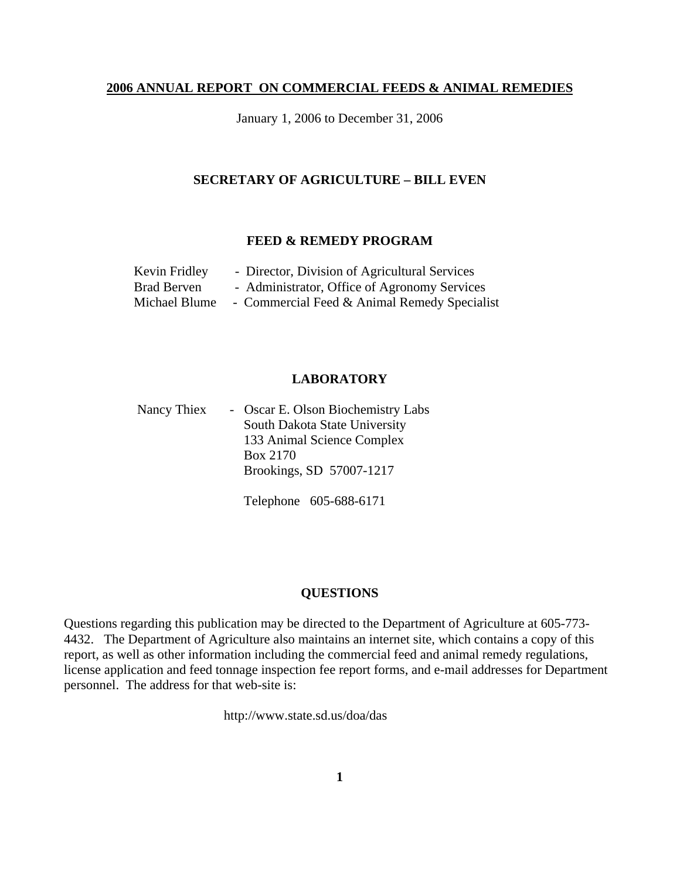#### **2006 ANNUAL REPORT ON COMMERCIAL FEEDS & ANIMAL REMEDIES**

January 1, 2006 to December 31, 2006

#### **SECRETARY OF AGRICULTURE – BILL EVEN**

#### **FEED & REMEDY PROGRAM**

| Kevin Fridley | - Director, Division of Agricultural Services |
|---------------|-----------------------------------------------|
| Brad Berven   | - Administrator, Office of Agronomy Services  |
| Michael Blume | - Commercial Feed & Animal Remedy Specialist  |

#### **LABORATORY**

Nancy Thiex - Oscar E. Olson Biochemistry Labs South Dakota State University 133 Animal Science Complex Box 2170 Brookings, SD 57007-1217

Telephone 605-688-6171

## **QUESTIONS**

Questions regarding this publication may be directed to the Department of Agriculture at 605-773- 4432. The Department of Agriculture also maintains an internet site, which contains a copy of this report, as well as other information including the commercial feed and animal remedy regulations, license application and feed tonnage inspection fee report forms, and e-mail addresses for Department personnel. The address for that web-site is:

http://www.state.sd.us/doa/das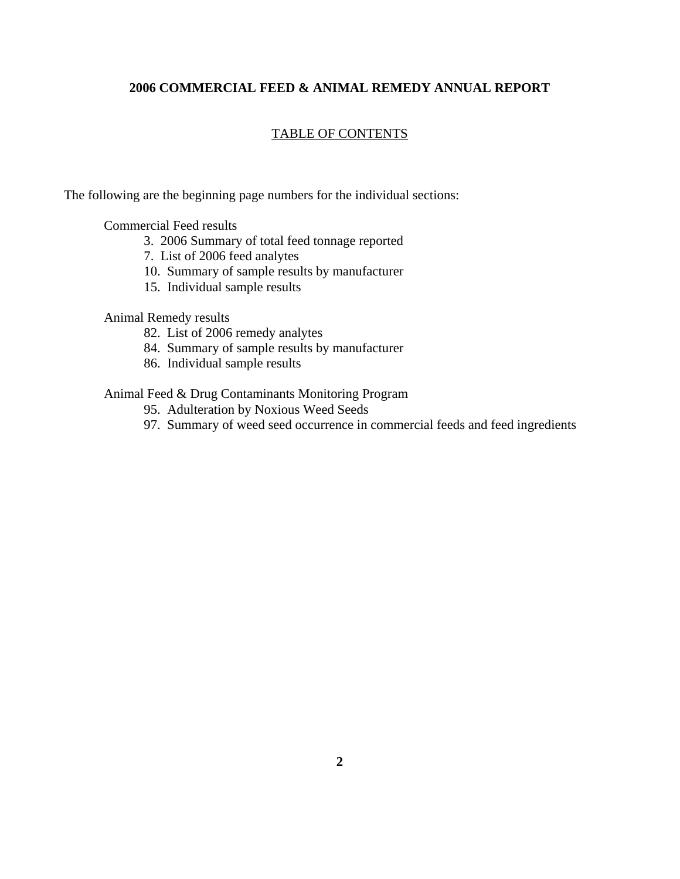# **2006 COMMERCIAL FEED & ANIMAL REMEDY ANNUAL REPORT**

## TABLE OF CONTENTS

The following are the beginning page numbers for the individual sections:

Commercial Feed results

- 3. 2006 Summary of total feed tonnage reported
- 7. List of 2006 feed analytes
- 10. Summary of sample results by manufacturer
- 15. Individual sample results

#### Animal Remedy results

- 82. List of 2006 remedy analytes
- 84. Summary of sample results by manufacturer
- 86. Individual sample results

Animal Feed & Drug Contaminants Monitoring Program

- 95. Adulteration by Noxious Weed Seeds
- 97. Summary of weed seed occurrence in commercial feeds and feed ingredients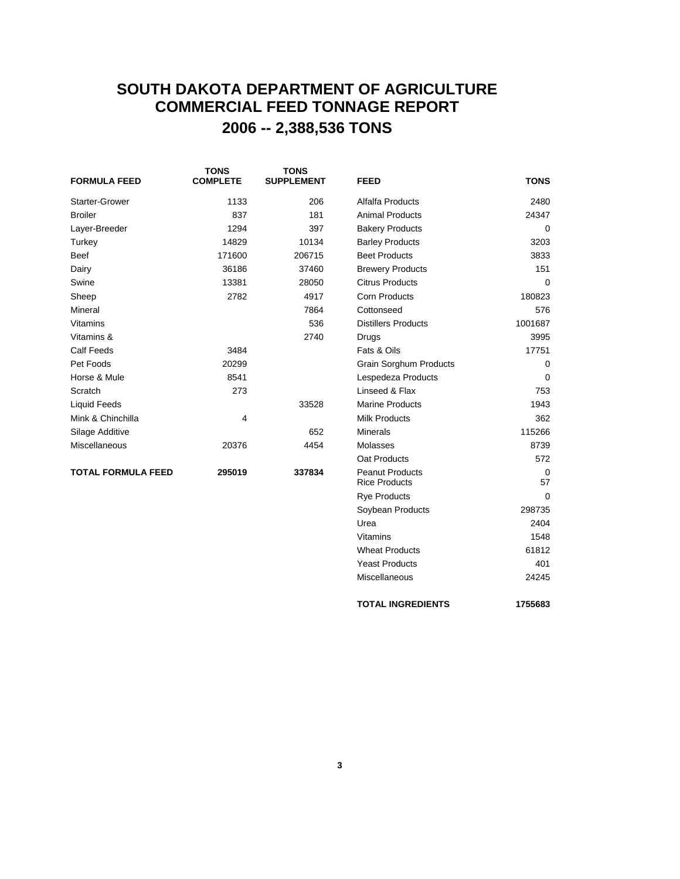# **SOUTH DAKOTA DEPARTMENT OF AGRICULTURE COMMERCIAL FEED TONNAGE REPORT 2006 -- 2,388,536 TONS**

| <b>FORMULA FEED</b>       | <b>TONS</b><br><b>COMPLETE</b> | <b>TONS</b><br><b>SUPPLEMENT</b> | <b>FEED</b>                                    | <b>TONS</b> |
|---------------------------|--------------------------------|----------------------------------|------------------------------------------------|-------------|
| <b>Starter-Grower</b>     | 1133                           | 206                              | Alfalfa Products                               | 2480        |
| <b>Broiler</b>            | 837                            | 181                              | <b>Animal Products</b>                         | 24347       |
| Layer-Breeder             | 1294                           | 397                              | <b>Bakery Products</b>                         | 0           |
| Turkey                    | 14829                          | 10134                            | <b>Barley Products</b>                         | 3203        |
| <b>Beef</b>               | 171600                         | 206715                           | <b>Beet Products</b>                           | 3833        |
| Dairy                     | 36186                          | 37460                            | <b>Brewery Products</b>                        | 151         |
| Swine                     | 13381                          | 28050                            | <b>Citrus Products</b>                         | $\Omega$    |
| Sheep                     | 2782                           | 4917                             | <b>Corn Products</b>                           | 180823      |
| Mineral                   |                                | 7864                             | Cottonseed                                     | 576         |
| Vitamins                  |                                | 536                              | <b>Distillers Products</b>                     | 1001687     |
| Vitamins &                |                                | 2740                             | Drugs                                          | 3995        |
| <b>Calf Feeds</b>         | 3484                           |                                  | Fats & Oils                                    | 17751       |
| Pet Foods                 | 20299                          |                                  | <b>Grain Sorghum Products</b>                  | 0           |
| Horse & Mule              | 8541                           |                                  | Lespedeza Products                             | 0           |
| Scratch                   | 273                            |                                  | Linseed & Flax                                 | 753         |
| Liquid Feeds              |                                | 33528                            | <b>Marine Products</b>                         | 1943        |
| Mink & Chinchilla         | 4                              |                                  | <b>Milk Products</b>                           | 362         |
| Silage Additive           |                                | 652                              | <b>Minerals</b>                                | 115266      |
| <b>Miscellaneous</b>      | 20376                          | 4454                             | Molasses                                       | 8739        |
|                           |                                |                                  | Oat Products                                   | 572         |
| <b>TOTAL FORMULA FEED</b> | 295019                         | 337834                           | <b>Peanut Products</b><br><b>Rice Products</b> | 0<br>57     |
|                           |                                |                                  | <b>Rye Products</b>                            | $\Omega$    |
|                           |                                |                                  | Soybean Products                               | 298735      |

Urea 2404 Vitamins 1548 Wheat Products 61812 Yeast Products 401 Miscellaneous 24245

**TOTAL INGREDIENTS 1755683**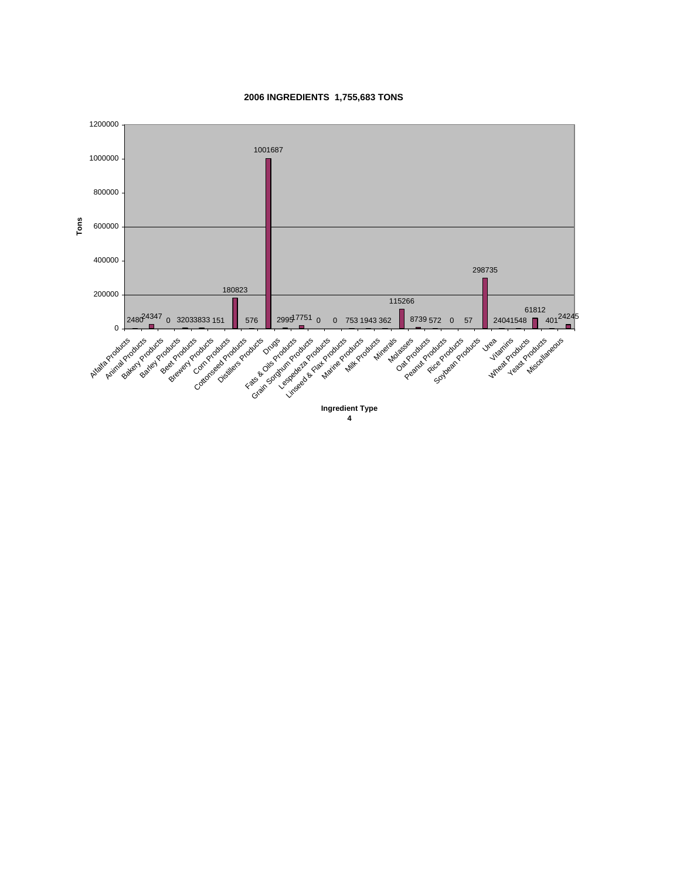

**2006 INGREDIENTS 1,755,683 TONS**

**Ingredient Type 4**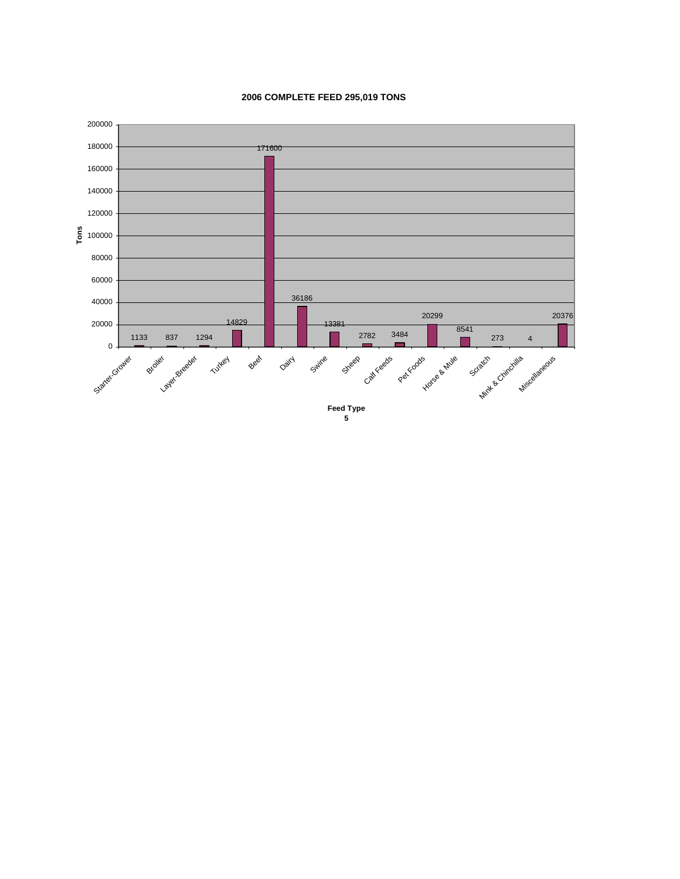#### **2006 COMPLETE FEED 295,019 TONS**



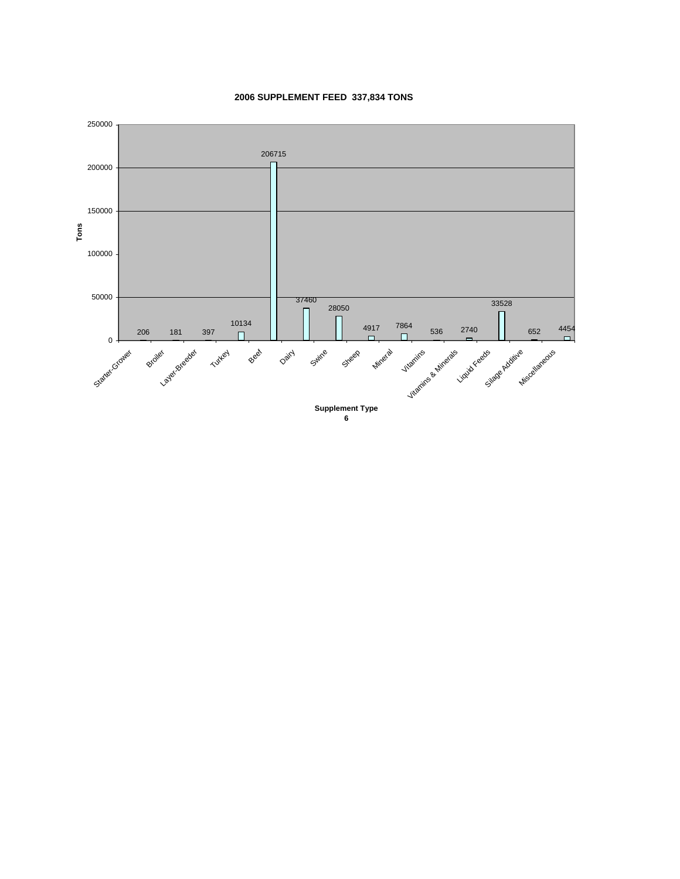

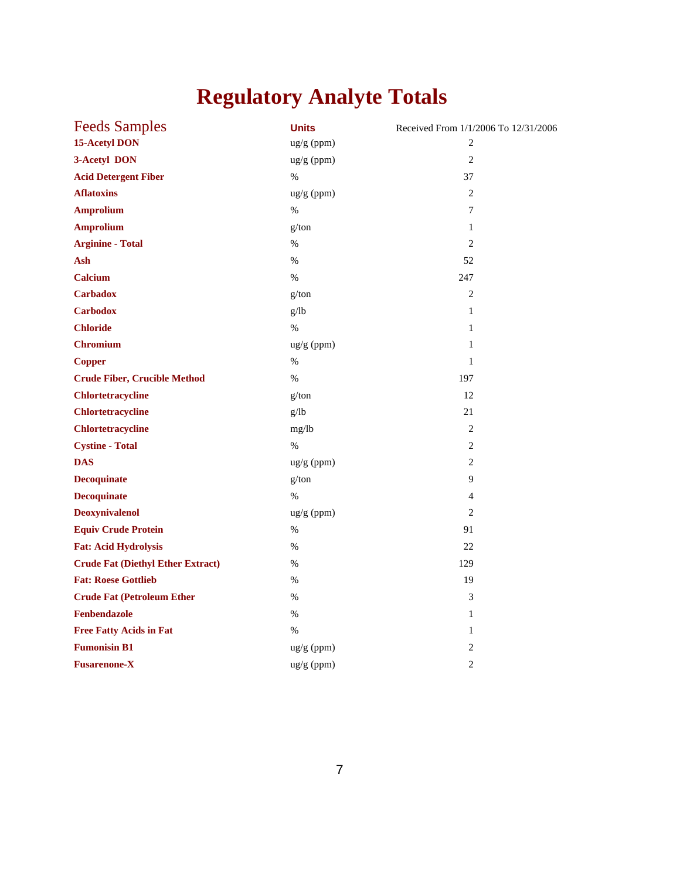# **Regulatory Analyte Totals**

| <b>Feeds Samples</b>                     | <b>Units</b> | Received From 1/1/2006 To 12/31/2006 |
|------------------------------------------|--------------|--------------------------------------|
| <b>15-Acetyl DON</b>                     | ug/g (ppm)   | 2                                    |
| 3-Acetyl DON                             | ug/g (ppm)   | $\overline{2}$                       |
| <b>Acid Detergent Fiber</b>              | $\%$         | 37                                   |
| <b>Aflatoxins</b>                        | ug/g (ppm)   | 2                                    |
| <b>Amprolium</b>                         | %            | 7                                    |
| <b>Amprolium</b>                         | g/ton        | $\mathbf{1}$                         |
| <b>Arginine - Total</b>                  | %            | $\overline{2}$                       |
| Ash                                      | $\%$         | 52                                   |
| Calcium                                  | $\%$         | 247                                  |
| <b>Carbadox</b>                          | g/ton        | $\overline{2}$                       |
| <b>Carbodox</b>                          | g/lb         | $\mathbf{1}$                         |
| <b>Chloride</b>                          | $\%$         | $\mathbf{1}$                         |
| <b>Chromium</b>                          | $ug/g$ (ppm) | 1                                    |
| <b>Copper</b>                            | $\%$         | $\mathbf{1}$                         |
| <b>Crude Fiber, Crucible Method</b>      | $\%$         | 197                                  |
| <b>Chlortetracycline</b>                 | g/ton        | 12                                   |
| <b>Chlortetracycline</b>                 | g/lb         | 21                                   |
| Chlortetracycline                        | mg/lb        | $\sqrt{2}$                           |
| <b>Cystine - Total</b>                   | $\%$         | 2                                    |
| <b>DAS</b>                               | ug/g (ppm)   | 2                                    |
| <b>Decoquinate</b>                       | g/ton        | 9                                    |
| <b>Decoquinate</b>                       | $\%$         | 4                                    |
| <b>Deoxynivalenol</b>                    | ug/g (ppm)   | $\overline{2}$                       |
| <b>Equiv Crude Protein</b>               | $\%$         | 91                                   |
| <b>Fat: Acid Hydrolysis</b>              | %            | 22                                   |
| <b>Crude Fat (Diethyl Ether Extract)</b> | $\%$         | 129                                  |
| <b>Fat: Roese Gottlieb</b>               | $\%$         | 19                                   |
| <b>Crude Fat (Petroleum Ether)</b>       | %            | 3                                    |
| Fenbendazole                             | $\%$         | $\mathbf{1}$                         |
| <b>Free Fatty Acids in Fat</b>           | $\%$         | $\mathbf{1}$                         |
| <b>Fumonisin B1</b>                      | ug/g (ppm)   | $\overline{2}$                       |
| <b>Fusarenone-X</b>                      | ug/g (ppm)   | $\overline{2}$                       |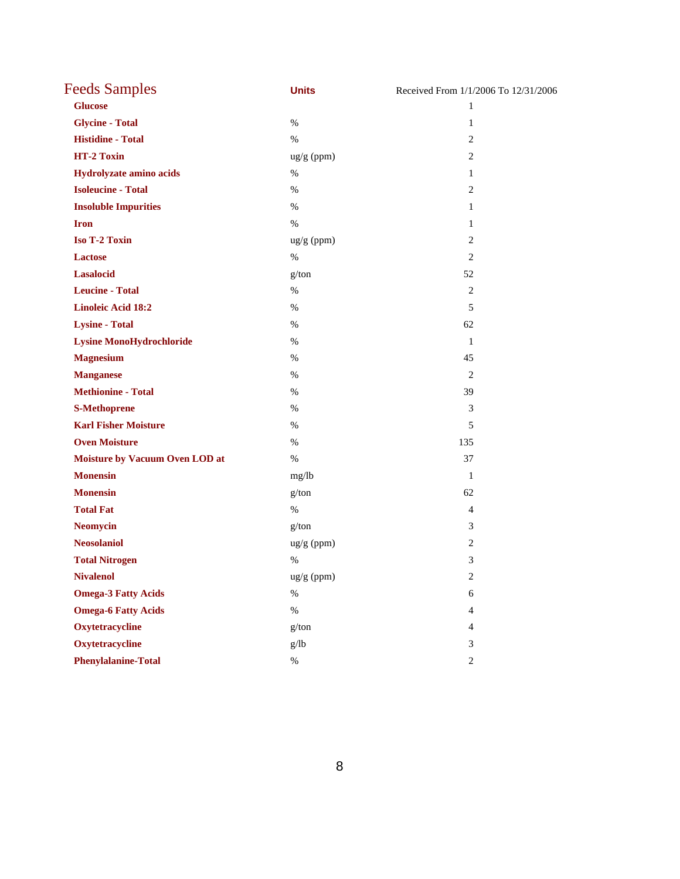| <b>Feeds Samples</b>            | <b>Units</b> | Received From 1/1/2006 To 12/31/2006 |
|---------------------------------|--------------|--------------------------------------|
| <b>Glucose</b>                  |              | $\mathbf{1}$                         |
| <b>Glycine - Total</b>          | $\%$         | $\mathbf{1}$                         |
| <b>Histidine - Total</b>        | $\%$         | 2                                    |
| HT-2 Toxin                      | ug/g (ppm)   | $\mathbf{2}$                         |
| Hydrolyzate amino acids         | $\%$         | $\mathbf{1}$                         |
| <b>Isoleucine - Total</b>       | $\%$         | $\mathbf{2}$                         |
| <b>Insoluble Impurities</b>     | $\%$         | $\mathbf{1}$                         |
| <b>Iron</b>                     | $\%$         | 1                                    |
| <b>Iso T-2 Toxin</b>            | ug/g (ppm)   | $\overline{2}$                       |
| <b>Lactose</b>                  | $\%$         | $\overline{2}$                       |
| <b>Lasalocid</b>                | g/ton        | 52                                   |
| <b>Leucine - Total</b>          | $\%$         | 2                                    |
| <b>Linoleic Acid 18:2</b>       | $\%$         | 5                                    |
| <b>Lysine - Total</b>           | $\%$         | 62                                   |
| <b>Lysine MonoHydrochloride</b> | $\%$         | 1                                    |
| <b>Magnesium</b>                | $\%$         | 45                                   |
| <b>Manganese</b>                | $\%$         | $\overline{2}$                       |
| <b>Methionine - Total</b>       | %            | 39                                   |
| <b>S-Methoprene</b>             | $\%$         | 3                                    |
| <b>Karl Fisher Moisture</b>     | $\%$         | 5                                    |
| <b>Oven Moisture</b>            | $\%$         | 135                                  |
| Moisture by Vacuum Oven LOD at  | $\%$         | 37                                   |
| <b>Monensin</b>                 | mg/lb        | 1                                    |
| <b>Monensin</b>                 | g/ton        | 62                                   |
| <b>Total Fat</b>                | $\%$         | 4                                    |
| <b>Neomycin</b>                 | g/ton        | 3                                    |
| <b>Neosolaniol</b>              | ug/g (ppm)   | $\mathbf{2}$                         |
| <b>Total Nitrogen</b>           | $\%$         | 3                                    |
| <b>Nivalenol</b>                | ug/g (ppm)   | $\sqrt{2}$                           |
| <b>Omega-3 Fatty Acids</b>      | $\%$         | $\sqrt{6}$                           |
| <b>Omega-6 Fatty Acids</b>      | $\%$         | $\overline{4}$                       |
| Oxytetracycline                 | g/ton        | $\overline{4}$                       |
| Oxytetracycline                 | g/lb         | $\mathfrak{Z}$                       |
| <b>Phenylalanine-Total</b>      | $\%$         | $\sqrt{2}$                           |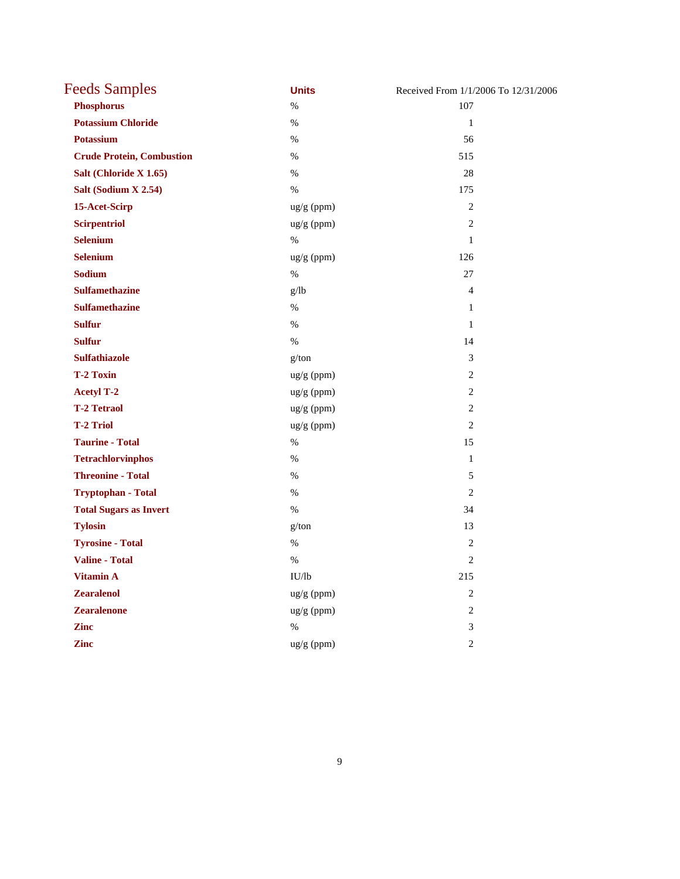| <b>Feeds Samples</b>             | <b>Units</b> | Received From 1/1/2006 To 12/31/2006 |
|----------------------------------|--------------|--------------------------------------|
| <b>Phosphorus</b>                | $\%$         | 107                                  |
| <b>Potassium Chloride</b>        | $\%$         | $\mathbf{1}$                         |
| <b>Potassium</b>                 | $\%$         | 56                                   |
| <b>Crude Protein, Combustion</b> | $\%$         | 515                                  |
| Salt (Chloride X 1.65)           | $\%$         | 28                                   |
| Salt (Sodium X 2.54)             | $\%$         | 175                                  |
| 15-Acet-Scirp                    | ug/g (ppm)   | $\overline{2}$                       |
| <b>Scirpentriol</b>              | ug/g (ppm)   | 2                                    |
| <b>Selenium</b>                  | $\%$         | $\mathbf{1}$                         |
| <b>Selenium</b>                  | ug/g (ppm)   | 126                                  |
| <b>Sodium</b>                    | $\%$         | 27                                   |
| <b>Sulfamethazine</b>            | g/lb         | $\overline{4}$                       |
| <b>Sulfamethazine</b>            | $\%$         | $\mathbf{1}$                         |
| <b>Sulfur</b>                    | $\%$         | $\mathbf{1}$                         |
| <b>Sulfur</b>                    | $\%$         | 14                                   |
| <b>Sulfathiazole</b>             | g/ton        | 3                                    |
| <b>T-2 Toxin</b>                 | ug/g (ppm)   | $\overline{2}$                       |
| <b>Acetyl T-2</b>                | ug/g (ppm)   | $\overline{2}$                       |
| <b>T-2 Tetraol</b>               | ug/g (ppm)   | $\overline{2}$                       |
| <b>T-2 Triol</b>                 | ug/g (ppm)   | $\mathfrak{2}$                       |
| <b>Taurine - Total</b>           | $\%$         | 15                                   |
| <b>Tetrachlorvinphos</b>         | $\%$         | $\mathbf{1}$                         |
| <b>Threonine - Total</b>         | $\%$         | 5                                    |
| <b>Tryptophan - Total</b>        | $\%$         | $\overline{2}$                       |
| <b>Total Sugars as Invert</b>    | $\%$         | 34                                   |
| <b>Tylosin</b>                   | g/ton        | 13                                   |
| <b>Tyrosine - Total</b>          | $\%$         | $\overline{2}$                       |
| <b>Valine - Total</b>            | $\%$         | $\overline{2}$                       |
| <b>Vitamin A</b>                 | IU/lb        | 215                                  |
| <b>Zearalenol</b>                | ug/g (ppm)   | 2                                    |
| <b>Zearalenone</b>               | ug/g (ppm)   | $\mathfrak{2}$                       |
| <b>Zinc</b>                      | $\%$         | $\mathfrak{Z}$                       |
| <b>Zinc</b>                      | ug/g (ppm)   | $\overline{2}$                       |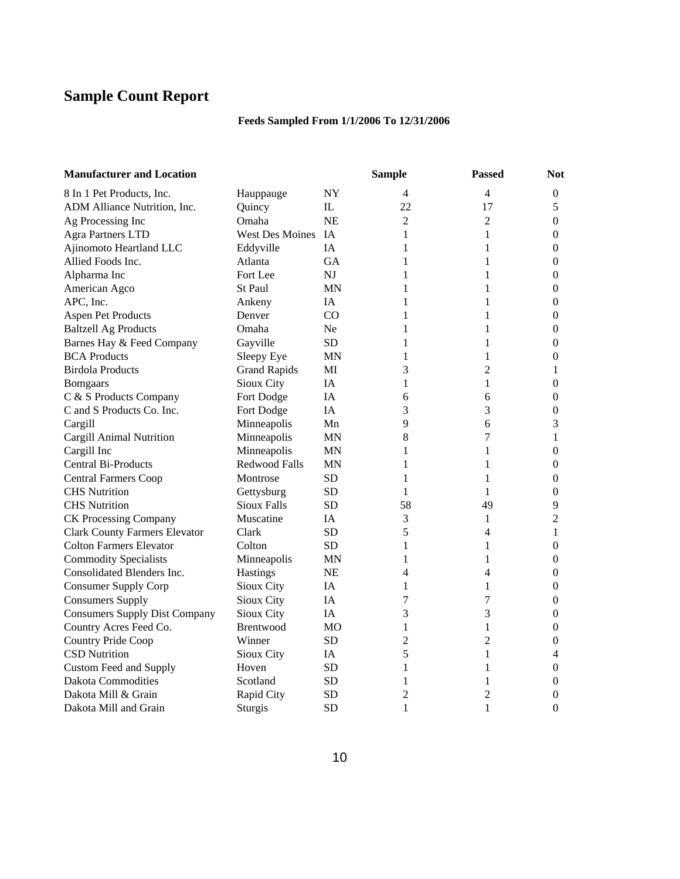# **Sample Count Report**

## **Feeds Sampled From 1/1/2006 To 12/31/2006**

| <b>Manufacturer and Location</b>     |                     |           | <b>Sample</b>  | <b>Passed</b>  | <b>Not</b>       |
|--------------------------------------|---------------------|-----------|----------------|----------------|------------------|
| 8 In 1 Pet Products, Inc.            | Hauppauge           | <b>NY</b> | 4              | 4              | $\boldsymbol{0}$ |
| ADM Alliance Nutrition, Inc.         | Quincy              | IL        | 22             | 17             | 5                |
| Ag Processing Inc                    | Omaha               | <b>NE</b> | $\overline{2}$ | $\overline{2}$ | $\boldsymbol{0}$ |
| <b>Agra Partners LTD</b>             | West Des Moines IA  |           | 1              | $\mathbf{1}$   | $\theta$         |
| Ajinomoto Heartland LLC              | Eddyville           | <b>IA</b> | 1              | 1              | $\boldsymbol{0}$ |
| Allied Foods Inc.                    | Atlanta             | <b>GA</b> | 1              | 1              | $\mathbf{0}$     |
| Alpharma Inc                         | Fort Lee            | NI        | 1              | 1              | $\boldsymbol{0}$ |
| American Agco                        | <b>St Paul</b>      | <b>MN</b> | 1              | 1              | $\mathbf{0}$     |
| APC, Inc.                            | Ankeny              | IA        | 1              | 1              | $\mathbf{0}$     |
| <b>Aspen Pet Products</b>            | Denver              | CO        | 1              | 1              | $\boldsymbol{0}$ |
| <b>Baltzell Ag Products</b>          | Omaha               | Ne.       | 1              | 1              | $\boldsymbol{0}$ |
| Barnes Hay & Feed Company            | Gayville            | <b>SD</b> | 1              | $\mathbf{1}$   | $\boldsymbol{0}$ |
| <b>BCA</b> Products                  | Sleepy Eye          | ΜN        | 1              | 1              | $\mathbf{0}$     |
| <b>Birdola Products</b>              | <b>Grand Rapids</b> | MI        | 3              | $\overline{2}$ | 1                |
| <b>Bomgaars</b>                      | Sioux City          | IA        | 1              | 1              | $\boldsymbol{0}$ |
| C & S Products Company               | Fort Dodge          | IA        | 6              | 6              | $\mathbf{0}$     |
| C and S Products Co. Inc.            | Fort Dodge          | <b>IA</b> | 3              | 3              | $\boldsymbol{0}$ |
| Cargill                              | Minneapolis         | Mn        | 9              | 6              | 3                |
| Cargill Animal Nutrition             | Minneapolis         | <b>MN</b> | 8              | $\overline{7}$ | $\mathbf{1}$     |
| Cargill Inc                          | Minneapolis         | <b>MN</b> | 1              | 1              | $\mathbf{0}$     |
| Central Bi-Products                  | Redwood Falls       | <b>MN</b> | 1              | 1              | $\boldsymbol{0}$ |
| <b>Central Farmers Coop</b>          | Montrose            | <b>SD</b> | 1              | 1              | $\theta$         |
| <b>CHS</b> Nutrition                 | Gettysburg          | <b>SD</b> | 1              | 1              | $\mathbf{0}$     |
| <b>CHS</b> Nutrition                 | <b>Sioux Falls</b>  | <b>SD</b> | 58             | 49             | 9                |
| <b>CK Processing Company</b>         | Muscatine           | <b>IA</b> | 3              | 1              | $\overline{2}$   |
| <b>Clark County Farmers Elevator</b> | Clark               | <b>SD</b> | 5              | 4              | $\mathbf{1}$     |
| <b>Colton Farmers Elevator</b>       | Colton              | <b>SD</b> | 1              | 1              | $\boldsymbol{0}$ |
| <b>Commodity Specialists</b>         | Minneapolis         | <b>MN</b> | 1              | 1              | $\mathbf{0}$     |
| Consolidated Blenders Inc.           | Hastings            | <b>NE</b> | 4              | 4              | $\boldsymbol{0}$ |
| <b>Consumer Supply Corp</b>          | Sioux City          | IA        | 1              | 1              | $\boldsymbol{0}$ |
| <b>Consumers Supply</b>              | Sioux City          | IA        | 7              | $\overline{7}$ | $\boldsymbol{0}$ |
| <b>Consumers Supply Dist Company</b> | Sioux City          | <b>IA</b> | 3              | 3              | $\boldsymbol{0}$ |
| Country Acres Feed Co.               | <b>Brentwood</b>    | МO        | 1              | $\mathbf{1}$   | $\boldsymbol{0}$ |
| Country Pride Coop                   | Winner              | SD.       | $\overline{c}$ | $\overline{2}$ | $\overline{0}$   |
| <b>CSD Nutrition</b>                 | Sioux City          | IA        | 5              | $\mathbf{1}$   | 4                |
| Custom Feed and Supply               | Hoven               | <b>SD</b> | 1              | 1              | $\boldsymbol{0}$ |
| <b>Dakota Commodities</b>            | Scotland            | <b>SD</b> | 1              | 1              | 0                |
| Dakota Mill & Grain                  | Rapid City          | SD        | 2              | $\overline{2}$ | 0                |
| Dakota Mill and Grain                | Sturgis             | <b>SD</b> | $\mathbf{1}$   | $\mathbf{1}$   | $\theta$         |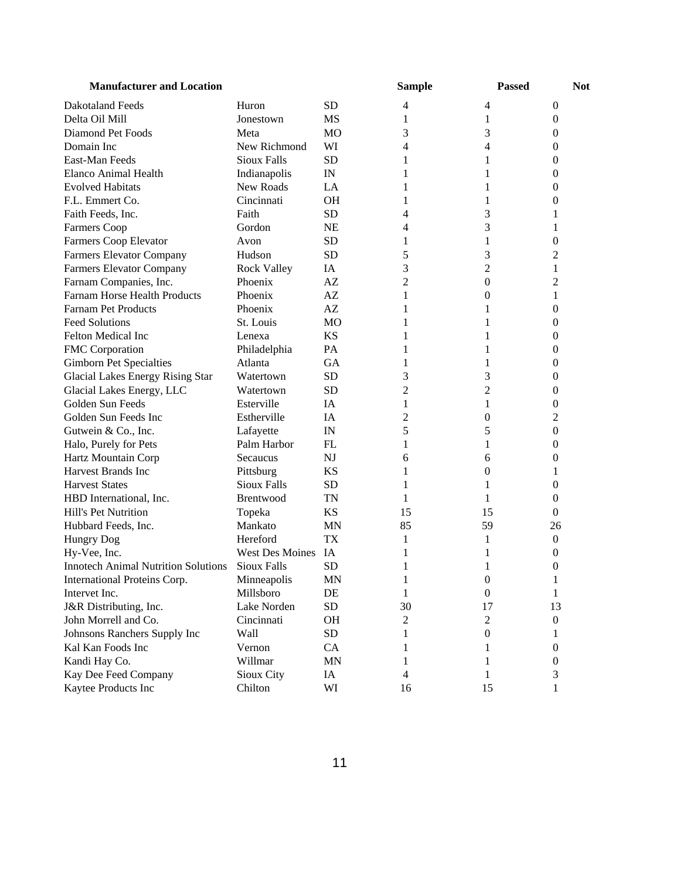| <b>Manufacturer and Location</b>           |                    |                | <b>Sample</b> | <b>Passed</b>    | <b>Not</b>       |
|--------------------------------------------|--------------------|----------------|---------------|------------------|------------------|
| <b>Dakotaland Feeds</b>                    | Huron              | <b>SD</b>      | 4             | 4                | 0                |
| Delta Oil Mill                             | Jonestown          | MS             | 1             | $\mathbf{1}$     | 0                |
| Diamond Pet Foods                          | Meta               | <b>MO</b>      | 3             | 3                | $\boldsymbol{0}$ |
| Domain Inc                                 | New Richmond       | WI             | 4             | 4                | $\boldsymbol{0}$ |
| East-Man Feeds                             | <b>Sioux Falls</b> | <b>SD</b>      | 1             | 1                | $\boldsymbol{0}$ |
| Elanco Animal Health                       | Indianapolis       | IN             | 1             | 1                | $\boldsymbol{0}$ |
| <b>Evolved Habitats</b>                    | New Roads          | LA             | 1             | 1                | 0                |
| F.L. Emmert Co.                            | Cincinnati         | <b>OH</b>      | 1             | 1                | 0                |
| Faith Feeds, Inc.                          | Faith              | <b>SD</b>      | 4             | 3                | 1                |
| Farmers Coop                               | Gordon             | <b>NE</b>      | 4             | 3                | 1                |
| Farmers Coop Elevator                      | Avon               | <b>SD</b>      | 1             | 1                | $\overline{0}$   |
| <b>Farmers Elevator Company</b>            | Hudson             | <b>SD</b>      | 5             | 3                | $\overline{c}$   |
| Farmers Elevator Company                   | <b>Rock Valley</b> | IA             | 3             | $\overline{c}$   | 1                |
| Farnam Companies, Inc.                     | Phoenix            | AZ             | 2             | $\boldsymbol{0}$ | $\overline{c}$   |
| Farnam Horse Health Products               | Phoenix            | AZ             | 1             | $\boldsymbol{0}$ | 1                |
| <b>Farnam Pet Products</b>                 | Phoenix            | AZ             | 1             | 1                | 0                |
| <b>Feed Solutions</b>                      | St. Louis          | M <sub>O</sub> | 1             | 1                | 0                |
| Felton Medical Inc                         | Lenexa             | <b>KS</b>      | 1             | 1                | 0                |
| FMC Corporation                            | Philadelphia       | PA             | 1             | 1                | 0                |
| <b>Gimborn Pet Specialties</b>             | Atlanta            | <b>GA</b>      | 1             | 1                | 0                |
| Glacial Lakes Energy Rising Star           | Watertown          | <b>SD</b>      | 3             | 3                | 0                |
| Glacial Lakes Energy, LLC                  | Watertown          | <b>SD</b>      | 2             | $\overline{c}$   | 0                |
| Golden Sun Feeds                           | Esterville         | IA             | 1             | 1                | 0                |
| Golden Sun Feeds Inc                       | Estherville        | IA             | 2             | 0                | $\overline{c}$   |
| Gutwein & Co., Inc.                        | Lafayette          | IN             | 5             | 5                | 0                |
| Halo, Purely for Pets                      | Palm Harbor        | FL             | 1             | 1                | 0                |
| Hartz Mountain Corp                        | Secaucus           | NJ             | 6             | 6                | 0                |
| Harvest Brands Inc                         | Pittsburg          | <b>KS</b>      | 1             | 0                | 1                |
| <b>Harvest States</b>                      | <b>Sioux Falls</b> | <b>SD</b>      | 1             | 1                | 0                |
| HBD International, Inc.                    | Brentwood          | TN             | 1             | 1                | $\boldsymbol{0}$ |
| Hill's Pet Nutrition                       | Topeka             | KS             | 15            | 15               | $\mathbf{0}$     |
| Hubbard Feeds, Inc.                        | Mankato            | MN             | 85            | 59               | 26               |
| <b>Hungry Dog</b>                          | Hereford           | <b>TX</b>      | 1             | 1                | $\boldsymbol{0}$ |
| Hy-Vee, Inc.                               | West Des Moines IA |                | 1             |                  | 0                |
| <b>Innotech Animal Nutrition Solutions</b> | <b>Sioux Falls</b> | <b>SD</b>      | 1             | 1                | 0                |
| International Proteins Corp.               | Minneapolis        | $\mbox{MN}$    | $\mathbf{1}$  | $\boldsymbol{0}$ | $\mathbf{1}$     |
| Intervet Inc.                              | Millsboro          | DE             | 1             | $\boldsymbol{0}$ | 1                |
| J&R Distributing, Inc.                     | Lake Norden        | <b>SD</b>      | 30            | 17               | 13               |
| John Morrell and Co.                       | Cincinnati         | OH             | 2             | $\mathbf{2}$     | $\boldsymbol{0}$ |
| Johnsons Ranchers Supply Inc               | Wall               | SD             | 1             | $\boldsymbol{0}$ | 1                |
| Kal Kan Foods Inc                          | Vernon             | CA             | 1             | 1                | $\boldsymbol{0}$ |
| Kandi Hay Co.                              | Willmar            | MN             | 1             | 1                | $\boldsymbol{0}$ |
| Kay Dee Feed Company                       | Sioux City         | IA             | 4             | 1                | 3                |
| Kaytee Products Inc                        | Chilton            | WI             | 16            | 15               | 1                |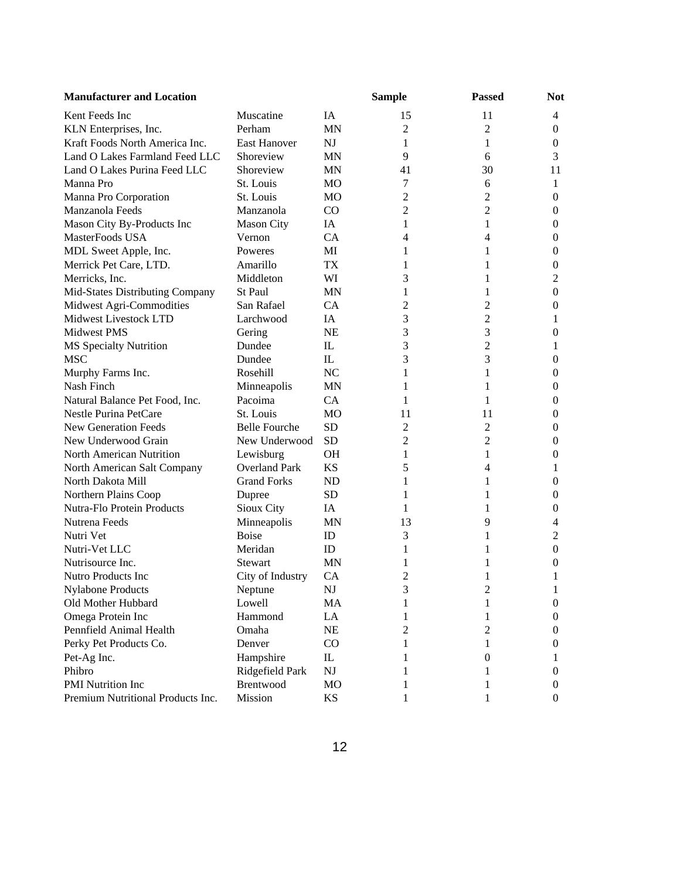| <b>Manufacturer and Location</b>  |                      |                        | <b>Sample</b>  | <b>Passed</b>           | <b>Not</b>       |
|-----------------------------------|----------------------|------------------------|----------------|-------------------------|------------------|
| Kent Feeds Inc                    | Muscatine            | IA                     | 15             | 11                      | $\overline{4}$   |
| KLN Enterprises, Inc.             | Perham               | <b>MN</b>              | 2              | $\overline{2}$          | $\boldsymbol{0}$ |
| Kraft Foods North America Inc.    | <b>East Hanover</b>  | NJ                     | 1              | 1                       | $\boldsymbol{0}$ |
| Land O Lakes Farmland Feed LLC    | Shoreview            | <b>MN</b>              | 9              | 6                       | 3                |
| Land O Lakes Purina Feed LLC      | Shoreview            | <b>MN</b>              | 41             | 30                      | 11               |
| Manna Pro                         | St. Louis            | MO                     | 7              | 6                       | 1                |
| Manna Pro Corporation             | St. Louis            | MO                     | $\overline{c}$ | 2                       | $\boldsymbol{0}$ |
| Manzanola Feeds                   | Manzanola            | CO                     | 2              | $\overline{2}$          | $\boldsymbol{0}$ |
| Mason City By-Products Inc        | <b>Mason City</b>    | IA                     | 1              | 1                       | $\boldsymbol{0}$ |
| MasterFoods USA                   | Vernon               | CA                     | 4              | 4                       | $\theta$         |
| MDL Sweet Apple, Inc.             | Poweres              | MI                     | 1              | 1                       | $\theta$         |
| Merrick Pet Care, LTD.            | Amarillo             | <b>TX</b>              | 1              | 1                       | $\boldsymbol{0}$ |
| Merricks, Inc.                    | Middleton            | WI                     | 3              | 1                       | 2                |
| Mid-States Distributing Company   | St Paul              | <b>MN</b>              | 1              | 1                       | $\boldsymbol{0}$ |
| Midwest Agri-Commodities          | San Rafael           | CA                     | 2              | 2                       | $\boldsymbol{0}$ |
| Midwest Livestock LTD             | Larchwood            | IA                     | 3              | 2                       | 1                |
| <b>Midwest PMS</b>                | Gering               | <b>NE</b>              | 3              | 3                       | 0                |
| MS Specialty Nutrition            | Dundee               | $\mathbf{L}$           | 3              | $\overline{2}$          | 1                |
| <b>MSC</b>                        | Dundee               | $\mathbf{L}$           | 3              | 3                       | 0                |
| Murphy Farms Inc.                 | Rosehill             | N <sub>C</sub>         | 1              | 1                       | 0                |
| Nash Finch                        | Minneapolis          | <b>MN</b>              | 1              | 1                       | 0                |
| Natural Balance Pet Food, Inc.    | Pacoima              | <b>CA</b>              | 1              | 1                       | 0                |
| Nestle Purina PetCare             | St. Louis            | M <sub>O</sub>         | 11             | 11                      | $\overline{0}$   |
| New Generation Feeds              | <b>Belle Fourche</b> | <b>SD</b>              | 2              | $\overline{c}$          | $\overline{0}$   |
| New Underwood Grain               | New Underwood        | <b>SD</b>              | 2              | $\overline{2}$          | $\overline{0}$   |
| North American Nutrition          | Lewisburg            | <b>OH</b>              | 1              | 1                       | $\overline{0}$   |
| North American Salt Company       | <b>Overland Park</b> | <b>KS</b>              | 5              | 4                       | 1                |
| North Dakota Mill                 | <b>Grand Forks</b>   | ND                     | 1              | 1                       | 0                |
| Northern Plains Coop              | Dupree               | <b>SD</b>              | 1              | 1                       | $\boldsymbol{0}$ |
| Nutra-Flo Protein Products        | Sioux City           | IA                     | 1              | 1                       | $\boldsymbol{0}$ |
| Nutrena Feeds                     | Minneapolis          | MN                     | 13             | 9                       | $\overline{4}$   |
| Nutri Vet                         | <b>Boise</b>         | ID                     | 3              | 1                       | $\overline{c}$   |
| Nutri-Vet LLC                     | Meridan              | ID                     | 1              | 1                       | $\overline{0}$   |
| Nutrisource Inc.                  | <b>Stewart</b>       | <b>MN</b>              | 1              | 1                       | $\bf{0}$         |
| <b>Nutro Products Inc</b>         | City of Industry     | <b>CA</b>              | 2              | 1                       | 1                |
| <b>Nylabone Products</b>          | Neptune              | $\mathbf{N}\mathbf{J}$ | 3              | $\overline{\mathbf{c}}$ | 1                |
| Old Mother Hubbard                | Lowell               | MA                     | 1              | 1                       | $\boldsymbol{0}$ |
| Omega Protein Inc                 | Hammond              | LA                     | 1              | 1                       | 0                |
| Pennfield Animal Health           | Omaha                | <b>NE</b>              | 2              | 2                       | 0                |
| Perky Pet Products Co.            | Denver               | CO                     | 1              | 1                       | 0                |
| Pet-Ag Inc.                       | Hampshire            | IL                     |                | 0                       | 1                |
| Phibro                            | Ridgefield Park      | NJ                     |                |                         | 0                |
| PMI Nutrition Inc                 | Brentwood            | MO                     | 1              | 1                       | 0                |
| Premium Nutritional Products Inc. | Mission              | KS                     |                |                         | $\overline{0}$   |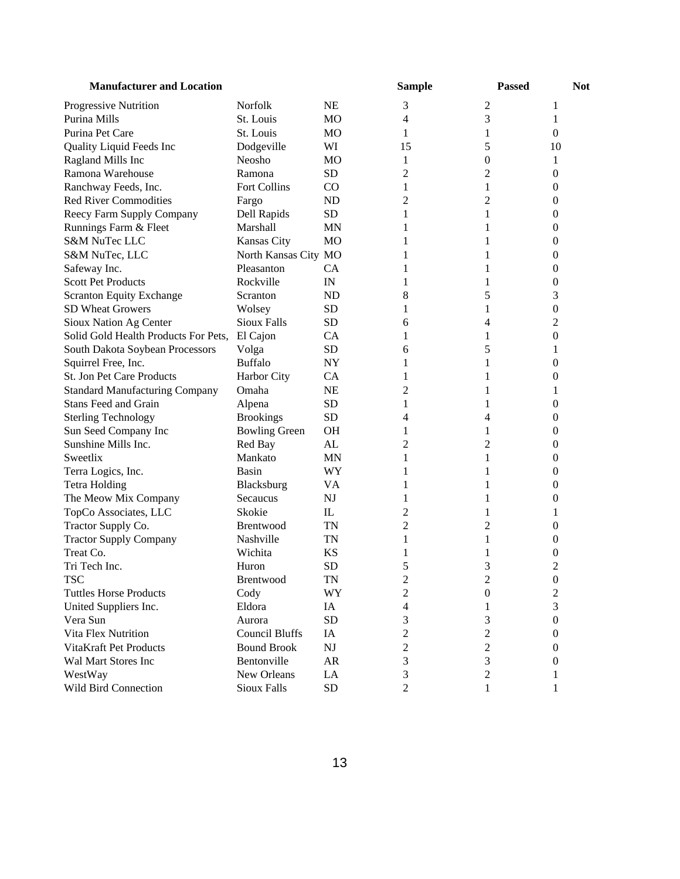| <b>Manufacturer and Location</b>      |                       |                        | <b>Sample</b>  | <b>Passed</b>    | <b>Not</b>       |
|---------------------------------------|-----------------------|------------------------|----------------|------------------|------------------|
| Progressive Nutrition                 | Norfolk               | <b>NE</b>              | 3              | 2                | 1                |
| Purina Mills                          | St. Louis             | MO                     | 4              | 3                | 1                |
| Purina Pet Care                       | St. Louis             | MO                     | 1              | 1                | $\overline{0}$   |
| Quality Liquid Feeds Inc              | Dodgeville            | WI                     | 15             | 5                | 10               |
| Ragland Mills Inc                     | Neosho                | MO                     | 1              | 0                | 1                |
| Ramona Warehouse                      | Ramona                | <b>SD</b>              | 2              | 2                | 0                |
| Ranchway Feeds, Inc.                  | Fort Collins          | $_{\rm CO}$            | 1              | 1                | 0                |
| <b>Red River Commodities</b>          | Fargo                 | <b>ND</b>              | 2              | 2                | 0                |
| Reecy Farm Supply Company             | Dell Rapids           | <b>SD</b>              | 1              | 1                | 0                |
| Runnings Farm & Fleet                 | Marshall              | <b>MN</b>              |                | 1                | 0                |
| <b>S&amp;M NuTec LLC</b>              | Kansas City           | <b>MO</b>              |                |                  | 0                |
| S&M NuTec, LLC                        | North Kansas City MO  |                        |                |                  | 0                |
| Safeway Inc.                          | Pleasanton            | <b>CA</b>              |                |                  | 0                |
| <b>Scott Pet Products</b>             | Rockville             | IN                     | 1              | 1                | 0                |
| <b>Scranton Equity Exchange</b>       | Scranton              | <b>ND</b>              | 8              | 5                | 3                |
| <b>SD Wheat Growers</b>               | Wolsey                | <b>SD</b>              | 1              | 1                | 0                |
| Sioux Nation Ag Center                | <b>Sioux Falls</b>    | <b>SD</b>              | 6              | 4                | 2                |
| Solid Gold Health Products For Pets,  | El Cajon              | <b>CA</b>              | 1              | 1                | 0                |
| South Dakota Soybean Processors       | Volga                 | <b>SD</b>              | 6              | 5                | 1                |
| Squirrel Free, Inc.                   | <b>Buffalo</b>        | <b>NY</b>              | 1              | 1                | 0                |
| St. Jon Pet Care Products             | Harbor City           | <b>CA</b>              | 1              | 1                | 0                |
| <b>Standard Manufacturing Company</b> | Omaha                 | <b>NE</b>              | 2              |                  | 1                |
| Stans Feed and Grain                  | Alpena                | <b>SD</b>              | 1              |                  | 0                |
| <b>Sterling Technology</b>            | <b>Brookings</b>      | <b>SD</b>              | 4              | 4                | 0                |
| Sun Seed Company Inc                  | <b>Bowling Green</b>  | <b>OH</b>              | 1              | 1                | 0                |
| Sunshine Mills Inc.                   | Red Bay               | AL                     | 2              | $\overline{c}$   | 0                |
| Sweetlix                              | Mankato               | MN                     | 1              | 1                | 0                |
| Terra Logics, Inc.                    | Basin                 | WY                     | 1              | 1                | 0                |
| <b>Tetra Holding</b>                  | Blacksburg            | VA                     | 1              | 1                | 0                |
| The Meow Mix Company                  | Secaucus              | NJ                     | 1              | 1                | 0                |
| TopCo Associates, LLC                 | Skokie                | $_{\rm IL}$            | 2              | 1                | 1                |
| Tractor Supply Co.                    | <b>Brentwood</b>      | <b>TN</b>              | 2              | 2                | 0                |
| <b>Tractor Supply Company</b>         | Nashville             | TN                     | 1              | 1                | 0                |
| Treat Co.                             | Wichita               | <b>KS</b>              | 1              |                  | 0                |
| Tri Tech Inc.                         | Huron                 | <b>SD</b>              | 5              | 3                | 2                |
| <b>TSC</b>                            | Brentwood             | $\mathbf{T}\mathbf{N}$ | $\overline{c}$ | $\overline{c}$   | $\boldsymbol{0}$ |
| <b>Tuttles Horse Products</b>         | Cody                  | WY                     | $\overline{c}$ | $\boldsymbol{0}$ | $\overline{c}$   |
| United Suppliers Inc.                 | Eldora                | IA                     | 4              | 1                | 3                |
| Vera Sun                              | Aurora                | <b>SD</b>              | 3              | 3                | $\boldsymbol{0}$ |
| Vita Flex Nutrition                   | <b>Council Bluffs</b> | IA                     | $\overline{c}$ | $\overline{c}$   | $\boldsymbol{0}$ |
| VitaKraft Pet Products                | <b>Bound Brook</b>    | NJ                     | $\overline{c}$ | $\overline{c}$   | $\mathbf{0}$     |
| Wal Mart Stores Inc                   | Bentonville           | AR                     | 3              | 3                | $\mathbf{0}$     |
| WestWay                               | New Orleans           | LA                     | 3              | $\mathbf{2}$     | 1                |
| Wild Bird Connection                  | Sioux Falls           | <b>SD</b>              | $\overline{c}$ | 1                | 1                |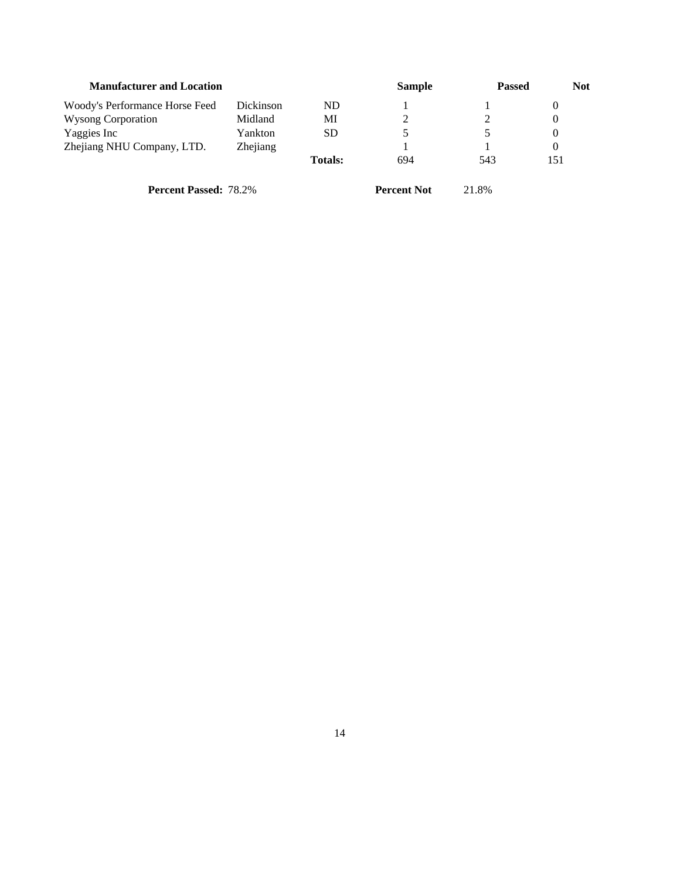| <b>Manufacturer and Location</b> |           |                | <b>Sample</b> | <b>Passed</b> | <b>Not</b> |
|----------------------------------|-----------|----------------|---------------|---------------|------------|
| Woody's Performance Horse Feed   | Dickinson | ${\rm ND}$     |               |               | $\theta$   |
| <b>Wysong Corporation</b>        | Midland   | MI             |               |               | $\Omega$   |
| Yaggies Inc                      | Yankton   | SD             |               | $\mathcal{D}$ | $\Omega$   |
| Zhejiang NHU Company, LTD.       | Zhejiang  |                |               |               | $\Omega$   |
|                                  |           | <b>Totals:</b> | 694           | 543           | 151        |
|                                  |           |                |               |               |            |

**Percent Passed:** 78.2% **Percent Not** 21.8%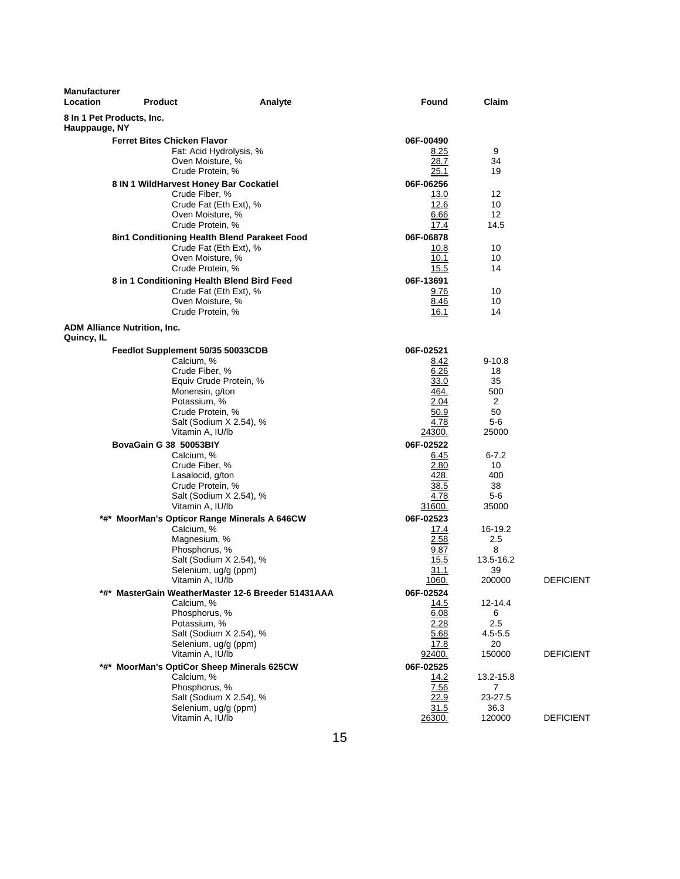| Manufacturer<br>Location | Product                                      | Analyte                                            | Found               | Claim             |                  |
|--------------------------|----------------------------------------------|----------------------------------------------------|---------------------|-------------------|------------------|
| Hauppauge, NY            | 8 In 1 Pet Products, Inc.                    |                                                    |                     |                   |                  |
|                          | <b>Ferret Bites Chicken Flavor</b>           |                                                    | 06F-00490           |                   |                  |
|                          |                                              | Fat: Acid Hydrolysis, %                            | 8.25                | 9                 |                  |
|                          | Oven Moisture, %                             |                                                    | 28.7                | 34                |                  |
|                          | Crude Protein, %                             |                                                    | 25.1                | 19                |                  |
|                          | 8 IN 1 WildHarvest Honey Bar Cockatiel       |                                                    | 06F-06256           |                   |                  |
|                          | Crude Fiber, %                               |                                                    | 13.0                | 12                |                  |
|                          |                                              | Crude Fat (Eth Ext), %                             | 12.6                | 10                |                  |
|                          | Oven Moisture, %                             |                                                    | 6.66                | $12 \overline{ }$ |                  |
|                          | Crude Protein, %                             |                                                    | 17.4                | 14.5              |                  |
|                          | 8in1 Conditioning Health Blend Parakeet Food |                                                    | 06F-06878           |                   |                  |
|                          |                                              | Crude Fat (Eth Ext), %                             | 10.8                | 10                |                  |
|                          | Oven Moisture, %                             |                                                    | 10.1                | 10                |                  |
|                          | Crude Protein, %                             |                                                    | 15.5                | 14                |                  |
|                          | 8 in 1 Conditioning Health Blend Bird Feed   |                                                    | 06F-13691           |                   |                  |
|                          |                                              | Crude Fat (Eth Ext), %                             | 9.76                | 10                |                  |
|                          | Oven Moisture, %                             |                                                    | <u>8.46</u>         | 10                |                  |
|                          | Crude Protein, %                             |                                                    | 16.1                | 14                |                  |
| Quincy, IL               | <b>ADM Alliance Nutrition, Inc.</b>          |                                                    |                     |                   |                  |
|                          | Feedlot Supplement 50/35 50033CDB            |                                                    | 06F-02521           |                   |                  |
|                          | Calcium, %                                   |                                                    | <u>8.42</u>         | $9 - 10.8$        |                  |
|                          | Crude Fiber, %                               |                                                    | 6.26                | 18                |                  |
|                          |                                              | Equiv Crude Protein, %                             | 33.0                | 35                |                  |
|                          | Monensin, g/ton                              |                                                    | 464.                | 500               |                  |
|                          | Potassium, %                                 |                                                    | 2.04                | 2                 |                  |
|                          | Crude Protein, %                             |                                                    | 50.9                | 50                |                  |
|                          |                                              | Salt (Sodium X 2.54), %                            | 4.78                | 5-6               |                  |
|                          | Vitamin A, IU/lb                             |                                                    | <u> 24300.</u>      | 25000             |                  |
|                          | BovaGain G 38 50053BIY                       |                                                    | 06F-02522           |                   |                  |
|                          | Calcium, %                                   |                                                    | <u>6.45</u><br>2.80 | $6 - 7.2$         |                  |
|                          | Crude Fiber, %<br>Lasalocid, g/ton           |                                                    | 428.                | 10<br>400         |                  |
|                          | Crude Protein, %                             |                                                    | 38.5                | 38                |                  |
|                          |                                              | Salt (Sodium X 2.54), %                            | 4.78                | 5-6               |                  |
|                          | Vitamin A, IU/lb                             |                                                    | 31600.              | 35000             |                  |
|                          | *#* MoorMan's Opticor Range Minerals A 646CW |                                                    | 06F-02523           |                   |                  |
|                          | Calcium, %                                   |                                                    | <u>17.4</u>         | 16-19.2           |                  |
|                          | Magnesium, %                                 |                                                    | 2.58                | 2.5               |                  |
|                          | Phosphorus, %                                |                                                    | 9.87                | 8                 |                  |
|                          |                                              | Salt (Sodium X 2.54), %                            | 15.5                | 13.5-16.2         |                  |
|                          | Selenium, ug/g (ppm)                         |                                                    | 31.1                | 39                |                  |
|                          | Vitamin A, IU/lb                             |                                                    | 1060.               | 200000            | <b>DEFICIENT</b> |
|                          |                                              | *#* MasterGain WeatherMaster 12-6 Breeder 51431AAA | 06F-02524           |                   |                  |
|                          | Calcium, %                                   |                                                    | 14.5                | 12-14.4           |                  |
|                          | Phosphorus, %                                |                                                    | 6.08                | 6                 |                  |
|                          | Potassium, %                                 |                                                    | 2.28                | 2.5               |                  |
|                          |                                              | Salt (Sodium X 2.54), %                            | 5.68                | $4.5 - 5.5$       |                  |
|                          | Selenium, ug/g (ppm)                         |                                                    | 17.8                | 20                | <b>DEFICIENT</b> |
|                          | Vitamin A, IU/lb                             |                                                    | 92400.              | 150000            |                  |
|                          | *#* MoorMan's OptiCor Sheep Minerals 625CW   |                                                    | 06F-02525           |                   |                  |
|                          | Calcium, %                                   |                                                    | 14.2                | 13.2-15.8         |                  |
|                          | Phosphorus, %                                | Salt (Sodium X 2.54), %                            | 7.56<br>22.9        | 7<br>23-27.5      |                  |
|                          | Selenium, ug/g (ppm)                         |                                                    | 31.5                | 36.3              |                  |
|                          | Vitamin A, IU/lb                             |                                                    | 26300.              | 120000            | <b>DEFICIENT</b> |
|                          |                                              |                                                    |                     |                   |                  |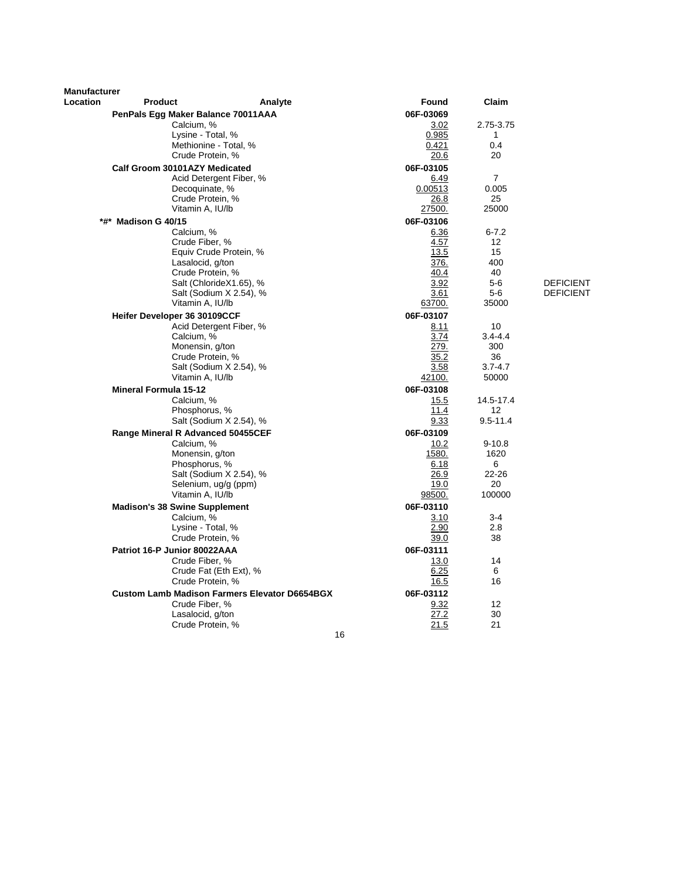| Manufacturer |                                                 |                                                      |                   |                   |                  |
|--------------|-------------------------------------------------|------------------------------------------------------|-------------------|-------------------|------------------|
| Location     | <b>Product</b>                                  | Analyte                                              | <b>Found</b>      | Claim             |                  |
|              | PenPals Egg Maker Balance 70011AAA              |                                                      | 06F-03069         |                   |                  |
|              | Calcium, %                                      |                                                      | 3.02              | 2.75-3.75         |                  |
|              | Lysine - Total, %                               |                                                      | 0.985             | $\mathbf{1}$      |                  |
|              | Methionine - Total, %                           |                                                      | 0.421             | 0.4               |                  |
|              | Crude Protein, %                                |                                                      | 20.6              | 20                |                  |
|              | Calf Groom 30101AZY Medicated                   |                                                      | 06F-03105         |                   |                  |
|              |                                                 | Acid Detergent Fiber, %                              | 6.49              | $\overline{7}$    |                  |
|              | Decoquinate, %                                  |                                                      | 0.00513           | 0.005             |                  |
|              | Crude Protein, %                                |                                                      | 26.8              | 25                |                  |
|              | Vitamin A, IU/lb                                |                                                      | 27500.            | 25000             |                  |
|              | *#* Madison G 40/15                             |                                                      | 06F-03106         |                   |                  |
|              | Calcium, %                                      |                                                      | 6.36              | $6 - 7.2$         |                  |
|              | Crude Fiber, %                                  |                                                      | 4.57              | $12 \overline{ }$ |                  |
|              |                                                 | Equiv Crude Protein, %                               | 13.5              | 15                |                  |
|              | Lasalocid, g/ton                                |                                                      | 376.              | 400               |                  |
|              | Crude Protein, %                                |                                                      | 40.4              | 40                |                  |
|              |                                                 | Salt (ChlorideX1.65), %                              | 3.92              | $5-6$             | <b>DEFICIENT</b> |
|              |                                                 | Salt (Sodium X 2.54), %                              | 3.61              | $5-6$             | <b>DEFICIENT</b> |
|              | Vitamin A, IU/lb                                |                                                      | 63700.            | 35000             |                  |
|              | Heifer Developer 36 30109CCF                    |                                                      | 06F-03107         |                   |                  |
|              |                                                 | Acid Detergent Fiber, %                              | 8.11              | 10                |                  |
|              | Calcium, %                                      |                                                      | 3.74              | $3.4 - 4.4$       |                  |
|              | Monensin, g/ton                                 |                                                      | 279.              | 300               |                  |
|              | Crude Protein, %                                | Salt (Sodium X 2.54), %                              | 35.2<br>3.58      | 36<br>$3.7 - 4.7$ |                  |
|              | Vitamin A, IU/lb                                |                                                      | 42100.            | 50000             |                  |
|              |                                                 |                                                      |                   |                   |                  |
|              | <b>Mineral Formula 15-12</b><br>Calcium, %      |                                                      | 06F-03108         | 14.5-17.4         |                  |
|              | Phosphorus, %                                   |                                                      | 15.5<br>11.4      | 12                |                  |
|              |                                                 | Salt (Sodium X 2.54), %                              | 9.33              | $9.5 - 11.4$      |                  |
|              |                                                 |                                                      |                   |                   |                  |
|              | Range Mineral R Advanced 50455CEF<br>Calcium, % |                                                      | 06F-03109<br>10.2 | $9 - 10.8$        |                  |
|              | Monensin, g/ton                                 |                                                      | 1580.             | 1620              |                  |
|              | Phosphorus, %                                   |                                                      | 6.18              | 6                 |                  |
|              |                                                 | Salt (Sodium X 2.54), %                              | 26.9              | $22 - 26$         |                  |
|              | Selenium, ug/g (ppm)                            |                                                      | 19.0              | 20                |                  |
|              | Vitamin A, IU/lb                                |                                                      | 98500.            | 100000            |                  |
|              | <b>Madison's 38 Swine Supplement</b>            |                                                      | 06F-03110         |                   |                  |
|              | Calcium, %                                      |                                                      | 3.10              | $3 - 4$           |                  |
|              | Lysine - Total, %                               |                                                      | 2.90              | 2.8               |                  |
|              | Crude Protein, %                                |                                                      | 39.0              | 38                |                  |
|              | Patriot 16-P Junior 80022AAA                    |                                                      | 06F-03111         |                   |                  |
|              | Crude Fiber, %                                  |                                                      | 13.0              | 14                |                  |
|              |                                                 | Crude Fat (Eth Ext), %                               | 6.25              | 6                 |                  |
|              | Crude Protein, %                                |                                                      | 16.5              | 16                |                  |
|              |                                                 | <b>Custom Lamb Madison Farmers Elevator D6654BGX</b> | 06F-03112         |                   |                  |
|              | Crude Fiber, %                                  |                                                      | 9.32              | 12                |                  |
|              | Lasalocid, g/ton                                |                                                      | 27.2              | 30                |                  |
|              | Crude Protein, %                                |                                                      | 21.5              | 21                |                  |
|              |                                                 | 16                                                   |                   |                   |                  |
|              |                                                 |                                                      |                   |                   |                  |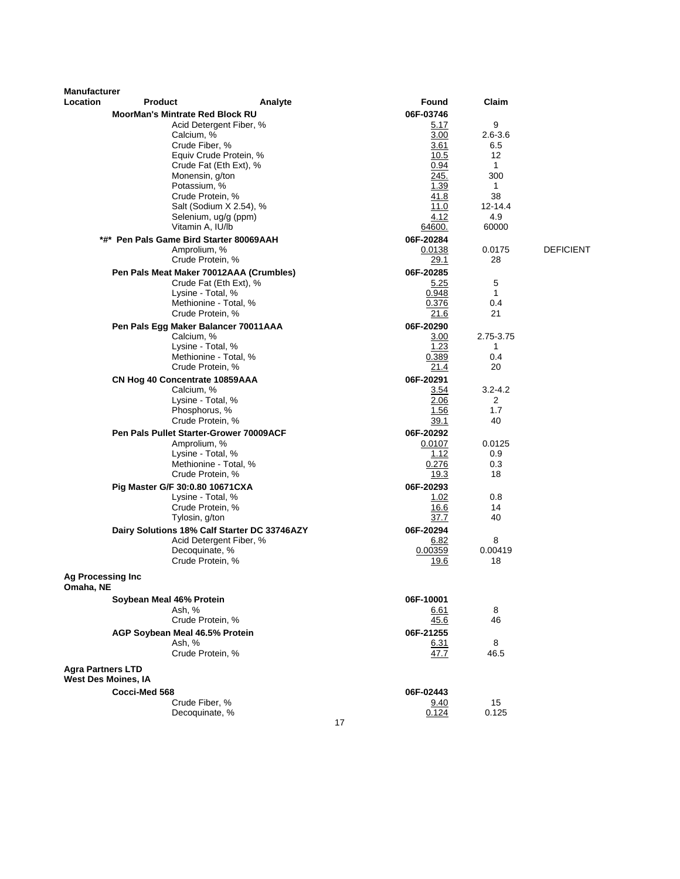| <b>Manufacturer</b>                                    |                                                    |                                              |    |                 |                   |                  |
|--------------------------------------------------------|----------------------------------------------------|----------------------------------------------|----|-----------------|-------------------|------------------|
| <b>Location</b>                                        | <b>Product</b>                                     | Analyte                                      |    | Found           | Claim             |                  |
|                                                        | <b>MoorMan's Mintrate Red Block RU</b>             |                                              |    | 06F-03746       | 9                 |                  |
|                                                        | Calcium, %                                         | Acid Detergent Fiber, %                      |    | 5.17<br>3.00    | $2.6 - 3.6$       |                  |
|                                                        |                                                    | Crude Fiber, %                               |    | 3.61            | 6.5               |                  |
|                                                        |                                                    | Equiv Crude Protein, %                       |    | 10.5            | 12 <sup>2</sup>   |                  |
|                                                        |                                                    | Crude Fat (Eth Ext), %                       |    | 0.94            | $\mathbf{1}$      |                  |
|                                                        |                                                    | Monensin, g/ton                              |    | 245.            | 300               |                  |
|                                                        | Potassium, %                                       |                                              |    | 1.39            | 1                 |                  |
|                                                        |                                                    | Crude Protein, %<br>Salt (Sodium X 2.54), %  |    | 41.8<br>11.0    | 38<br>$12 - 14.4$ |                  |
|                                                        |                                                    | Selenium, ug/g (ppm)                         |    | 4.12            | 4.9               |                  |
|                                                        |                                                    | Vitamin A, IU/lb                             |    | 64600.          | 60000             |                  |
|                                                        | *#* Pen Pals Game Bird Starter 80069AAH            |                                              |    | 06F-20284       |                   |                  |
|                                                        | Amprolium, %                                       |                                              |    | 0.0138          | 0.0175            | <b>DEFICIENT</b> |
|                                                        |                                                    | Crude Protein, %                             |    | 29.1            | 28                |                  |
|                                                        |                                                    | Pen Pals Meat Maker 70012AAA (Crumbles)      |    | 06F-20285       |                   |                  |
|                                                        |                                                    | Crude Fat (Eth Ext), %                       |    | 5.25            | 5                 |                  |
|                                                        |                                                    | Lysine - Total, %                            |    | 0.948           | $\mathbf{1}$      |                  |
|                                                        |                                                    | Methionine - Total, %                        |    | 0.376           | 0.4               |                  |
|                                                        |                                                    | Crude Protein, %                             |    | 21.6            | 21                |                  |
|                                                        | Pen Pals Egg Maker Balancer 70011AAA<br>Calcium. % |                                              |    | 06F-20290       | 2.75-3.75         |                  |
|                                                        |                                                    | Lysine - Total, %                            |    | 3.00<br>1.23    | $\mathbf{1}$      |                  |
|                                                        |                                                    | Methionine - Total, %                        |    | 0.389           | 0.4               |                  |
|                                                        |                                                    | Crude Protein, %                             |    | 21.4            | 20                |                  |
|                                                        | CN Hog 40 Concentrate 10859AAA                     |                                              |    | 06F-20291       |                   |                  |
|                                                        | Calcium, %                                         |                                              |    | 3.54            | $3.2 - 4.2$       |                  |
|                                                        |                                                    | Lysine - Total, %                            |    | 2.06            | 2                 |                  |
|                                                        |                                                    | Phosphorus, %                                |    | 1.56            | 1.7               |                  |
|                                                        |                                                    | Crude Protein, %                             |    | 39.1            | 40                |                  |
|                                                        | Pen Pals Pullet Starter-Grower 70009ACF            |                                              |    | 06F-20292       |                   |                  |
|                                                        | Amprolium, %                                       | Lysine - Total, %                            |    | 0.0107<br>1.12  | 0.0125<br>0.9     |                  |
|                                                        |                                                    | Methionine - Total, %                        |    | 0.276           | 0.3               |                  |
|                                                        |                                                    | Crude Protein, %                             |    | 19.3            | 18                |                  |
|                                                        | Pig Master G/F 30:0.80 10671CXA                    |                                              |    | 06F-20293       |                   |                  |
|                                                        |                                                    | Lysine - Total, %                            |    | 1.02            | 0.8               |                  |
|                                                        |                                                    | Crude Protein, %                             |    | 16.6            | 14                |                  |
|                                                        | Tylosin, g/ton                                     |                                              |    | 37.7            | 40                |                  |
|                                                        |                                                    | Dairy Solutions 18% Calf Starter DC 33746AZY |    | 06F-20294       |                   |                  |
|                                                        |                                                    | Acid Detergent Fiber, %                      |    | 6.82            | 8                 |                  |
|                                                        |                                                    | Decoquinate, %<br>Crude Protein, %           |    | 0.00359<br>19.6 | 0.00419<br>18     |                  |
|                                                        |                                                    |                                              |    |                 |                   |                  |
| <b>Ag Processing Inc</b><br>Omaha, NE                  |                                                    |                                              |    |                 |                   |                  |
|                                                        | Soybean Meal 46% Protein                           |                                              |    | 06F-10001       |                   |                  |
|                                                        | Ash, %                                             |                                              |    | <u>6.61</u>     | 8                 |                  |
|                                                        |                                                    | Crude Protein, %                             |    | 45.6            | 46                |                  |
|                                                        | AGP Soybean Meal 46.5% Protein<br>Ash, %           |                                              |    | 06F-21255       | 8                 |                  |
|                                                        |                                                    | Crude Protein, %                             |    | 6.31<br>47.7    | 46.5              |                  |
|                                                        |                                                    |                                              |    |                 |                   |                  |
| <b>Agra Partners LTD</b><br><b>West Des Moines, IA</b> |                                                    |                                              |    |                 |                   |                  |
|                                                        | Cocci-Med 568                                      |                                              |    | 06F-02443       |                   |                  |
|                                                        |                                                    | Crude Fiber, %                               |    | <u>9.40</u>     | 15                |                  |
|                                                        |                                                    | Decoquinate, %                               |    | 0.124           | 0.125             |                  |
|                                                        |                                                    |                                              | 17 |                 |                   |                  |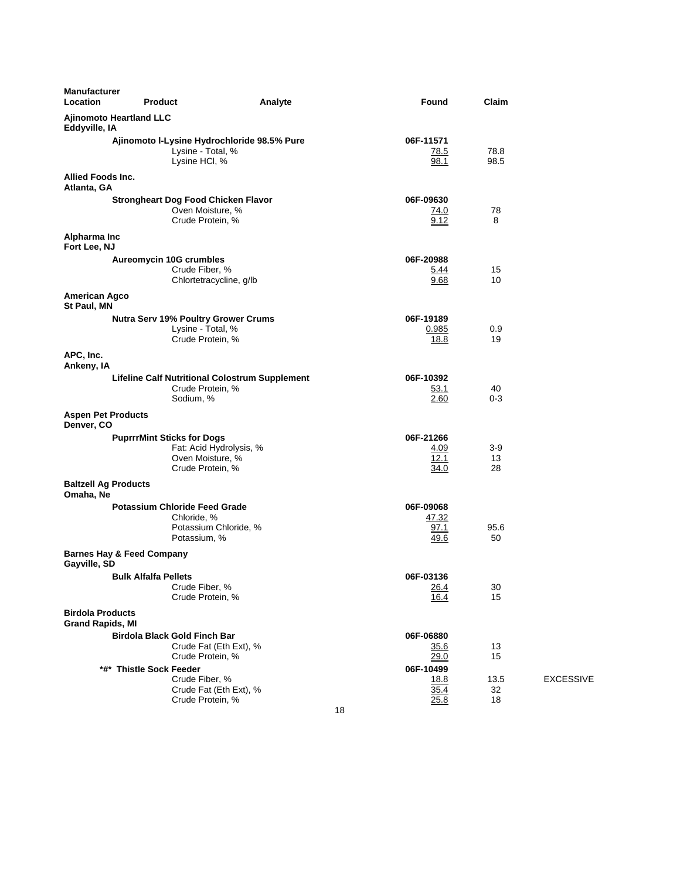| <b>Manufacturer</b><br>Location                      | <b>Product</b>                                                      | Analyte                                                                             | Found                                                 | Claim            |                  |
|------------------------------------------------------|---------------------------------------------------------------------|-------------------------------------------------------------------------------------|-------------------------------------------------------|------------------|------------------|
| <b>Ajinomoto Heartland LLC</b><br>Eddyville, IA      |                                                                     |                                                                                     |                                                       |                  |                  |
|                                                      | Lysine HCI, %                                                       | Ajinomoto I-Lysine Hydrochloride 98.5% Pure<br>Lysine - Total, %                    | 06F-11571<br>78.5<br>98.1                             | 78.8<br>98.5     |                  |
| Allied Foods Inc.<br>Atlanta, GA                     |                                                                     |                                                                                     |                                                       |                  |                  |
|                                                      | <b>Strongheart Dog Food Chicken Flavor</b>                          | Oven Moisture, %<br>Crude Protein, %                                                | 06F-09630<br>74.0<br>9.12                             | 78<br>8          |                  |
| Alpharma Inc<br>Fort Lee, NJ                         |                                                                     |                                                                                     |                                                       |                  |                  |
|                                                      | <b>Aureomycin 10G crumbles</b><br>Crude Fiber, %                    | Chlortetracycline, g/lb                                                             | 06F-20988<br>5.44<br>9.68                             | 15<br>10         |                  |
| <b>American Agco</b><br>St Paul, MN                  |                                                                     |                                                                                     |                                                       |                  |                  |
|                                                      |                                                                     | <b>Nutra Serv 19% Poultry Grower Crums</b><br>Lysine - Total, %<br>Crude Protein, % | 06F-19189<br>0.985<br>18.8                            | 0.9<br>19        |                  |
| APC, Inc.<br>Ankeny, IA                              |                                                                     |                                                                                     |                                                       |                  |                  |
|                                                      | Sodium, %                                                           | <b>Lifeline Calf Nutritional Colostrum Supplement</b><br>Crude Protein, %           | 06F-10392<br>53.1<br>2.60                             | 40<br>0-3        |                  |
| <b>Aspen Pet Products</b><br>Denver, CO              |                                                                     |                                                                                     |                                                       |                  |                  |
|                                                      | <b>PuprrrMint Sticks for Dogs</b>                                   | Fat: Acid Hydrolysis, %<br>Oven Moisture, %<br>Crude Protein, %                     | 06F-21266<br>4.09<br>12.1<br>34.0                     | 3-9<br>13<br>28  |                  |
| <b>Baltzell Ag Products</b><br>Omaha, Ne             |                                                                     |                                                                                     |                                                       |                  |                  |
|                                                      | <b>Potassium Chloride Feed Grade</b><br>Chloride, %<br>Potassium, % | Potassium Chloride, %                                                               | 06F-09068<br>47.32<br>97.1<br>49.6                    | 95.6<br>50       |                  |
| <b>Barnes Hay &amp; Feed Company</b><br>Gayville, SD |                                                                     |                                                                                     |                                                       |                  |                  |
|                                                      | <b>Bulk Alfalfa Pellets</b><br>Crude Fiber, %                       | Crude Protein, %                                                                    | 06F-03136<br><u>26.4</u><br>16.4                      | 30<br>15         |                  |
| <b>Birdola Products</b><br><b>Grand Rapids, MI</b>   |                                                                     |                                                                                     |                                                       |                  |                  |
|                                                      | <b>Birdola Black Gold Finch Bar</b>                                 | Crude Fat (Eth Ext), %<br>Crude Protein, %                                          | 06F-06880<br>35.6<br>29.0                             | 13<br>15         |                  |
|                                                      | *#* Thistle Sock Feeder<br>Crude Fiber, %                           | Crude Fat (Eth Ext), %<br>Crude Protein, %                                          | 06F-10499<br><u>18.8</u><br>35.4<br><u>25.8</u><br>18 | 13.5<br>32<br>18 | <b>EXCESSIVE</b> |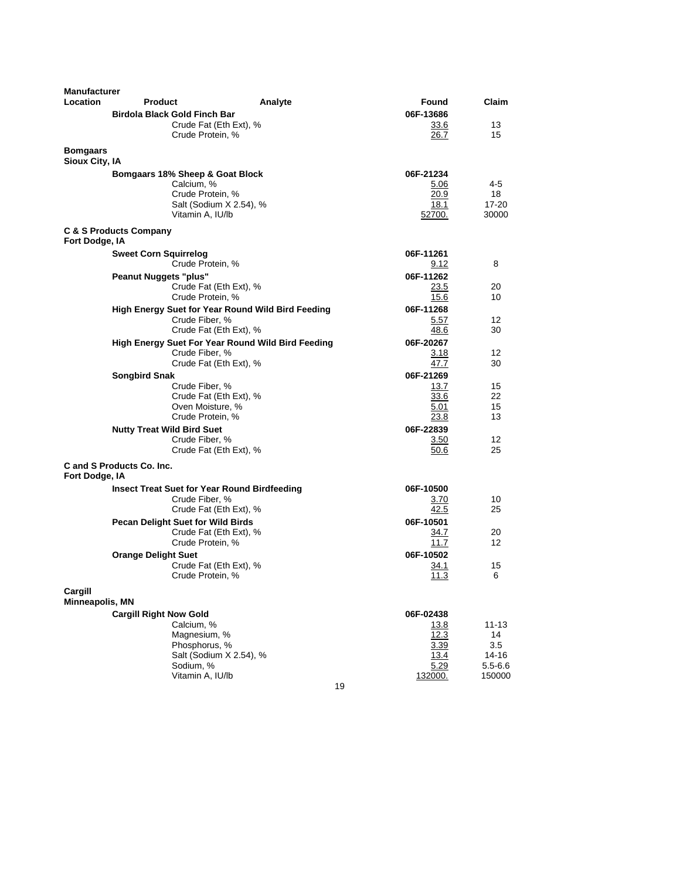| <b>Manufacturer</b>               |                                                     |         |               |             |
|-----------------------------------|-----------------------------------------------------|---------|---------------|-------------|
| Location                          | <b>Product</b>                                      | Analyte | Found         | Claim       |
|                                   | <b>Birdola Black Gold Finch Bar</b>                 |         | 06F-13686     |             |
|                                   | Crude Fat (Eth Ext), %                              |         | 33.6          | 13          |
|                                   | Crude Protein, %                                    |         | 26.7          | 15          |
| <b>Bomgaars</b><br>Sioux City, IA |                                                     |         |               |             |
|                                   | Bomgaars 18% Sheep & Goat Block                     |         | 06F-21234     |             |
|                                   | Calcium, %                                          |         | 5.06          | 4-5         |
|                                   | Crude Protein, %                                    |         | 20.9          | 18          |
|                                   | Salt (Sodium X 2.54), %                             |         | 18.1          | 17-20       |
|                                   | Vitamin A, IU/lb                                    |         | <u>52700.</u> | 30000       |
| Fort Dodge, IA                    | <b>C &amp; S Products Company</b>                   |         |               |             |
|                                   | <b>Sweet Corn Squirrelog</b>                        |         | 06F-11261     |             |
|                                   | Crude Protein, %                                    |         | 9.12          | 8           |
|                                   | <b>Peanut Nuggets "plus"</b>                        |         | 06F-11262     |             |
|                                   | Crude Fat (Eth Ext), %                              |         | 23.5          | 20          |
|                                   | Crude Protein, %                                    |         | 15.6          | 10          |
|                                   | High Energy Suet for Year Round Wild Bird Feeding   |         | 06F-11268     |             |
|                                   | Crude Fiber, %                                      |         | 5.57          | 12          |
|                                   | Crude Fat (Eth Ext), %                              |         | 48.6          | 30          |
|                                   | High Energy Suet For Year Round Wild Bird Feeding   |         | 06F-20267     |             |
|                                   | Crude Fiber, %                                      |         | 3.18          | 12          |
|                                   | Crude Fat (Eth Ext), %                              |         | 47.7          | 30          |
|                                   | <b>Songbird Snak</b>                                |         | 06F-21269     |             |
|                                   | Crude Fiber, %                                      |         | 13.7          | 15          |
|                                   | Crude Fat (Eth Ext), %                              |         | 33.6          | 22          |
|                                   | Oven Moisture, %                                    |         | 5.01          | 15          |
|                                   | Crude Protein, %                                    |         | 23.8          | 13          |
|                                   | <b>Nutty Treat Wild Bird Suet</b>                   |         | 06F-22839     |             |
|                                   | Crude Fiber, %                                      |         | 3.50          | 12          |
|                                   | Crude Fat (Eth Ext), %                              |         | 50.6          | 25          |
| Fort Dodge, IA                    | C and S Products Co. Inc.                           |         |               |             |
|                                   | <b>Insect Treat Suet for Year Round Birdfeeding</b> |         | 06F-10500     |             |
|                                   | Crude Fiber, %                                      |         | 3.70          | 10          |
|                                   | Crude Fat (Eth Ext), %                              |         | 42.5          | 25          |
|                                   | <b>Pecan Delight Suet for Wild Birds</b>            |         | 06F-10501     |             |
|                                   | Crude Fat (Eth Ext), %                              |         | 34.7          | 20          |
|                                   | Crude Protein, %                                    |         | 11.7          | 12          |
|                                   | <b>Orange Delight Suet</b>                          |         | 06F-10502     |             |
|                                   | Crude Fat (Eth Ext), %                              |         | 34.1          | 15          |
|                                   | Crude Protein, %                                    |         | 11.3          | 6           |
|                                   |                                                     |         |               |             |
| Cargill                           |                                                     |         |               |             |
| Minneapolis, MN                   |                                                     |         |               |             |
|                                   | <b>Cargill Right Now Gold</b>                       |         | 06F-02438     |             |
|                                   | Calcium, %<br>Magnesium, %                          |         | 13.8<br>12.3  | 11-13<br>14 |
|                                   | Phosphorus, %                                       |         | 3.39          | 3.5         |
|                                   | Salt (Sodium X 2.54), %                             |         | 13.4          | 14-16       |
|                                   | Sodium, %                                           |         | 5.29          | $5.5 - 6.6$ |
|                                   | Vitamin A, IU/lb                                    |         | 132000.       | 150000      |
|                                   |                                                     | 19      |               |             |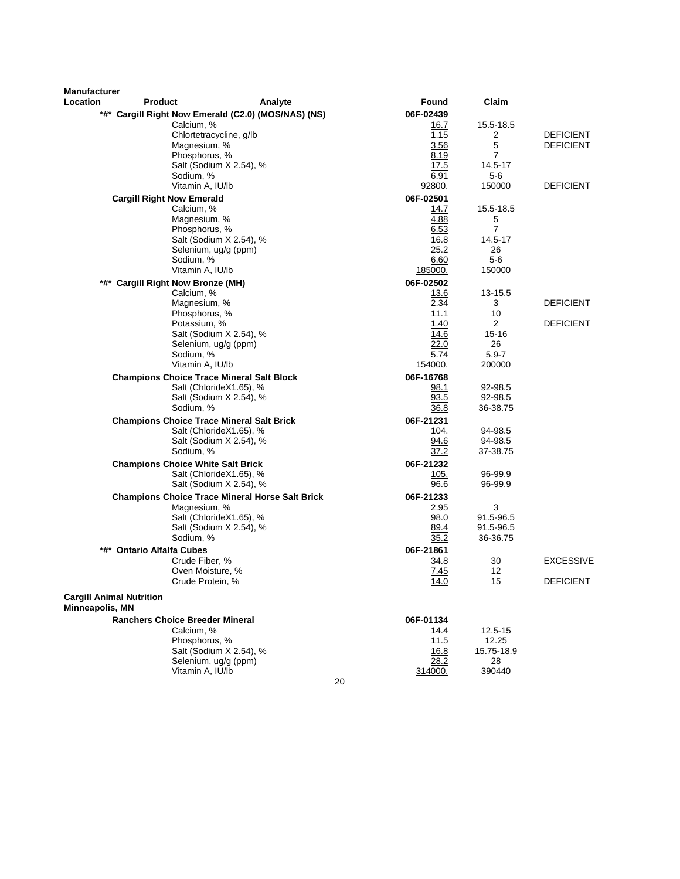| <b>Manufacturer</b><br>Location                    | <b>Product</b>                           | Analyte                                                | Found        | Claim                 |                  |
|----------------------------------------------------|------------------------------------------|--------------------------------------------------------|--------------|-----------------------|------------------|
|                                                    |                                          | *#* Cargill Right Now Emerald (C2.0) (MOS/NAS) (NS)    | 06F-02439    |                       |                  |
|                                                    | Calcium, %                               |                                                        | 16.7         | 15.5-18.5             |                  |
|                                                    |                                          | Chlortetracycline, g/lb                                | 1.15         | 2                     | <b>DEFICIENT</b> |
|                                                    | Magnesium, %                             |                                                        | 3.56         | 5                     | <b>DEFICIENT</b> |
|                                                    | Phosphorus, %                            |                                                        | 8.19         | 7                     |                  |
|                                                    |                                          | Salt (Sodium X 2.54), %                                | 17.5         | 14.5-17               |                  |
|                                                    | Sodium, %                                |                                                        | 6.91         | $5-6$                 |                  |
|                                                    | Vitamin A, IU/lb                         |                                                        | 92800.       | 150000                | <b>DEFICIENT</b> |
|                                                    | <b>Cargill Right Now Emerald</b>         |                                                        | 06F-02501    |                       |                  |
|                                                    | Calcium, %<br>Magnesium, %               |                                                        | 14.7         | 15.5-18.5             |                  |
|                                                    | Phosphorus, %                            |                                                        | 4.88<br>6.53 | 5<br>$\overline{7}$   |                  |
|                                                    |                                          | Salt (Sodium X 2.54), %                                | 16.8         | 14.5-17               |                  |
|                                                    |                                          | Selenium, ug/g (ppm)                                   | 25.2         | 26                    |                  |
|                                                    | Sodium, %                                |                                                        | 6.60         | $5-6$                 |                  |
|                                                    | Vitamin A, IU/lb                         |                                                        | 185000.      | 150000                |                  |
| *#*                                                | <b>Cargill Right Now Bronze (MH)</b>     |                                                        | 06F-02502    |                       |                  |
|                                                    | Calcium, %                               |                                                        | 13.6         | 13-15.5               |                  |
|                                                    | Magnesium, %                             |                                                        | 2.34         | 3                     | <b>DEFICIENT</b> |
|                                                    | Phosphorus, %                            |                                                        | 11.1         | 10                    |                  |
|                                                    | Potassium, %                             |                                                        | 1.40         | $\overline{2}$        | <b>DEFICIENT</b> |
|                                                    |                                          | Salt (Sodium X 2.54), %<br>Selenium, ug/g (ppm)        | 14.6<br>22.0 | $15 - 16$<br>26       |                  |
|                                                    | Sodium, %                                |                                                        | 5.74         | $5.9 - 7$             |                  |
|                                                    | Vitamin A, IU/lb                         |                                                        | 154000.      | 200000                |                  |
|                                                    |                                          | <b>Champions Choice Trace Mineral Salt Block</b>       | 06F-16768    |                       |                  |
|                                                    |                                          | Salt (ChlorideX1.65), %                                | 98.1         | 92-98.5               |                  |
|                                                    |                                          | Salt (Sodium X 2.54), %                                | 93.5         | 92-98.5               |                  |
|                                                    | Sodium, %                                |                                                        | 36.8         | 36-38.75              |                  |
|                                                    |                                          | <b>Champions Choice Trace Mineral Salt Brick</b>       | 06F-21231    |                       |                  |
|                                                    |                                          | Salt (ChlorideX1.65), %                                | 104.         | 94-98.5               |                  |
|                                                    |                                          | Salt (Sodium X 2.54), %                                | 94.6         | 94-98.5               |                  |
|                                                    | Sodium, %                                |                                                        | 37.2         | 37-38.75              |                  |
|                                                    | <b>Champions Choice White Salt Brick</b> |                                                        | 06F-21232    |                       |                  |
|                                                    |                                          | Salt (ChlorideX1.65), %                                | 105.         | 96-99.9               |                  |
|                                                    |                                          | Salt (Sodium X 2.54), %                                | 96.6         | 96-99.9               |                  |
|                                                    |                                          | <b>Champions Choice Trace Mineral Horse Salt Brick</b> | 06F-21233    |                       |                  |
|                                                    | Magnesium, %                             |                                                        | 2.95         | 3                     |                  |
|                                                    |                                          | Salt (ChlorideX1.65), %                                | 98.0         | 91.5-96.5             |                  |
|                                                    | Sodium, %                                | Salt (Sodium X 2.54), %                                | 89.4<br>35.2 | 91.5-96.5<br>36-36.75 |                  |
|                                                    |                                          |                                                        |              |                       |                  |
| *#*                                                | <b>Ontario Alfalfa Cubes</b>             |                                                        | 06F-21861    | 30                    | <b>EXCESSIVE</b> |
|                                                    | Crude Fiber, %                           | Oven Moisture, %                                       | 34.8<br>7.45 | 12                    |                  |
|                                                    |                                          | Crude Protein, %                                       | 14.0         | 15                    | <b>DEFICIENT</b> |
| <b>Cargill Animal Nutrition</b><br>Minneapolis, MN |                                          |                                                        |              |                       |                  |
|                                                    | <b>Ranchers Choice Breeder Mineral</b>   |                                                        | 06F-01134    |                       |                  |
|                                                    | Calcium, %                               |                                                        | <u> 14.4</u> | 12.5-15               |                  |
|                                                    | Phosphorus, %                            |                                                        | 11.5         | 12.25                 |                  |
|                                                    |                                          | Salt (Sodium X 2.54), %                                | <u>16.8</u>  | 15.75-18.9            |                  |
|                                                    |                                          | Selenium, ug/g (ppm)                                   | 28.2         | 28                    |                  |
|                                                    | Vitamin A, IU/lb                         |                                                        | 314000.      | 390440                |                  |
|                                                    |                                          |                                                        | 20           |                       |                  |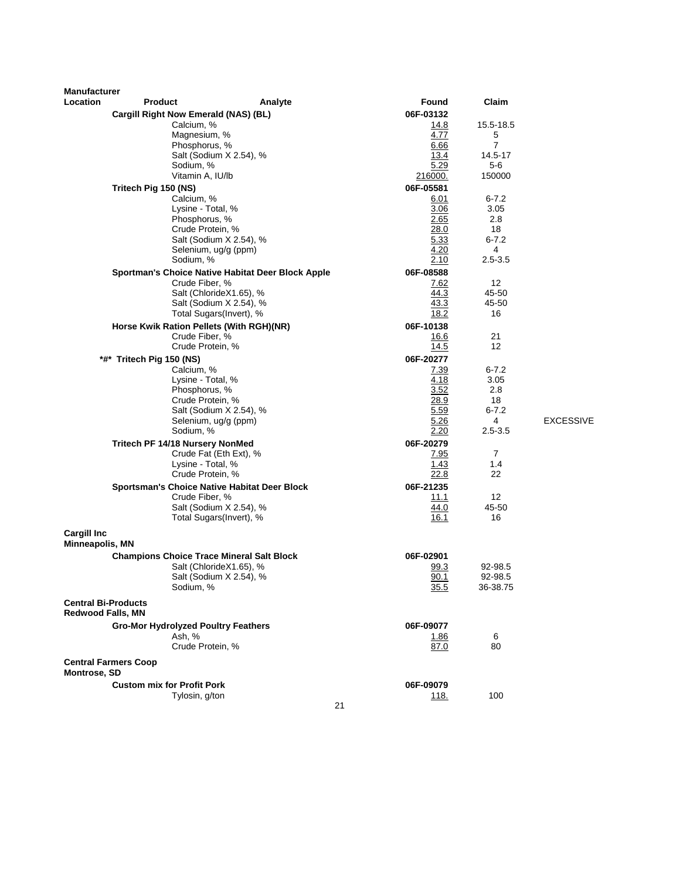| <b>Manufacturer</b><br>Location | <b>Product</b>                                   | Analyte                                           | Found        | Claim                 |                  |
|---------------------------------|--------------------------------------------------|---------------------------------------------------|--------------|-----------------------|------------------|
|                                 | Cargill Right Now Emerald (NAS) (BL)             |                                                   | 06F-03132    |                       |                  |
|                                 | Calcium, %                                       |                                                   | 14.8         | 15.5-18.5             |                  |
|                                 | Magnesium, %                                     |                                                   | 4.77         | 5                     |                  |
|                                 | Phosphorus, %                                    |                                                   | 6.66         | $\overline{7}$        |                  |
|                                 |                                                  | Salt (Sodium X 2.54), %                           | 13.4         | 14.5-17               |                  |
|                                 | Sodium, %                                        |                                                   | 5.29         | 5-6                   |                  |
|                                 | Vitamin A, IU/lb                                 |                                                   | 216000.      | 150000                |                  |
|                                 | Tritech Pig 150 (NS)                             |                                                   | 06F-05581    |                       |                  |
|                                 | Calcium, %<br>Lysine - Total, %                  |                                                   | 6.01         | $6 - 7.2$             |                  |
|                                 | Phosphorus, %                                    |                                                   | 3.06<br>2.65 | 3.05<br>2.8           |                  |
|                                 | Crude Protein, %                                 |                                                   | 28.0         | 18                    |                  |
|                                 |                                                  | Salt (Sodium X 2.54), %                           | 5.33         | $6 - 7.2$             |                  |
|                                 |                                                  | Selenium, ug/g (ppm)                              | 4.20         | 4                     |                  |
|                                 | Sodium, %                                        |                                                   | 2.10         | 2.5-3.5               |                  |
|                                 |                                                  | Sportman's Choice Native Habitat Deer Block Apple | 06F-08588    |                       |                  |
|                                 | Crude Fiber, %                                   |                                                   | <u>7.62</u>  | 12                    |                  |
|                                 |                                                  | Salt (ChlorideX1.65), %                           | 44.3         | 45-50                 |                  |
|                                 |                                                  | Salt (Sodium X 2.54), %                           | 43.3         | 45-50                 |                  |
|                                 |                                                  | Total Sugars(Invert), %                           | 18.2         | 16                    |                  |
|                                 | Horse Kwik Ration Pellets (With RGH)(NR)         |                                                   | 06F-10138    |                       |                  |
|                                 | Crude Fiber, %<br>Crude Protein, %               |                                                   | 16.6<br>14.5 | 21<br>12              |                  |
|                                 |                                                  |                                                   | 06F-20277    |                       |                  |
|                                 | *#* Tritech Pig 150 (NS)<br>Calcium, %           |                                                   | <u>7.39</u>  | $6 - 7.2$             |                  |
|                                 | Lysine - Total, %                                |                                                   | 4.18         | 3.05                  |                  |
|                                 | Phosphorus, %                                    |                                                   | 3.52         | 2.8                   |                  |
|                                 | Crude Protein, %                                 |                                                   | 28.9         | 18                    |                  |
|                                 |                                                  | Salt (Sodium X 2.54), %                           | 5.59         | $6 - 7.2$             |                  |
|                                 |                                                  | Selenium, ug/g (ppm)                              | 5.26         | 4                     | <b>EXCESSIVE</b> |
|                                 | Sodium, %                                        |                                                   | 2.20         | 2.5-3.5               |                  |
|                                 | Tritech PF 14/18 Nursery NonMed                  |                                                   | 06F-20279    |                       |                  |
|                                 | Lysine - Total, %                                | Crude Fat (Eth Ext), %                            | 7.95<br>1.43 | $\overline{7}$<br>1.4 |                  |
|                                 | Crude Protein, %                                 |                                                   | 22.8         | 22                    |                  |
|                                 |                                                  | Sportsman's Choice Native Habitat Deer Block      | 06F-21235    |                       |                  |
|                                 | Crude Fiber, %                                   |                                                   | 11.1         | 12                    |                  |
|                                 |                                                  | Salt (Sodium X 2.54), %                           | 44.0         | 45-50                 |                  |
|                                 |                                                  | Total Sugars(Invert), %                           | 16.1         | 16                    |                  |
| <b>Cargill Inc</b>              |                                                  |                                                   |              |                       |                  |
| Minneapolis, MN                 |                                                  |                                                   |              |                       |                  |
|                                 | <b>Champions Choice Trace Mineral Salt Block</b> |                                                   | 06F-02901    |                       |                  |
|                                 |                                                  | Salt (ChlorideX1.65), %                           | 99.3         | 92-98.5               |                  |
|                                 |                                                  | Salt (Sodium X 2.54), %                           | 90.1         | 92-98.5               |                  |
|                                 | Sodium, %                                        |                                                   | 35.5         | 36-38.75              |                  |
| <b>Central Bi-Products</b>      |                                                  |                                                   |              |                       |                  |
| <b>Redwood Falls, MN</b>        |                                                  |                                                   |              |                       |                  |
|                                 | <b>Gro-Mor Hydrolyzed Poultry Feathers</b>       |                                                   | 06F-09077    |                       |                  |
|                                 | Ash, %                                           |                                                   | <u>1.86</u>  | 6                     |                  |
|                                 | Crude Protein, %                                 |                                                   | 87.0         | 80                    |                  |
| Montrose, SD                    | <b>Central Farmers Coop</b>                      |                                                   |              |                       |                  |
|                                 | <b>Custom mix for Profit Pork</b>                |                                                   | 06F-09079    |                       |                  |
|                                 | Tylosin, g/ton                                   |                                                   | <u> 118.</u> | 100                   |                  |
|                                 |                                                  | 21                                                |              |                       |                  |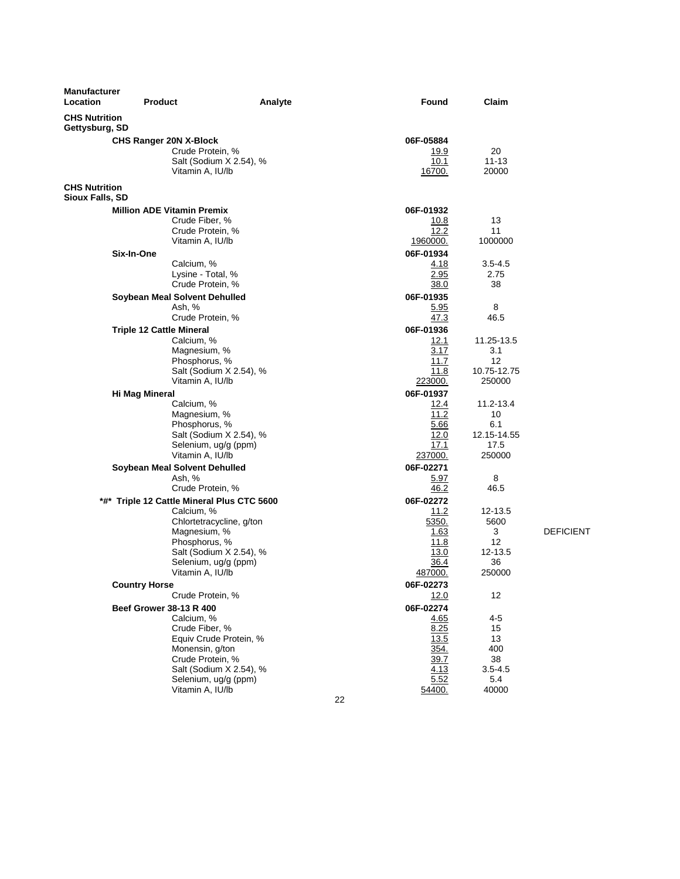| Manufacturer<br><b>Location</b>                | <b>Product</b>                               | Analyte                  | Found             | Claim        |    |
|------------------------------------------------|----------------------------------------------|--------------------------|-------------------|--------------|----|
| <b>CHS Nutrition</b><br>Gettysburg, SD         |                                              |                          |                   |              |    |
|                                                | <b>CHS Ranger 20N X-Block</b>                |                          | 06F-05884         |              |    |
|                                                | Crude Protein, %                             |                          | <u> 19.9</u>      | 20           |    |
|                                                |                                              | Salt (Sodium X 2.54), %  | 10.1              | $11 - 13$    |    |
|                                                | Vitamin A, IU/lb                             |                          | 16700.            | 20000        |    |
| <b>CHS Nutrition</b><br><b>Sioux Falls, SD</b> |                                              |                          |                   |              |    |
|                                                | <b>Million ADE Vitamin Premix</b>            |                          | 06F-01932         |              |    |
|                                                | Crude Fiber, %                               |                          | 10.8              | 13           |    |
|                                                | Crude Protein, %                             |                          | 12.2              | 11           |    |
|                                                | Vitamin A, IU/lb                             |                          | 1960000.          | 1000000      |    |
|                                                | Six-In-One                                   |                          | 06F-01934         |              |    |
|                                                | Calcium, %                                   |                          | 4.18              | $3.5 - 4.5$  |    |
|                                                | Lysine - Total, %<br>Crude Protein, %        |                          | 2.95<br>38.0      | 2.75<br>38   |    |
|                                                | Soybean Meal Solvent Dehulled                |                          | 06F-01935         |              |    |
|                                                | Ash, %                                       |                          | 5.95              | 8            |    |
|                                                | Crude Protein, %                             |                          | 47.3              | 46.5         |    |
|                                                | <b>Triple 12 Cattle Mineral</b>              |                          | 06F-01936         |              |    |
|                                                | Calcium, %                                   |                          | 12.1              | 11.25-13.5   |    |
|                                                | Magnesium, %                                 |                          | 3.17              | 3.1          |    |
|                                                | Phosphorus, %                                |                          | 11.7              | 12           |    |
|                                                |                                              | Salt (Sodium X 2.54), %  | 11.8              | 10.75-12.75  |    |
|                                                | Vitamin A, IU/lb                             |                          | 223000.           | 250000       |    |
|                                                | Hi Mag Mineral<br>Calcium, %                 |                          | 06F-01937         | 11.2-13.4    |    |
|                                                | Magnesium, %                                 |                          | 12.4<br>11.2      | 10           |    |
|                                                | Phosphorus, %                                |                          | 5.66              | 6.1          |    |
|                                                |                                              | Salt (Sodium X 2.54), %  | 12.0              | 12.15-14.55  |    |
|                                                | Selenium, ug/g (ppm)                         |                          | 17.1              | 17.5         |    |
|                                                | Vitamin A, IU/lb                             |                          | 237000.           | 250000       |    |
|                                                | Soybean Meal Solvent Dehulled                |                          | 06F-02271         |              |    |
|                                                | Ash, %                                       |                          | 5.97              | 8            |    |
|                                                | Crude Protein, %                             |                          | 46.2              | 46.5         |    |
|                                                | *#* Triple 12 Cattle Mineral Plus CTC 5600   |                          | 06F-02272         | 12-13.5      |    |
|                                                | Calcium, %                                   | Chlortetracycline, g/ton | 11.2<br>5350.     | 5600         |    |
|                                                | Magnesium, %                                 |                          | 1.63              | 3            | DE |
|                                                | Phosphorus, %                                |                          | 11.8              | 12           |    |
|                                                |                                              | Salt (Sodium X 2.54), %  | 13.0              | 12-13.5      |    |
|                                                | Selenium, ug/g (ppm)                         |                          | 36.4              | 36           |    |
|                                                | Vitamin A, IU/lb                             |                          | 487000.           | 250000       |    |
|                                                | <b>Country Horse</b>                         |                          | 06F-02273         |              |    |
|                                                | Crude Protein, %                             |                          | 12.0              | 12           |    |
|                                                | <b>Beef Grower 38-13 R 400</b><br>Calcium, % |                          | 06F-02274<br>4.65 | 4-5          |    |
|                                                | Crude Fiber, %                               |                          | 8.25              | 15           |    |
|                                                |                                              | Equiv Crude Protein, %   | 13.5              | 13           |    |
|                                                | Monensin, g/ton                              |                          | 354.              | 400          |    |
|                                                | Crude Protein, %                             |                          | 39.7              | 38           |    |
|                                                |                                              | Salt (Sodium X 2.54), %  | 4.13              | $3.5 - 4.5$  |    |
|                                                | Selenium, ug/g (ppm)<br>Vitamin A, IU/lb     |                          | 5.52              | 5.4<br>40000 |    |
|                                                |                                              |                          | 54400.            |              |    |

**EFICIENT** 

22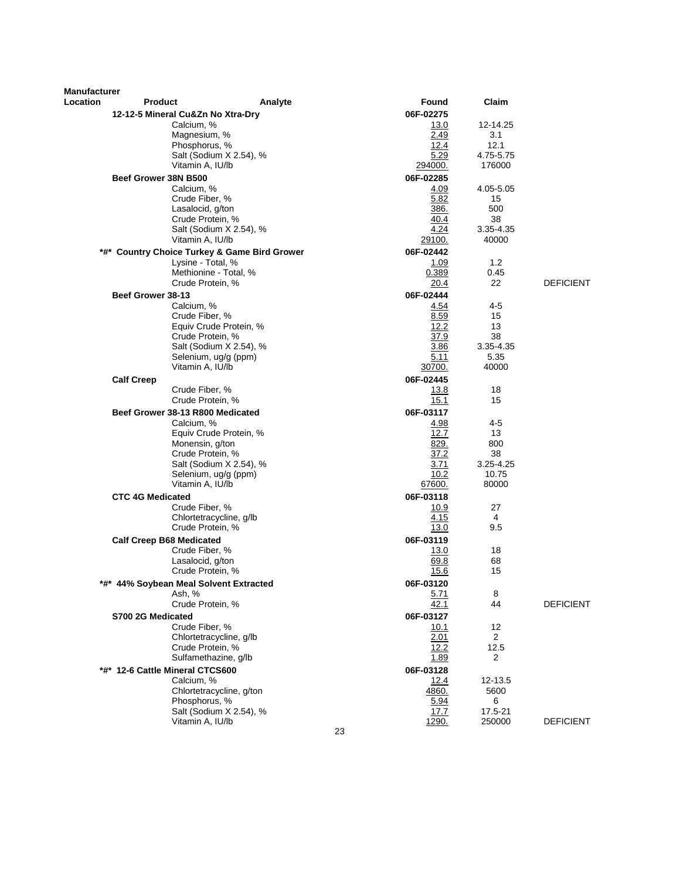| Manufacturer |                                                     |                   |                   |                  |
|--------------|-----------------------------------------------------|-------------------|-------------------|------------------|
| Location     | Product<br>Analyte                                  | Found             | Claim             |                  |
|              | 12-12-5 Mineral Cu&Zn No Xtra-Dry                   | 06F-02275         |                   |                  |
|              | Calcium, %                                          | 13.0              | 12-14.25          |                  |
|              | Magnesium, %                                        | 2.49              | 3.1               |                  |
|              | Phosphorus, %                                       | 12.4              | 12.1<br>4.75-5.75 |                  |
|              | Salt (Sodium X 2.54), %<br>Vitamin A, IU/lb         | 5.29<br>294000.   | 176000            |                  |
|              | Beef Grower 38N B500                                | 06F-02285         |                   |                  |
|              | Calcium, %                                          | 4.09              | 4.05-5.05         |                  |
|              | Crude Fiber, %                                      | 5.82              | 15                |                  |
|              | Lasalocid, g/ton                                    | <u>386.</u>       | 500               |                  |
|              | Crude Protein, %                                    | 40.4              | 38                |                  |
|              | Salt (Sodium X 2.54), %                             | 4.24              | 3.35-4.35         |                  |
|              | Vitamin A, IU/lb                                    | 29100.            | 40000             |                  |
| *#*          | <b>Country Choice Turkey &amp; Game Bird Grower</b> | 06F-02442         |                   |                  |
|              | Lysine - Total, %                                   | 1.09              | 1.2               |                  |
|              | Methionine - Total, %                               | 0.389             | 0.45<br>22        |                  |
|              | Crude Protein, %                                    | 20.4              |                   | <b>DEFICIENT</b> |
|              | Beef Grower 38-13                                   | 06F-02444         | 4-5               |                  |
|              | Calcium, %<br>Crude Fiber, %                        | 4.54<br>8.59      | 15                |                  |
|              | Equiv Crude Protein, %                              | 12.2              | 13                |                  |
|              | Crude Protein, %                                    | 37.9              | 38                |                  |
|              | Salt (Sodium X 2.54), %                             | 3.86              | 3.35-4.35         |                  |
|              | Selenium, ug/g (ppm)                                | 5.11              | 5.35              |                  |
|              | Vitamin A, IU/lb                                    | 30700.            | 40000             |                  |
|              | <b>Calf Creep</b>                                   | 06F-02445         |                   |                  |
|              | Crude Fiber, %                                      | 13.8              | 18                |                  |
|              | Crude Protein, %                                    | 15.1              | 15                |                  |
|              | Beef Grower 38-13 R800 Medicated                    | 06F-03117         |                   |                  |
|              | Calcium, %<br>Equiv Crude Protein, %                | 4.98<br>12.7      | $4 - 5$<br>13     |                  |
|              | Monensin, g/ton                                     | 829.              | 800               |                  |
|              | Crude Protein, %                                    | 37.2              | 38                |                  |
|              | Salt (Sodium X 2.54), %                             | 3.71              | 3.25-4.25         |                  |
|              | Selenium, ug/g (ppm)                                | 10.2              | 10.75             |                  |
|              | Vitamin A, IU/lb                                    | <u>67600.</u>     | 80000             |                  |
|              | <b>CTC 4G Medicated</b>                             | 06F-03118         |                   |                  |
|              | Crude Fiber, %                                      | <u> 10.9</u>      | 27                |                  |
|              | Chlortetracycline, g/lb                             | 4.15              | 4                 |                  |
|              | Crude Protein, %                                    | 13.0              | 9.5               |                  |
|              | <b>Calf Creep B68 Medicated</b><br>Crude Fiber, %   | 06F-03119<br>13.0 | 18                |                  |
|              | Lasalocid, g/ton                                    | 69.8              | 68                |                  |
|              | Crude Protein, %                                    | 15.6              | 15                |                  |
|              | *#* 44% Soybean Meal Solvent Extracted              | 06F-03120         |                   |                  |
|              | Ash, %                                              | 5.71              | 8                 |                  |
|              | Crude Protein, %                                    | 42.1              | 44                | <b>DEFICIENT</b> |
|              | S700 2G Medicated                                   | 06F-03127         |                   |                  |
|              | Crude Fiber, %                                      | 10.1              | 12                |                  |
|              | Chlortetracycline, g/lb                             | 2.01              | 2                 |                  |
|              | Crude Protein, %                                    | 12.2              | 12.5              |                  |
|              | Sulfamethazine, q/lb                                | 1.89              | 2                 |                  |
|              | *#* 12-6 Cattle Mineral CTCS600                     | 06F-03128         |                   |                  |
|              | Calcium, %<br>Chlortetracycline, g/ton              | 12.4<br>4860.     | 12-13.5<br>5600   |                  |
|              | Phosphorus, %                                       | 5.94              | 6                 |                  |
|              | Salt (Sodium X 2.54), %                             | 17.7              | 17.5-21           |                  |
|              | Vitamin A, IU/lb                                    | 1290.             | 250000            | <b>DEFICIENT</b> |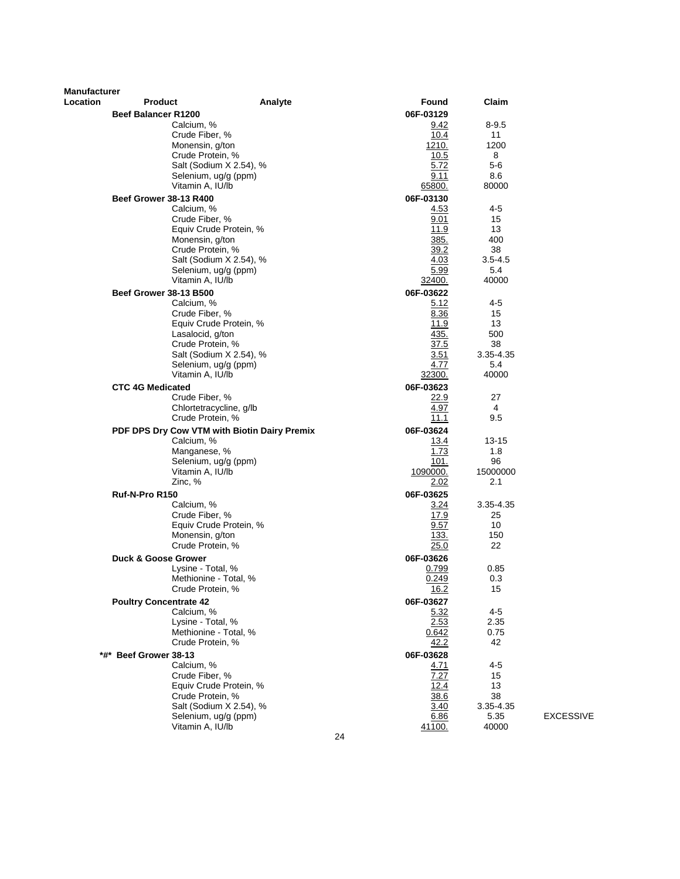| <b>Manufacturer</b><br>Location | <b>Product</b>                               | Analyte | Found          | Claim           |                  |
|---------------------------------|----------------------------------------------|---------|----------------|-----------------|------------------|
|                                 |                                              |         |                |                 |                  |
|                                 | <b>Beef Balancer R1200</b>                   |         | 06F-03129      |                 |                  |
|                                 | Calcium, %                                   |         | 9.42           | $8 - 9.5$       |                  |
|                                 | Crude Fiber, %<br>Monensin, g/ton            |         | 10.4<br>1210.  | 11<br>1200      |                  |
|                                 | Crude Protein, %                             |         | 10.5           | 8               |                  |
|                                 | Salt (Sodium X 2.54), %                      |         | 5.72           | 5-6             |                  |
|                                 | Selenium, ug/g (ppm)                         |         | 9.11           | 8.6             |                  |
|                                 | Vitamin A, IU/lb                             |         | 65800.         | 80000           |                  |
|                                 | <b>Beef Grower 38-13 R400</b>                |         | 06F-03130      |                 |                  |
|                                 | Calcium, %                                   |         | 4.53           | 4-5             |                  |
|                                 | Crude Fiber, %                               |         | 9.01           | 15              |                  |
|                                 | Equiv Crude Protein, %                       |         | 11.9           | 13              |                  |
|                                 | Monensin, g/ton                              |         | 385.           | 400             |                  |
|                                 | Crude Protein, %                             |         | 39.2           | 38              |                  |
|                                 | Salt (Sodium X 2.54), %                      |         | 4.03           | $3.5 - 4.5$     |                  |
|                                 | Selenium, ug/g (ppm)                         |         | 5.99           | 5.4             |                  |
|                                 | Vitamin A, IU/lb                             |         | <u>32400.</u>  | 40000           |                  |
|                                 | <b>Beef Grower 38-13 B500</b>                |         | 06F-03622      |                 |                  |
|                                 | Calcium, %                                   |         | 5.12           | 4-5             |                  |
|                                 | Crude Fiber, %                               |         | 8.36           | 15              |                  |
|                                 | Equiv Crude Protein, %                       |         | 11.9           | 13              |                  |
|                                 | Lasalocid, g/ton                             |         | 435.           | 500             |                  |
|                                 | Crude Protein, %<br>Salt (Sodium X 2.54), %  |         | 37.5<br>3.51   | 38<br>3.35-4.35 |                  |
|                                 | Selenium, ug/g (ppm)                         |         | 4.77           | 5.4             |                  |
|                                 | Vitamin A, IU/lb                             |         | 32300.         | 40000           |                  |
|                                 | <b>CTC 4G Medicated</b>                      |         | 06F-03623      |                 |                  |
|                                 | Crude Fiber, %                               |         | 22.9           | 27              |                  |
|                                 | Chlortetracycline, g/lb                      |         | 4.97           | 4               |                  |
|                                 | Crude Protein, %                             |         | 11.1           | 9.5             |                  |
|                                 | PDF DPS Dry Cow VTM with Biotin Dairy Premix |         | 06F-03624      |                 |                  |
|                                 | Calcium, %                                   |         | <u>13.4</u>    | 13-15           |                  |
|                                 | Manganese, %                                 |         | 1.73           | 1.8             |                  |
|                                 | Selenium, ug/g (ppm)                         |         | 101.           | 96              |                  |
|                                 | Vitamin A, IU/lb                             |         | 1090000.       | 15000000        |                  |
|                                 | Zinc, %                                      |         | 2.02           | 2.1             |                  |
|                                 | Ruf-N-Pro R150                               |         | 06F-03625      |                 |                  |
|                                 | Calcium, %                                   |         | 3.24           | 3.35-4.35       |                  |
|                                 | Crude Fiber, %                               |         | 17.9           | 25              |                  |
|                                 | Equiv Crude Protein, %                       |         | 9.57           | 10              |                  |
|                                 | Monensin, g/ton                              |         | <u>133.</u>    | 150             |                  |
|                                 | Crude Protein, %                             |         | 25.0           | 22              |                  |
|                                 | <b>Duck &amp; Goose Grower</b>               |         | 06F-03626      |                 |                  |
|                                 | Lysine - Total, %<br>Methionine - Total, %   |         | 0.799<br>0.249 | 0.85<br>0.3     |                  |
|                                 | Crude Protein, %                             |         | <u>16.2</u>    | 15              |                  |
|                                 |                                              |         | 06F-03627      |                 |                  |
|                                 | <b>Poultry Concentrate 42</b><br>Calcium, %  |         | 5.32           | $4 - 5$         |                  |
|                                 | Lysine - Total, %                            |         | 2.53           | 2.35            |                  |
|                                 | Methionine - Total, %                        |         | 0.642          | 0.75            |                  |
|                                 | Crude Protein, %                             |         | 42.2           | 42              |                  |
|                                 | *#* Beef Grower 38-13                        |         | 06F-03628      |                 |                  |
|                                 | Calcium, %                                   |         | 4.71           | $4 - 5$         |                  |
|                                 | Crude Fiber, %                               |         | 7.27           | 15              |                  |
|                                 | Equiv Crude Protein, %                       |         | 12.4           | 13              |                  |
|                                 | Crude Protein, %                             |         | 38.6           | 38              |                  |
|                                 | Salt (Sodium X 2.54), %                      |         | 3.40           | 3.35-4.35       |                  |
|                                 | Selenium, ug/g (ppm)                         |         | 6.86           | 5.35            | <b>EXCESSIVE</b> |
|                                 | Vitamin A, IU/lb                             |         | <u>41100.</u>  | 40000           |                  |
|                                 |                                              | 24      |                |                 |                  |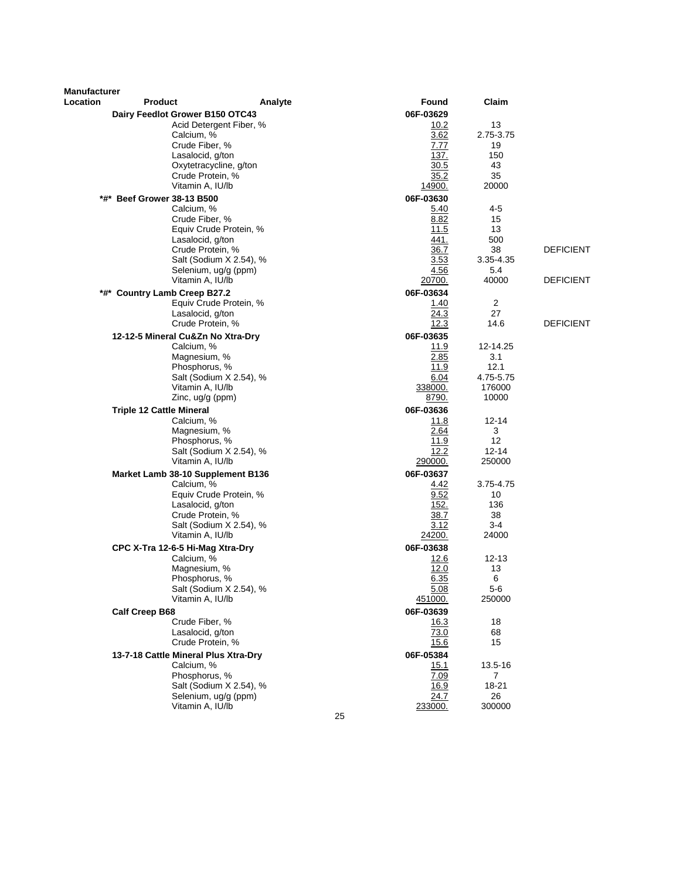| Manufacturer |                                             |         |                     |                   |                  |
|--------------|---------------------------------------------|---------|---------------------|-------------------|------------------|
| Location     | <b>Product</b>                              | Analyte | Found               | Claim             |                  |
|              | Dairy Feedlot Grower B150 OTC43             |         | 06F-03629           |                   |                  |
|              | Acid Detergent Fiber, %                     |         | 10.2                | 13                |                  |
|              | Calcium, %                                  |         | 3.62                | 2.75-3.75         |                  |
|              | Crude Fiber, %<br>Lasalocid, g/ton          |         | 7.77<br>137.        | 19<br>150         |                  |
|              | Oxytetracycline, g/ton                      |         | 30.5                | 43                |                  |
|              | Crude Protein, %                            |         | 35.2                | 35                |                  |
|              | Vitamin A, IU/lb                            |         | 14900.              | 20000             |                  |
| *#*          | <b>Beef Grower 38-13 B500</b>               |         | 06F-03630           |                   |                  |
|              | Calcium, %                                  |         | 5.40                | 4-5               |                  |
|              | Crude Fiber, %                              |         | 8.82                | 15                |                  |
|              | Equiv Crude Protein, %                      |         | 11.5                | 13                |                  |
|              | Lasalocid, g/ton                            |         | 441.                | 500               |                  |
|              | Crude Protein, %                            |         | 36.7                | 38                | <b>DEFICIENT</b> |
|              | Salt (Sodium X 2.54), %                     |         | 3.53                | 3.35-4.35         |                  |
|              | Selenium, ug/g (ppm)                        |         | 4.56                | 5.4               |                  |
|              | Vitamin A, IU/lb                            |         | 20700.              | 40000             | <b>DEFICIENT</b> |
|              | *#* Country Lamb Creep B27.2                |         | 06F-03634           |                   |                  |
|              | Equiv Crude Protein, %<br>Lasalocid, g/ton  |         | 1.40<br>24.3        | 2<br>27           |                  |
|              | Crude Protein, %                            |         | 12.3                | 14.6              | <b>DEFICIENT</b> |
|              | 12-12-5 Mineral Cu&Zn No Xtra-Dry           |         | 06F-03635           |                   |                  |
|              | Calcium, %                                  |         | 11.9                | 12-14.25          |                  |
|              | Magnesium, %                                |         | 2.85                | 3.1               |                  |
|              | Phosphorus, %                               |         | 11.9                | 12.1              |                  |
|              | Salt (Sodium X 2.54), %                     |         | 6.04                | 4.75-5.75         |                  |
|              | Vitamin A, IU/lb                            |         | 338000.             | 176000            |                  |
|              | Zinc, ug/g (ppm)                            |         | 8790.               | 10000             |                  |
|              | <b>Triple 12 Cattle Mineral</b>             |         | 06F-03636           |                   |                  |
|              | Calcium, %                                  |         | 11.8                | 12-14             |                  |
|              | Magnesium, %                                |         | 2.64                | 3                 |                  |
|              | Phosphorus, %                               |         | 11.9                | $12 \overline{ }$ |                  |
|              | Salt (Sodium X 2.54), %<br>Vitamin A, IU/lb |         | 12.2                | $12 - 14$         |                  |
|              |                                             |         | 290000.             | 250000            |                  |
|              | Market Lamb 38-10 Supplement B136           |         | 06F-03637           | 3.75-4.75         |                  |
|              | Calcium, %<br>Equiv Crude Protein, %        |         | 4.42<br>9.52        | 10                |                  |
|              | Lasalocid, g/ton                            |         | 152.                | 136               |                  |
|              | Crude Protein, %                            |         | 38.7                | 38                |                  |
|              | Salt (Sodium X 2.54), %                     |         | 3.12                | $3 - 4$           |                  |
|              | Vitamin A, IU/lb                            |         | <u>24200.</u>       | 24000             |                  |
|              | CPC X-Tra 12-6-5 Hi-Mag Xtra-Dry            |         | 06F-03638           |                   |                  |
|              | Calcium, %                                  |         | 12.6                | 12-13             |                  |
|              | Magnesium, %                                |         | 12.0                | 13                |                  |
|              | Phosphorus, %                               |         | 6.35                | 6                 |                  |
|              | Salt (Sodium X 2.54), %                     |         | 5.08                | 5-6               |                  |
|              | Vitamin A, IU/lb                            |         | 451000.             | 250000            |                  |
|              | <b>Calf Creep B68</b>                       |         | 06F-03639           |                   |                  |
|              | Crude Fiber, %<br>Lasalocid, g/ton          |         | <u>16.3</u><br>73.0 | 18<br>68          |                  |
|              | Crude Protein, %                            |         | 15.6                | 15                |                  |
|              | 13-7-18 Cattle Mineral Plus Xtra-Dry        |         | 06F-05384           |                   |                  |
|              | Calcium, %                                  |         | 15.1                | 13.5-16           |                  |
|              | Phosphorus, %                               |         | 7.09                | $\mathbf{7}$      |                  |
|              | Salt (Sodium X 2.54), %                     |         | 16.9                | 18-21             |                  |
|              | Selenium, ug/g (ppm)                        |         | 24.7                | 26                |                  |
|              | Vitamin A, IU/lb                            |         | 233000.             | 300000            |                  |
|              |                                             | 25      |                     |                   |                  |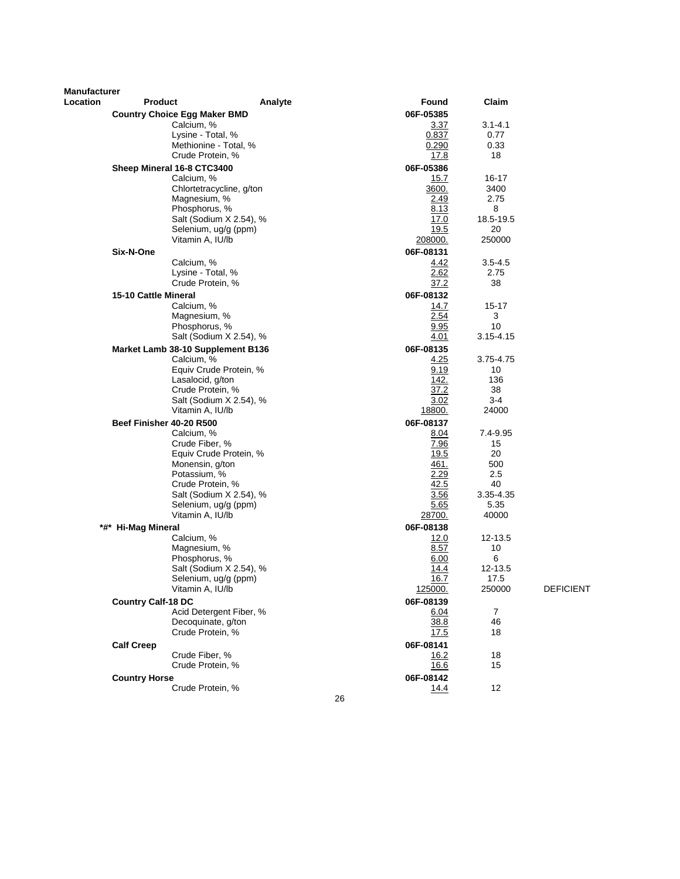| Manufacturer |                           |                                     |         |    |             |                |                  |
|--------------|---------------------------|-------------------------------------|---------|----|-------------|----------------|------------------|
| Location     | Product                   |                                     | Analyte |    | Found       | Claim          |                  |
|              |                           | <b>Country Choice Egg Maker BMD</b> |         |    | 06F-05385   |                |                  |
|              |                           | Calcium, %                          |         |    | 3.37        | $3.1 - 4.1$    |                  |
|              |                           | Lysine - Total, %                   |         |    | 0.837       | 0.77           |                  |
|              |                           | Methionine - Total, %               |         |    | 0.290       | 0.33           |                  |
|              |                           | Crude Protein, %                    |         |    | 17.8        | 18             |                  |
|              |                           | Sheep Mineral 16-8 CTC3400          |         |    | 06F-05386   |                |                  |
|              |                           | Calcium, %                          |         |    | 15.7        | 16-17          |                  |
|              |                           | Chlortetracycline, g/ton            |         |    | 3600.       | 3400           |                  |
|              |                           | Magnesium, %                        |         |    | 2.49        | 2.75           |                  |
|              |                           | Phosphorus, %                       |         |    | 8.13        | 8              |                  |
|              |                           | Salt (Sodium X 2.54), %             |         |    | 17.0        | 18.5-19.5      |                  |
|              |                           | Selenium, ug/g (ppm)                |         |    | 19.5        | 20             |                  |
|              |                           | Vitamin A, IU/lb                    |         |    | 208000.     | 250000         |                  |
|              | Six-N-One                 |                                     |         |    | 06F-08131   |                |                  |
|              |                           | Calcium, %                          |         |    | 4.42        | $3.5 - 4.5$    |                  |
|              |                           | Lysine - Total, %                   |         |    | 2.62        | 2.75           |                  |
|              |                           | Crude Protein, %                    |         |    | 37.2        | 38             |                  |
|              |                           |                                     |         |    |             |                |                  |
|              | 15-10 Cattle Mineral      |                                     |         |    | 06F-08132   |                |                  |
|              |                           | Calcium, %                          |         |    | 14.7        | $15 - 17$      |                  |
|              |                           | Magnesium, %                        |         |    | 2.54        | 3              |                  |
|              |                           | Phosphorus, %                       |         |    | 9.95        | 10             |                  |
|              |                           | Salt (Sodium X 2.54), %             |         |    | 4.01        | $3.15 - 4.15$  |                  |
|              |                           | Market Lamb 38-10 Supplement B136   |         |    | 06F-08135   |                |                  |
|              |                           | Calcium, %                          |         |    | 4.25        | 3.75-4.75      |                  |
|              |                           | Equiv Crude Protein, %              |         |    | 9.19        | 10             |                  |
|              |                           | Lasalocid, g/ton                    |         |    | 142.        | 136            |                  |
|              |                           | Crude Protein, %                    |         |    | 37.2        | 38             |                  |
|              |                           | Salt (Sodium X 2.54), %             |         |    | 3.02        | $3 - 4$        |                  |
|              |                           | Vitamin A, IU/lb                    |         |    | 18800.      | 24000          |                  |
|              | Beef Finisher 40-20 R500  |                                     |         |    | 06F-08137   |                |                  |
|              |                           | Calcium, %                          |         |    | 8.04        | 7.4-9.95       |                  |
|              |                           | Crude Fiber, %                      |         |    | 7.96        | 15             |                  |
|              |                           | Equiv Crude Protein, %              |         |    | 19.5        | 20             |                  |
|              |                           | Monensin, g/ton                     |         |    | 461.        | 500            |                  |
|              |                           | Potassium, %                        |         |    | 2.29        | 2.5            |                  |
|              |                           | Crude Protein, %                    |         |    | 42.5        | 40             |                  |
|              |                           | Salt (Sodium X 2.54), %             |         |    | 3.56        | 3.35-4.35      |                  |
|              |                           | Selenium, ug/g (ppm)                |         |    | 5.65        | 5.35           |                  |
|              |                           | Vitamin A, IU/lb                    |         |    | 28700.      | 40000          |                  |
|              | *#* Hi-Mag Mineral        |                                     |         |    | 06F-08138   |                |                  |
|              |                           | Calcium, %                          |         |    | 12.0        | 12-13.5        |                  |
|              |                           | Magnesium, %                        |         |    | 8.57        | 10             |                  |
|              |                           | Phosphorus, %                       |         |    | 6.00        | 6              |                  |
|              |                           | Salt (Sodium X 2.54), %             |         |    | 14.4        | 12-13.5        |                  |
|              |                           | Selenium, ug/g (ppm)                |         |    | 16.7        | 17.5           |                  |
|              |                           | Vitamin A, IU/lb                    |         |    | 125000.     | 250000         | <b>DEFICIENT</b> |
|              | <b>Country Calf-18 DC</b> |                                     |         |    | 06F-08139   |                |                  |
|              |                           | Acid Detergent Fiber, %             |         |    | 6.04        | $\overline{7}$ |                  |
|              |                           | Decoquinate, g/ton                  |         |    | 38.8        | 46             |                  |
|              |                           | Crude Protein, %                    |         |    | 17.5        | 18             |                  |
|              |                           |                                     |         |    |             |                |                  |
|              | <b>Calf Creep</b>         |                                     |         |    | 06F-08141   |                |                  |
|              |                           | Crude Fiber, %                      |         |    | <u>16.2</u> | 18             |                  |
|              |                           | Crude Protein, %                    |         |    | 16.6        | 15             |                  |
|              | <b>Country Horse</b>      |                                     |         |    | 06F-08142   |                |                  |
|              |                           | Crude Protein, %                    |         |    | 14.4        | 12             |                  |
|              |                           |                                     |         | 26 |             |                |                  |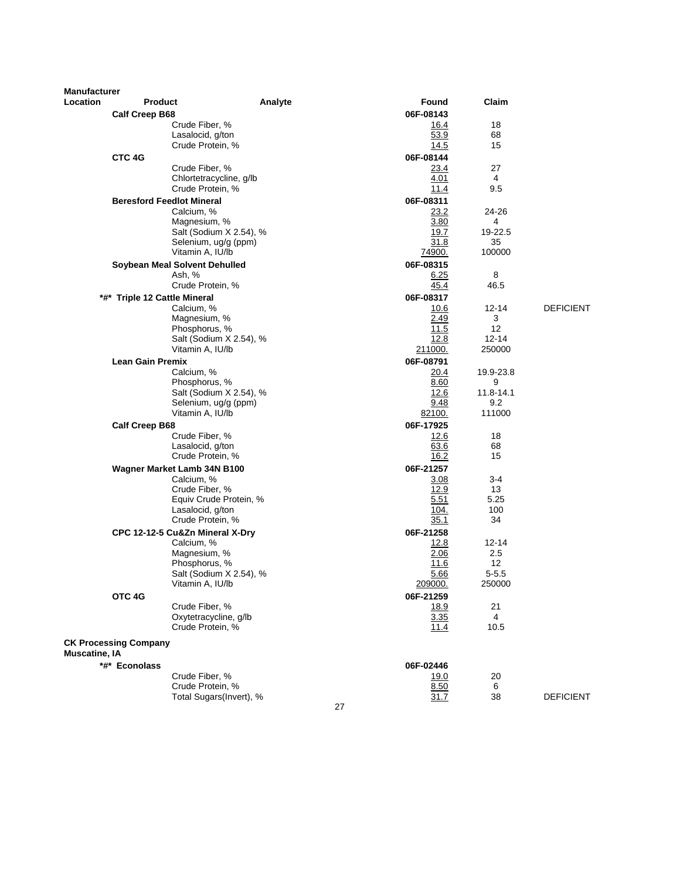| <b>Manufacturer</b>  |                                 |                                             |         |    |                   |                      |                  |
|----------------------|---------------------------------|---------------------------------------------|---------|----|-------------------|----------------------|------------------|
| <b>Location</b>      | Product                         |                                             | Analyte |    | Found             | Claim                |                  |
|                      | <b>Calf Creep B68</b>           |                                             |         |    | 06F-08143         |                      |                  |
|                      |                                 | Crude Fiber, %                              |         |    | 16.4              | 18                   |                  |
|                      |                                 | Lasalocid, g/ton<br>Crude Protein, %        |         |    | 53.9<br>14.5      | 68<br>15             |                  |
|                      |                                 |                                             |         |    |                   |                      |                  |
|                      | CTC 4G                          | Crude Fiber, %                              |         |    | 06F-08144<br>23.4 | 27                   |                  |
|                      |                                 | Chlortetracycline, g/lb                     |         |    | 4.01              | 4                    |                  |
|                      |                                 | Crude Protein, %                            |         |    | 11.4              | 9.5                  |                  |
|                      |                                 | <b>Beresford Feedlot Mineral</b>            |         |    | 06F-08311         |                      |                  |
|                      |                                 | Calcium, %                                  |         |    | 23.2              | 24-26                |                  |
|                      |                                 | Magnesium, %                                |         |    | 3.80              | 4                    |                  |
|                      |                                 | Salt (Sodium X 2.54), %                     |         |    | 19.7              | 19-22.5              |                  |
|                      |                                 | Selenium, ug/g (ppm)<br>Vitamin A, IU/lb    |         |    | 31.8<br>74900.    | 35<br>100000         |                  |
|                      |                                 | Soybean Meal Solvent Dehulled               |         |    | 06F-08315         |                      |                  |
|                      |                                 | Ash, %                                      |         |    | 6.25              | 8                    |                  |
|                      |                                 | Crude Protein, %                            |         |    | 45.4              | 46.5                 |                  |
| *#*                  | <b>Triple 12 Cattle Mineral</b> |                                             |         |    | 06F-08317         |                      |                  |
|                      |                                 | Calcium, %                                  |         |    | 10.6              | 12-14                | <b>DEFICIENT</b> |
|                      |                                 | Magnesium, %                                |         |    | 2.49              | 3                    |                  |
|                      |                                 | Phosphorus, %                               |         |    | 11.5              | 12                   |                  |
|                      |                                 | Salt (Sodium X 2.54), %<br>Vitamin A, IU/lb |         |    | 12.8<br>211000.   | $12 - 14$<br>250000  |                  |
|                      | <b>Lean Gain Premix</b>         |                                             |         |    | 06F-08791         |                      |                  |
|                      |                                 | Calcium, %                                  |         |    | 20.4              | 19.9-23.8            |                  |
|                      |                                 | Phosphorus, %                               |         |    | 8.60              | 9                    |                  |
|                      |                                 | Salt (Sodium X 2.54), %                     |         |    | 12.6              | 11.8-14.1            |                  |
|                      |                                 | Selenium, ug/g (ppm)                        |         |    | 9.48              | 9.2                  |                  |
|                      |                                 | Vitamin A, IU/lb                            |         |    | 82100.            | 111000               |                  |
|                      | <b>Calf Creep B68</b>           |                                             |         |    | 06F-17925         |                      |                  |
|                      |                                 | Crude Fiber, %<br>Lasalocid, g/ton          |         |    | 12.6<br>63.6      | 18<br>68             |                  |
|                      |                                 | Crude Protein, %                            |         |    | 16.2              | 15                   |                  |
|                      |                                 | Wagner Market Lamb 34N B100                 |         |    | 06F-21257         |                      |                  |
|                      |                                 | Calcium, %                                  |         |    | 3.08              | 3-4                  |                  |
|                      |                                 | Crude Fiber, %                              |         |    | 12.9              | 13                   |                  |
|                      |                                 | Equiv Crude Protein, %                      |         |    | 5.51              | 5.25                 |                  |
|                      |                                 | Lasalocid, g/ton<br>Crude Protein, %        |         |    | 104.              | 100<br>34            |                  |
|                      |                                 | CPC 12-12-5 Cu&Zn Mineral X-Dry             |         |    | 35.1<br>06F-21258 |                      |                  |
|                      |                                 | Calcium, %                                  |         |    | 12.8              | $12 - 14$            |                  |
|                      |                                 | Magnesium, %                                |         |    | 2.06              | 2.5                  |                  |
|                      |                                 | Phosphorus, %                               |         |    | 11.6              | $12 \overline{ }$    |                  |
|                      |                                 | Salt (Sodium X 2.54), %                     |         |    | 5.66              | $5 - 5.5$            |                  |
|                      |                                 | Vitamin A, IU/lb                            |         |    | <u>209000.</u>    | 250000               |                  |
|                      | OTC <sub>4G</sub>               |                                             |         |    | 06F-21259         |                      |                  |
|                      |                                 | Crude Fiber, %<br>Oxytetracycline, g/lb     |         |    | 18.9              | 21<br>$\overline{4}$ |                  |
|                      |                                 | Crude Protein, %                            |         |    | 3.35<br>11.4      | 10.5                 |                  |
|                      | <b>CK Processing Company</b>    |                                             |         |    |                   |                      |                  |
| <b>Muscatine, IA</b> |                                 |                                             |         |    |                   |                      |                  |
|                      | *#* Econolass                   |                                             |         |    | 06F-02446         |                      |                  |
|                      |                                 | Crude Fiber, %                              |         |    | 19.0              | 20                   |                  |
|                      |                                 | Crude Protein, %<br>Total Sugars(Invert), % |         |    | 8.50<br>31.7      | 6<br>38              | <b>DEFICIENT</b> |
|                      |                                 |                                             |         | 27 |                   |                      |                  |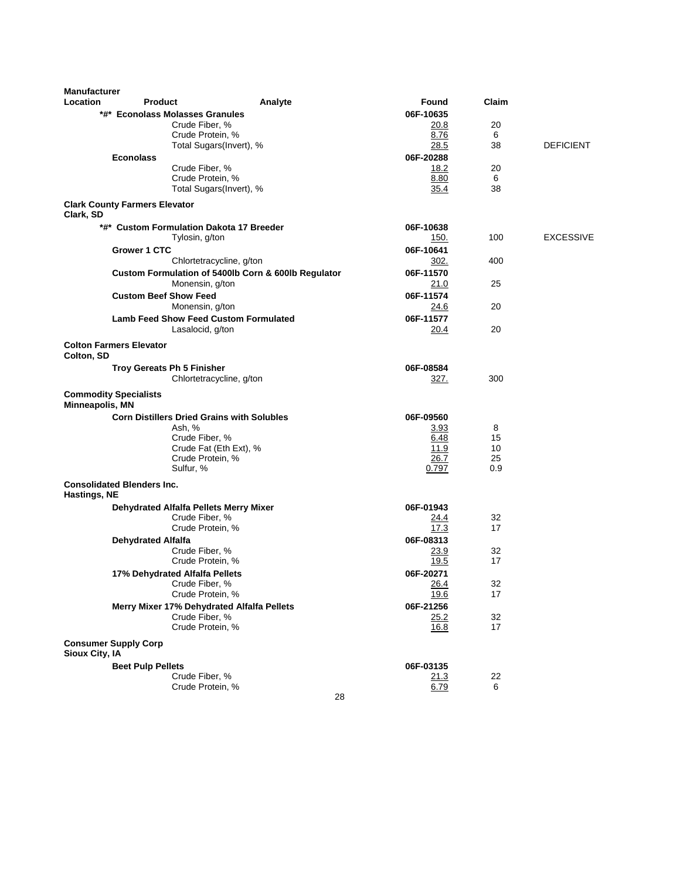| <b>Manufacturer</b><br>Location | <b>Product</b>                       |                                                   | Analyte                                             | Found        | Claim |                  |
|---------------------------------|--------------------------------------|---------------------------------------------------|-----------------------------------------------------|--------------|-------|------------------|
|                                 |                                      | *#* Econolass Molasses Granules                   |                                                     | 06F-10635    |       |                  |
|                                 |                                      | Crude Fiber, %                                    |                                                     | 20.8         | 20    |                  |
|                                 |                                      | Crude Protein, %                                  |                                                     | 8.76         | 6     |                  |
|                                 |                                      | Total Sugars(Invert), %                           |                                                     | 28.5         | 38    | <b>DEFICIENT</b> |
|                                 | <b>Econolass</b>                     |                                                   |                                                     | 06F-20288    |       |                  |
|                                 |                                      | Crude Fiber, %                                    |                                                     | 18.2         | 20    |                  |
|                                 |                                      | Crude Protein, %                                  |                                                     | 8.80         | 6     |                  |
|                                 |                                      | Total Sugars(Invert), %                           |                                                     | 35.4         | 38    |                  |
| Clark, SD                       | <b>Clark County Farmers Elevator</b> |                                                   |                                                     |              |       |                  |
|                                 |                                      | *#* Custom Formulation Dakota 17 Breeder          |                                                     | 06F-10638    |       |                  |
|                                 |                                      | Tylosin, g/ton                                    |                                                     | 150.         | 100   | <b>EXCESSIVE</b> |
|                                 | Grower 1 CTC                         |                                                   |                                                     | 06F-10641    |       |                  |
|                                 |                                      | Chlortetracycline, g/ton                          |                                                     | 302.         | 400   |                  |
|                                 |                                      |                                                   | Custom Formulation of 5400lb Corn & 600lb Regulator | 06F-11570    |       |                  |
|                                 |                                      | Monensin, g/ton                                   |                                                     | 21.0         | 25    |                  |
|                                 | <b>Custom Beef Show Feed</b>         |                                                   |                                                     | 06F-11574    |       |                  |
|                                 |                                      | Monensin, g/ton                                   |                                                     | 24.6         | 20    |                  |
|                                 |                                      | <b>Lamb Feed Show Feed Custom Formulated</b>      |                                                     | 06F-11577    |       |                  |
|                                 |                                      | Lasalocid, g/ton                                  |                                                     | 20.4         | 20    |                  |
|                                 |                                      |                                                   |                                                     |              |       |                  |
| Colton, SD                      | <b>Colton Farmers Elevator</b>       |                                                   |                                                     |              |       |                  |
|                                 |                                      | Troy Gereats Ph 5 Finisher                        |                                                     | 06F-08584    |       |                  |
|                                 |                                      | Chlortetracycline, g/ton                          |                                                     | 327.         | 300   |                  |
| Minneapolis, MN                 | <b>Commodity Specialists</b>         |                                                   |                                                     |              |       |                  |
|                                 |                                      | <b>Corn Distillers Dried Grains with Solubles</b> |                                                     | 06F-09560    |       |                  |
|                                 |                                      | Ash, %                                            |                                                     | 3.93         | 8     |                  |
|                                 |                                      | Crude Fiber, %                                    |                                                     | 6.48         | 15    |                  |
|                                 |                                      | Crude Fat (Eth Ext), %                            |                                                     | 11.9         | 10    |                  |
|                                 |                                      | Crude Protein, %                                  |                                                     | 26.7         | 25    |                  |
|                                 | <b>Consolidated Blenders Inc.</b>    | Sulfur, %                                         |                                                     | 0.797        | 0.9   |                  |
| Hastings, NE                    |                                      |                                                   |                                                     |              |       |                  |
|                                 |                                      | Dehydrated Alfalfa Pellets Merry Mixer            |                                                     | 06F-01943    |       |                  |
|                                 |                                      | Crude Fiber, %                                    |                                                     | 24.4         | 32    |                  |
|                                 |                                      | Crude Protein, %                                  |                                                     | 17.3         | 17    |                  |
|                                 | <b>Dehydrated Alfalfa</b>            |                                                   |                                                     | 06F-08313    |       |                  |
|                                 |                                      | Crude Fiber, %                                    |                                                     | 23.9         | 32    |                  |
|                                 |                                      | Crude Protein, %                                  |                                                     | 19.5         | 17    |                  |
|                                 |                                      | 17% Dehydrated Alfalfa Pellets                    |                                                     | 06F-20271    |       |                  |
|                                 |                                      | Crude Fiber, %                                    |                                                     | <u>26.4</u>  | 32    |                  |
|                                 |                                      | Crude Protein, %                                  |                                                     | 19.6         | 17    |                  |
|                                 |                                      | Merry Mixer 17% Dehydrated Alfalfa Pellets        |                                                     | 06F-21256    |       |                  |
|                                 |                                      | Crude Fiber, %                                    |                                                     | 25.2         | 32    |                  |
|                                 |                                      | Crude Protein, %                                  |                                                     | 16.8         | 17    |                  |
|                                 | <b>Consumer Supply Corp</b>          |                                                   |                                                     |              |       |                  |
| Sioux City, IA                  |                                      |                                                   |                                                     |              |       |                  |
|                                 | <b>Beet Pulp Pellets</b>             |                                                   |                                                     | 06F-03135    |       |                  |
|                                 |                                      | Crude Fiber, %                                    |                                                     | <u> 21.3</u> | 22    |                  |
|                                 |                                      | Crude Protein, %                                  |                                                     | 6.79         | 6     |                  |
|                                 |                                      |                                                   | 28                                                  |              |       |                  |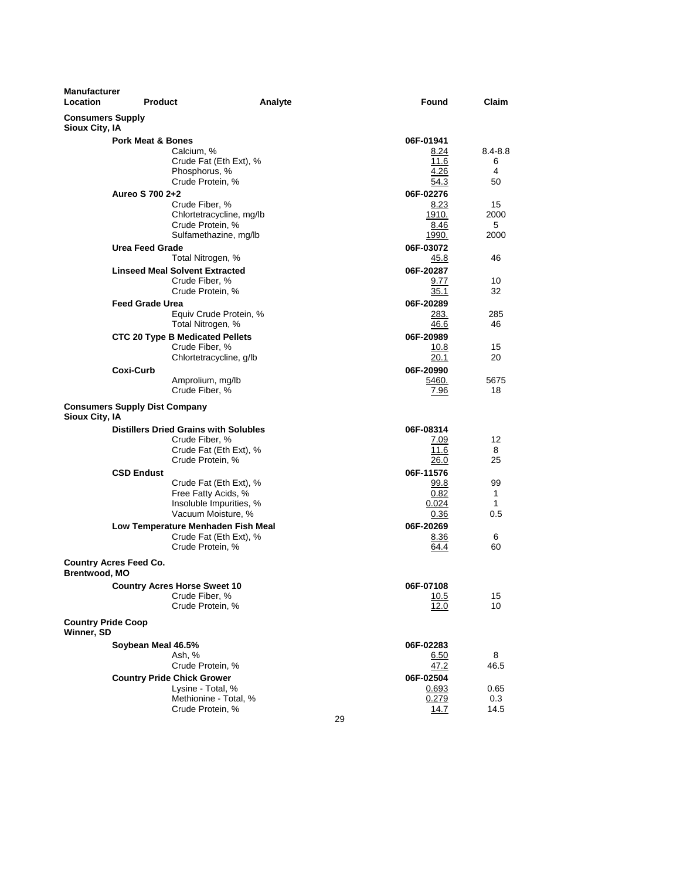| Manufacturer<br>Location                  | <b>Product</b>                       |                                                              | Analyte |    | Found              | Claim             |
|-------------------------------------------|--------------------------------------|--------------------------------------------------------------|---------|----|--------------------|-------------------|
| <b>Consumers Supply</b><br>Sioux City, IA |                                      |                                                              |         |    |                    |                   |
|                                           | <b>Pork Meat &amp; Bones</b>         |                                                              |         |    | 06F-01941          |                   |
|                                           |                                      | Calcium, %                                                   |         |    | 8.24               | $8.4 - 8.8$       |
|                                           |                                      | Crude Fat (Eth Ext), %                                       |         |    | 11.6               | 6                 |
|                                           |                                      | Phosphorus, %                                                |         |    | 4.26               | 4                 |
|                                           |                                      | Crude Protein, %                                             |         |    | 54.3               | 50                |
|                                           | Aureo S 700 2+2                      |                                                              |         |    | 06F-02276          |                   |
|                                           |                                      | Crude Fiber, %                                               |         |    | 8.23               | 15                |
|                                           |                                      | Chlortetracycline, mg/lb                                     |         |    | 1910.              | 2000              |
|                                           |                                      | Crude Protein, %                                             |         |    | 8.46               | 5                 |
|                                           |                                      | Sulfamethazine, mg/lb                                        |         |    | 1990.              | 2000              |
|                                           | <b>Urea Feed Grade</b>               |                                                              |         |    | 06F-03072          |                   |
|                                           |                                      | Total Nitrogen, %                                            |         |    | 45.8               | 46                |
|                                           |                                      | <b>Linseed Meal Solvent Extracted</b>                        |         |    | 06F-20287          |                   |
|                                           |                                      | Crude Fiber, %                                               |         |    | 9.77               | 10<br>32          |
|                                           |                                      | Crude Protein, %                                             |         |    | 35.1               |                   |
|                                           | <b>Feed Grade Urea</b>               |                                                              |         |    | 06F-20289          |                   |
|                                           |                                      | Equiv Crude Protein, %<br>Total Nitrogen, %                  |         |    | 283.<br>46.6       | 285<br>46         |
|                                           |                                      |                                                              |         |    |                    |                   |
|                                           |                                      | <b>CTC 20 Type B Medicated Pellets</b>                       |         |    | 06F-20989          |                   |
|                                           |                                      | Crude Fiber, %<br>Chlortetracycline, g/lb                    |         |    | 10.8<br>20.1       | 15<br>20          |
|                                           |                                      |                                                              |         |    |                    |                   |
|                                           | <b>Coxi-Curb</b>                     | Amprolium, mg/lb                                             |         |    | 06F-20990<br>5460. | 5675              |
|                                           |                                      | Crude Fiber, %                                               |         |    | 7.96               | 18                |
|                                           |                                      |                                                              |         |    |                    |                   |
| Sioux City, IA                            | <b>Consumers Supply Dist Company</b> |                                                              |         |    |                    |                   |
|                                           |                                      | <b>Distillers Dried Grains with Solubles</b>                 |         |    | 06F-08314          |                   |
|                                           |                                      | Crude Fiber, %                                               |         |    | 7.09               | 12                |
|                                           |                                      | Crude Fat (Eth Ext), %                                       |         |    | 11.6               | 8                 |
|                                           |                                      | Crude Protein, %                                             |         |    | 26.0               | 25                |
|                                           | <b>CSD Endust</b>                    |                                                              |         |    | 06F-11576          |                   |
|                                           |                                      | Crude Fat (Eth Ext), %                                       |         |    | 99.8               | 99                |
|                                           |                                      | Free Fatty Acids, %                                          |         |    | 0.82               | $\mathbf{1}$<br>1 |
|                                           |                                      | Insoluble Impurities, %<br>Vacuum Moisture, %                |         |    | 0.024<br>0.36      | 0.5               |
|                                           |                                      |                                                              |         |    | 06F-20269          |                   |
|                                           |                                      | Low Temperature Menhaden Fish Meal<br>Crude Fat (Eth Ext), % |         |    | 8.36               | 6                 |
|                                           |                                      | Crude Protein, %                                             |         |    | 64.4               | 60                |
| <b>Brentwood, MO</b>                      | <b>Country Acres Feed Co.</b>        |                                                              |         |    |                    |                   |
|                                           |                                      | <b>Country Acres Horse Sweet 10</b>                          |         |    | 06F-07108          |                   |
|                                           |                                      | Crude Fiber, %                                               |         |    | 10.5               | 15                |
|                                           |                                      | Crude Protein, %                                             |         |    | 12.0               | 10                |
| <b>Country Pride Coop</b>                 |                                      |                                                              |         |    |                    |                   |
| Winner, SD                                |                                      |                                                              |         |    |                    |                   |
|                                           | Soybean Meal 46.5%                   |                                                              |         |    | 06F-02283          | 8                 |
|                                           |                                      | Ash, %<br>Crude Protein, %                                   |         |    | 6.50<br>47.2       | 46.5              |
|                                           |                                      |                                                              |         |    |                    |                   |
|                                           |                                      | <b>Country Pride Chick Grower</b><br>Lysine - Total, %       |         |    | 06F-02504<br>0.693 | 0.65              |
|                                           |                                      | Methionine - Total, %                                        |         |    | 0.279              | 0.3               |
|                                           |                                      | Crude Protein, %                                             |         |    | 14.7               | 14.5              |
|                                           |                                      |                                                              |         | 29 |                    |                   |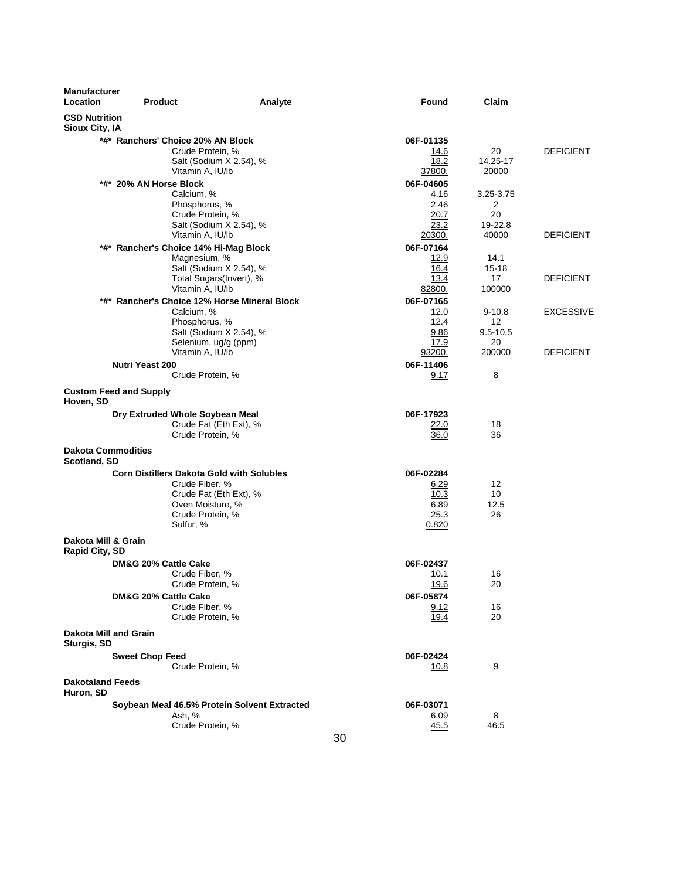| <b>Manufacturer</b><br>Location              | <b>Product</b>                |                                                                                                                                                   | Analyte | Found                                              | Claim                            |                  |
|----------------------------------------------|-------------------------------|---------------------------------------------------------------------------------------------------------------------------------------------------|---------|----------------------------------------------------|----------------------------------|------------------|
| <b>CSD Nutrition</b><br>Sioux City, IA       |                               |                                                                                                                                                   |         |                                                    |                                  |                  |
|                                              |                               | *#* Ranchers' Choice 20% AN Block<br>Crude Protein, %<br>Salt (Sodium X 2.54), %<br>Vitamin A, IU/lb                                              |         | 06F-01135<br>14.6<br>18.2<br>37800.                | 20<br>14.25-17<br>20000          | <b>DEFICIENT</b> |
|                                              | *#* 20% AN Horse Block        | Calcium, %<br>Phosphorus, %<br>Crude Protein, %                                                                                                   |         | 06F-04605<br>4.16<br>2.46<br>20.7                  | 3.25-3.75<br>2<br>20             |                  |
|                                              |                               | Salt (Sodium X 2.54), %<br>Vitamin A, IU/lb<br>*#* Rancher's Choice 14% Hi-Mag Block<br>Magnesium, %                                              |         | 23.2<br>20300.<br>06F-07164<br>12.9                | 19-22.8<br>40000<br>14.1         | <b>DEFICIENT</b> |
|                                              |                               | Salt (Sodium X 2.54), %<br>Total Sugars(Invert), %<br>Vitamin A, IU/lb                                                                            |         | 16.4<br>13.4<br>82800.                             | $15 - 18$<br>17<br>100000        | <b>DEFICIENT</b> |
|                                              |                               | *#* Rancher's Choice 12% Horse Mineral Block<br>Calcium, %<br>Phosphorus, %<br>Salt (Sodium X 2.54), %                                            |         | 06F-07165<br>12.0<br>12.4<br>9.86                  | $9 - 10.8$<br>12<br>$9.5 - 10.5$ | <b>EXCESSIVE</b> |
|                                              | <b>Nutri Yeast 200</b>        | Selenium, ug/g (ppm)<br>Vitamin A, IU/lb<br>Crude Protein, %                                                                                      |         | 17.9<br>93200.<br>06F-11406<br>9.17                | 20<br>200000<br>8                | DEFICIENT        |
| Hoven, SD                                    | <b>Custom Feed and Supply</b> |                                                                                                                                                   |         |                                                    |                                  |                  |
|                                              |                               | Dry Extruded Whole Soybean Meal<br>Crude Fat (Eth Ext), %<br>Crude Protein, %                                                                     |         | 06F-17923<br>22.0<br>36.0                          | 18<br>36                         |                  |
| <b>Dakota Commodities</b><br>Scotland, SD    |                               |                                                                                                                                                   |         |                                                    |                                  |                  |
|                                              |                               | <b>Corn Distillers Dakota Gold with Solubles</b><br>Crude Fiber, %<br>Crude Fat (Eth Ext), %<br>Oven Moisture, %<br>Crude Protein, %<br>Sulfur, % |         | 06F-02284<br>6.29<br>10.3<br>6.89<br>25.3<br>0.820 | 12<br>10<br>12.5<br>26           |                  |
| Dakota Mill & Grain<br><b>Rapid City, SD</b> |                               |                                                                                                                                                   |         |                                                    |                                  |                  |
|                                              | DM&G 20% Cattle Cake          | Crude Fiber, %<br>Crude Protein, %                                                                                                                |         | 06F-02437<br>10.1<br><u>19.6</u>                   | 16<br>20                         |                  |
|                                              | DM&G 20% Cattle Cake          | Crude Fiber, %<br>Crude Protein, %                                                                                                                |         | 06F-05874<br>9.12<br>19.4                          | 16<br>20                         |                  |
| Dakota Mill and Grain<br>Sturgis, SD         |                               |                                                                                                                                                   |         |                                                    |                                  |                  |
| <b>Dakotaland Feeds</b>                      | <b>Sweet Chop Feed</b>        | Crude Protein, %                                                                                                                                  |         | 06F-02424<br>10.8                                  | 9                                |                  |
| Huron, SD                                    |                               | Soybean Meal 46.5% Protein Solvent Extracted                                                                                                      |         | 06F-03071                                          |                                  |                  |
|                                              |                               | Ash, %<br>Crude Protein, %                                                                                                                        |         | <u>6.09</u><br>45.5                                | 8<br>46.5                        |                  |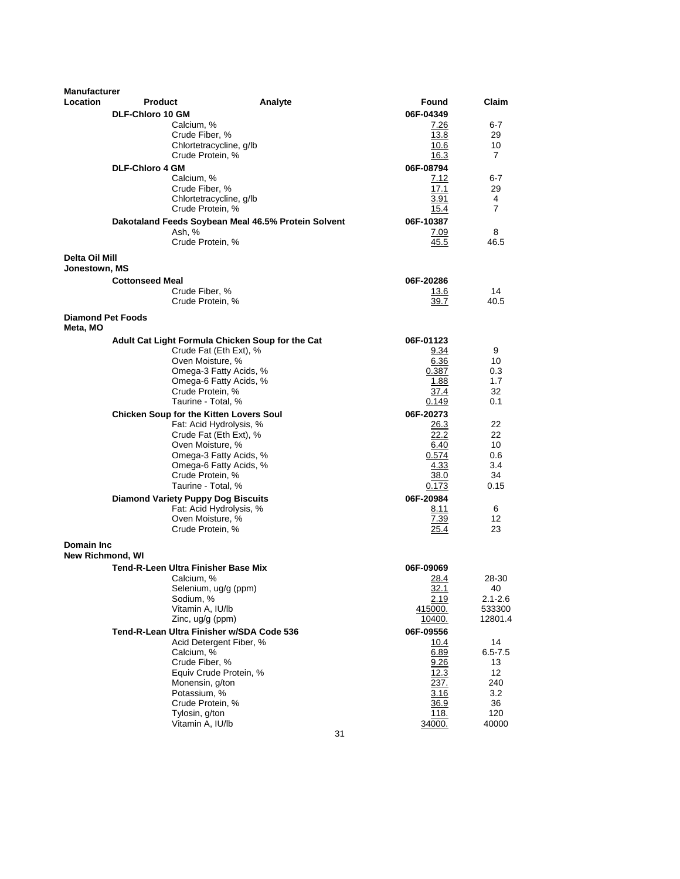| <b>Manufacturer</b>                  |                         |                                                               |         |    |                   |                          |  |
|--------------------------------------|-------------------------|---------------------------------------------------------------|---------|----|-------------------|--------------------------|--|
| Location                             | <b>Product</b>          |                                                               | Analyte |    | Found             | Claim                    |  |
|                                      | <b>DLF-Chloro 10 GM</b> |                                                               |         |    | 06F-04349         |                          |  |
|                                      |                         | Calcium, %<br>Crude Fiber, %                                  |         |    | 7.26<br>13.8      | 6-7<br>29                |  |
|                                      |                         | Chlortetracycline, g/lb                                       |         |    | 10.6              | 10                       |  |
|                                      |                         | Crude Protein, %                                              |         |    | 16.3              | $\overline{7}$           |  |
|                                      | <b>DLF-Chloro 4 GM</b>  |                                                               |         |    | 06F-08794         |                          |  |
|                                      |                         | Calcium, %                                                    |         |    | 7.12              | $6 - 7$                  |  |
|                                      |                         | Crude Fiber, %                                                |         |    | 17.1              | 29                       |  |
|                                      |                         | Chlortetracycline, g/lb                                       |         |    | 3.91              | 4                        |  |
|                                      |                         | Crude Protein, %                                              |         |    | 15.4              | $\overline{7}$           |  |
|                                      |                         | Dakotaland Feeds Soybean Meal 46.5% Protein Solvent<br>Ash, % |         |    | 06F-10387<br>7.09 | 8                        |  |
|                                      |                         | Crude Protein, %                                              |         |    | 45.5              | 46.5                     |  |
| Delta Oil Mill                       |                         |                                                               |         |    |                   |                          |  |
| Jonestown, MS                        |                         |                                                               |         |    |                   |                          |  |
|                                      | <b>Cottonseed Meal</b>  |                                                               |         |    | 06F-20286         |                          |  |
|                                      |                         | Crude Fiber, %                                                |         |    | 13.6              | 14                       |  |
|                                      |                         | Crude Protein, %                                              |         |    | 39.7              | 40.5                     |  |
| <b>Diamond Pet Foods</b><br>Meta, MO |                         |                                                               |         |    |                   |                          |  |
|                                      |                         | Adult Cat Light Formula Chicken Soup for the Cat              |         |    | 06F-01123         |                          |  |
|                                      |                         | Crude Fat (Eth Ext), %                                        |         |    | 9.34              | 9                        |  |
|                                      |                         | Oven Moisture, %                                              |         |    | 6.36              | 10                       |  |
|                                      |                         | Omega-3 Fatty Acids, %<br>Omega-6 Fatty Acids, %              |         |    | 0.387<br>1.88     | 0.3<br>1.7               |  |
|                                      |                         | Crude Protein, %                                              |         |    | 37.4              | 32                       |  |
|                                      |                         | Taurine - Total, %                                            |         |    | 0.149             | 0.1                      |  |
|                                      |                         | <b>Chicken Soup for the Kitten Lovers Soul</b>                |         |    | 06F-20273         |                          |  |
|                                      |                         | Fat: Acid Hydrolysis, %                                       |         |    | 26.3              | 22                       |  |
|                                      |                         | Crude Fat (Eth Ext), %                                        |         |    | 22.2              | 22                       |  |
|                                      |                         | Oven Moisture, %                                              |         |    | 6.40              | 10                       |  |
|                                      |                         | Omega-3 Fatty Acids, %                                        |         |    | 0.574             | 0.6                      |  |
|                                      |                         | Omega-6 Fatty Acids, %<br>Crude Protein, %                    |         |    | 4.33<br>38.0      | 3.4<br>34                |  |
|                                      |                         | Taurine - Total, %                                            |         |    | 0.173             | 0.15                     |  |
|                                      |                         | <b>Diamond Variety Puppy Dog Biscuits</b>                     |         |    | 06F-20984         |                          |  |
|                                      |                         | Fat: Acid Hydrolysis, %                                       |         |    | 8.11              | 6                        |  |
|                                      |                         | Oven Moisture, %                                              |         |    | 7.39              | 12                       |  |
|                                      |                         | Crude Protein, %                                              |         |    | 25.4              | 23                       |  |
| <b>Domain Inc</b>                    |                         |                                                               |         |    |                   |                          |  |
| <b>New Richmond, WI</b>              |                         |                                                               |         |    |                   |                          |  |
|                                      |                         | Tend-R-Leen Ultra Finisher Base Mix                           |         |    | 06F-09069         |                          |  |
|                                      |                         | Calcium, %<br>Selenium, ug/g (ppm)                            |         |    | 28.4              | 28-30<br>40              |  |
|                                      |                         | Sodium, %                                                     |         |    | 32.1<br>2.19      | $2.1 - 2.6$              |  |
|                                      |                         | Vitamin A, IU/lb                                              |         |    | 415000.           | 533300                   |  |
|                                      |                         | Zinc, ug/g (ppm)                                              |         |    | 10400.            | 12801.4                  |  |
|                                      |                         | Tend-R-Lean Ultra Finisher w/SDA Code 536                     |         |    | 06F-09556         |                          |  |
|                                      |                         | Acid Detergent Fiber, %                                       |         |    | 10.4              | 14                       |  |
|                                      |                         | Calcium, %                                                    |         |    | 6.89              | $6.5 - 7.5$              |  |
|                                      |                         | Crude Fiber, %                                                |         |    | 9.26              | 13                       |  |
|                                      |                         | Equiv Crude Protein, %<br>Monensin, g/ton                     |         |    | 12.3<br>237.      | $12 \overline{ }$<br>240 |  |
|                                      |                         | Potassium, %                                                  |         |    | 3.16              | 3.2                      |  |
|                                      |                         | Crude Protein, %                                              |         |    | 36.9              | 36                       |  |
|                                      |                         | Tylosin, g/ton                                                |         |    | <u>118.</u>       | 120                      |  |
|                                      |                         | Vitamin A, IU/lb                                              |         |    | 34000.            | 40000                    |  |
|                                      |                         |                                                               |         | 31 |                   |                          |  |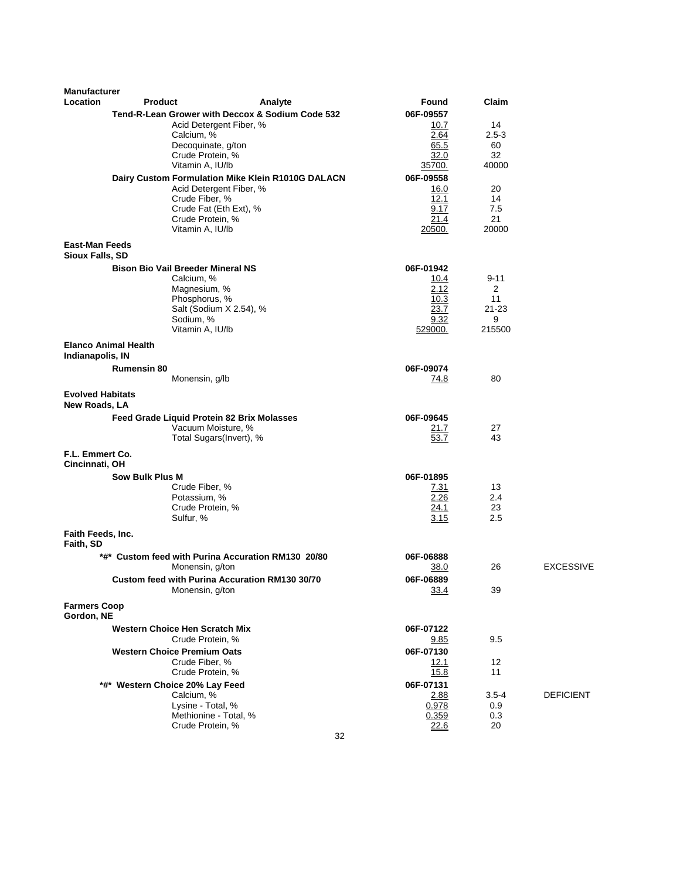| <b>Manufacturer</b>                      |                             |                                                      |         |           |              |                |                  |
|------------------------------------------|-----------------------------|------------------------------------------------------|---------|-----------|--------------|----------------|------------------|
| Location                                 | <b>Product</b>              |                                                      | Analyte |           | Found        | Claim          |                  |
|                                          |                             | Tend-R-Lean Grower with Deccox & Sodium Code 532     |         | 06F-09557 |              |                |                  |
|                                          |                             | Acid Detergent Fiber, %                              |         |           | 10.7         | 14             |                  |
|                                          |                             | Calcium, %                                           |         |           | 2.64         | $2.5-3$        |                  |
|                                          |                             | Decoquinate, g/ton<br>Crude Protein, %               |         |           | 65.5<br>32.0 | 60<br>32       |                  |
|                                          |                             | Vitamin A, IU/lb                                     |         |           | 35700.       | 40000          |                  |
|                                          |                             | Dairy Custom Formulation Mike Klein R1010G DALACN    |         | 06F-09558 |              |                |                  |
|                                          |                             | Acid Detergent Fiber, %                              |         |           | 16.0         | 20             |                  |
|                                          |                             | Crude Fiber, %                                       |         |           | 12.1         | 14             |                  |
|                                          |                             | Crude Fat (Eth Ext), %                               |         |           | 9.17<br>21.4 | 7.5<br>21      |                  |
|                                          |                             | Crude Protein, %<br>Vitamin A, IU/lb                 |         |           | 20500.       | 20000          |                  |
| <b>East-Man Feeds</b>                    |                             |                                                      |         |           |              |                |                  |
| Sioux Falls, SD                          |                             |                                                      |         |           |              |                |                  |
|                                          |                             | <b>Bison Bio Vail Breeder Mineral NS</b>             |         | 06F-01942 |              |                |                  |
|                                          |                             | Calcium, %                                           |         |           | 10.4         | 9-11           |                  |
|                                          |                             | Magnesium, %                                         |         |           | 2.12         | 2              |                  |
|                                          |                             | Phosphorus, %                                        |         |           | 10.3         | 11             |                  |
|                                          |                             | Salt (Sodium X 2.54), %                              |         |           | 23.7<br>9.32 | $21 - 23$<br>9 |                  |
|                                          |                             | Sodium, %<br>Vitamin A, IU/lb                        |         |           | 529000.      | 215500         |                  |
|                                          | <b>Elanco Animal Health</b> |                                                      |         |           |              |                |                  |
| Indianapolis, IN                         |                             |                                                      |         |           |              |                |                  |
|                                          | <b>Rumensin 80</b>          |                                                      |         | 06F-09074 |              |                |                  |
|                                          |                             | Monensin, g/lb                                       |         |           | 74.8         | 80             |                  |
| <b>Evolved Habitats</b><br>New Roads, LA |                             |                                                      |         |           |              |                |                  |
|                                          |                             | Feed Grade Liquid Protein 82 Brix Molasses           |         | 06F-09645 |              |                |                  |
|                                          |                             | Vacuum Moisture, %                                   |         |           | 21.7         | 27             |                  |
|                                          |                             | Total Sugars(Invert), %                              |         |           | 53.7         | 43             |                  |
| F.L. Emmert Co.<br>Cincinnati, OH        |                             |                                                      |         |           |              |                |                  |
|                                          | Sow Bulk Plus M             |                                                      |         | 06F-01895 |              |                |                  |
|                                          |                             | Crude Fiber, %                                       |         |           | 7.31         | 13             |                  |
|                                          |                             | Potassium, %<br>Crude Protein, %                     |         |           | 2.26<br>24.1 | 2.4<br>23      |                  |
|                                          |                             | Sulfur, %                                            |         |           | 3.15         | 2.5            |                  |
| Faith Feeds, Inc.                        |                             |                                                      |         |           |              |                |                  |
| Faith, SD                                |                             |                                                      |         |           |              |                |                  |
|                                          |                             | *#* Custom feed with Purina Accuration RM130 20/80   |         | 06F-06888 |              |                |                  |
|                                          |                             | Monensin, g/ton                                      |         |           | 38.0         | 26             | <b>EXCESSIVE</b> |
|                                          |                             | Custom feed with Purina Accuration RM130 30/70       |         | 06F-06889 |              |                |                  |
|                                          |                             | Monensin, g/ton                                      |         |           | <u>33.4</u>  | 39             |                  |
| <b>Farmers Coop</b><br>Gordon, NE        |                             |                                                      |         |           |              |                |                  |
|                                          |                             | <b>Western Choice Hen Scratch Mix</b>                |         | 06F-07122 |              |                |                  |
|                                          |                             | Crude Protein, %                                     |         |           | 9.85         | 9.5            |                  |
|                                          |                             | <b>Western Choice Premium Oats</b><br>Crude Fiber, % |         | 06F-07130 |              | 12             |                  |
|                                          |                             | Crude Protein, %                                     |         |           | 12.1<br>15.8 | 11             |                  |
|                                          |                             | *#* Western Choice 20% Lay Feed                      |         | 06F-07131 |              |                |                  |
|                                          |                             | Calcium, %                                           |         |           | 2.88         | $3.5 - 4$      | <b>DEFICIENT</b> |
|                                          |                             | Lysine - Total, %                                    |         |           | 0.978        | 0.9            |                  |
|                                          |                             | Methionine - Total, %                                |         |           | 0.359        | 0.3            |                  |
|                                          |                             | Crude Protein, %                                     |         | 32        | 22.6         | 20             |                  |
|                                          |                             |                                                      |         |           |              |                |                  |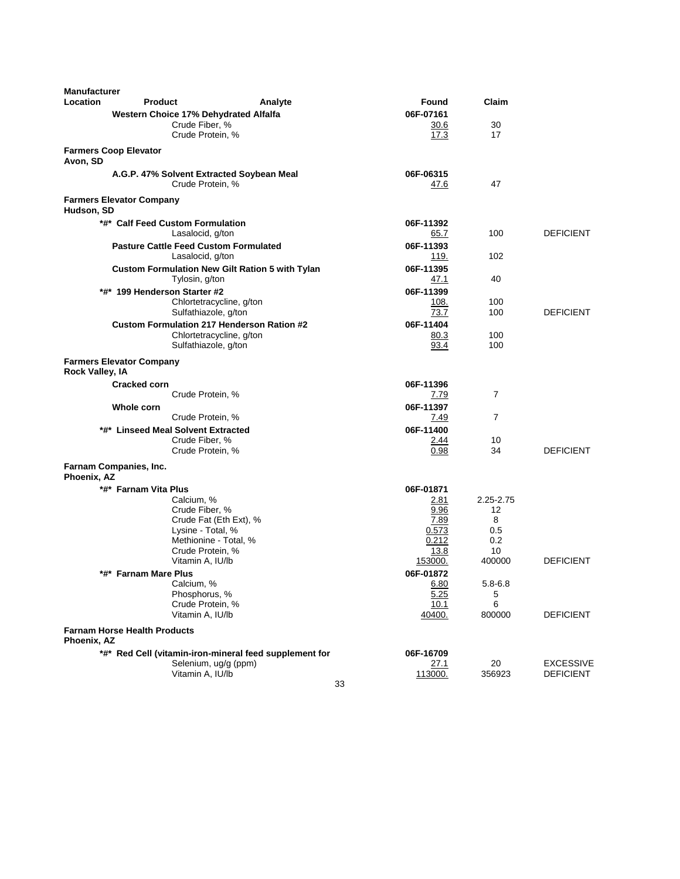| <b>Manufacturer</b> |                                                                          |                   |                 |                  |
|---------------------|--------------------------------------------------------------------------|-------------------|-----------------|------------------|
| Location            | <b>Product</b><br>Analyte                                                | Found             | Claim           |                  |
|                     | <b>Western Choice 17% Dehydrated Alfalfa</b>                             | 06F-07161         |                 |                  |
|                     | Crude Fiber, %                                                           | 30.6              | 30              |                  |
|                     | Crude Protein, %                                                         | 17.3              | 17              |                  |
| Avon, SD            | <b>Farmers Coop Elevator</b>                                             |                   |                 |                  |
|                     | A.G.P. 47% Solvent Extracted Soybean Meal                                | 06F-06315         |                 |                  |
|                     | Crude Protein, %                                                         | 47.6              | 47              |                  |
| Hudson, SD          | <b>Farmers Elevator Company</b>                                          |                   |                 |                  |
|                     | *#* Calf Feed Custom Formulation                                         | 06F-11392         |                 |                  |
|                     | Lasalocid, g/ton                                                         | 65.7              | 100             | <b>DEFICIENT</b> |
|                     | <b>Pasture Cattle Feed Custom Formulated</b>                             | 06F-11393         |                 |                  |
|                     | Lasalocid, g/ton                                                         | 119.              | 102             |                  |
|                     | <b>Custom Formulation New Gilt Ration 5 with Tylan</b><br>Tylosin, g/ton | 06F-11395<br>47.1 | 40              |                  |
|                     | *#* 199 Henderson Starter #2                                             | 06F-11399         |                 |                  |
|                     | Chlortetracycline, g/ton                                                 | 108.              | 100             |                  |
|                     | Sulfathiazole, g/ton                                                     | 73.7              | 100             | <b>DEFICIENT</b> |
|                     | <b>Custom Formulation 217 Henderson Ration #2</b>                        | 06F-11404         |                 |                  |
|                     | Chlortetracycline, g/ton                                                 | 80.3              | 100             |                  |
|                     | Sulfathiazole, g/ton                                                     | 93.4              | 100             |                  |
| Rock Valley, IA     | <b>Farmers Elevator Company</b>                                          |                   |                 |                  |
|                     | Cracked corn                                                             | 06F-11396         |                 |                  |
|                     | Crude Protein, %                                                         | 7.79              | $\overline{7}$  |                  |
|                     | Whole corn                                                               | 06F-11397         |                 |                  |
|                     | Crude Protein, %                                                         | 7.49              | $\overline{7}$  |                  |
|                     | *#* Linseed Meal Solvent Extracted                                       | 06F-11400         |                 |                  |
|                     | Crude Fiber, %<br>Crude Protein, %                                       | 2.44<br>0.98      | 10<br>34        | <b>DEFICIENT</b> |
|                     |                                                                          |                   |                 |                  |
| Phoenix, AZ         | Farnam Companies, Inc.                                                   |                   |                 |                  |
|                     | *#* Farnam Vita Plus                                                     | 06F-01871         |                 |                  |
|                     | Calcium, %<br>Crude Fiber, %                                             | 2.81<br>9.96      | 2.25-2.75<br>12 |                  |
|                     | Crude Fat (Eth Ext), %                                                   | 7.89              | 8               |                  |
|                     | Lysine - Total, %                                                        | 0.573             | 0.5             |                  |
|                     | Methionine - Total, %                                                    | 0.212             | 0.2             |                  |
|                     | Crude Protein, %                                                         | 13.8              | 10              |                  |
|                     | Vitamin A, IU/lb                                                         | 153000.           | 400000          | <b>DEFICIENT</b> |
|                     | *#* Farnam Mare Plus<br>Calcium, %                                       | 06F-01872<br>6.80 | $5.8 - 6.8$     |                  |
|                     | Phosphorus, %                                                            | 5.25              | 5               |                  |
|                     | Crude Protein, %                                                         | 10.1              | 6               |                  |
|                     | Vitamin A, IU/lb                                                         | 40400.            | 800000          | <b>DEFICIENT</b> |
| Phoenix, AZ         | <b>Farnam Horse Health Products</b>                                      |                   |                 |                  |
|                     | *#* Red Cell (vitamin-iron-mineral feed supplement for                   | 06F-16709         |                 |                  |
|                     | Selenium, ug/g (ppm)                                                     | <u>27.1</u>       | 20              | <b>EXCESSIVE</b> |
|                     | Vitamin A, IU/lb                                                         | 113000.           | 356923          | <b>DEFICIENT</b> |
|                     | 33                                                                       |                   |                 |                  |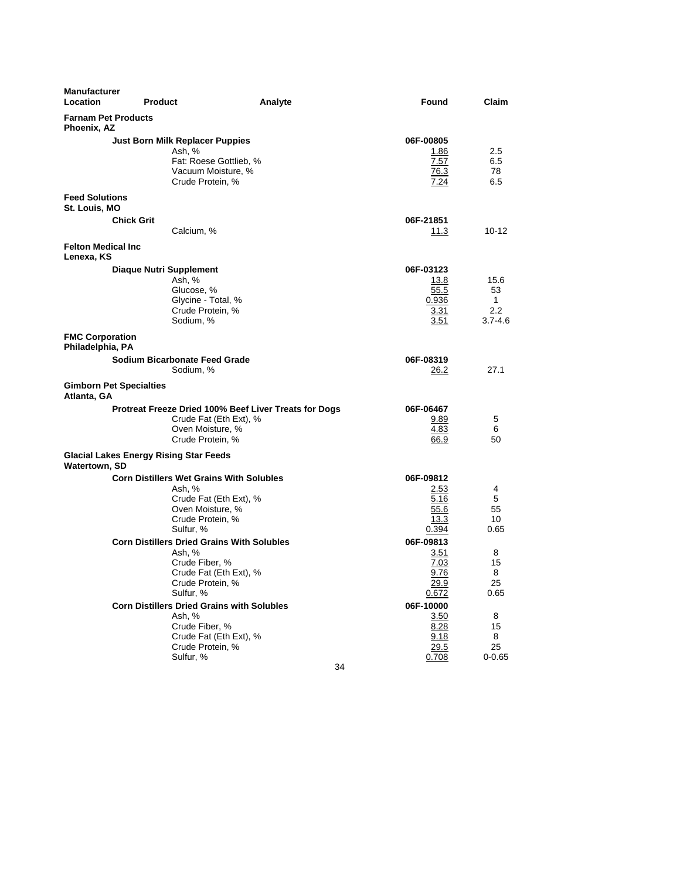| <b>Manufacturer</b><br>Location               | <b>Product</b>                                                                                                                                                                                                                                                                                                    | Analyte                                                                         | Found                                                                                                                                                | Claim                                                                    |
|-----------------------------------------------|-------------------------------------------------------------------------------------------------------------------------------------------------------------------------------------------------------------------------------------------------------------------------------------------------------------------|---------------------------------------------------------------------------------|------------------------------------------------------------------------------------------------------------------------------------------------------|--------------------------------------------------------------------------|
| <b>Farnam Pet Products</b><br>Phoenix, AZ     |                                                                                                                                                                                                                                                                                                                   |                                                                                 |                                                                                                                                                      |                                                                          |
|                                               | Just Born Milk Replacer Puppies<br>Ash, %<br>Vacuum Moisture, %<br>Crude Protein, %                                                                                                                                                                                                                               | Fat: Roese Gottlieb, %                                                          | 06F-00805<br>1.86<br>7.57<br>76.3<br>7.24                                                                                                            | 2.5<br>6.5<br>78<br>6.5                                                  |
| <b>Feed Solutions</b><br>St. Louis, MO        |                                                                                                                                                                                                                                                                                                                   |                                                                                 |                                                                                                                                                      |                                                                          |
|                                               | <b>Chick Grit</b><br>Calcium, %                                                                                                                                                                                                                                                                                   |                                                                                 | 06F-21851<br>11.3                                                                                                                                    | $10 - 12$                                                                |
| <b>Felton Medical Inc</b><br>Lenexa, KS       |                                                                                                                                                                                                                                                                                                                   |                                                                                 |                                                                                                                                                      |                                                                          |
|                                               | <b>Diaque Nutri Supplement</b><br>Ash, %<br>Glucose, %<br>Glycine - Total, %<br>Crude Protein, %<br>Sodium, %                                                                                                                                                                                                     |                                                                                 | 06F-03123<br>13.8<br>55.5<br>0.936<br><u>3.31</u><br>3.51                                                                                            | 15.6<br>53<br>$\mathbf{1}$<br>2.2<br>$3.7 - 4.6$                         |
| <b>FMC Corporation</b><br>Philadelphia, PA    |                                                                                                                                                                                                                                                                                                                   |                                                                                 |                                                                                                                                                      |                                                                          |
|                                               | <b>Sodium Bicarbonate Feed Grade</b><br>Sodium, %                                                                                                                                                                                                                                                                 |                                                                                 | 06F-08319<br>26.2                                                                                                                                    | 27.1                                                                     |
| <b>Gimborn Pet Specialties</b><br>Atlanta, GA |                                                                                                                                                                                                                                                                                                                   |                                                                                 |                                                                                                                                                      |                                                                          |
|                                               | Oven Moisture, %<br>Crude Protein, %                                                                                                                                                                                                                                                                              | Protreat Freeze Dried 100% Beef Liver Treats for Dogs<br>Crude Fat (Eth Ext), % | 06F-06467<br>9.89<br>4.83<br>66.9                                                                                                                    | 5<br>6<br>50                                                             |
| <b>Watertown, SD</b>                          | <b>Glacial Lakes Energy Rising Star Feeds</b>                                                                                                                                                                                                                                                                     |                                                                                 |                                                                                                                                                      |                                                                          |
|                                               | <b>Corn Distillers Wet Grains With Solubles</b><br>Ash, %<br>Oven Moisture, %<br>Crude Protein, %<br>Sulfur, %<br><b>Corn Distillers Dried Grains With Solubles</b><br>Ash, %<br>Crude Fiber, %<br>Crude Protein, %<br>Sulfur, %<br><b>Corn Distillers Dried Grains with Solubles</b><br>Ash, %<br>Crude Fiber, % | Crude Fat (Eth Ext), %<br>Crude Fat (Eth Ext), %<br>Crude Fat (Eth Ext), %      | 06F-09812<br>2.53<br>5.16<br>55.6<br>13.3<br>0.394<br>06F-09813<br>3.51<br>7.03<br>9.76<br><u>29.9</u><br>0.672<br>06F-10000<br>3.50<br>8.28<br>9.18 | 4<br>5<br>55<br>10<br>0.65<br>8<br>15<br>8<br>25<br>0.65<br>8<br>15<br>8 |
|                                               | Crude Protein, %<br>Sulfur, %                                                                                                                                                                                                                                                                                     |                                                                                 | 29.5<br>0.708<br>34                                                                                                                                  | 25<br>0-0.65                                                             |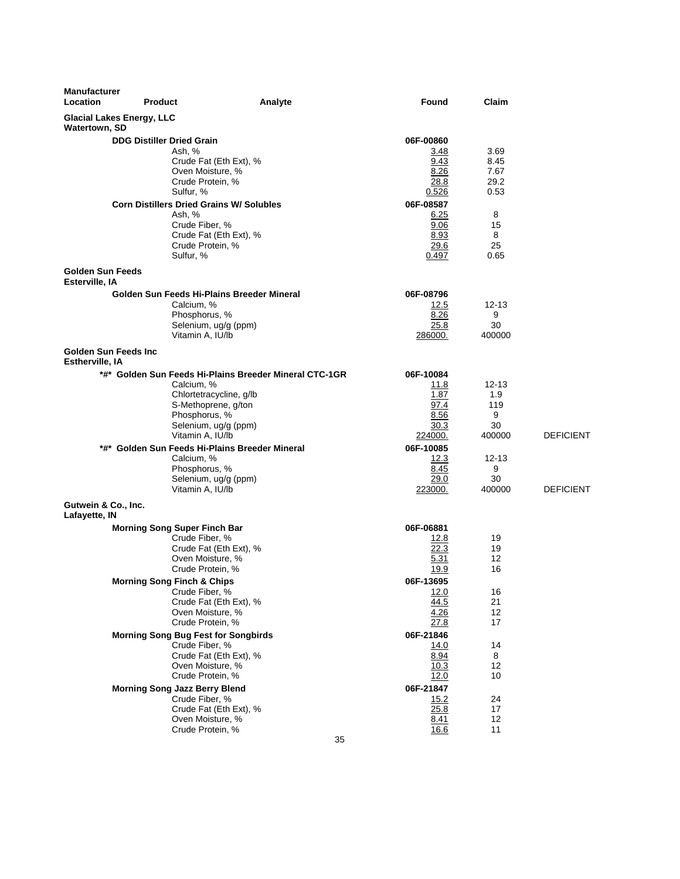| <b>Manufacturer</b><br>Location           | <b>Product</b>                                                                                                                                                                                                                                                      | Analyte                                                | Found                                                                                                    | Claim                                                              |                  |
|-------------------------------------------|---------------------------------------------------------------------------------------------------------------------------------------------------------------------------------------------------------------------------------------------------------------------|--------------------------------------------------------|----------------------------------------------------------------------------------------------------------|--------------------------------------------------------------------|------------------|
| Watertown, SD                             | <b>Glacial Lakes Energy, LLC</b>                                                                                                                                                                                                                                    |                                                        |                                                                                                          |                                                                    |                  |
|                                           | <b>DDG Distiller Dried Grain</b><br>Ash, %<br>Crude Fat (Eth Ext), %<br>Oven Moisture, %<br>Crude Protein, %<br>Sulfur, %<br><b>Corn Distillers Dried Grains W/ Solubles</b><br>Ash, %<br>Crude Fiber, %<br>Crude Fat (Eth Ext), %<br>Crude Protein, %<br>Sulfur, % |                                                        | 06F-00860<br>3.48<br>9.43<br>8.26<br>28.8<br>0.526<br>06F-08587<br>6.25<br>9.06<br>8.93<br>29.6<br>0.497 | 3.69<br>8.45<br>7.67<br>29.2<br>0.53<br>8<br>15<br>8<br>25<br>0.65 |                  |
| <b>Golden Sun Feeds</b><br>Esterville, IA |                                                                                                                                                                                                                                                                     |                                                        |                                                                                                          |                                                                    |                  |
|                                           | Golden Sun Feeds Hi-Plains Breeder Mineral<br>Calcium, %<br>Phosphorus, %<br>Selenium, ug/g (ppm)<br>Vitamin A, IU/lb                                                                                                                                               |                                                        | 06F-08796<br>12.5<br>8.26<br>25.8<br>286000.                                                             | $12 - 13$<br>9<br>30<br>400000                                     |                  |
| Golden Sun Feeds Inc<br>Estherville, IA   |                                                                                                                                                                                                                                                                     |                                                        |                                                                                                          |                                                                    |                  |
|                                           | Calcium, %<br>Chlortetracycline, g/lb<br>S-Methoprene, g/ton<br>Phosphorus, %<br>Selenium, ug/g (ppm)<br>Vitamin A, IU/lb<br>*#* Golden Sun Feeds Hi-Plains Breeder Mineral<br>Calcium, %<br>Phosphorus, %<br>Selenium, ug/g (ppm)                                  | *#* Golden Sun Feeds Hi-Plains Breeder Mineral CTC-1GR | 06F-10084<br>11.8<br>1.87<br>97.4<br>8.56<br>30.3<br>224000.<br>06F-10085<br>12.3<br>8.45<br>29.0        | $12 - 13$<br>1.9<br>119<br>9<br>30<br>400000<br>12-13<br>9<br>30   | <b>DEFICIENT</b> |
| Gutwein & Co., Inc.                       | Vitamin A, IU/lb                                                                                                                                                                                                                                                    |                                                        | 223000.                                                                                                  | 400000                                                             | <b>DEFICIENT</b> |
| Lafayette, IN                             | <b>Morning Song Super Finch Bar</b><br>Crude Fiber, %<br>Crude Fat (Eth Ext), %<br>Oven Moisture, %<br>Crude Protein, %                                                                                                                                             |                                                        | 06F-06881<br>12.8<br>22.3<br>5.31<br>19.9                                                                | 19<br>19<br>12<br>16                                               |                  |
|                                           | <b>Morning Song Finch &amp; Chips</b><br>Crude Fiber, %<br>Crude Fat (Eth Ext), %<br>Oven Moisture, %<br>Crude Protein, %                                                                                                                                           |                                                        | 06F-13695<br>12.0<br>44.5<br>4.26<br>27.8                                                                | 16<br>21<br>12<br>17                                               |                  |
|                                           | <b>Morning Song Bug Fest for Songbirds</b><br>Crude Fiber, %<br>Crude Fat (Eth Ext), %<br>Oven Moisture, %<br>Crude Protein, %                                                                                                                                      |                                                        | 06F-21846<br>14.0<br>8.94<br>10.3<br>12.0                                                                | 14<br>8<br>12<br>10                                                |                  |
|                                           | <b>Morning Song Jazz Berry Blend</b><br>Crude Fiber, %<br>Crude Fat (Eth Ext), %<br>Oven Moisture, %<br>Crude Protein, %                                                                                                                                            |                                                        | 06F-21847<br>15.2<br>25.8<br>8.41<br>16.6                                                                | 24<br>17<br>12<br>11                                               |                  |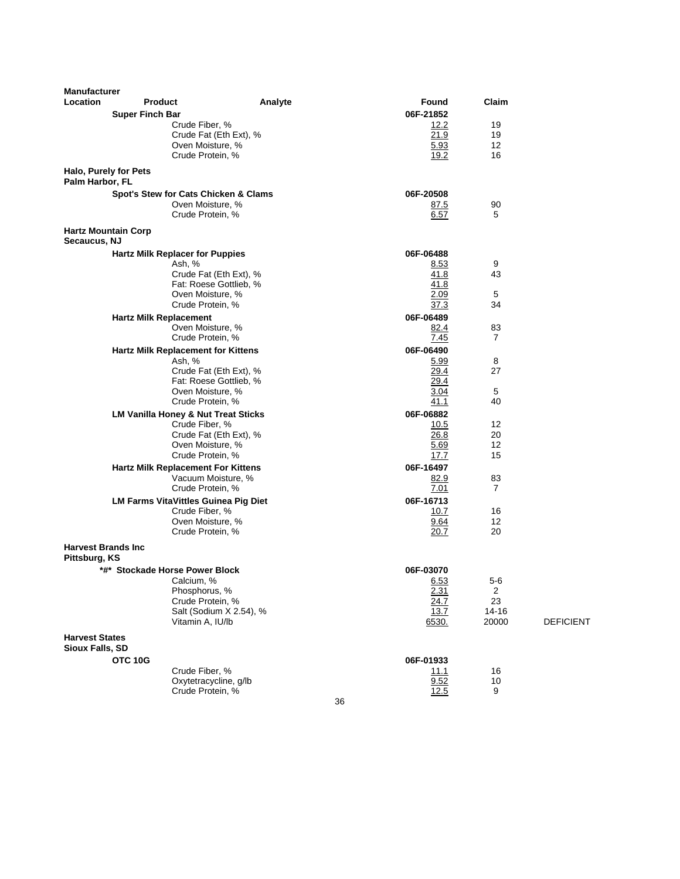| Location<br>Found<br>06F-21852<br><b>Super Finch Bar</b><br>Crude Fiber, %<br>19<br>12.2<br>21.9<br>19<br>Crude Fat (Eth Ext), %<br>Oven Moisture, %<br>5.93<br>12<br>19.2<br>Crude Protein, %<br>16<br>Halo, Purely for Pets<br>Palm Harbor, FL<br>Spot's Stew for Cats Chicken & Clams<br>06F-20508<br>Oven Moisture, %<br>90<br><u>87.5</u><br>Crude Protein, %<br>6.57<br>5<br><b>Hartz Mountain Corp</b><br>Secaucus, NJ<br><b>Hartz Milk Replacer for Puppies</b><br>06F-06488<br>9<br>Ash, %<br>8.53<br>Crude Fat (Eth Ext), %<br>41.8<br>43<br>Fat: Roese Gottlieb, %<br>41.8<br>2.09<br>5<br>Oven Moisture, %<br>Crude Protein, %<br>37.3<br>34<br>06F-06489<br><b>Hartz Milk Replacement</b><br>Oven Moisture, %<br>83<br>82.4<br>Crude Protein, %<br>7.45<br>7<br>06F-06490<br>Hartz Milk Replacement for Kittens<br>5.99<br>8<br>Ash, %<br>29.4<br>Crude Fat (Eth Ext), %<br>27<br>Fat: Roese Gottlieb, %<br>29.4<br>5<br>Oven Moisture, %<br>3.04<br>Crude Protein, %<br>41.1<br>40<br><b>LM Vanilla Honey &amp; Nut Treat Sticks</b><br>06F-06882<br>Crude Fiber, %<br>12<br>10.5<br>26.8<br>Crude Fat (Eth Ext), %<br>20<br>Oven Moisture, %<br>12<br>5.69<br>Crude Protein, %<br>17.7<br>15<br>06F-16497<br><b>Hartz Milk Replacement For Kittens</b><br>Vacuum Moisture, %<br>82.9<br>83<br>Crude Protein, %<br>7.01<br>7<br>06F-16713<br><b>LM Farms VitaVittles Guinea Pig Diet</b><br>Crude Fiber, %<br>10.7<br>16<br>Oven Moisture, %<br>9.64<br>12<br>Crude Protein, %<br>20<br>20.7<br><b>Harvest Brands Inc</b><br>Pittsburg, KS<br>*#* Stockade Horse Power Block<br>06F-03070<br>Calcium, %<br>6.53<br>$5 - 6$<br>$\boldsymbol{2}$<br>Phosphorus, %<br>2.31<br>Crude Protein, %<br>23<br>24.7<br>Salt (Sodium X 2.54), %<br>13.7<br>14-16<br>Vitamin A, IU/lb<br>20000<br><b>DEFICIENT</b><br>6530.<br><b>Harvest States</b><br>Sioux Falls, SD<br>OTC 10G<br>06F-01933<br>Crude Fiber, %<br>11.1<br>16<br>Oxytetracycline, g/lb<br>9.52<br>10<br>Crude Protein, %<br>12.5<br>9<br>36 | <b>Manufacturer</b> |                |         |       |  |
|-----------------------------------------------------------------------------------------------------------------------------------------------------------------------------------------------------------------------------------------------------------------------------------------------------------------------------------------------------------------------------------------------------------------------------------------------------------------------------------------------------------------------------------------------------------------------------------------------------------------------------------------------------------------------------------------------------------------------------------------------------------------------------------------------------------------------------------------------------------------------------------------------------------------------------------------------------------------------------------------------------------------------------------------------------------------------------------------------------------------------------------------------------------------------------------------------------------------------------------------------------------------------------------------------------------------------------------------------------------------------------------------------------------------------------------------------------------------------------------------------------------------------------------------------------------------------------------------------------------------------------------------------------------------------------------------------------------------------------------------------------------------------------------------------------------------------------------------------------------------------------------------------------------------------------------------------------------------------------------------------------------------|---------------------|----------------|---------|-------|--|
|                                                                                                                                                                                                                                                                                                                                                                                                                                                                                                                                                                                                                                                                                                                                                                                                                                                                                                                                                                                                                                                                                                                                                                                                                                                                                                                                                                                                                                                                                                                                                                                                                                                                                                                                                                                                                                                                                                                                                                                                                 |                     | <b>Product</b> | Analyte | Claim |  |
|                                                                                                                                                                                                                                                                                                                                                                                                                                                                                                                                                                                                                                                                                                                                                                                                                                                                                                                                                                                                                                                                                                                                                                                                                                                                                                                                                                                                                                                                                                                                                                                                                                                                                                                                                                                                                                                                                                                                                                                                                 |                     |                |         |       |  |
|                                                                                                                                                                                                                                                                                                                                                                                                                                                                                                                                                                                                                                                                                                                                                                                                                                                                                                                                                                                                                                                                                                                                                                                                                                                                                                                                                                                                                                                                                                                                                                                                                                                                                                                                                                                                                                                                                                                                                                                                                 |                     |                |         |       |  |
|                                                                                                                                                                                                                                                                                                                                                                                                                                                                                                                                                                                                                                                                                                                                                                                                                                                                                                                                                                                                                                                                                                                                                                                                                                                                                                                                                                                                                                                                                                                                                                                                                                                                                                                                                                                                                                                                                                                                                                                                                 |                     |                |         |       |  |
|                                                                                                                                                                                                                                                                                                                                                                                                                                                                                                                                                                                                                                                                                                                                                                                                                                                                                                                                                                                                                                                                                                                                                                                                                                                                                                                                                                                                                                                                                                                                                                                                                                                                                                                                                                                                                                                                                                                                                                                                                 |                     |                |         |       |  |
|                                                                                                                                                                                                                                                                                                                                                                                                                                                                                                                                                                                                                                                                                                                                                                                                                                                                                                                                                                                                                                                                                                                                                                                                                                                                                                                                                                                                                                                                                                                                                                                                                                                                                                                                                                                                                                                                                                                                                                                                                 |                     |                |         |       |  |
|                                                                                                                                                                                                                                                                                                                                                                                                                                                                                                                                                                                                                                                                                                                                                                                                                                                                                                                                                                                                                                                                                                                                                                                                                                                                                                                                                                                                                                                                                                                                                                                                                                                                                                                                                                                                                                                                                                                                                                                                                 |                     |                |         |       |  |
|                                                                                                                                                                                                                                                                                                                                                                                                                                                                                                                                                                                                                                                                                                                                                                                                                                                                                                                                                                                                                                                                                                                                                                                                                                                                                                                                                                                                                                                                                                                                                                                                                                                                                                                                                                                                                                                                                                                                                                                                                 |                     |                |         |       |  |
|                                                                                                                                                                                                                                                                                                                                                                                                                                                                                                                                                                                                                                                                                                                                                                                                                                                                                                                                                                                                                                                                                                                                                                                                                                                                                                                                                                                                                                                                                                                                                                                                                                                                                                                                                                                                                                                                                                                                                                                                                 |                     |                |         |       |  |
|                                                                                                                                                                                                                                                                                                                                                                                                                                                                                                                                                                                                                                                                                                                                                                                                                                                                                                                                                                                                                                                                                                                                                                                                                                                                                                                                                                                                                                                                                                                                                                                                                                                                                                                                                                                                                                                                                                                                                                                                                 |                     |                |         |       |  |
|                                                                                                                                                                                                                                                                                                                                                                                                                                                                                                                                                                                                                                                                                                                                                                                                                                                                                                                                                                                                                                                                                                                                                                                                                                                                                                                                                                                                                                                                                                                                                                                                                                                                                                                                                                                                                                                                                                                                                                                                                 |                     |                |         |       |  |
|                                                                                                                                                                                                                                                                                                                                                                                                                                                                                                                                                                                                                                                                                                                                                                                                                                                                                                                                                                                                                                                                                                                                                                                                                                                                                                                                                                                                                                                                                                                                                                                                                                                                                                                                                                                                                                                                                                                                                                                                                 |                     |                |         |       |  |
|                                                                                                                                                                                                                                                                                                                                                                                                                                                                                                                                                                                                                                                                                                                                                                                                                                                                                                                                                                                                                                                                                                                                                                                                                                                                                                                                                                                                                                                                                                                                                                                                                                                                                                                                                                                                                                                                                                                                                                                                                 |                     |                |         |       |  |
|                                                                                                                                                                                                                                                                                                                                                                                                                                                                                                                                                                                                                                                                                                                                                                                                                                                                                                                                                                                                                                                                                                                                                                                                                                                                                                                                                                                                                                                                                                                                                                                                                                                                                                                                                                                                                                                                                                                                                                                                                 |                     |                |         |       |  |
|                                                                                                                                                                                                                                                                                                                                                                                                                                                                                                                                                                                                                                                                                                                                                                                                                                                                                                                                                                                                                                                                                                                                                                                                                                                                                                                                                                                                                                                                                                                                                                                                                                                                                                                                                                                                                                                                                                                                                                                                                 |                     |                |         |       |  |
|                                                                                                                                                                                                                                                                                                                                                                                                                                                                                                                                                                                                                                                                                                                                                                                                                                                                                                                                                                                                                                                                                                                                                                                                                                                                                                                                                                                                                                                                                                                                                                                                                                                                                                                                                                                                                                                                                                                                                                                                                 |                     |                |         |       |  |
|                                                                                                                                                                                                                                                                                                                                                                                                                                                                                                                                                                                                                                                                                                                                                                                                                                                                                                                                                                                                                                                                                                                                                                                                                                                                                                                                                                                                                                                                                                                                                                                                                                                                                                                                                                                                                                                                                                                                                                                                                 |                     |                |         |       |  |
|                                                                                                                                                                                                                                                                                                                                                                                                                                                                                                                                                                                                                                                                                                                                                                                                                                                                                                                                                                                                                                                                                                                                                                                                                                                                                                                                                                                                                                                                                                                                                                                                                                                                                                                                                                                                                                                                                                                                                                                                                 |                     |                |         |       |  |
|                                                                                                                                                                                                                                                                                                                                                                                                                                                                                                                                                                                                                                                                                                                                                                                                                                                                                                                                                                                                                                                                                                                                                                                                                                                                                                                                                                                                                                                                                                                                                                                                                                                                                                                                                                                                                                                                                                                                                                                                                 |                     |                |         |       |  |
|                                                                                                                                                                                                                                                                                                                                                                                                                                                                                                                                                                                                                                                                                                                                                                                                                                                                                                                                                                                                                                                                                                                                                                                                                                                                                                                                                                                                                                                                                                                                                                                                                                                                                                                                                                                                                                                                                                                                                                                                                 |                     |                |         |       |  |
|                                                                                                                                                                                                                                                                                                                                                                                                                                                                                                                                                                                                                                                                                                                                                                                                                                                                                                                                                                                                                                                                                                                                                                                                                                                                                                                                                                                                                                                                                                                                                                                                                                                                                                                                                                                                                                                                                                                                                                                                                 |                     |                |         |       |  |
|                                                                                                                                                                                                                                                                                                                                                                                                                                                                                                                                                                                                                                                                                                                                                                                                                                                                                                                                                                                                                                                                                                                                                                                                                                                                                                                                                                                                                                                                                                                                                                                                                                                                                                                                                                                                                                                                                                                                                                                                                 |                     |                |         |       |  |
|                                                                                                                                                                                                                                                                                                                                                                                                                                                                                                                                                                                                                                                                                                                                                                                                                                                                                                                                                                                                                                                                                                                                                                                                                                                                                                                                                                                                                                                                                                                                                                                                                                                                                                                                                                                                                                                                                                                                                                                                                 |                     |                |         |       |  |
|                                                                                                                                                                                                                                                                                                                                                                                                                                                                                                                                                                                                                                                                                                                                                                                                                                                                                                                                                                                                                                                                                                                                                                                                                                                                                                                                                                                                                                                                                                                                                                                                                                                                                                                                                                                                                                                                                                                                                                                                                 |                     |                |         |       |  |
|                                                                                                                                                                                                                                                                                                                                                                                                                                                                                                                                                                                                                                                                                                                                                                                                                                                                                                                                                                                                                                                                                                                                                                                                                                                                                                                                                                                                                                                                                                                                                                                                                                                                                                                                                                                                                                                                                                                                                                                                                 |                     |                |         |       |  |
|                                                                                                                                                                                                                                                                                                                                                                                                                                                                                                                                                                                                                                                                                                                                                                                                                                                                                                                                                                                                                                                                                                                                                                                                                                                                                                                                                                                                                                                                                                                                                                                                                                                                                                                                                                                                                                                                                                                                                                                                                 |                     |                |         |       |  |
|                                                                                                                                                                                                                                                                                                                                                                                                                                                                                                                                                                                                                                                                                                                                                                                                                                                                                                                                                                                                                                                                                                                                                                                                                                                                                                                                                                                                                                                                                                                                                                                                                                                                                                                                                                                                                                                                                                                                                                                                                 |                     |                |         |       |  |
|                                                                                                                                                                                                                                                                                                                                                                                                                                                                                                                                                                                                                                                                                                                                                                                                                                                                                                                                                                                                                                                                                                                                                                                                                                                                                                                                                                                                                                                                                                                                                                                                                                                                                                                                                                                                                                                                                                                                                                                                                 |                     |                |         |       |  |
|                                                                                                                                                                                                                                                                                                                                                                                                                                                                                                                                                                                                                                                                                                                                                                                                                                                                                                                                                                                                                                                                                                                                                                                                                                                                                                                                                                                                                                                                                                                                                                                                                                                                                                                                                                                                                                                                                                                                                                                                                 |                     |                |         |       |  |
|                                                                                                                                                                                                                                                                                                                                                                                                                                                                                                                                                                                                                                                                                                                                                                                                                                                                                                                                                                                                                                                                                                                                                                                                                                                                                                                                                                                                                                                                                                                                                                                                                                                                                                                                                                                                                                                                                                                                                                                                                 |                     |                |         |       |  |
|                                                                                                                                                                                                                                                                                                                                                                                                                                                                                                                                                                                                                                                                                                                                                                                                                                                                                                                                                                                                                                                                                                                                                                                                                                                                                                                                                                                                                                                                                                                                                                                                                                                                                                                                                                                                                                                                                                                                                                                                                 |                     |                |         |       |  |
|                                                                                                                                                                                                                                                                                                                                                                                                                                                                                                                                                                                                                                                                                                                                                                                                                                                                                                                                                                                                                                                                                                                                                                                                                                                                                                                                                                                                                                                                                                                                                                                                                                                                                                                                                                                                                                                                                                                                                                                                                 |                     |                |         |       |  |
|                                                                                                                                                                                                                                                                                                                                                                                                                                                                                                                                                                                                                                                                                                                                                                                                                                                                                                                                                                                                                                                                                                                                                                                                                                                                                                                                                                                                                                                                                                                                                                                                                                                                                                                                                                                                                                                                                                                                                                                                                 |                     |                |         |       |  |
|                                                                                                                                                                                                                                                                                                                                                                                                                                                                                                                                                                                                                                                                                                                                                                                                                                                                                                                                                                                                                                                                                                                                                                                                                                                                                                                                                                                                                                                                                                                                                                                                                                                                                                                                                                                                                                                                                                                                                                                                                 |                     |                |         |       |  |
|                                                                                                                                                                                                                                                                                                                                                                                                                                                                                                                                                                                                                                                                                                                                                                                                                                                                                                                                                                                                                                                                                                                                                                                                                                                                                                                                                                                                                                                                                                                                                                                                                                                                                                                                                                                                                                                                                                                                                                                                                 |                     |                |         |       |  |
|                                                                                                                                                                                                                                                                                                                                                                                                                                                                                                                                                                                                                                                                                                                                                                                                                                                                                                                                                                                                                                                                                                                                                                                                                                                                                                                                                                                                                                                                                                                                                                                                                                                                                                                                                                                                                                                                                                                                                                                                                 |                     |                |         |       |  |
|                                                                                                                                                                                                                                                                                                                                                                                                                                                                                                                                                                                                                                                                                                                                                                                                                                                                                                                                                                                                                                                                                                                                                                                                                                                                                                                                                                                                                                                                                                                                                                                                                                                                                                                                                                                                                                                                                                                                                                                                                 |                     |                |         |       |  |
|                                                                                                                                                                                                                                                                                                                                                                                                                                                                                                                                                                                                                                                                                                                                                                                                                                                                                                                                                                                                                                                                                                                                                                                                                                                                                                                                                                                                                                                                                                                                                                                                                                                                                                                                                                                                                                                                                                                                                                                                                 |                     |                |         |       |  |
|                                                                                                                                                                                                                                                                                                                                                                                                                                                                                                                                                                                                                                                                                                                                                                                                                                                                                                                                                                                                                                                                                                                                                                                                                                                                                                                                                                                                                                                                                                                                                                                                                                                                                                                                                                                                                                                                                                                                                                                                                 |                     |                |         |       |  |
|                                                                                                                                                                                                                                                                                                                                                                                                                                                                                                                                                                                                                                                                                                                                                                                                                                                                                                                                                                                                                                                                                                                                                                                                                                                                                                                                                                                                                                                                                                                                                                                                                                                                                                                                                                                                                                                                                                                                                                                                                 |                     |                |         |       |  |
|                                                                                                                                                                                                                                                                                                                                                                                                                                                                                                                                                                                                                                                                                                                                                                                                                                                                                                                                                                                                                                                                                                                                                                                                                                                                                                                                                                                                                                                                                                                                                                                                                                                                                                                                                                                                                                                                                                                                                                                                                 |                     |                |         |       |  |
|                                                                                                                                                                                                                                                                                                                                                                                                                                                                                                                                                                                                                                                                                                                                                                                                                                                                                                                                                                                                                                                                                                                                                                                                                                                                                                                                                                                                                                                                                                                                                                                                                                                                                                                                                                                                                                                                                                                                                                                                                 |                     |                |         |       |  |
|                                                                                                                                                                                                                                                                                                                                                                                                                                                                                                                                                                                                                                                                                                                                                                                                                                                                                                                                                                                                                                                                                                                                                                                                                                                                                                                                                                                                                                                                                                                                                                                                                                                                                                                                                                                                                                                                                                                                                                                                                 |                     |                |         |       |  |
|                                                                                                                                                                                                                                                                                                                                                                                                                                                                                                                                                                                                                                                                                                                                                                                                                                                                                                                                                                                                                                                                                                                                                                                                                                                                                                                                                                                                                                                                                                                                                                                                                                                                                                                                                                                                                                                                                                                                                                                                                 |                     |                |         |       |  |
|                                                                                                                                                                                                                                                                                                                                                                                                                                                                                                                                                                                                                                                                                                                                                                                                                                                                                                                                                                                                                                                                                                                                                                                                                                                                                                                                                                                                                                                                                                                                                                                                                                                                                                                                                                                                                                                                                                                                                                                                                 |                     |                |         |       |  |
|                                                                                                                                                                                                                                                                                                                                                                                                                                                                                                                                                                                                                                                                                                                                                                                                                                                                                                                                                                                                                                                                                                                                                                                                                                                                                                                                                                                                                                                                                                                                                                                                                                                                                                                                                                                                                                                                                                                                                                                                                 |                     |                |         |       |  |

36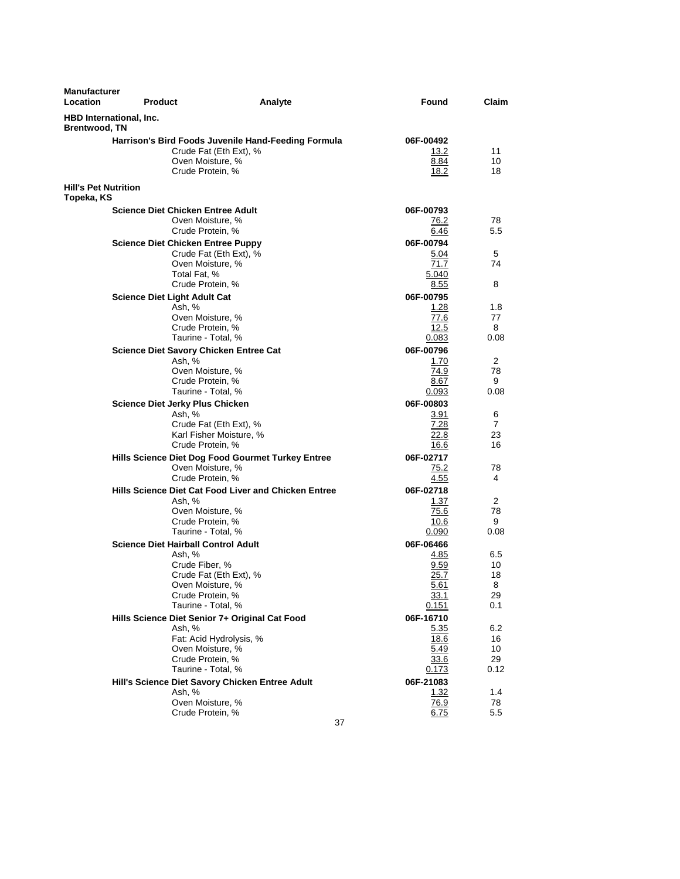| <b>Manufacturer</b><br>Location                 | <b>Product</b>                                                                                                                       | Analyte                                                                                           | Found                                                   | Claim                             |
|-------------------------------------------------|--------------------------------------------------------------------------------------------------------------------------------------|---------------------------------------------------------------------------------------------------|---------------------------------------------------------|-----------------------------------|
| HBD International, Inc.<br><b>Brentwood, TN</b> |                                                                                                                                      |                                                                                                   |                                                         |                                   |
|                                                 | Crude Protein, %                                                                                                                     | Harrison's Bird Foods Juvenile Hand-Feeding Formula<br>Crude Fat (Eth Ext), %<br>Oven Moisture, % | 06F-00492<br>13.2<br>8.84<br>18.2                       | 11<br>10<br>18                    |
| <b>Hill's Pet Nutrition</b><br>Topeka, KS       |                                                                                                                                      |                                                                                                   |                                                         |                                   |
|                                                 | <b>Science Diet Chicken Entree Adult</b><br>Crude Protein, %                                                                         | Oven Moisture, %                                                                                  | 06F-00793<br>76.2<br>6.46                               | 78<br>5.5                         |
|                                                 | <b>Science Diet Chicken Entree Puppy</b><br>Total Fat, %<br>Crude Protein, %                                                         | Crude Fat (Eth Ext), %<br>Oven Moisture, %                                                        | 06F-00794<br>5.04<br>71.7<br>5.040<br>8.55              | 5<br>74<br>8                      |
|                                                 | <b>Science Diet Light Adult Cat</b><br>Ash, %<br>Crude Protein, %<br>Taurine - Total, %                                              | Oven Moisture, %                                                                                  | 06F-00795<br>1.28<br>77.6<br>12.5<br>0.083              | 1.8<br>77<br>8<br>0.08            |
|                                                 | Science Diet Savory Chicken Entree Cat<br>Ash, %<br>Oven Moisture, %<br>Crude Protein. %                                             | Taurine - Total, %                                                                                | 06F-00796<br>1.70<br>74.9<br>8.67<br>0.093              | 2<br>78<br>9<br>0.08              |
|                                                 | <b>Science Diet Jerky Plus Chicken</b><br>Ash, %<br>Crude Protein, %                                                                 | Crude Fat (Eth Ext), %<br>Karl Fisher Moisture, %                                                 | 06F-00803<br>3.91<br>7.28<br>22.8<br>16.6               | 6<br>7<br>23<br>16                |
|                                                 | Crude Protein, %                                                                                                                     | Hills Science Diet Dog Food Gourmet Turkey Entree<br>Oven Moisture, %                             | 06F-02717<br>75.2<br>4.55                               | 78<br>4                           |
|                                                 | Ash, %<br>Crude Protein, %                                                                                                           | Hills Science Diet Cat Food Liver and Chicken Entree<br>Oven Moisture, %<br>Taurine - Total, %    | 06F-02718<br>1.37<br>75.6<br>10.6<br>0.090<br>06F-06466 | 2<br>78<br>9<br>0.08              |
|                                                 | <b>Science Diet Hairball Control Adult</b><br>Ash, %<br>Crude Fiber, %<br>Oven Moisture, %<br>Crude Protein, %<br>Taurine - Total, % | Crude Fat (Eth Ext), %                                                                            | 4.85<br>9.59<br>25.7<br><u>5.61</u><br>33.1<br>0.151    | 6.5<br>10<br>18<br>8<br>29<br>0.1 |
|                                                 | Ash, %<br>Crude Protein, %<br>Taurine - Total, %                                                                                     | Hills Science Diet Senior 7+ Original Cat Food<br>Fat: Acid Hydrolysis, %<br>Oven Moisture, %     | 06F-16710<br>5.35<br>18.6<br>5.49<br>33.6<br>0.173      | 6.2<br>16<br>10<br>29<br>0.12     |
|                                                 | Ash, %<br>Crude Protein, %                                                                                                           | Hill's Science Diet Savory Chicken Entree Adult<br>Oven Moisture, %<br>37                         | 06F-21083<br>1.32<br>76.9<br>6.75                       | 1.4<br>78<br>5.5                  |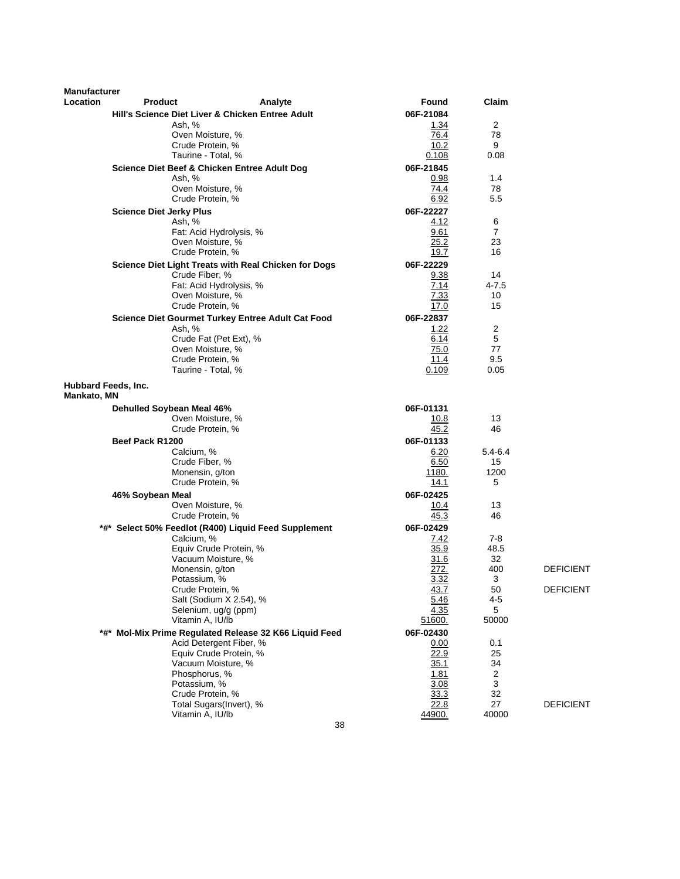| <b>Manufacturer</b> |                                              |                                                        |                   |             |                  |
|---------------------|----------------------------------------------|--------------------------------------------------------|-------------------|-------------|------------------|
| Location            | <b>Product</b>                               | Analyte                                                | Found             | Claim       |                  |
|                     |                                              | Hill's Science Diet Liver & Chicken Entree Adult       | 06F-21084         |             |                  |
|                     | Ash, %                                       |                                                        | 1.34              | 2           |                  |
|                     | Oven Moisture, %<br>Crude Protein, %         |                                                        | 76.4<br>10.2      | 78<br>9     |                  |
|                     | Taurine - Total, %                           |                                                        | 0.108             | 0.08        |                  |
|                     | Science Diet Beef & Chicken Entree Adult Dog |                                                        | 06F-21845         |             |                  |
|                     | Ash, %                                       |                                                        | 0.98              | 1.4         |                  |
|                     | Oven Moisture, %                             |                                                        | 74.4              | 78          |                  |
|                     | Crude Protein, %                             |                                                        | 6.92              | 5.5         |                  |
|                     | <b>Science Diet Jerky Plus</b>               |                                                        | 06F-22227         |             |                  |
|                     | Ash, %                                       |                                                        | 4.12              | 6           |                  |
|                     |                                              | Fat: Acid Hydrolysis, %                                | 9.61              | 7<br>23     |                  |
|                     | Oven Moisture, %<br>Crude Protein, %         |                                                        | 25.2<br>19.7      | 16          |                  |
|                     |                                              | Science Diet Light Treats with Real Chicken for Dogs   | 06F-22229         |             |                  |
|                     | Crude Fiber, %                               |                                                        | 9.38              | 14          |                  |
|                     |                                              | Fat: Acid Hydrolysis, %                                | 7.14              | 4-7.5       |                  |
|                     | Oven Moisture, %                             |                                                        | 7.33              | 10          |                  |
|                     | Crude Protein, %                             |                                                        | 17.0              | 15          |                  |
|                     |                                              | Science Diet Gourmet Turkey Entree Adult Cat Food      | 06F-22837         |             |                  |
|                     | Ash, %                                       |                                                        | 1.22              | 2           |                  |
|                     |                                              | Crude Fat (Pet Ext), %                                 | 6.14              | 5           |                  |
|                     | Oven Moisture, %<br>Crude Protein, %         |                                                        | 75.0<br>11.4      | 77<br>9.5   |                  |
|                     | Taurine - Total, %                           |                                                        | 0.109             | 0.05        |                  |
| Hubbard Feeds, Inc. |                                              |                                                        |                   |             |                  |
| Mankato, MN         |                                              |                                                        |                   |             |                  |
|                     | Dehulled Soybean Meal 46%                    |                                                        | 06F-01131         |             |                  |
|                     | Oven Moisture, %<br>Crude Protein, %         |                                                        | 10.8<br>45.2      | 13<br>46    |                  |
|                     | Beef Pack R1200                              |                                                        | 06F-01133         |             |                  |
|                     | Calcium, %                                   |                                                        | 6.20              | $5.4 - 6.4$ |                  |
|                     | Crude Fiber, %                               |                                                        | 6.50              | 15          |                  |
|                     | Monensin, g/ton                              |                                                        | 1180.             | 1200        |                  |
|                     | Crude Protein, %                             |                                                        | 14.1              | 5           |                  |
|                     | 46% Soybean Meal                             |                                                        | 06F-02425         |             |                  |
|                     | Oven Moisture, %<br>Crude Protein, %         |                                                        | 10.4<br>45.3      | 13<br>46    |                  |
|                     |                                              |                                                        |                   |             |                  |
|                     | Calcium, %                                   | *#* Select 50% Feedlot (R400) Liquid Feed Supplement   | 06F-02429<br>7.42 | 7-8         |                  |
|                     |                                              | Equiv Crude Protein, %                                 | 35.9              | 48.5        |                  |
|                     | Vacuum Moisture, %                           |                                                        | 31.6              | 32          |                  |
|                     | Monensin, g/ton                              |                                                        | 272.              | 400         | <b>DEFICIENT</b> |
|                     | Potassium, %                                 |                                                        | 3.32              | 3           |                  |
|                     | Crude Protein, %                             | Salt (Sodium X 2.54), %                                | 43.7              | 50<br>4-5   | <b>DEFICIENT</b> |
|                     |                                              | Selenium, ug/g (ppm)                                   | 5.46<br>4.35      | 5           |                  |
|                     | Vitamin A, IU/lb                             |                                                        | 51600.            | 50000       |                  |
|                     |                                              | *#* Mol-Mix Prime Regulated Release 32 K66 Liquid Feed | 06F-02430         |             |                  |
|                     |                                              | Acid Detergent Fiber, %                                | 0.00              | 0.1         |                  |
|                     |                                              | Equiv Crude Protein, %                                 | 22.9              | 25          |                  |
|                     |                                              | Vacuum Moisture, %                                     | 35.1              | 34          |                  |
|                     | Phosphorus, %<br>Potassium, %                |                                                        | 1.81<br>3.08      | 2<br>3      |                  |
|                     | Crude Protein, %                             |                                                        | 33.3              | 32          |                  |
|                     |                                              | Total Sugars(Invert), %                                | 22.8              | 27          | <b>DEFICIENT</b> |
|                     | Vitamin A, IU/lb                             |                                                        | 44900.            | 40000       |                  |
|                     |                                              | 38                                                     |                   |             |                  |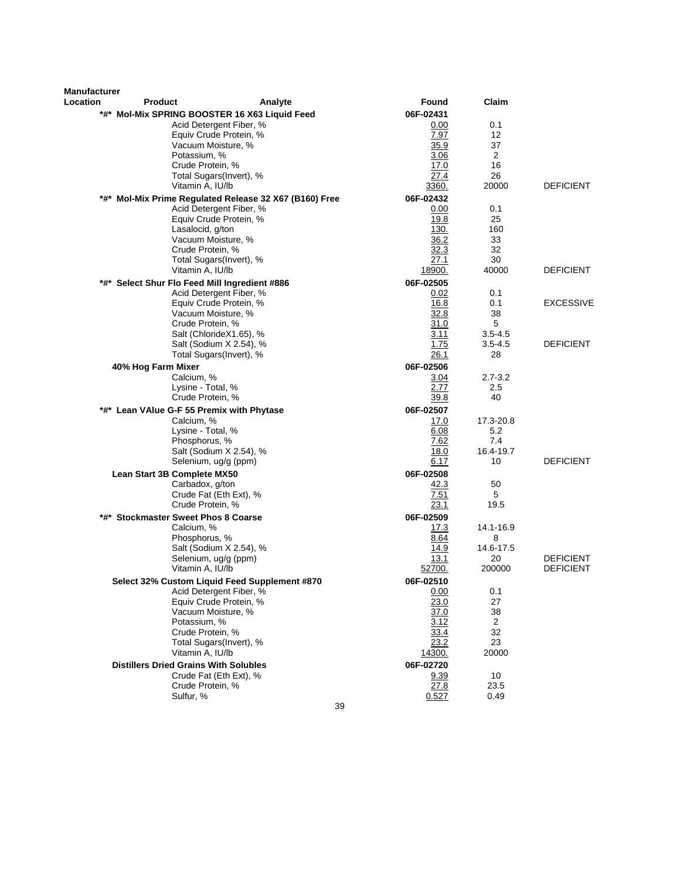| Manufacturer |                                                    |         |                     |                      |                  |
|--------------|----------------------------------------------------|---------|---------------------|----------------------|------------------|
| Location     | <b>Product</b>                                     | Analyte | Found               | Claim                |                  |
|              | *#* Mol-Mix SPRING BOOSTER 16 X63 Liquid Feed      |         | 06F-02431           |                      |                  |
|              | Acid Detergent Fiber, %                            |         | 0.00                | 0.1                  |                  |
|              | Equiv Crude Protein, %                             |         | 7.97                | 12                   |                  |
|              | Vacuum Moisture, %                                 |         | 35.9                | 37                   |                  |
|              | Potassium, %                                       |         | 3.06                | $\overline{2}$<br>16 |                  |
|              | Crude Protein, %<br>Total Sugars(Invert), %        |         | 17.0<br>27.4        | 26                   |                  |
|              | Vitamin A, IU/lb                                   |         | 3360.               | 20000                | <b>DEFICIENT</b> |
| *#*          | Mol-Mix Prime Regulated Release 32 X67 (B160) Free |         | 06F-02432           |                      |                  |
|              | Acid Detergent Fiber, %                            |         | 0.00                | 0.1                  |                  |
|              | Equiv Crude Protein, %                             |         | 19.8                | 25                   |                  |
|              | Lasalocid, g/ton                                   |         | 130.                | 160                  |                  |
|              | Vacuum Moisture, %                                 |         | 36.2                | 33                   |                  |
|              | Crude Protein, %                                   |         | 32.3                | 32                   |                  |
|              | Total Sugars(Invert), %                            |         | 27.1                | 30                   |                  |
|              | Vitamin A, IU/lb                                   |         | 18900.              | 40000                | <b>DEFICIENT</b> |
| *#*          | Select Shur Flo Feed Mill Ingredient #886          |         | 06F-02505           |                      |                  |
|              | Acid Detergent Fiber, %<br>Equiv Crude Protein, %  |         | 0.02<br>16.8        | 0.1<br>0.1           | <b>EXCESSIVE</b> |
|              | Vacuum Moisture, %                                 |         | 32.8                | 38                   |                  |
|              | Crude Protein, %                                   |         | 31.0                | 5                    |                  |
|              | Salt (ChlorideX1.65), %                            |         | 3.11                | $3.5 - 4.5$          |                  |
|              | Salt (Sodium X 2.54), %                            |         | 1.75                | $3.5 - 4.5$          | <b>DEFICIENT</b> |
|              | Total Sugars(Invert), %                            |         | 26.1                | 28                   |                  |
|              | 40% Hog Farm Mixer                                 |         | 06F-02506           |                      |                  |
|              | Calcium, %                                         |         | 3.04                | $2.7 - 3.2$          |                  |
|              | Lysine - Total, %                                  |         | 2.77                | 2.5                  |                  |
|              | Crude Protein, %                                   |         | 39.8                | 40                   |                  |
|              | *#* Lean VAIue G-F 55 Premix with Phytase          |         | 06F-02507           |                      |                  |
|              | Calcium, %<br>Lysine - Total, %                    |         | 17.0<br>6.08        | 17.3-20.8<br>5.2     |                  |
|              | Phosphorus, %                                      |         | 7.62                | 7.4                  |                  |
|              | Salt (Sodium X 2.54), %                            |         | 18.0                | 16.4-19.7            |                  |
|              | Selenium, ug/g (ppm)                               |         | 6.17                | 10                   | <b>DEFICIENT</b> |
|              | Lean Start 3B Complete MX50                        |         | 06F-02508           |                      |                  |
|              | Carbadox, g/ton                                    |         | 42.3                | 50                   |                  |
|              | Crude Fat (Eth Ext), %                             |         | 7.51                | 5                    |                  |
|              | Crude Protein, %                                   |         | 23.1                | 19.5                 |                  |
| *#*          | <b>Stockmaster Sweet Phos 8 Coarse</b>             |         | 06F-02509           |                      |                  |
|              | Calcium, %                                         |         | 17.3                | 14.1-16.9            |                  |
|              | Phosphorus, %                                      |         | 8.64                | 8<br>14.6-17.5       |                  |
|              | Salt (Sodium X 2.54), %<br>Selenium, ug/g (ppm)    |         | 14.9<br>13.1        | 20                   | <b>DEFICIENT</b> |
|              | Vitamin A, IU/lb                                   |         | 52700.              | 200000               | <b>DEFICIENT</b> |
|              | Select 32% Custom Liquid Feed Supplement #870      |         | 06F-02510           |                      |                  |
|              | Acid Detergent Fiber, %                            |         | 0.00                | 0.1                  |                  |
|              | Equiv Crude Protein, %                             |         | 23.0                | 27                   |                  |
|              | Vacuum Moisture, %                                 |         | 37.0                | 38                   |                  |
|              | Potassium, %                                       |         | 3.12                | $\overline{2}$       |                  |
|              | Crude Protein, %                                   |         | 33.4                | 32                   |                  |
|              | Total Sugars(Invert), %                            |         | 23.2                | 23                   |                  |
|              | Vitamin A, IU/lb                                   |         | 14300.              | 20000                |                  |
|              | <b>Distillers Dried Grains With Solubles</b>       |         | 06F-02720           |                      |                  |
|              | Crude Fat (Eth Ext), %<br>Crude Protein, %         |         | <u>9.39</u><br>27.8 | 10<br>23.5           |                  |
|              | Sulfur, %                                          |         | 0.527               | 0.49                 |                  |
|              |                                                    | 39      |                     |                      |                  |
|              |                                                    |         |                     |                      |                  |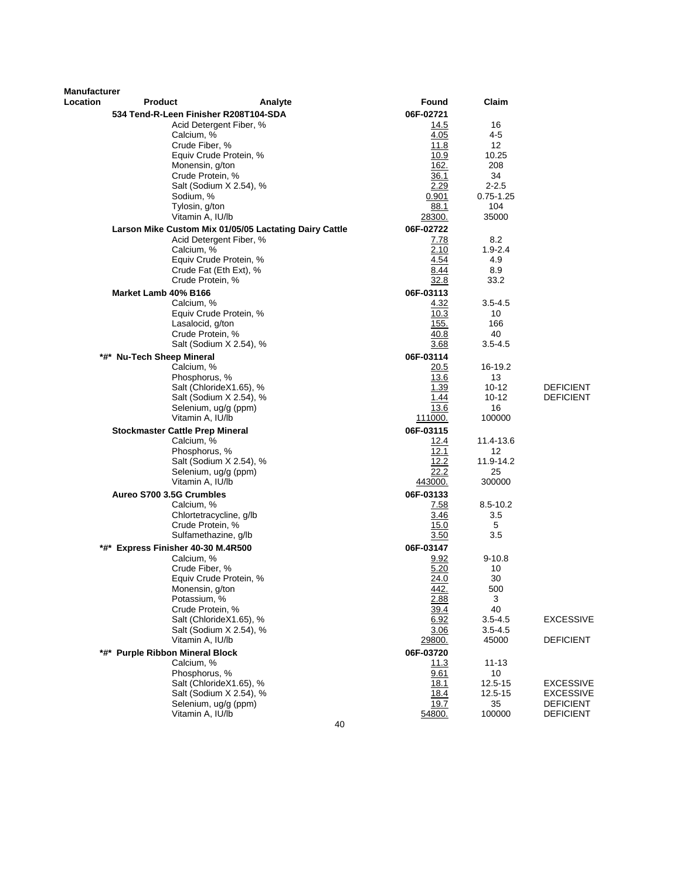| <b>Manufacturer</b><br>Location | <b>Product</b>                          | Analyte                                                                           | Found             | Claim             |                  |
|---------------------------------|-----------------------------------------|-----------------------------------------------------------------------------------|-------------------|-------------------|------------------|
|                                 |                                         |                                                                                   | 06F-02721         |                   |                  |
|                                 | 534 Tend-R-Leen Finisher R208T104-SDA   | Acid Detergent Fiber, %                                                           | 14.5              | 16                |                  |
|                                 | Calcium, %                              |                                                                                   | 4.05              | 4-5               |                  |
|                                 | Crude Fiber, %                          |                                                                                   | 11.8              | 12                |                  |
|                                 |                                         | Equiv Crude Protein, %                                                            | 10.9              | 10.25             |                  |
|                                 | Monensin, g/ton                         |                                                                                   | 162.              | 208               |                  |
|                                 | Crude Protein, %                        |                                                                                   | 36.1              | 34                |                  |
|                                 |                                         | Salt (Sodium X 2.54), %                                                           | 2.29              | $2 - 2.5$         |                  |
|                                 | Sodium, %                               |                                                                                   | 0.901             | $0.75 - 1.25$     |                  |
|                                 | Tylosin, g/ton<br>Vitamin A, IU/lb      |                                                                                   | 88.1              | 104               |                  |
|                                 |                                         |                                                                                   | 28300.            | 35000             |                  |
|                                 |                                         | Larson Mike Custom Mix 01/05/05 Lactating Dairy Cattle<br>Acid Detergent Fiber, % | 06F-02722<br>7.78 | 8.2               |                  |
|                                 | Calcium, %                              |                                                                                   | 2.10              | $1.9 - 2.4$       |                  |
|                                 |                                         | Equiv Crude Protein, %                                                            | 4.54              | 4.9               |                  |
|                                 |                                         | Crude Fat (Eth Ext), %                                                            | 8.44              | 8.9               |                  |
|                                 | Crude Protein, %                        |                                                                                   | 32.8              | 33.2              |                  |
|                                 | Market Lamb 40% B166                    |                                                                                   | 06F-03113         |                   |                  |
|                                 | Calcium, %                              |                                                                                   | 4.32              | $3.5 - 4.5$       |                  |
|                                 |                                         | Equiv Crude Protein, %                                                            | 10.3              | 10                |                  |
|                                 | Lasalocid, g/ton                        |                                                                                   | <u>155.</u>       | 166               |                  |
|                                 | Crude Protein, %                        | Salt (Sodium X 2.54), %                                                           | 40.8<br>3.68      | 40<br>$3.5 - 4.5$ |                  |
|                                 |                                         |                                                                                   |                   |                   |                  |
|                                 | *#* Nu-Tech Sheep Mineral<br>Calcium, % |                                                                                   | 06F-03114<br>20.5 | 16-19.2           |                  |
|                                 | Phosphorus, %                           |                                                                                   | 13.6              | 13                |                  |
|                                 |                                         | Salt (ChlorideX1.65), %                                                           | 1.39              | 10-12             | <b>DEFICIENT</b> |
|                                 |                                         | Salt (Sodium X 2.54), %                                                           | 1.44              | $10 - 12$         | <b>DEFICIENT</b> |
|                                 |                                         | Selenium, ug/g (ppm)                                                              | 13.6              | 16                |                  |
|                                 | Vitamin A, IU/lb                        |                                                                                   | 111000.           | 100000            |                  |
|                                 | <b>Stockmaster Cattle Prep Mineral</b>  |                                                                                   | 06F-03115         |                   |                  |
|                                 | Calcium, %                              |                                                                                   | 12.4              | 11.4-13.6         |                  |
|                                 | Phosphorus, %                           |                                                                                   | 12.1              | 12                |                  |
|                                 |                                         | Salt (Sodium X 2.54), %<br>Selenium, ug/g (ppm)                                   | 12.2<br>22.2      | 11.9-14.2<br>25   |                  |
|                                 | Vitamin A, IU/lb                        |                                                                                   | 443000.           | 300000            |                  |
|                                 | Aureo S700 3.5G Crumbles                |                                                                                   | 06F-03133         |                   |                  |
|                                 | Calcium, %                              |                                                                                   | 7.58              | 8.5-10.2          |                  |
|                                 |                                         | Chlortetracycline, g/lb                                                           | 3.46              | 3.5               |                  |
|                                 | Crude Protein, %                        |                                                                                   | 15.0              | 5                 |                  |
|                                 |                                         | Sulfamethazine, g/lb                                                              | 3.50              | 3.5               |                  |
|                                 | *#* Express Finisher 40-30 M.4R500      |                                                                                   | 06F-03147         |                   |                  |
|                                 | Calcium, %                              |                                                                                   | 9.92              | $9 - 10.8$        |                  |
|                                 | Crude Fiber, %                          |                                                                                   | 5.20              | 10<br>30          |                  |
|                                 | Monensin, g/ton                         | Equiv Crude Protein, %                                                            | 24.0<br>442.      | 500               |                  |
|                                 | Potassium, %                            |                                                                                   | 2.88              | 3                 |                  |
|                                 | Crude Protein, %                        |                                                                                   | 39.4              | 40                |                  |
|                                 |                                         | Salt (ChlorideX1.65), %                                                           | 6.92              | $3.5 - 4.5$       | <b>EXCESSIVE</b> |
|                                 |                                         | Salt (Sodium X 2.54), %                                                           | 3.06              | $3.5 - 4.5$       |                  |
|                                 | Vitamin A, IU/lb                        |                                                                                   | 29800.            | 45000             | <b>DEFICIENT</b> |
|                                 | *#* Purple Ribbon Mineral Block         |                                                                                   | 06F-03720         |                   |                  |
|                                 | Calcium, %<br>Phosphorus, %             |                                                                                   | <u> 11.3</u>      | $11 - 13$<br>10   |                  |
|                                 |                                         | Salt (ChlorideX1.65), %                                                           | 9.61<br>18.1      | 12.5-15           | <b>EXCESSIVE</b> |
|                                 |                                         | Salt (Sodium X 2.54), %                                                           | 18.4              | 12.5-15           | <b>EXCESSIVE</b> |
|                                 |                                         | Selenium, ug/g (ppm)                                                              | 19.7              | 35                | <b>DEFICIENT</b> |
|                                 | Vitamin A, IU/lb                        |                                                                                   | 54800.            | 100000            | <b>DEFICIENT</b> |
|                                 |                                         | 40                                                                                |                   |                   |                  |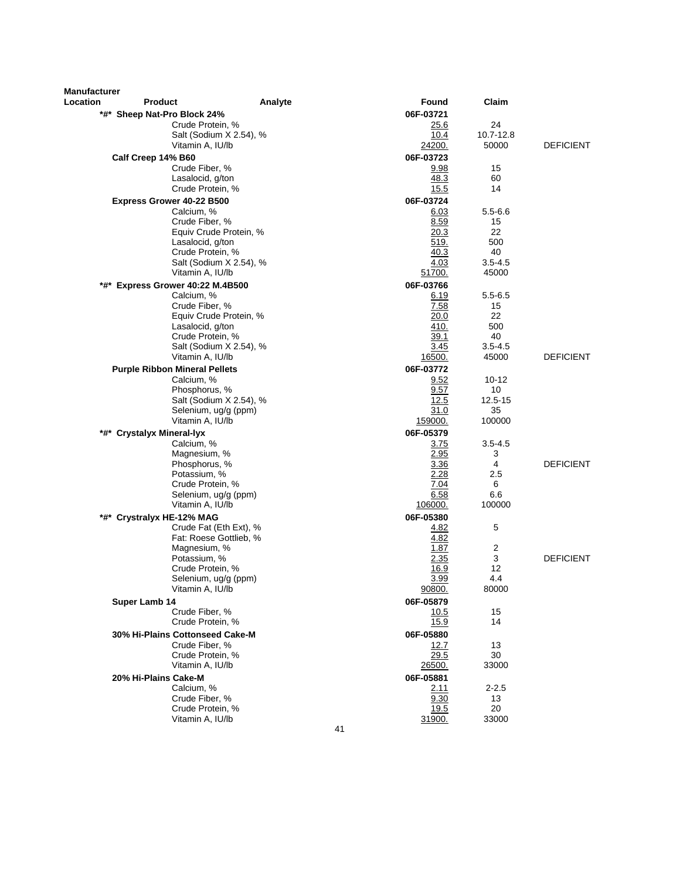| <b>Manufacturer</b><br>Location | <b>Product</b>                                     | Analyte                 | Found               | Claim                |                  |
|---------------------------------|----------------------------------------------------|-------------------------|---------------------|----------------------|------------------|
|                                 | *#* Sheep Nat-Pro Block 24%                        |                         | 06F-03721           |                      |                  |
|                                 | Crude Protein, %                                   |                         | <u>25.6</u>         | 24                   |                  |
|                                 |                                                    | Salt (Sodium X 2.54), % | 10.4                | 10.7-12.8            |                  |
|                                 | Vitamin A, IU/lb                                   |                         | 24200.              | 50000                | <b>DEFICIENT</b> |
|                                 | Calf Creep 14% B60                                 |                         | 06F-03723           |                      |                  |
|                                 | Crude Fiber, %                                     |                         | 9.98                | 15                   |                  |
|                                 | Lasalocid, g/ton                                   |                         | 48.3                | 60                   |                  |
|                                 | Crude Protein, %                                   |                         | 15.5                | 14                   |                  |
|                                 | Express Grower 40-22 B500                          |                         | 06F-03724           |                      |                  |
|                                 | Calcium, %                                         |                         | 6.03                | $5.5 - 6.6$          |                  |
|                                 | Crude Fiber, %                                     |                         | 8.59                | 15                   |                  |
|                                 | Lasalocid, g/ton                                   | Equiv Crude Protein, %  | 20.3<br>519.        | 22<br>500            |                  |
|                                 | Crude Protein, %                                   |                         | 40.3                | 40                   |                  |
|                                 |                                                    | Salt (Sodium X 2.54), % | 4.03                | $3.5 - 4.5$          |                  |
|                                 | Vitamin A, IU/lb                                   |                         | 51700.              | 45000                |                  |
| *#*                             | Express Grower 40:22 M.4B500                       |                         | 06F-03766           |                      |                  |
|                                 | Calcium, %                                         |                         | 6.19                | $5.5 - 6.5$          |                  |
|                                 | Crude Fiber, %                                     |                         | 7.58                | 15                   |                  |
|                                 |                                                    | Equiv Crude Protein, %  | 20.0                | 22                   |                  |
|                                 | Lasalocid, g/ton                                   |                         | 410.                | 500                  |                  |
|                                 | Crude Protein, %                                   |                         | 39.1                | 40                   |                  |
|                                 |                                                    | Salt (Sodium X 2.54), % | 3.45                | $3.5 - 4.5$<br>45000 | <b>DEFICIENT</b> |
|                                 | Vitamin A, IU/lb                                   |                         | 16500.<br>06F-03772 |                      |                  |
|                                 | <b>Purple Ribbon Mineral Pellets</b><br>Calcium, % |                         | 9.52                | $10 - 12$            |                  |
|                                 | Phosphorus, %                                      |                         | 9.57                | 10                   |                  |
|                                 |                                                    | Salt (Sodium X 2.54), % | 12.5                | 12.5-15              |                  |
|                                 |                                                    | Selenium, ug/g (ppm)    | 31.0                | 35                   |                  |
|                                 | Vitamin A, IU/lb                                   |                         | 159000.             | 100000               |                  |
|                                 | *#* Crystalyx Mineral-lyx                          |                         | 06F-05379           |                      |                  |
|                                 | Calcium, %                                         |                         | 3.75                | $3.5 - 4.5$          |                  |
|                                 | Magnesium, %                                       |                         | 2.95                | 3                    |                  |
|                                 | Phosphorus, %                                      |                         | 3.36                | 4                    | <b>DEFICIENT</b> |
|                                 | Potassium, %                                       |                         | 2.28                | 2.5                  |                  |
|                                 | Crude Protein, %                                   | Selenium, ug/g (ppm)    | 7.04<br>6.58        | 6<br>6.6             |                  |
|                                 | Vitamin A, IU/lb                                   |                         | 106000.             | 100000               |                  |
|                                 | *#* Crystralyx HE-12% MAG                          |                         | 06F-05380           |                      |                  |
|                                 |                                                    | Crude Fat (Eth Ext), %  | 4.82                | 5                    |                  |
|                                 |                                                    | Fat: Roese Gottlieb, %  | 4.82                |                      |                  |
|                                 | Magnesium, %                                       |                         | 1.87                | 2                    |                  |
|                                 | Potassium, %                                       |                         | 2.35                | 3                    | <b>DEFICIENT</b> |
|                                 | Crude Protein, %                                   |                         | 16.9                | 12                   |                  |
|                                 |                                                    | Selenium, ug/g (ppm)    | 3.99                | 4.4                  |                  |
|                                 | Vitamin A, IU/lb                                   |                         | 90800.              | 80000                |                  |
|                                 | Super Lamb 14                                      |                         | 06F-05879           |                      |                  |
|                                 | Crude Fiber. %                                     |                         | <u>10.5</u>         | 15                   |                  |
|                                 | Crude Protein, %                                   |                         | 15.9                | 14                   |                  |
|                                 | 30% Hi-Plains Cottonseed Cake-M<br>Crude Fiber, %  |                         | 06F-05880           | 13                   |                  |
|                                 | Crude Protein, %                                   |                         | 12.7<br>29.5        | 30                   |                  |
|                                 | Vitamin A, IU/lb                                   |                         | <u> 26500.</u>      | 33000                |                  |
|                                 | 20% Hi-Plains Cake-M                               |                         | 06F-05881           |                      |                  |
|                                 | Calcium, %                                         |                         | 2.11                | 2-2.5                |                  |
|                                 | Crude Fiber, %                                     |                         | 9.30                | 13                   |                  |
|                                 | Crude Protein, %                                   |                         | 19.5                | 20                   |                  |
|                                 | Vitamin A, IU/lb                                   |                         | 31900.              | 33000                |                  |
|                                 |                                                    | 41                      |                     |                      |                  |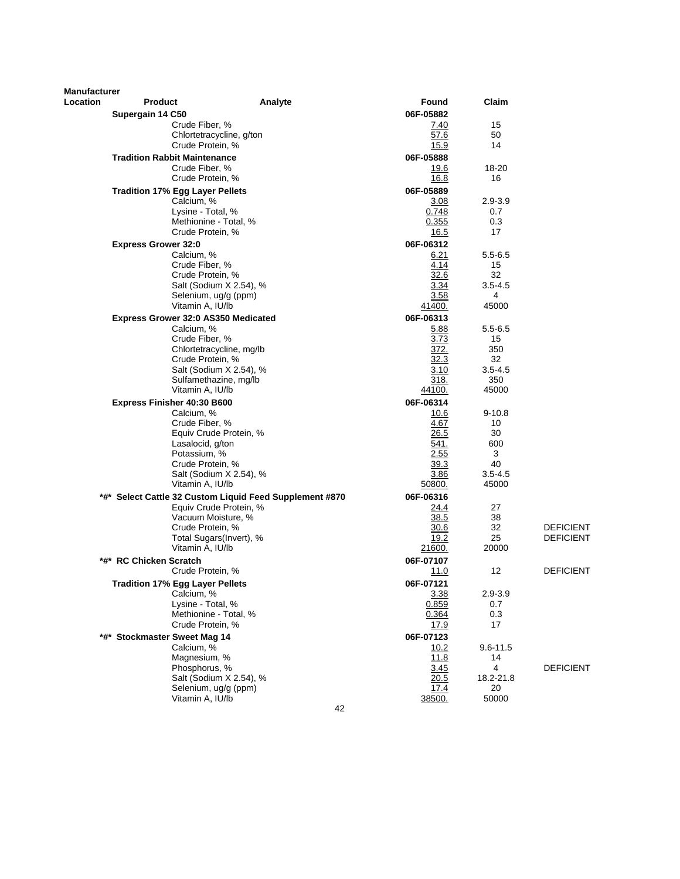| <b>Manufacturer</b><br>Location | <b>Product</b>             |                                            |                                                         | Found     |              | Claim            |                  |
|---------------------------------|----------------------------|--------------------------------------------|---------------------------------------------------------|-----------|--------------|------------------|------------------|
|                                 |                            |                                            | Analyte                                                 |           |              |                  |                  |
|                                 | Supergain 14 C50           |                                            |                                                         | 06F-05882 |              |                  |                  |
|                                 |                            | Crude Fiber, %                             |                                                         |           | 7.40         | 15               |                  |
|                                 |                            | Chlortetracycline, g/ton                   |                                                         |           | 57.6         | 50<br>14         |                  |
|                                 |                            | Crude Protein, %                           |                                                         |           | 15.9         |                  |                  |
|                                 |                            | <b>Tradition Rabbit Maintenance</b>        |                                                         | 06F-05888 |              |                  |                  |
|                                 |                            | Crude Fiber, %                             |                                                         |           | 19.6         | 18-20            |                  |
|                                 |                            | Crude Protein, %                           |                                                         |           | 16.8         | 16               |                  |
|                                 |                            | <b>Tradition 17% Egg Layer Pellets</b>     |                                                         | 06F-05889 |              |                  |                  |
|                                 |                            | Calcium, %                                 |                                                         |           | 3.08         | $2.9 - 3.9$      |                  |
|                                 |                            | Lysine - Total, %                          |                                                         |           | 0.748        | 0.7              |                  |
|                                 |                            | Methionine - Total, %                      |                                                         |           | 0.355        | 0.3              |                  |
|                                 |                            | Crude Protein, %                           |                                                         |           | 16.5         | 17               |                  |
|                                 | <b>Express Grower 32:0</b> |                                            |                                                         | 06F-06312 |              |                  |                  |
|                                 |                            | Calcium, %                                 |                                                         |           | 6.21         | $5.5 - 6.5$      |                  |
|                                 |                            | Crude Fiber, %                             |                                                         |           | 4.14         | 15               |                  |
|                                 |                            | Crude Protein, %                           |                                                         |           | 32.6         | 32               |                  |
|                                 |                            | Salt (Sodium X 2.54), %                    |                                                         |           | 3.34<br>3.58 | $3.5 - 4.5$<br>4 |                  |
|                                 |                            | Selenium, ug/g (ppm)<br>Vitamin A, IU/lb   |                                                         | 41400.    |              | 45000            |                  |
|                                 |                            |                                            |                                                         |           |              |                  |                  |
|                                 |                            | Express Grower 32:0 AS350 Medicated        |                                                         | 06F-06313 |              |                  |                  |
|                                 |                            | Calcium, %                                 |                                                         |           | 5.88         | $5.5 - 6.5$      |                  |
|                                 |                            | Crude Fiber, %<br>Chlortetracycline, mg/lb |                                                         |           | 3.73<br>372. | 15<br>350        |                  |
|                                 |                            | Crude Protein, %                           |                                                         |           | 32.3         | 32               |                  |
|                                 |                            | Salt (Sodium X 2.54), %                    |                                                         |           | 3.10         | $3.5 - 4.5$      |                  |
|                                 |                            | Sulfamethazine, mg/lb                      |                                                         |           | 318.         | 350              |                  |
|                                 |                            | Vitamin A, IU/lb                           |                                                         | 44100.    |              | 45000            |                  |
|                                 |                            | Express Finisher 40:30 B600                |                                                         | 06F-06314 |              |                  |                  |
|                                 |                            | Calcium, %                                 |                                                         |           | 10.6         | $9 - 10.8$       |                  |
|                                 |                            | Crude Fiber, %                             |                                                         |           | 4.67         | 10               |                  |
|                                 |                            | Equiv Crude Protein, %                     |                                                         |           | 26.5         | 30               |                  |
|                                 |                            | Lasalocid, g/ton                           |                                                         |           | 541.         | 600              |                  |
|                                 |                            | Potassium, %                               |                                                         |           | 2.55         | 3                |                  |
|                                 |                            | Crude Protein, %                           |                                                         |           | 39.3         | 40               |                  |
|                                 |                            | Salt (Sodium X 2.54), %                    |                                                         |           | 3.86         | $3.5 - 4.5$      |                  |
|                                 |                            | Vitamin A, IU/lb                           |                                                         | 50800.    |              | 45000            |                  |
|                                 |                            |                                            | *#* Select Cattle 32 Custom Liquid Feed Supplement #870 | 06F-06316 |              |                  |                  |
|                                 |                            | Equiv Crude Protein, %                     |                                                         |           | 24.4         | 27               |                  |
|                                 |                            | Vacuum Moisture, %                         |                                                         |           | 38.5         | 38               |                  |
|                                 |                            | Crude Protein, %                           |                                                         |           | 30.6         | 32               | <b>DEFICIENT</b> |
|                                 |                            | Total Sugars(Invert), %                    |                                                         |           | 19.2         | 25               | <b>DEFICIENT</b> |
|                                 |                            | Vitamin A, IU/lb                           |                                                         | 21600.    |              | 20000            |                  |
|                                 | *#* RC Chicken Scratch     |                                            |                                                         | 06F-07107 |              |                  |                  |
|                                 |                            | Crude Protein, %                           |                                                         |           | 11.0         | 12               | <b>DEFICIENT</b> |
|                                 |                            | Tradition 17% Egg Layer Pellets            |                                                         | 06F-07121 |              |                  |                  |
|                                 |                            | Calcium, %                                 |                                                         |           | 3.38         | $2.9 - 3.9$      |                  |
|                                 |                            | Lysine - Total, %                          |                                                         |           | 0.859        | 0.7              |                  |
|                                 |                            | Methionine - Total, %                      |                                                         |           | 0.364        | 0.3              |                  |
|                                 |                            | Crude Protein, %                           |                                                         |           | 17.9         | 17               |                  |
|                                 |                            | *#* Stockmaster Sweet Mag 14               |                                                         | 06F-07123 |              |                  |                  |
|                                 |                            | Calcium, %                                 |                                                         |           | 10.2         | 9.6-11.5         |                  |
|                                 |                            | Magnesium, %                               |                                                         |           | 11.8         | 14               |                  |
|                                 |                            | Phosphorus, %                              |                                                         |           | 3.45         | 4                | <b>DEFICIENT</b> |
|                                 |                            | Salt (Sodium X 2.54), %                    |                                                         |           | 20.5         | 18.2-21.8        |                  |
|                                 |                            | Selenium, ug/g (ppm)                       |                                                         |           | 17.4         | 20               |                  |
|                                 |                            | Vitamin A, IU/lb                           |                                                         | 38500.    |              | 50000            |                  |
|                                 |                            |                                            | 42                                                      |           |              |                  |                  |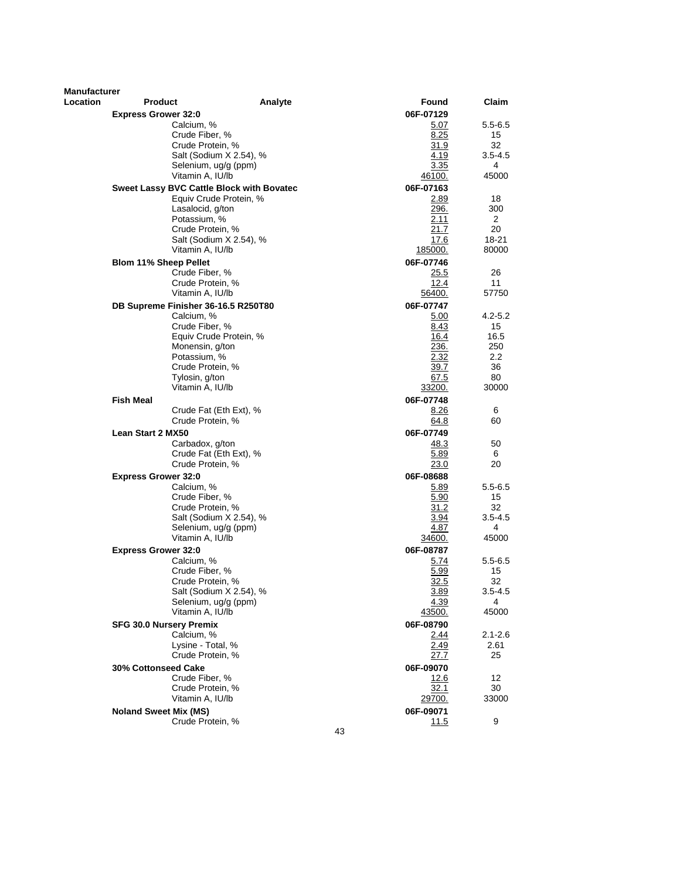| Manufacturer |                                |                                                  |         |    |               |             |
|--------------|--------------------------------|--------------------------------------------------|---------|----|---------------|-------------|
| Location     | <b>Product</b>                 |                                                  | Analyte |    | Found         | Claim       |
|              | <b>Express Grower 32:0</b>     |                                                  |         |    | 06F-07129     |             |
|              |                                | Calcium, %                                       |         |    | 5.07          | 5.5-6.5     |
|              |                                | Crude Fiber, %                                   |         |    | 8.25          | 15          |
|              |                                | Crude Protein, %                                 |         |    | 31.9          | 32          |
|              |                                | Salt (Sodium X 2.54), %                          |         |    | 4.19          | $3.5 - 4.5$ |
|              |                                | Selenium, ug/g (ppm)                             |         |    | 3.35          | 4           |
|              |                                | Vitamin A, IU/lb                                 |         |    | <u>46100.</u> | 45000       |
|              |                                | <b>Sweet Lassy BVC Cattle Block with Bovatec</b> |         |    | 06F-07163     |             |
|              |                                | Equiv Crude Protein, %                           |         |    | 2.89          | 18          |
|              |                                | Lasalocid, g/ton                                 |         |    | 296.          | 300         |
|              |                                | Potassium, %                                     |         |    | 2.11          | 2           |
|              |                                | Crude Protein, %                                 |         |    | 21.7          | 20          |
|              |                                | Salt (Sodium X 2.54), %                          |         |    | 17.6          | 18-21       |
|              |                                | Vitamin A, IU/lb                                 |         |    | 185000.       | 80000       |
|              |                                |                                                  |         |    | 06F-07746     |             |
|              | <b>Blom 11% Sheep Pellet</b>   | Crude Fiber, %                                   |         |    | 25.5          | 26          |
|              |                                | Crude Protein, %                                 |         |    | 12.4          | 11          |
|              |                                | Vitamin A, IU/lb                                 |         |    | 56400.        | 57750       |
|              |                                |                                                  |         |    |               |             |
|              |                                | DB Supreme Finisher 36-16.5 R250T80              |         |    | 06F-07747     |             |
|              |                                | Calcium, %                                       |         |    | 5.00          | $4.2 - 5.2$ |
|              |                                | Crude Fiber, %                                   |         |    | 8.43          | 15          |
|              |                                | Equiv Crude Protein, %                           |         |    | 16.4          | 16.5        |
|              |                                | Monensin, g/ton                                  |         |    | 236.          | 250         |
|              |                                | Potassium, %                                     |         |    | 2.32          | 2.2         |
|              |                                | Crude Protein, %                                 |         |    | 39.7          | 36          |
|              |                                | Tylosin, g/ton                                   |         |    | 67.5          | 80          |
|              |                                | Vitamin A, IU/lb                                 |         |    | 33200.        | 30000       |
|              | <b>Fish Meal</b>               |                                                  |         |    | 06F-07748     |             |
|              |                                | Crude Fat (Eth Ext), %                           |         |    | 8.26          | 6           |
|              |                                | Crude Protein, %                                 |         |    | 64.8          | 60          |
|              | <b>Lean Start 2 MX50</b>       |                                                  |         |    | 06F-07749     |             |
|              |                                | Carbadox, g/ton                                  |         |    | 48.3          | 50          |
|              |                                | Crude Fat (Eth Ext), %                           |         |    | 5.89          | 6           |
|              |                                | Crude Protein, %                                 |         |    | <u>23.0</u>   | 20          |
|              | <b>Express Grower 32:0</b>     |                                                  |         |    | 06F-08688     |             |
|              |                                | Calcium, %                                       |         |    | 5.89          | $5.5 - 6.5$ |
|              |                                | Crude Fiber, %                                   |         |    | 5.90          | 15          |
|              |                                | Crude Protein, %                                 |         |    | 31.2          | 32          |
|              |                                | Salt (Sodium X 2.54), %                          |         |    | 3.94          | $3.5 - 4.5$ |
|              |                                | Selenium, ug/g (ppm)                             |         |    | 4.87          | 4           |
|              |                                | Vitamin A, IU/lb                                 |         |    | <u>34600.</u> | 45000       |
|              | <b>Express Grower 32:0</b>     |                                                  |         |    | 06F-08787     |             |
|              |                                | Calcium, %                                       |         |    | 5.74          | $5.5 - 6.5$ |
|              |                                | Crude Fiber, %                                   |         |    | 5.99          | 15          |
|              |                                | Crude Protein, %                                 |         |    | 32.5          | 32          |
|              |                                | Salt (Sodium X 2.54), %                          |         |    | 3.89          | $3.5 - 4.5$ |
|              |                                | Selenium, ug/g (ppm)                             |         |    | 4.39          | 4           |
|              |                                | Vitamin A, IU/lb                                 |         |    | 43500.        | 45000       |
|              | <b>SFG 30.0 Nursery Premix</b> |                                                  |         |    | 06F-08790     |             |
|              |                                | Calcium, %                                       |         |    | 2.44          | $2.1 - 2.6$ |
|              |                                | Lysine - Total, %                                |         |    | 2.49          | 2.61        |
|              |                                | Crude Protein, %                                 |         |    | <u> 27.7</u>  | 25          |
|              | <b>30% Cottonseed Cake</b>     |                                                  |         |    | 06F-09070     |             |
|              |                                | Crude Fiber, %                                   |         |    | 12.6          | 12          |
|              |                                | Crude Protein, %                                 |         |    | 32.1          | 30          |
|              |                                | Vitamin A, IU/lb                                 |         |    | 29700.        | 33000       |
|              | <b>Noland Sweet Mix (MS)</b>   |                                                  |         |    | 06F-09071     |             |
|              |                                | Crude Protein, %                                 |         |    |               | 9           |
|              |                                |                                                  |         | 43 | 11.5          |             |
|              |                                |                                                  |         |    |               |             |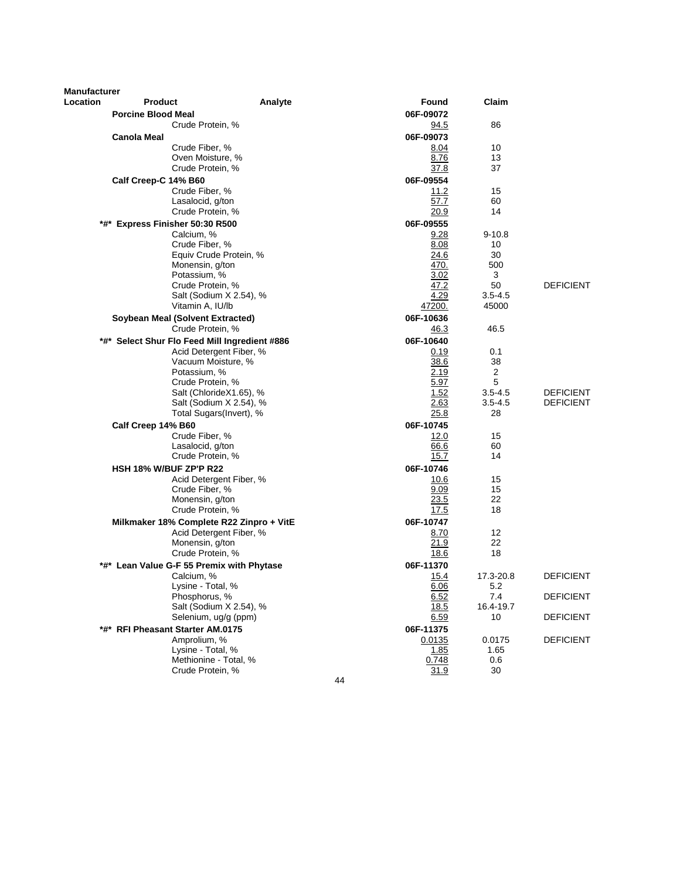| <b>Manufacturer</b> |                           |                                                    |    |                   |                   |                               |
|---------------------|---------------------------|----------------------------------------------------|----|-------------------|-------------------|-------------------------------|
| Location            | <b>Product</b>            | Analyte                                            |    | Found             | Claim             |                               |
|                     | <b>Porcine Blood Meal</b> |                                                    |    | 06F-09072         |                   |                               |
|                     |                           | Crude Protein, %                                   |    | <u>94.5</u>       | 86                |                               |
|                     | <b>Canola Meal</b>        |                                                    |    | 06F-09073         |                   |                               |
|                     |                           | Crude Fiber, %                                     |    | 8.04              | 10                |                               |
|                     |                           | Oven Moisture, %                                   |    | 8.76              | 13                |                               |
|                     |                           | Crude Protein, %                                   |    | 37.8              | 37                |                               |
|                     | Calf Creep-C 14% B60      | Crude Fiber, %                                     |    | 06F-09554<br>11.2 | 15                |                               |
|                     |                           | Lasalocid, g/ton                                   |    | 57.7              | 60                |                               |
|                     |                           | Crude Protein, %                                   |    | <u>20.9</u>       | 14                |                               |
|                     |                           | *#* Express Finisher 50:30 R500                    |    | 06F-09555         |                   |                               |
|                     |                           | Calcium, %                                         |    | 9.28              | $9 - 10.8$        |                               |
|                     |                           | Crude Fiber, %                                     |    | 8.08              | 10                |                               |
|                     |                           | Equiv Crude Protein, %                             |    | 24.6              | 30                |                               |
|                     |                           | Monensin, g/ton                                    |    | 470.              | 500               |                               |
|                     |                           | Potassium, %                                       |    | 3.02<br>47.2      | 3                 | <b>DEFICIENT</b>              |
|                     |                           | Crude Protein, %<br>Salt (Sodium X 2.54), %        |    | 4.29              | 50<br>$3.5 - 4.5$ |                               |
|                     |                           | Vitamin A, IU/lb                                   |    | 47200.            | 45000             |                               |
|                     |                           | Soybean Meal (Solvent Extracted)                   |    | 06F-10636         |                   |                               |
|                     |                           | Crude Protein, %                                   |    | 46.3              | 46.5              |                               |
|                     |                           | *#* Select Shur Flo Feed Mill Ingredient #886      |    | 06F-10640         |                   |                               |
|                     |                           | Acid Detergent Fiber, %                            |    | 0.19              | 0.1               |                               |
|                     |                           | Vacuum Moisture, %                                 |    | 38.6              | 38                |                               |
|                     |                           | Potassium, %                                       |    | 2.19              | $\overline{c}$    |                               |
|                     |                           | Crude Protein, %                                   |    | 5.97<br>1.52      | 5<br>$3.5 - 4.5$  |                               |
|                     |                           | Salt (ChlorideX1.65), %<br>Salt (Sodium X 2.54), % |    | 2.63              | $3.5 - 4.5$       | <b>DEFICIENT</b><br>DEFICIENT |
|                     |                           | Total Sugars(Invert), %                            |    | 25.8              | 28                |                               |
|                     | Calf Creep 14% B60        |                                                    |    | 06F-10745         |                   |                               |
|                     |                           | Crude Fiber, %                                     |    | 12.0              | 15                |                               |
|                     |                           | Lasalocid, g/ton                                   |    | 66.6              | 60                |                               |
|                     |                           | Crude Protein, %                                   |    | 15.7              | 14                |                               |
|                     |                           | HSH 18% W/BUF ZP'P R22                             |    | 06F-10746         |                   |                               |
|                     |                           | Acid Detergent Fiber, %                            |    | 10.6              | 15                |                               |
|                     |                           | Crude Fiber, %                                     |    | 9.09              | 15<br>22          |                               |
|                     |                           | Monensin, g/ton<br>Crude Protein, %                |    | 23.5<br>17.5      | 18                |                               |
|                     |                           | Milkmaker 18% Complete R22 Zinpro + VitE           |    | 06F-10747         |                   |                               |
|                     |                           | Acid Detergent Fiber, %                            |    | 8.70              | 12                |                               |
|                     |                           | Monensin, g/ton                                    |    | 21.9              | 22                |                               |
|                     |                           | Crude Protein, %                                   |    | 18.6              | 18                |                               |
|                     |                           | *#* Lean Value G-F 55 Premix with Phytase          |    | 06F-11370         |                   |                               |
|                     |                           | Calcium, %                                         |    | 15.4              | 17.3-20.8         | <b>DEFICIENT</b>              |
|                     |                           | Lysine - Total, %                                  |    | 6.06              | 5.2               |                               |
|                     |                           | Phosphorus, %<br>Salt (Sodium X 2.54), %           |    | 6.52              | 7.4<br>16.4-19.7  | <b>DEFICIENT</b>              |
|                     |                           | Selenium, ug/g (ppm)                               |    | 18.5<br>6.59      | 10                | <b>DEFICIENT</b>              |
|                     |                           | *#* RFI Pheasant Starter AM.0175                   |    | 06F-11375         |                   |                               |
|                     |                           | Amprolium, %                                       |    | 0.0135            | 0.0175            | <b>DEFICIENT</b>              |
|                     |                           | Lysine - Total, %                                  |    | 1.85              | 1.65              |                               |
|                     |                           | Methionine - Total, %                              |    | 0.748             | 0.6               |                               |
|                     |                           | Crude Protein, %                                   |    | 31.9              | 30                |                               |
|                     |                           |                                                    | 44 |                   |                   |                               |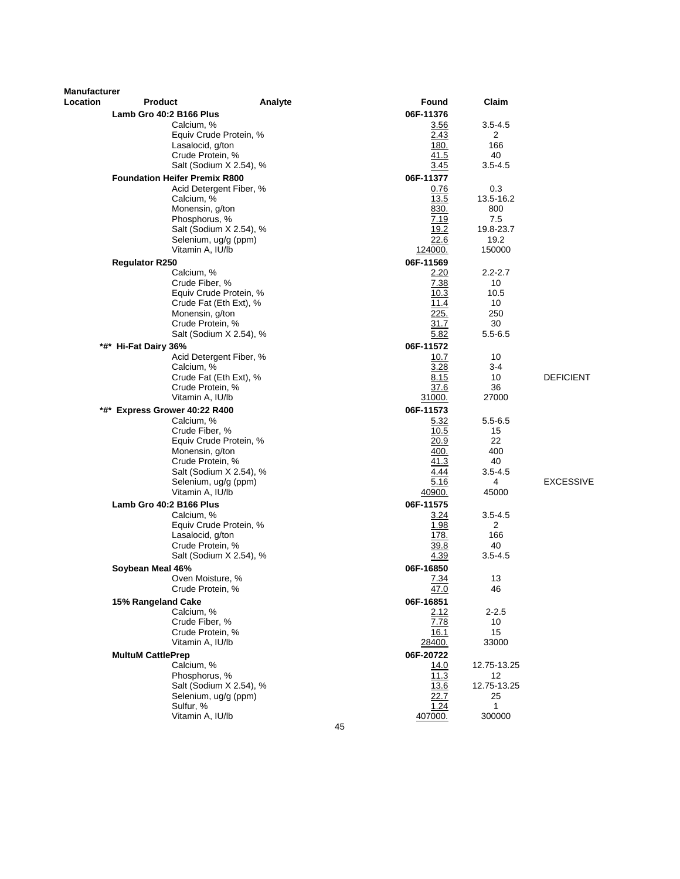| <b>Manufacturer</b> |                                      |                                                  |                     |                   |                  |
|---------------------|--------------------------------------|--------------------------------------------------|---------------------|-------------------|------------------|
| Location            | <b>Product</b>                       | Analyte                                          | Found               | Claim             |                  |
|                     | Lamb Gro 40:2 B166 Plus              |                                                  | 06F-11376           |                   |                  |
|                     | Calcium, %                           |                                                  | 3.56                | $3.5 - 4.5$       |                  |
|                     |                                      | Equiv Crude Protein, %                           | 2.43                | 2                 |                  |
|                     | Lasalocid, g/ton<br>Crude Protein, % |                                                  | <u>180.</u><br>41.5 | 166<br>40         |                  |
|                     |                                      | Salt (Sodium X 2.54), %                          | 3.45                | $3.5 - 4.5$       |                  |
|                     | <b>Foundation Heifer Premix R800</b> |                                                  | 06F-11377           |                   |                  |
|                     |                                      | Acid Detergent Fiber, %                          | 0.76                | 0.3               |                  |
|                     | Calcium, %                           |                                                  | 13.5                | 13.5-16.2         |                  |
|                     | Monensin, g/ton                      |                                                  | 830.                | 800               |                  |
|                     | Phosphorus, %                        |                                                  | 7.19                | 7.5               |                  |
|                     |                                      | Salt (Sodium X 2.54), %                          | 19.2                | 19.8-23.7         |                  |
|                     | Selenium, ug/g (ppm)                 |                                                  | 22.6                | 19.2              |                  |
|                     | Vitamin A, IU/lb                     |                                                  | 124000.             | 150000            |                  |
|                     | <b>Regulator R250</b>                |                                                  | 06F-11569           |                   |                  |
|                     | Calcium, %                           |                                                  | 2.20                | $2.2 - 2.7$       |                  |
|                     | Crude Fiber, %                       |                                                  | 7.38                | 10                |                  |
|                     |                                      | Equiv Crude Protein, %<br>Crude Fat (Eth Ext), % | 10.3<br>11.4        | 10.5<br>10        |                  |
|                     | Monensin, g/ton                      |                                                  | 225.                | 250               |                  |
|                     | Crude Protein, %                     |                                                  | 31.7                | 30                |                  |
|                     |                                      | Salt (Sodium X 2.54), %                          | 5.82                | $5.5 - 6.5$       |                  |
|                     | *#* Hi-Fat Dairy 36%                 |                                                  | 06F-11572           |                   |                  |
|                     |                                      | Acid Detergent Fiber, %                          | 10.7                | 10                |                  |
|                     | Calcium, %                           |                                                  | 3.28                | 3-4               |                  |
|                     |                                      | Crude Fat (Eth Ext), %                           | 8.15                | 10                | <b>DEFICIENT</b> |
|                     | Crude Protein, %                     |                                                  | 37.6                | 36                |                  |
|                     | Vitamin A, IU/lb                     |                                                  | <u>31000.</u>       | 27000             |                  |
|                     | *#* Express Grower 40:22 R400        |                                                  | 06F-11573           |                   |                  |
|                     | Calcium, %<br>Crude Fiber, %         |                                                  | 5.32<br>10.5        | $5.5 - 6.5$<br>15 |                  |
|                     |                                      | Equiv Crude Protein, %                           | 20.9                | 22                |                  |
|                     | Monensin, g/ton                      |                                                  | 400.                | 400               |                  |
|                     | Crude Protein, %                     |                                                  | 41.3                | 40                |                  |
|                     |                                      | Salt (Sodium X 2.54), %                          | 4.44                | $3.5 - 4.5$       |                  |
|                     | Selenium, ug/g (ppm)                 |                                                  | 5.16                | 4                 | <b>EXCESSIVE</b> |
|                     | Vitamin A, IU/lb                     |                                                  | 40900.              | 45000             |                  |
|                     | Lamb Gro 40:2 B166 Plus              |                                                  | 06F-11575           |                   |                  |
|                     | Calcium, %                           |                                                  | 3.24                | $3.5 - 4.5$       |                  |
|                     | Lasalocid, g/ton                     | Equiv Crude Protein, %                           | 1.98<br>178.        | 2<br>166          |                  |
|                     | Crude Protein, %                     |                                                  | 39.8                | 40                |                  |
|                     |                                      | Salt (Sodium X 2.54), %                          | 4.39                | $3.5 - 4.5$       |                  |
|                     | Soybean Meal 46%                     |                                                  | 06F-16850           |                   |                  |
|                     | Oven Moisture, %                     |                                                  | 7.34                | 13                |                  |
|                     | Crude Protein, %                     |                                                  | 47.0                | 46                |                  |
|                     | 15% Rangeland Cake                   |                                                  | 06F-16851           |                   |                  |
|                     | Calcium, %                           |                                                  | 2.12                | $2 - 2.5$         |                  |
|                     | Crude Fiber, %                       |                                                  | 7.78                | 10                |                  |
|                     | Crude Protein, %                     |                                                  | 16.1                | 15                |                  |
|                     | Vitamin A, IU/lb                     |                                                  | 28400.              | 33000             |                  |
|                     | <b>MultuM CattlePrep</b>             |                                                  | 06F-20722           |                   |                  |
|                     | Calcium, %<br>Phosphorus, %          |                                                  | 14.0<br>11.3        | 12.75-13.25<br>12 |                  |
|                     |                                      | Salt (Sodium X 2.54), %                          | 13.6                | 12.75-13.25       |                  |
|                     | Selenium, ug/g (ppm)                 |                                                  | 22.7                | 25                |                  |
|                     | Sulfur, %                            |                                                  | 1.24                | 1                 |                  |
|                     | Vitamin A, IU/lb                     |                                                  | 407000.             | 300000            |                  |
|                     |                                      | 45                                               |                     |                   |                  |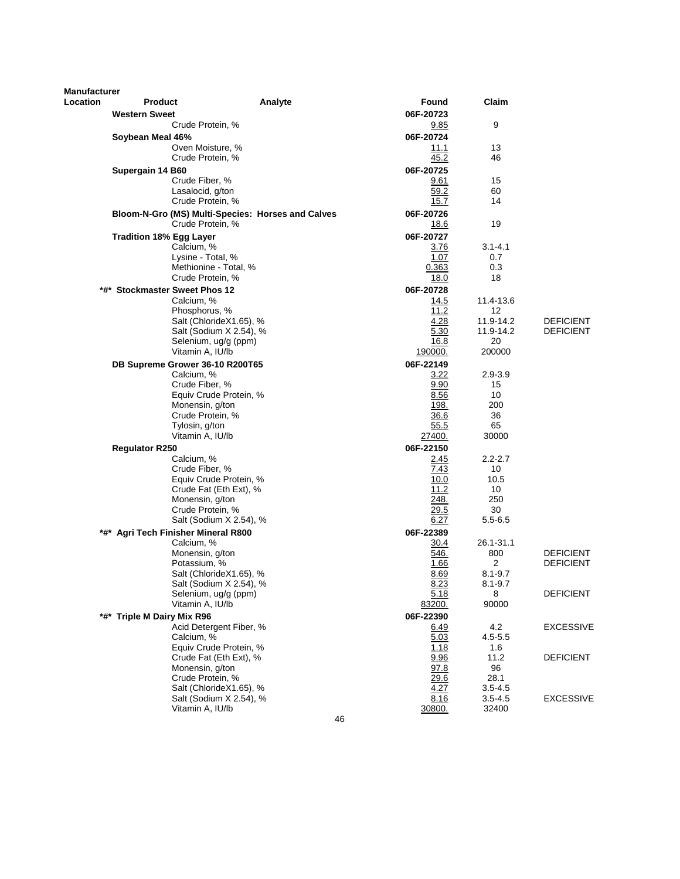| Manufacturer |                                     |                                                   |              |             |                  |  |
|--------------|-------------------------------------|---------------------------------------------------|--------------|-------------|------------------|--|
| Location     | <b>Product</b>                      | Analyte                                           | Found        | Claim       |                  |  |
|              | <b>Western Sweet</b>                |                                                   | 06F-20723    |             |                  |  |
|              | Crude Protein, %                    |                                                   | 9.85         | 9           |                  |  |
|              | Soybean Meal 46%                    |                                                   | 06F-20724    |             |                  |  |
|              | Oven Moisture, %                    |                                                   | 11.1         | 13          |                  |  |
|              | Crude Protein, %                    |                                                   | 45.2         | 46          |                  |  |
|              | Supergain 14 B60                    |                                                   | 06F-20725    |             |                  |  |
|              | Crude Fiber, %                      |                                                   | 9.61         | 15          |                  |  |
|              | Lasalocid, g/ton                    |                                                   | 59.2         | 60          |                  |  |
|              | Crude Protein, %                    |                                                   | 15.7         | 14          |                  |  |
|              |                                     | Bloom-N-Gro (MS) Multi-Species: Horses and Calves | 06F-20726    |             |                  |  |
|              | Crude Protein, %                    |                                                   | 18.6         | 19          |                  |  |
|              | <b>Tradition 18% Egg Layer</b>      |                                                   | 06F-20727    |             |                  |  |
|              | Calcium, %                          |                                                   | 3.76         | $3.1 - 4.1$ |                  |  |
|              | Lysine - Total, %                   |                                                   | 1.07         | 0.7         |                  |  |
|              |                                     | Methionine - Total, %                             | 0.363        | 0.3         |                  |  |
|              | Crude Protein, %                    |                                                   | 18.0         | 18          |                  |  |
|              | *#* Stockmaster Sweet Phos 12       |                                                   | 06F-20728    |             |                  |  |
|              | Calcium, %                          |                                                   | 14.5         | 11.4-13.6   |                  |  |
|              | Phosphorus, %                       |                                                   | 11.2         | 12          |                  |  |
|              |                                     | Salt (ChlorideX1.65), %                           | 4.28         | 11.9-14.2   | <b>DEFICIENT</b> |  |
|              |                                     | Salt (Sodium X 2.54), %                           | 5.30         | 11.9-14.2   | <b>DEFICIENT</b> |  |
|              |                                     | Selenium, ug/g (ppm)                              | 16.8         | 20          |                  |  |
|              | Vitamin A, IU/lb                    |                                                   | 190000.      | 200000      |                  |  |
|              | DB Supreme Grower 36-10 R200T65     |                                                   | 06F-22149    |             |                  |  |
|              | Calcium. %                          |                                                   | 3.22         | $2.9 - 3.9$ |                  |  |
|              | Crude Fiber, %                      |                                                   | 9.90         | 15          |                  |  |
|              |                                     | Equiv Crude Protein, %                            | 8.56         | 10          |                  |  |
|              | Monensin, g/ton                     |                                                   | 198.         | 200         |                  |  |
|              | Crude Protein, %                    |                                                   | 36.6         | 36          |                  |  |
|              | Tylosin, g/ton                      |                                                   | 55.5         | 65          |                  |  |
|              | Vitamin A, IU/lb                    |                                                   | 27400.       | 30000       |                  |  |
|              | <b>Regulator R250</b>               |                                                   | 06F-22150    |             |                  |  |
|              | Calcium, %                          |                                                   | 2.45         | $2.2 - 2.7$ |                  |  |
|              | Crude Fiber, %                      |                                                   | 7.43         | 10          |                  |  |
|              |                                     | Equiv Crude Protein, %                            | 10.0         | 10.5        |                  |  |
|              |                                     | Crude Fat (Eth Ext), %                            | 11.2         | 10          |                  |  |
|              | Monensin, g/ton<br>Crude Protein, % |                                                   | 248.<br>29.5 | 250<br>30   |                  |  |
|              |                                     | Salt (Sodium X 2.54), %                           | 6.27         | $5.5 - 6.5$ |                  |  |
|              | *#* Agri Tech Finisher Mineral R800 |                                                   | 06F-22389    |             |                  |  |
|              | Calcium, %                          |                                                   | 30.4         | 26.1-31.1   |                  |  |
|              | Monensin, g/ton                     |                                                   | 546.         | 800         | <b>DEFICIENT</b> |  |
|              | Potassium, %                        |                                                   | 1.66         | 2           | <b>DEFICIENT</b> |  |
|              |                                     | Salt (ChlorideX1.65), %                           | 8.69         | $8.1 - 9.7$ |                  |  |
|              |                                     | Salt (Sodium X 2.54), %                           | 8.23         | $8.1 - 9.7$ |                  |  |
|              |                                     | Selenium, ug/g (ppm)                              | 5.18         | 8           | <b>DEFICIENT</b> |  |
|              | Vitamin A, IU/lb                    |                                                   | 83200.       | 90000       |                  |  |
|              | *#* Triple M Dairy Mix R96          |                                                   | 06F-22390    |             |                  |  |
|              |                                     | Acid Detergent Fiber, %                           | <u>6.49</u>  | 4.2         | EXCESSIVE        |  |
|              | Calcium, %                          |                                                   | 5.03         | $4.5 - 5.5$ |                  |  |
|              |                                     | Equiv Crude Protein, %                            | 1.18         | 1.6         |                  |  |
|              |                                     | Crude Fat (Eth Ext), %                            | 9.96         | 11.2        | <b>DEFICIENT</b> |  |
|              | Monensin, g/ton                     |                                                   | 97.8         | 96          |                  |  |
|              | Crude Protein, %                    |                                                   | 29.6         | 28.1        |                  |  |
|              |                                     | Salt (ChlorideX1.65), %                           | 4.27         | $3.5 - 4.5$ |                  |  |
|              |                                     | Salt (Sodium X 2.54), %                           | 8.16         | $3.5 - 4.5$ | <b>EXCESSIVE</b> |  |
|              | Vitamin A, IU/lb                    |                                                   | 30800.       | 32400       |                  |  |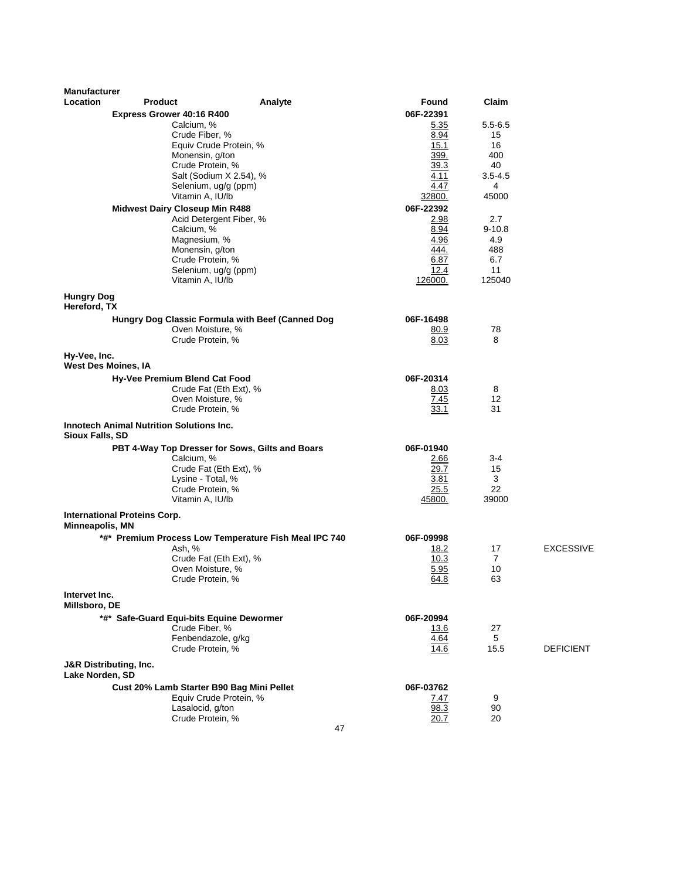| 06F-22391<br>Express Grower 40:16 R400<br>Calcium, %<br>$5.5 - 6.5$<br><u>5.35</u><br>Crude Fiber, %<br>8.94<br>15<br>15.1<br>Equiv Crude Protein, %<br>16<br>Monensin, g/ton<br>399.<br>400<br>Crude Protein, %<br>39.3<br>40<br>4.11<br>Salt (Sodium X 2.54), %<br>$3.5 - 4.5$<br>4.47<br>Selenium, ug/g (ppm)<br>4<br>Vitamin A, IU/lb<br>32800.<br>45000<br>06F-22392<br><b>Midwest Dairy Closeup Min R488</b><br>Acid Detergent Fiber, %<br>2.98<br>2.7<br>8.94<br>Calcium, %<br>$9 - 10.8$<br>Magnesium, %<br>4.96<br>4.9<br>444.<br>Monensin, g/ton<br>488<br>Crude Protein, %<br>6.87<br>6.7<br>12.4<br>11<br>Selenium, ug/g (ppm)<br>Vitamin A, IU/lb<br>126000.<br>125040<br><b>Hungry Dog</b><br>Hereford, TX<br>Hungry Dog Classic Formula with Beef (Canned Dog<br>06F-16498<br>Oven Moisture, %<br>78<br>80.9<br>Crude Protein, %<br>8.03<br>8<br>Hy-Vee, Inc.<br>West Des Moines, IA<br>06F-20314<br>Hy-Vee Premium Blend Cat Food<br>Crude Fat (Eth Ext), %<br>8<br>8.03<br>Oven Moisture, %<br>7.45<br>12<br>Crude Protein, %<br>31<br>33.1<br><b>Innotech Animal Nutrition Solutions Inc.</b><br>Sioux Falls, SD<br>PBT 4-Way Top Dresser for Sows, Gilts and Boars<br>06F-01940<br>Calcium, %<br>3-4<br>2.66<br>Crude Fat (Eth Ext), %<br>29.7<br>15<br>Lysine - Total, %<br>3.81<br>3<br>Crude Protein, %<br>25.5<br>22<br>Vitamin A, IU/lb<br>45800.<br>39000<br><b>International Proteins Corp.</b><br>Minneapolis, MN<br>*#* Premium Process Low Temperature Fish Meal IPC 740<br>06F-09998<br><b>EXCESSIVE</b><br>Ash, %<br>18.2<br>17<br>10.3<br>$\overline{7}$<br>Crude Fat (Eth Ext), %<br>5.95<br>10<br>Oven Moisture, %<br>Crude Protein, %<br>64.8<br>63<br>Intervet Inc.<br>Millsboro, DE<br>*#* Safe-Guard Equi-bits Equine Dewormer<br>06F-20994<br>Crude Fiber, %<br>13.6<br>27<br>Fenbendazole, g/kg<br>4.64<br>5<br>Crude Protein, %<br>15.5<br>14.6<br><b>DEFICIENT</b><br><b>J&amp;R Distributing, Inc.</b><br>Lake Norden, SD<br>Cust 20% Lamb Starter B90 Bag Mini Pellet<br>06F-03762<br>Equiv Crude Protein, %<br>7.47<br>9<br>Lasalocid, g/ton<br>98.3<br>90 | <b>Manufacturer</b><br>Location | <b>Product</b> | Analyte | <b>Found</b> | Claim |  |
|---------------------------------------------------------------------------------------------------------------------------------------------------------------------------------------------------------------------------------------------------------------------------------------------------------------------------------------------------------------------------------------------------------------------------------------------------------------------------------------------------------------------------------------------------------------------------------------------------------------------------------------------------------------------------------------------------------------------------------------------------------------------------------------------------------------------------------------------------------------------------------------------------------------------------------------------------------------------------------------------------------------------------------------------------------------------------------------------------------------------------------------------------------------------------------------------------------------------------------------------------------------------------------------------------------------------------------------------------------------------------------------------------------------------------------------------------------------------------------------------------------------------------------------------------------------------------------------------------------------------------------------------------------------------------------------------------------------------------------------------------------------------------------------------------------------------------------------------------------------------------------------------------------------------------------------------------------------------------------------------------------------------------------------------------------------------------------------------------------|---------------------------------|----------------|---------|--------------|-------|--|
|                                                                                                                                                                                                                                                                                                                                                                                                                                                                                                                                                                                                                                                                                                                                                                                                                                                                                                                                                                                                                                                                                                                                                                                                                                                                                                                                                                                                                                                                                                                                                                                                                                                                                                                                                                                                                                                                                                                                                                                                                                                                                                         |                                 |                |         |              |       |  |
|                                                                                                                                                                                                                                                                                                                                                                                                                                                                                                                                                                                                                                                                                                                                                                                                                                                                                                                                                                                                                                                                                                                                                                                                                                                                                                                                                                                                                                                                                                                                                                                                                                                                                                                                                                                                                                                                                                                                                                                                                                                                                                         |                                 |                |         |              |       |  |
|                                                                                                                                                                                                                                                                                                                                                                                                                                                                                                                                                                                                                                                                                                                                                                                                                                                                                                                                                                                                                                                                                                                                                                                                                                                                                                                                                                                                                                                                                                                                                                                                                                                                                                                                                                                                                                                                                                                                                                                                                                                                                                         |                                 |                |         |              |       |  |
|                                                                                                                                                                                                                                                                                                                                                                                                                                                                                                                                                                                                                                                                                                                                                                                                                                                                                                                                                                                                                                                                                                                                                                                                                                                                                                                                                                                                                                                                                                                                                                                                                                                                                                                                                                                                                                                                                                                                                                                                                                                                                                         |                                 |                |         |              |       |  |
|                                                                                                                                                                                                                                                                                                                                                                                                                                                                                                                                                                                                                                                                                                                                                                                                                                                                                                                                                                                                                                                                                                                                                                                                                                                                                                                                                                                                                                                                                                                                                                                                                                                                                                                                                                                                                                                                                                                                                                                                                                                                                                         |                                 |                |         |              |       |  |
|                                                                                                                                                                                                                                                                                                                                                                                                                                                                                                                                                                                                                                                                                                                                                                                                                                                                                                                                                                                                                                                                                                                                                                                                                                                                                                                                                                                                                                                                                                                                                                                                                                                                                                                                                                                                                                                                                                                                                                                                                                                                                                         |                                 |                |         |              |       |  |
|                                                                                                                                                                                                                                                                                                                                                                                                                                                                                                                                                                                                                                                                                                                                                                                                                                                                                                                                                                                                                                                                                                                                                                                                                                                                                                                                                                                                                                                                                                                                                                                                                                                                                                                                                                                                                                                                                                                                                                                                                                                                                                         |                                 |                |         |              |       |  |
|                                                                                                                                                                                                                                                                                                                                                                                                                                                                                                                                                                                                                                                                                                                                                                                                                                                                                                                                                                                                                                                                                                                                                                                                                                                                                                                                                                                                                                                                                                                                                                                                                                                                                                                                                                                                                                                                                                                                                                                                                                                                                                         |                                 |                |         |              |       |  |
|                                                                                                                                                                                                                                                                                                                                                                                                                                                                                                                                                                                                                                                                                                                                                                                                                                                                                                                                                                                                                                                                                                                                                                                                                                                                                                                                                                                                                                                                                                                                                                                                                                                                                                                                                                                                                                                                                                                                                                                                                                                                                                         |                                 |                |         |              |       |  |
|                                                                                                                                                                                                                                                                                                                                                                                                                                                                                                                                                                                                                                                                                                                                                                                                                                                                                                                                                                                                                                                                                                                                                                                                                                                                                                                                                                                                                                                                                                                                                                                                                                                                                                                                                                                                                                                                                                                                                                                                                                                                                                         |                                 |                |         |              |       |  |
|                                                                                                                                                                                                                                                                                                                                                                                                                                                                                                                                                                                                                                                                                                                                                                                                                                                                                                                                                                                                                                                                                                                                                                                                                                                                                                                                                                                                                                                                                                                                                                                                                                                                                                                                                                                                                                                                                                                                                                                                                                                                                                         |                                 |                |         |              |       |  |
|                                                                                                                                                                                                                                                                                                                                                                                                                                                                                                                                                                                                                                                                                                                                                                                                                                                                                                                                                                                                                                                                                                                                                                                                                                                                                                                                                                                                                                                                                                                                                                                                                                                                                                                                                                                                                                                                                                                                                                                                                                                                                                         |                                 |                |         |              |       |  |
|                                                                                                                                                                                                                                                                                                                                                                                                                                                                                                                                                                                                                                                                                                                                                                                                                                                                                                                                                                                                                                                                                                                                                                                                                                                                                                                                                                                                                                                                                                                                                                                                                                                                                                                                                                                                                                                                                                                                                                                                                                                                                                         |                                 |                |         |              |       |  |
|                                                                                                                                                                                                                                                                                                                                                                                                                                                                                                                                                                                                                                                                                                                                                                                                                                                                                                                                                                                                                                                                                                                                                                                                                                                                                                                                                                                                                                                                                                                                                                                                                                                                                                                                                                                                                                                                                                                                                                                                                                                                                                         |                                 |                |         |              |       |  |
|                                                                                                                                                                                                                                                                                                                                                                                                                                                                                                                                                                                                                                                                                                                                                                                                                                                                                                                                                                                                                                                                                                                                                                                                                                                                                                                                                                                                                                                                                                                                                                                                                                                                                                                                                                                                                                                                                                                                                                                                                                                                                                         |                                 |                |         |              |       |  |
|                                                                                                                                                                                                                                                                                                                                                                                                                                                                                                                                                                                                                                                                                                                                                                                                                                                                                                                                                                                                                                                                                                                                                                                                                                                                                                                                                                                                                                                                                                                                                                                                                                                                                                                                                                                                                                                                                                                                                                                                                                                                                                         |                                 |                |         |              |       |  |
|                                                                                                                                                                                                                                                                                                                                                                                                                                                                                                                                                                                                                                                                                                                                                                                                                                                                                                                                                                                                                                                                                                                                                                                                                                                                                                                                                                                                                                                                                                                                                                                                                                                                                                                                                                                                                                                                                                                                                                                                                                                                                                         |                                 |                |         |              |       |  |
|                                                                                                                                                                                                                                                                                                                                                                                                                                                                                                                                                                                                                                                                                                                                                                                                                                                                                                                                                                                                                                                                                                                                                                                                                                                                                                                                                                                                                                                                                                                                                                                                                                                                                                                                                                                                                                                                                                                                                                                                                                                                                                         |                                 |                |         |              |       |  |
|                                                                                                                                                                                                                                                                                                                                                                                                                                                                                                                                                                                                                                                                                                                                                                                                                                                                                                                                                                                                                                                                                                                                                                                                                                                                                                                                                                                                                                                                                                                                                                                                                                                                                                                                                                                                                                                                                                                                                                                                                                                                                                         |                                 |                |         |              |       |  |
|                                                                                                                                                                                                                                                                                                                                                                                                                                                                                                                                                                                                                                                                                                                                                                                                                                                                                                                                                                                                                                                                                                                                                                                                                                                                                                                                                                                                                                                                                                                                                                                                                                                                                                                                                                                                                                                                                                                                                                                                                                                                                                         |                                 |                |         |              |       |  |
|                                                                                                                                                                                                                                                                                                                                                                                                                                                                                                                                                                                                                                                                                                                                                                                                                                                                                                                                                                                                                                                                                                                                                                                                                                                                                                                                                                                                                                                                                                                                                                                                                                                                                                                                                                                                                                                                                                                                                                                                                                                                                                         |                                 |                |         |              |       |  |
|                                                                                                                                                                                                                                                                                                                                                                                                                                                                                                                                                                                                                                                                                                                                                                                                                                                                                                                                                                                                                                                                                                                                                                                                                                                                                                                                                                                                                                                                                                                                                                                                                                                                                                                                                                                                                                                                                                                                                                                                                                                                                                         |                                 |                |         |              |       |  |
|                                                                                                                                                                                                                                                                                                                                                                                                                                                                                                                                                                                                                                                                                                                                                                                                                                                                                                                                                                                                                                                                                                                                                                                                                                                                                                                                                                                                                                                                                                                                                                                                                                                                                                                                                                                                                                                                                                                                                                                                                                                                                                         |                                 |                |         |              |       |  |
|                                                                                                                                                                                                                                                                                                                                                                                                                                                                                                                                                                                                                                                                                                                                                                                                                                                                                                                                                                                                                                                                                                                                                                                                                                                                                                                                                                                                                                                                                                                                                                                                                                                                                                                                                                                                                                                                                                                                                                                                                                                                                                         |                                 |                |         |              |       |  |
|                                                                                                                                                                                                                                                                                                                                                                                                                                                                                                                                                                                                                                                                                                                                                                                                                                                                                                                                                                                                                                                                                                                                                                                                                                                                                                                                                                                                                                                                                                                                                                                                                                                                                                                                                                                                                                                                                                                                                                                                                                                                                                         |                                 |                |         |              |       |  |
|                                                                                                                                                                                                                                                                                                                                                                                                                                                                                                                                                                                                                                                                                                                                                                                                                                                                                                                                                                                                                                                                                                                                                                                                                                                                                                                                                                                                                                                                                                                                                                                                                                                                                                                                                                                                                                                                                                                                                                                                                                                                                                         |                                 |                |         |              |       |  |
|                                                                                                                                                                                                                                                                                                                                                                                                                                                                                                                                                                                                                                                                                                                                                                                                                                                                                                                                                                                                                                                                                                                                                                                                                                                                                                                                                                                                                                                                                                                                                                                                                                                                                                                                                                                                                                                                                                                                                                                                                                                                                                         |                                 |                |         |              |       |  |
|                                                                                                                                                                                                                                                                                                                                                                                                                                                                                                                                                                                                                                                                                                                                                                                                                                                                                                                                                                                                                                                                                                                                                                                                                                                                                                                                                                                                                                                                                                                                                                                                                                                                                                                                                                                                                                                                                                                                                                                                                                                                                                         |                                 |                |         |              |       |  |
|                                                                                                                                                                                                                                                                                                                                                                                                                                                                                                                                                                                                                                                                                                                                                                                                                                                                                                                                                                                                                                                                                                                                                                                                                                                                                                                                                                                                                                                                                                                                                                                                                                                                                                                                                                                                                                                                                                                                                                                                                                                                                                         |                                 |                |         |              |       |  |
|                                                                                                                                                                                                                                                                                                                                                                                                                                                                                                                                                                                                                                                                                                                                                                                                                                                                                                                                                                                                                                                                                                                                                                                                                                                                                                                                                                                                                                                                                                                                                                                                                                                                                                                                                                                                                                                                                                                                                                                                                                                                                                         |                                 |                |         |              |       |  |
|                                                                                                                                                                                                                                                                                                                                                                                                                                                                                                                                                                                                                                                                                                                                                                                                                                                                                                                                                                                                                                                                                                                                                                                                                                                                                                                                                                                                                                                                                                                                                                                                                                                                                                                                                                                                                                                                                                                                                                                                                                                                                                         |                                 |                |         |              |       |  |
|                                                                                                                                                                                                                                                                                                                                                                                                                                                                                                                                                                                                                                                                                                                                                                                                                                                                                                                                                                                                                                                                                                                                                                                                                                                                                                                                                                                                                                                                                                                                                                                                                                                                                                                                                                                                                                                                                                                                                                                                                                                                                                         |                                 |                |         |              |       |  |
|                                                                                                                                                                                                                                                                                                                                                                                                                                                                                                                                                                                                                                                                                                                                                                                                                                                                                                                                                                                                                                                                                                                                                                                                                                                                                                                                                                                                                                                                                                                                                                                                                                                                                                                                                                                                                                                                                                                                                                                                                                                                                                         |                                 |                |         |              |       |  |
|                                                                                                                                                                                                                                                                                                                                                                                                                                                                                                                                                                                                                                                                                                                                                                                                                                                                                                                                                                                                                                                                                                                                                                                                                                                                                                                                                                                                                                                                                                                                                                                                                                                                                                                                                                                                                                                                                                                                                                                                                                                                                                         |                                 |                |         |              |       |  |
|                                                                                                                                                                                                                                                                                                                                                                                                                                                                                                                                                                                                                                                                                                                                                                                                                                                                                                                                                                                                                                                                                                                                                                                                                                                                                                                                                                                                                                                                                                                                                                                                                                                                                                                                                                                                                                                                                                                                                                                                                                                                                                         |                                 |                |         |              |       |  |
|                                                                                                                                                                                                                                                                                                                                                                                                                                                                                                                                                                                                                                                                                                                                                                                                                                                                                                                                                                                                                                                                                                                                                                                                                                                                                                                                                                                                                                                                                                                                                                                                                                                                                                                                                                                                                                                                                                                                                                                                                                                                                                         |                                 |                |         |              |       |  |
|                                                                                                                                                                                                                                                                                                                                                                                                                                                                                                                                                                                                                                                                                                                                                                                                                                                                                                                                                                                                                                                                                                                                                                                                                                                                                                                                                                                                                                                                                                                                                                                                                                                                                                                                                                                                                                                                                                                                                                                                                                                                                                         |                                 |                |         |              |       |  |
|                                                                                                                                                                                                                                                                                                                                                                                                                                                                                                                                                                                                                                                                                                                                                                                                                                                                                                                                                                                                                                                                                                                                                                                                                                                                                                                                                                                                                                                                                                                                                                                                                                                                                                                                                                                                                                                                                                                                                                                                                                                                                                         |                                 |                |         |              |       |  |
|                                                                                                                                                                                                                                                                                                                                                                                                                                                                                                                                                                                                                                                                                                                                                                                                                                                                                                                                                                                                                                                                                                                                                                                                                                                                                                                                                                                                                                                                                                                                                                                                                                                                                                                                                                                                                                                                                                                                                                                                                                                                                                         |                                 |                |         |              |       |  |
|                                                                                                                                                                                                                                                                                                                                                                                                                                                                                                                                                                                                                                                                                                                                                                                                                                                                                                                                                                                                                                                                                                                                                                                                                                                                                                                                                                                                                                                                                                                                                                                                                                                                                                                                                                                                                                                                                                                                                                                                                                                                                                         |                                 |                |         |              |       |  |
|                                                                                                                                                                                                                                                                                                                                                                                                                                                                                                                                                                                                                                                                                                                                                                                                                                                                                                                                                                                                                                                                                                                                                                                                                                                                                                                                                                                                                                                                                                                                                                                                                                                                                                                                                                                                                                                                                                                                                                                                                                                                                                         |                                 |                |         |              |       |  |
|                                                                                                                                                                                                                                                                                                                                                                                                                                                                                                                                                                                                                                                                                                                                                                                                                                                                                                                                                                                                                                                                                                                                                                                                                                                                                                                                                                                                                                                                                                                                                                                                                                                                                                                                                                                                                                                                                                                                                                                                                                                                                                         |                                 |                |         |              |       |  |
|                                                                                                                                                                                                                                                                                                                                                                                                                                                                                                                                                                                                                                                                                                                                                                                                                                                                                                                                                                                                                                                                                                                                                                                                                                                                                                                                                                                                                                                                                                                                                                                                                                                                                                                                                                                                                                                                                                                                                                                                                                                                                                         |                                 |                |         |              |       |  |
|                                                                                                                                                                                                                                                                                                                                                                                                                                                                                                                                                                                                                                                                                                                                                                                                                                                                                                                                                                                                                                                                                                                                                                                                                                                                                                                                                                                                                                                                                                                                                                                                                                                                                                                                                                                                                                                                                                                                                                                                                                                                                                         |                                 |                |         |              |       |  |
|                                                                                                                                                                                                                                                                                                                                                                                                                                                                                                                                                                                                                                                                                                                                                                                                                                                                                                                                                                                                                                                                                                                                                                                                                                                                                                                                                                                                                                                                                                                                                                                                                                                                                                                                                                                                                                                                                                                                                                                                                                                                                                         |                                 |                |         |              |       |  |
|                                                                                                                                                                                                                                                                                                                                                                                                                                                                                                                                                                                                                                                                                                                                                                                                                                                                                                                                                                                                                                                                                                                                                                                                                                                                                                                                                                                                                                                                                                                                                                                                                                                                                                                                                                                                                                                                                                                                                                                                                                                                                                         |                                 |                |         |              |       |  |
|                                                                                                                                                                                                                                                                                                                                                                                                                                                                                                                                                                                                                                                                                                                                                                                                                                                                                                                                                                                                                                                                                                                                                                                                                                                                                                                                                                                                                                                                                                                                                                                                                                                                                                                                                                                                                                                                                                                                                                                                                                                                                                         |                                 |                |         |              |       |  |
|                                                                                                                                                                                                                                                                                                                                                                                                                                                                                                                                                                                                                                                                                                                                                                                                                                                                                                                                                                                                                                                                                                                                                                                                                                                                                                                                                                                                                                                                                                                                                                                                                                                                                                                                                                                                                                                                                                                                                                                                                                                                                                         |                                 |                |         |              |       |  |
| Crude Protein, %<br>20<br>20.7                                                                                                                                                                                                                                                                                                                                                                                                                                                                                                                                                                                                                                                                                                                                                                                                                                                                                                                                                                                                                                                                                                                                                                                                                                                                                                                                                                                                                                                                                                                                                                                                                                                                                                                                                                                                                                                                                                                                                                                                                                                                          |                                 |                |         |              |       |  |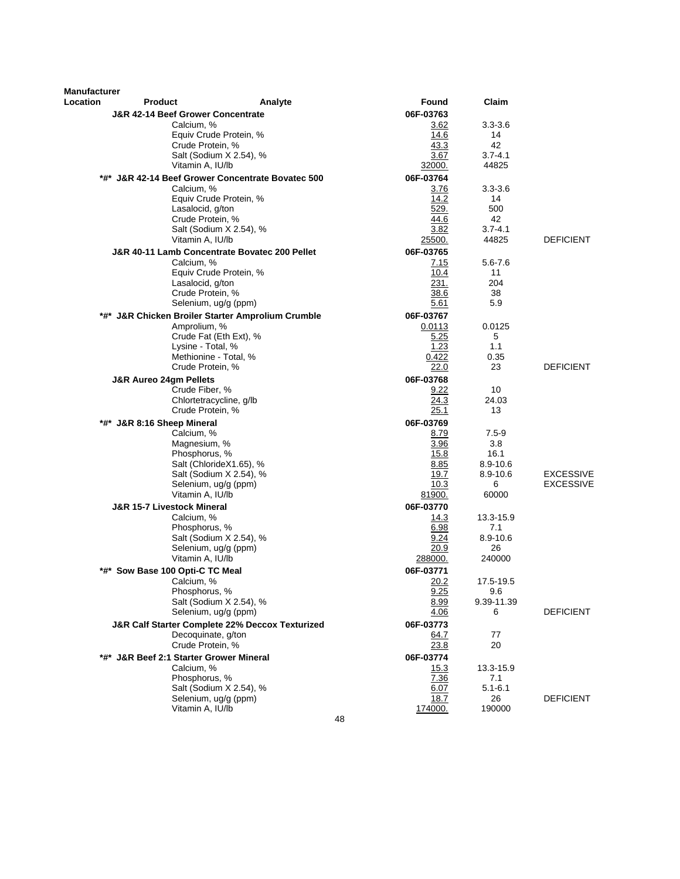| Manufacturer |                                                     |                                                          |              |                   |                               |
|--------------|-----------------------------------------------------|----------------------------------------------------------|--------------|-------------------|-------------------------------|
| Location     | <b>Product</b>                                      | Analyte                                                  | Found        | Claim             |                               |
|              | <b>J&amp;R 42-14 Beef Grower Concentrate</b>        |                                                          | 06F-03763    |                   |                               |
|              | Calcium, %                                          |                                                          | 3.62         | $3.3 - 3.6$       |                               |
|              |                                                     | Equiv Crude Protein, %                                   | 14.6         | 14                |                               |
|              | Crude Protein, %                                    | Salt (Sodium X 2.54), %                                  | 43.3<br>3.67 | 42<br>$3.7 - 4.1$ |                               |
|              | Vitamin A, IU/lb                                    |                                                          | 32000.       | 44825             |                               |
|              |                                                     | *#* J&R 42-14 Beef Grower Concentrate Bovatec 500        | 06F-03764    |                   |                               |
|              | Calcium, %                                          |                                                          | 3.76         | $3.3 - 3.6$       |                               |
|              |                                                     | Equiv Crude Protein, %                                   | 14.2         | 14                |                               |
|              | Lasalocid, g/ton                                    |                                                          | 529.         | 500               |                               |
|              | Crude Protein, %                                    |                                                          | 44.6         | 42                |                               |
|              |                                                     | Salt (Sodium X 2.54), %                                  | 3.82         | $3.7 - 4.1$       |                               |
|              | Vitamin A, IU/lb                                    |                                                          | 25500.       | 44825             | <b>DEFICIENT</b>              |
|              |                                                     | J&R 40-11 Lamb Concentrate Bovatec 200 Pellet            | 06F-03765    |                   |                               |
|              | Calcium, %                                          |                                                          | 7.15         | 5.6-7.6           |                               |
|              | Lasalocid, g/ton                                    | Equiv Crude Protein, %                                   | 10.4<br>231. | 11<br>204         |                               |
|              | Crude Protein, %                                    |                                                          | 38.6         | 38                |                               |
|              |                                                     | Selenium, ug/g (ppm)                                     | 5.61         | 5.9               |                               |
| *#*          |                                                     | <b>J&amp;R Chicken Broiler Starter Amprolium Crumble</b> | 06F-03767    |                   |                               |
|              | Amprolium, %                                        |                                                          | 0.0113       | 0.0125            |                               |
|              |                                                     | Crude Fat (Eth Ext), %                                   | 5.25         | 5                 |                               |
|              | Lysine - Total, %                                   |                                                          | 1.23         | 1.1               |                               |
|              | Methionine - Total, %                               |                                                          | 0.422        | 0.35              |                               |
|              | Crude Protein, %                                    |                                                          | 22.0         | 23                | <b>DEFICIENT</b>              |
|              | <b>J&amp;R Aureo 24gm Pellets</b><br>Crude Fiber, % |                                                          | 06F-03768    |                   |                               |
|              |                                                     | Chlortetracycline, g/lb                                  | 9.22<br>24.3 | 10<br>24.03       |                               |
|              | Crude Protein, %                                    |                                                          | 25.1         | 13                |                               |
| *#*          | J&R 8:16 Sheep Mineral                              |                                                          | 06F-03769    |                   |                               |
|              | Calcium, %                                          |                                                          | 8.79         | 7.5-9             |                               |
|              | Magnesium, %                                        |                                                          | 3.96         | 3.8               |                               |
|              | Phosphorus, %                                       |                                                          | 15.8         | 16.1              |                               |
|              |                                                     | Salt (ChlorideX1.65), %                                  | 8.85         | 8.9-10.6          |                               |
|              |                                                     | Salt (Sodium X 2.54), %<br>Selenium, ug/g (ppm)          | 19.7<br>10.3 | 8.9-10.6<br>6     | <b>EXCESSIVE</b><br>EXCESSIVE |
|              | Vitamin A, IU/lb                                    |                                                          | 81900.       | 60000             |                               |
|              | J&R 15-7 Livestock Mineral                          |                                                          | 06F-03770    |                   |                               |
|              | Calcium, %                                          |                                                          | 14.3         | 13.3-15.9         |                               |
|              | Phosphorus, %                                       |                                                          | 6.98         | 7.1               |                               |
|              |                                                     | Salt (Sodium X 2.54), %                                  | 9.24         | 8.9-10.6          |                               |
|              |                                                     | Selenium, ug/g (ppm)                                     | 20.9         | 26                |                               |
|              | Vitamin A, IU/lb                                    |                                                          | 288000.      | 240000            |                               |
|              | *#* Sow Base 100 Opti-C TC Meal                     |                                                          | 06F-03771    | 17.5-19.5         |                               |
|              | Calcium, %<br>Phosphorus, %                         |                                                          | 20.2<br>9.25 | 9.6               |                               |
|              |                                                     | Salt (Sodium X 2.54), %                                  | 8.99         | 9.39-11.39        |                               |
|              |                                                     | Selenium, ug/g (ppm)                                     | 4.06         | 6                 | <b>DEFICIENT</b>              |
|              |                                                     | J&R Calf Starter Complete 22% Deccox Texturized          | 06F-03773    |                   |                               |
|              | Decoquinate, g/ton                                  |                                                          | 64.7         | 77                |                               |
|              | Crude Protein, %                                    |                                                          | 23.8         | 20                |                               |
|              | *#* J&R Beef 2:1 Starter Grower Mineral             |                                                          | 06F-03774    |                   |                               |
|              | Calcium, %<br>Phosphorus, %                         |                                                          | 15.3<br>7.36 | 13.3-15.9<br>7.1  |                               |
|              |                                                     | Salt (Sodium X 2.54), %                                  | 6.07         | $5.1 - 6.1$       |                               |
|              |                                                     | Selenium, ug/g (ppm)                                     | 18.7         | 26                | <b>DEFICIENT</b>              |
|              | Vitamin A, IU/lb                                    |                                                          | 174000.      | 190000            |                               |
|              |                                                     | 48                                                       |              |                   |                               |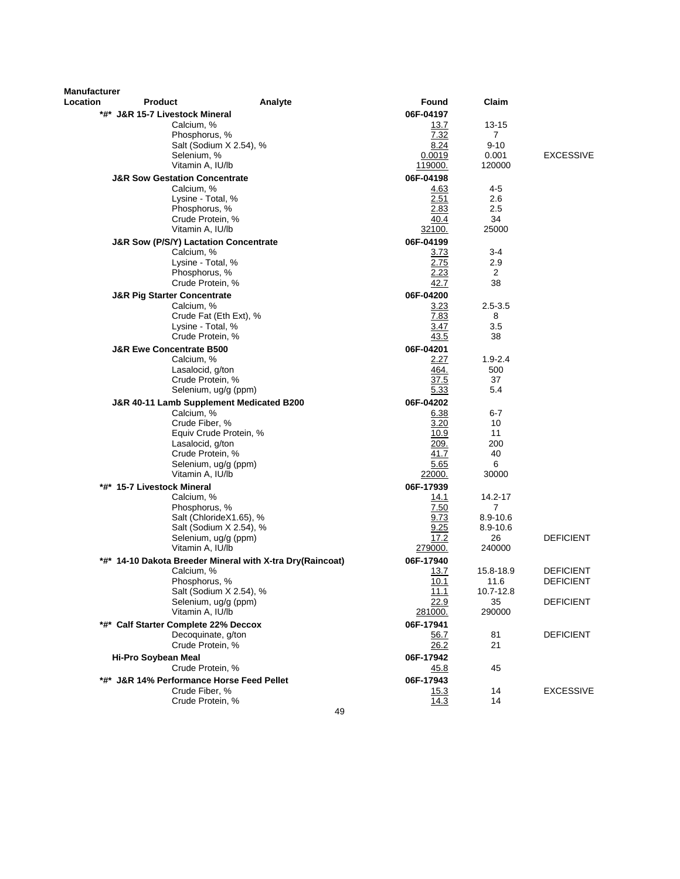| Manufacturer |                                                  |                                                           |                |                    |                  |
|--------------|--------------------------------------------------|-----------------------------------------------------------|----------------|--------------------|------------------|
| Location     | Product                                          | Analyte                                                   | Found          | Claim              |                  |
|              | *#* J&R 15-7 Livestock Mineral                   |                                                           | 06F-04197      |                    |                  |
|              | Calcium, %                                       |                                                           | 13.7           | 13-15              |                  |
|              | Phosphorus, %                                    |                                                           | 7.32           | $\mathbf{7}$       |                  |
|              | Salt (Sodium X 2.54), %                          |                                                           | 8.24           | $9 - 10$           |                  |
|              | Selenium, %                                      |                                                           | 0.0019         | 0.001              | <b>EXCESSIVE</b> |
|              | Vitamin A, IU/lb                                 |                                                           | 119000.        | 120000             |                  |
|              | <b>J&amp;R Sow Gestation Concentrate</b>         |                                                           | 06F-04198      |                    |                  |
|              | Calcium, %<br>Lysine - Total, %                  |                                                           | 4.63<br>2.51   | 4-5<br>2.6         |                  |
|              | Phosphorus, %                                    |                                                           | <u>2.83</u>    | 2.5                |                  |
|              | Crude Protein, %                                 |                                                           | 40.4           | 34                 |                  |
|              | Vitamin A, IU/lb                                 |                                                           | 32100.         | 25000              |                  |
|              | <b>J&amp;R Sow (P/S/Y) Lactation Concentrate</b> |                                                           | 06F-04199      |                    |                  |
|              | Calcium, %                                       |                                                           | 3.73           | 3-4                |                  |
|              | Lysine - Total, %                                |                                                           | 2.75           | 2.9                |                  |
|              | Phosphorus, %                                    |                                                           | 2.23           | $\overline{2}$     |                  |
|              | Crude Protein, %                                 |                                                           | 42.7           | 38                 |                  |
|              | <b>J&amp;R Pig Starter Concentrate</b>           |                                                           | 06F-04200      |                    |                  |
|              | Calcium, %                                       |                                                           | 3.23           | $2.5 - 3.5$        |                  |
|              | Crude Fat (Eth Ext), %                           |                                                           | 7.83           | 8                  |                  |
|              | Lysine - Total, %                                |                                                           | 3.47           | 3.5                |                  |
|              | Crude Protein, %                                 |                                                           | 43.5           | 38                 |                  |
|              | <b>J&amp;R Ewe Concentrate B500</b>              |                                                           | 06F-04201      |                    |                  |
|              | Calcium, %<br>Lasalocid, g/ton                   |                                                           | 2.27<br>464.   | $1.9 - 2.4$<br>500 |                  |
|              | Crude Protein, %                                 |                                                           | 37.5           | 37                 |                  |
|              | Selenium, ug/g (ppm)                             |                                                           | 5.33           | 5.4                |                  |
|              | J&R 40-11 Lamb Supplement Medicated B200         |                                                           | 06F-04202      |                    |                  |
|              | Calcium, %                                       |                                                           | 6.38           | 6-7                |                  |
|              | Crude Fiber, %                                   |                                                           | 3.20           | 10                 |                  |
|              | Equiv Crude Protein, %                           |                                                           | 10.9           | 11                 |                  |
|              | Lasalocid, g/ton                                 |                                                           | 209.           | 200                |                  |
|              | Crude Protein, %                                 |                                                           | 41.7           | 40                 |                  |
|              | Selenium, ug/g (ppm)<br>Vitamin A, IU/lb         |                                                           | 5.65<br>22000. | 6<br>30000         |                  |
|              | *#* 15-7 Livestock Mineral                       |                                                           | 06F-17939      |                    |                  |
|              | Calcium, %                                       |                                                           | 14.1           | 14.2-17            |                  |
|              | Phosphorus, %                                    |                                                           | 7.50           | 7                  |                  |
|              | Salt (ChlorideX1.65), %                          |                                                           | 9.73           | 8.9-10.6           |                  |
|              | Salt (Sodium X 2.54), %                          |                                                           | 9.25           | 8.9-10.6           |                  |
|              | Selenium, ug/g (ppm)                             |                                                           | 17.2           | 26                 | <b>DEFICIENT</b> |
|              | Vitamin A, IU/lb                                 |                                                           | 279000.        | 240000             |                  |
|              |                                                  | *#* 14-10 Dakota Breeder Mineral with X-tra Dry(Raincoat) | 06F-17940      |                    |                  |
|              | Calcium, %                                       |                                                           | 13.7           | 15.8-18.9          | <b>DEFICIENT</b> |
|              | Phosphorus, %<br>Salt (Sodium X 2.54), %         |                                                           | 10.1<br>11.1   | 11.6<br>10.7-12.8  | <b>DEFICIENT</b> |
|              | Selenium, ug/g (ppm)                             |                                                           | 22.9           | 35                 | <b>DEFICIENT</b> |
|              | Vitamin A, IU/lb                                 |                                                           | 281000.        | 290000             |                  |
|              | *#* Calf Starter Complete 22% Deccox             |                                                           | 06F-17941      |                    |                  |
|              | Decoquinate, g/ton                               |                                                           | 56.7           | 81                 | <b>DEFICIENT</b> |
|              | Crude Protein, %                                 |                                                           | 26.2           | 21                 |                  |
|              | <b>Hi-Pro Soybean Meal</b>                       |                                                           | 06F-17942      |                    |                  |
|              | Crude Protein, %                                 |                                                           | 45.8           | 45                 |                  |
|              | *#* J&R 14% Performance Horse Feed Pellet        |                                                           | 06F-17943      |                    |                  |
|              | Crude Fiber, %                                   |                                                           | 15.3           | 14                 | <b>EXCESSIVE</b> |
|              | Crude Protein, %                                 |                                                           | 14.3           | 14                 |                  |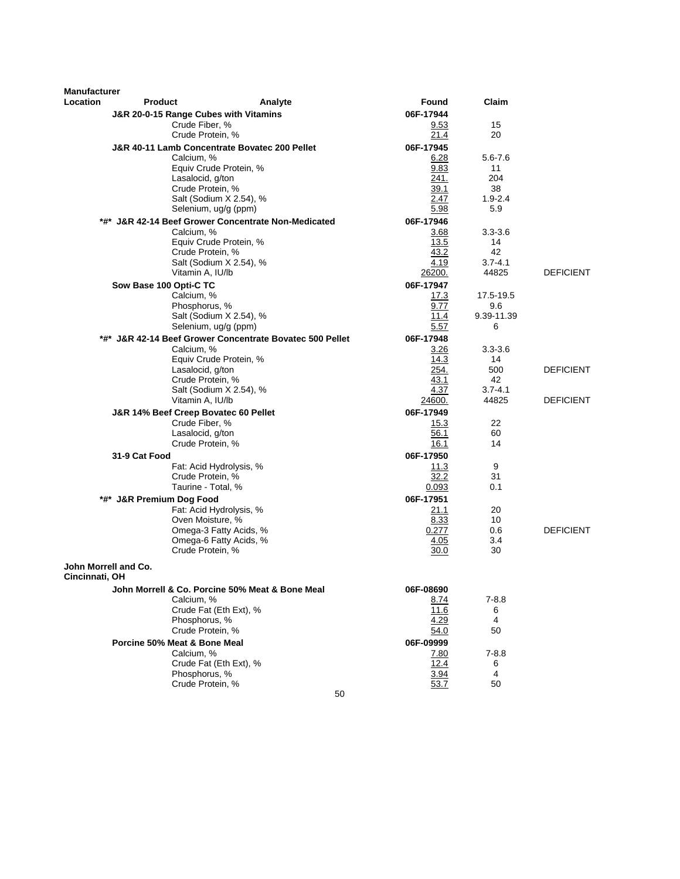| <b>Manufacturer</b> |                                       |                                                          |                   |                   |                  |
|---------------------|---------------------------------------|----------------------------------------------------------|-------------------|-------------------|------------------|
| <b>Location</b>     | <b>Product</b>                        | Analyte                                                  | Found             | Claim             |                  |
|                     | J&R 20-0-15 Range Cubes with Vitamins |                                                          | 06F-17944         |                   |                  |
|                     | Crude Fiber, %                        |                                                          | 9.53              | 15                |                  |
|                     | Crude Protein, %                      |                                                          | 21.4              | 20                |                  |
|                     | Calcium, %                            | J&R 40-11 Lamb Concentrate Bovatec 200 Pellet            | 06F-17945<br>6.28 | 5.6-7.6           |                  |
|                     |                                       | Equiv Crude Protein, %                                   | 9.83              | 11                |                  |
|                     | Lasalocid, g/ton                      |                                                          | 241.              | 204               |                  |
|                     | Crude Protein, %                      |                                                          | 39.1              | 38                |                  |
|                     |                                       | Salt (Sodium X 2.54), %                                  | 2.47              | $1.9 - 2.4$       |                  |
|                     |                                       | Selenium, ug/g (ppm)                                     | 5.98              | 5.9               |                  |
|                     |                                       | *#* J&R 42-14 Beef Grower Concentrate Non-Medicated      | 06F-17946         |                   |                  |
|                     | Calcium, %                            | Equiv Crude Protein, %                                   | 3.68<br>13.5      | $3.3 - 3.6$<br>14 |                  |
|                     | Crude Protein, %                      |                                                          | 43.2              | 42                |                  |
|                     |                                       | Salt (Sodium X 2.54), %                                  | 4.19              | $3.7 - 4.1$       |                  |
|                     | Vitamin A, IU/lb                      |                                                          | 26200.            | 44825             | <b>DEFICIENT</b> |
|                     | Sow Base 100 Opti-C TC                |                                                          | 06F-17947         |                   |                  |
|                     | Calcium, %                            |                                                          | 17.3              | 17.5-19.5         |                  |
|                     | Phosphorus, %                         | Salt (Sodium X 2.54), %                                  | 9.77<br>11.4      | 9.6<br>9.39-11.39 |                  |
|                     |                                       | Selenium, ug/g (ppm)                                     | 5.57              | 6                 |                  |
|                     |                                       | *#* J&R 42-14 Beef Grower Concentrate Bovatec 500 Pellet | 06F-17948         |                   |                  |
|                     | Calcium, %                            |                                                          | 3.26              | $3.3 - 3.6$       |                  |
|                     |                                       | Equiv Crude Protein, %                                   | 14.3              | 14                |                  |
|                     | Lasalocid, g/ton                      |                                                          | 254.              | 500               | <b>DEFICIENT</b> |
|                     | Crude Protein, %                      |                                                          | 43.1<br>4.37      | 42<br>$3.7 - 4.1$ |                  |
|                     | Vitamin A, IU/lb                      | Salt (Sodium X 2.54), %                                  | 24600.            | 44825             | <b>DEFICIENT</b> |
|                     | J&R 14% Beef Creep Bovatec 60 Pellet  |                                                          | 06F-17949         |                   |                  |
|                     | Crude Fiber, %                        |                                                          | 15.3              | 22                |                  |
|                     | Lasalocid, g/ton                      |                                                          | 56.1              | 60                |                  |
|                     | Crude Protein, %                      |                                                          | 16.1              | 14                |                  |
|                     | 31-9 Cat Food                         |                                                          | 06F-17950         |                   |                  |
|                     |                                       | Fat: Acid Hydrolysis, %                                  | 11.3              | 9                 |                  |
|                     |                                       | Crude Protein, %<br>Taurine - Total, %                   | 32.2<br>0.093     | 31<br>0.1         |                  |
|                     | *#* J&R Premium Dog Food              |                                                          | 06F-17951         |                   |                  |
|                     |                                       | Fat: Acid Hydrolysis, %                                  | 21.1              | 20                |                  |
|                     |                                       | Oven Moisture, %                                         | 8.33              | 10                |                  |
|                     |                                       | Omega-3 Fatty Acids, %                                   | 0.277             | 0.6               | <b>DEFICIENT</b> |
|                     |                                       | Omega-6 Fatty Acids, %                                   | 4.05              | 3.4               |                  |
|                     | Crude Protein, %                      |                                                          | 30.0              | 30                |                  |
| Cincinnati, OH      | John Morrell and Co.                  |                                                          |                   |                   |                  |
|                     |                                       | John Morrell & Co. Porcine 50% Meat & Bone Meal          | 06F-08690         |                   |                  |
|                     | Calcium, %                            |                                                          | 8.74              | $7 - 8.8$         |                  |
|                     |                                       | Crude Fat (Eth Ext), %                                   | 11.6              | 6                 |                  |
|                     | Phosphorus, %<br>Crude Protein, %     |                                                          | 4.29<br>54.0      | 4<br>50           |                  |
|                     | Porcine 50% Meat & Bone Meal          |                                                          | 06F-09999         |                   |                  |
|                     | Calcium, %                            |                                                          | 7.80              | $7 - 8.8$         |                  |
|                     |                                       | Crude Fat (Eth Ext), %                                   | 12.4              | 6                 |                  |
|                     | Phosphorus, %                         |                                                          | 3.94              | 4                 |                  |
|                     | Crude Protein, %                      |                                                          | 53.7              | 50                |                  |
|                     |                                       | 50                                                       |                   |                   |                  |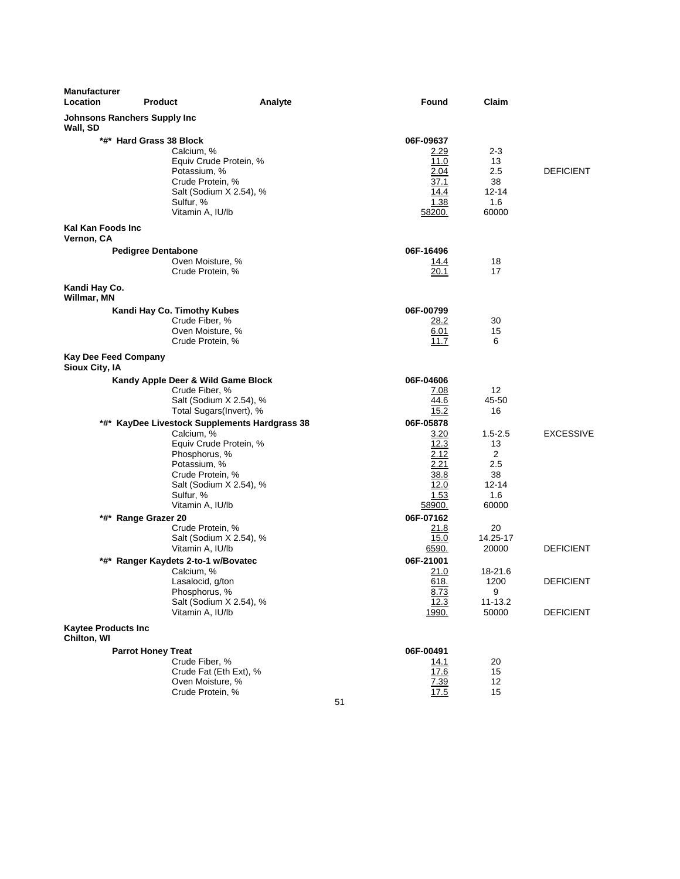| Manufacturer<br>Location                        | <b>Product</b>                                                                                                                                                                                         | Analyte | Found                                                                       | Claim                                                            |                                      |
|-------------------------------------------------|--------------------------------------------------------------------------------------------------------------------------------------------------------------------------------------------------------|---------|-----------------------------------------------------------------------------|------------------------------------------------------------------|--------------------------------------|
| <b>Johnsons Ranchers Supply Inc</b><br>Wall, SD |                                                                                                                                                                                                        |         |                                                                             |                                                                  |                                      |
|                                                 | *#* Hard Grass 38 Block<br>Calcium, %<br>Equiv Crude Protein, %<br>Potassium, %<br>Crude Protein, %<br>Salt (Sodium X 2.54), %<br>Sulfur, %<br>Vitamin A, IU/lb                                        |         | 06F-09637<br><u>2.29</u><br>11.0<br>2.04<br>37.1<br>14.4<br>1.38<br>58200.  | 2-3<br>13<br>2.5<br>38<br>12-14<br>1.6<br>60000                  | <b>DEFICIENT</b>                     |
| Kal Kan Foods Inc<br>Vernon, CA                 |                                                                                                                                                                                                        |         |                                                                             |                                                                  |                                      |
| Kandi Hay Co.                                   | <b>Pedigree Dentabone</b><br>Oven Moisture, %<br>Crude Protein, %                                                                                                                                      |         | 06F-16496<br><u>14.4</u><br>20.1                                            | 18<br>17                                                         |                                      |
| Willmar, MN                                     | Kandi Hay Co. Timothy Kubes<br>Crude Fiber, %<br>Oven Moisture, %<br>Crude Protein, %                                                                                                                  |         | 06F-00799<br>28.2<br>6.01<br>11.7                                           | 30<br>15<br>6                                                    |                                      |
| <b>Kay Dee Feed Company</b><br>Sioux City, IA   |                                                                                                                                                                                                        |         |                                                                             |                                                                  |                                      |
|                                                 | Kandy Apple Deer & Wild Game Block<br>Crude Fiber, %<br>Salt (Sodium X 2.54), %<br>Total Sugars(Invert), %                                                                                             |         | 06F-04606<br>7.08<br>44.6<br>15.2                                           | 12<br>45-50<br>16                                                |                                      |
|                                                 | *#* KayDee Livestock Supplements Hardgrass 38<br>Calcium, %<br>Equiv Crude Protein, %<br>Phosphorus, %<br>Potassium, %<br>Crude Protein, %<br>Salt (Sodium X 2.54), %<br>Sulfur, %<br>Vitamin A, IU/lb |         | 06F-05878<br>3.20<br>12.3<br>2.12<br>2.21<br>38.8<br>12.0<br>1.53<br>58900. | $1.5 - 2.5$<br>13<br>2<br>2.5<br>38<br>$12 - 14$<br>1.6<br>60000 | <b>EXCESSIVE</b>                     |
|                                                 | *#* Range Grazer 20<br>Crude Protein, %<br>Salt (Sodium X 2.54), %<br>Vitamin A, IU/lb                                                                                                                 |         | 06F-07162<br><u>21.8</u><br>15.0<br>6590.                                   | 20<br>14.25-17<br>20000                                          | <b>DEFICIENT</b>                     |
|                                                 | *#* Ranger Kaydets 2-to-1 w/Bovatec<br>Calcium, %<br>Lasalocid, g/ton<br>Phosphorus, %<br>Salt (Sodium X 2.54), %<br>Vitamin A, IU/lb                                                                  |         | 06F-21001<br>21.0<br>618.<br>8.73<br>12.3<br>1990.                          | 18-21.6<br>1200<br>9<br>11-13.2<br>50000                         | <b>DEFICIENT</b><br><b>DEFICIENT</b> |
| <b>Kaytee Products Inc</b><br>Chilton, WI       |                                                                                                                                                                                                        |         |                                                                             |                                                                  |                                      |
|                                                 | <b>Parrot Honey Treat</b><br>Crude Fiber, %<br>Crude Fat (Eth Ext), %<br>Oven Moisture, %<br>Crude Protein, %                                                                                          |         | 06F-00491<br><u> 14.1</u><br>17.6<br>7.39<br>17.5<br>51                     | 20<br>15<br>12<br>15                                             |                                      |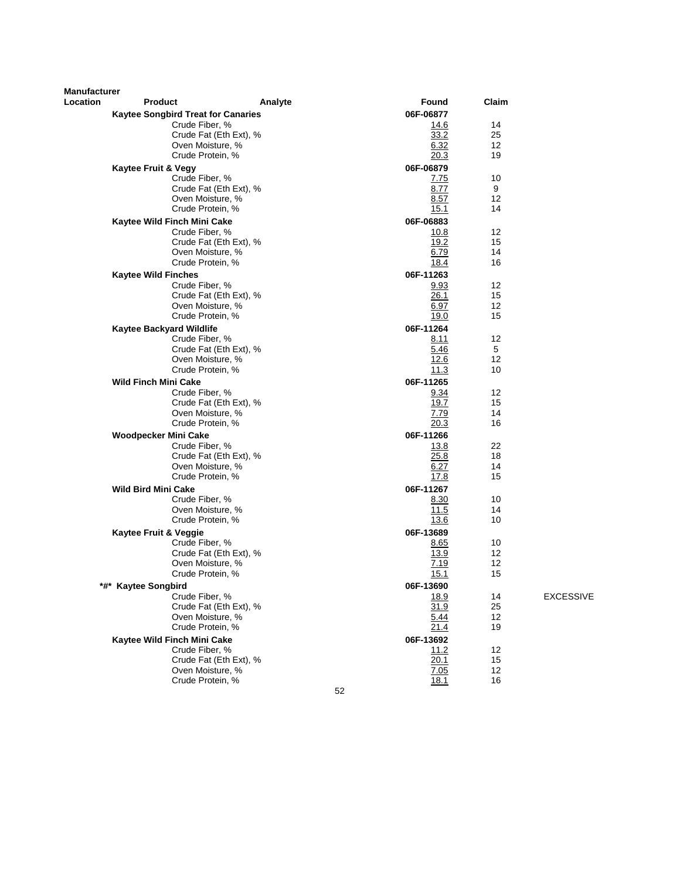| <b>Manufacturer</b><br>Location | <b>Product</b>                            | Analyte                | Found        | Claim    |                  |
|---------------------------------|-------------------------------------------|------------------------|--------------|----------|------------------|
|                                 | <b>Kaytee Songbird Treat for Canaries</b> |                        | 06F-06877    |          |                  |
|                                 | Crude Fiber, %                            |                        | 14.6         | 14       |                  |
|                                 |                                           | Crude Fat (Eth Ext), % | 33.2         | 25       |                  |
|                                 | Oven Moisture, %                          |                        | 6.32         | 12       |                  |
|                                 | Crude Protein, %                          |                        | 20.3         | 19       |                  |
|                                 | <b>Kaytee Fruit &amp; Vegy</b>            |                        | 06F-06879    |          |                  |
|                                 | Crude Fiber, %                            |                        | 7.75         | 10       |                  |
|                                 |                                           | Crude Fat (Eth Ext), % | 8.77         | 9        |                  |
|                                 | Oven Moisture, %                          |                        | 8.57         | 12       |                  |
|                                 | Crude Protein, %                          |                        | 15.1         | 14       |                  |
|                                 | Kaytee Wild Finch Mini Cake               |                        | 06F-06883    |          |                  |
|                                 | Crude Fiber, %                            |                        | 10.8         | 12       |                  |
|                                 |                                           | Crude Fat (Eth Ext), % | 19.2         | 15       |                  |
|                                 | Oven Moisture, %                          |                        | 6.79         | 14       |                  |
|                                 | Crude Protein, %                          |                        | 18.4         | 16       |                  |
|                                 | <b>Kaytee Wild Finches</b>                |                        | 06F-11263    |          |                  |
|                                 | Crude Fiber, %                            |                        | 9.93         | 12       |                  |
|                                 |                                           | Crude Fat (Eth Ext), % | 26.1         | 15       |                  |
|                                 | Oven Moisture, %                          |                        | 6.97         | 12       |                  |
|                                 | Crude Protein, %                          |                        | 19.0         | 15       |                  |
|                                 | <b>Kaytee Backyard Wildlife</b>           |                        | 06F-11264    |          |                  |
|                                 | Crude Fiber, %                            |                        | 8.11         | 12       |                  |
|                                 |                                           | Crude Fat (Eth Ext), % | 5.46         | 5        |                  |
|                                 | Oven Moisture, %                          |                        | 12.6         | 12       |                  |
|                                 | Crude Protein, %                          |                        | 11.3         | 10       |                  |
|                                 | <b>Wild Finch Mini Cake</b>               |                        | 06F-11265    |          |                  |
|                                 | Crude Fiber, %                            |                        | 9.34         | 12       |                  |
|                                 |                                           | Crude Fat (Eth Ext), % | 19.7         | 15       |                  |
|                                 | Oven Moisture, %                          |                        | 7.79         | 14<br>16 |                  |
|                                 | Crude Protein, %                          |                        | 20.3         |          |                  |
|                                 | <b>Woodpecker Mini Cake</b>               |                        | 06F-11266    |          |                  |
|                                 | Crude Fiber, %                            |                        | 13.8         | 22       |                  |
|                                 | Oven Moisture, %                          | Crude Fat (Eth Ext), % | 25.8<br>6.27 | 18<br>14 |                  |
|                                 | Crude Protein, %                          |                        | 17.8         | 15       |                  |
|                                 | <b>Wild Bird Mini Cake</b>                |                        | 06F-11267    |          |                  |
|                                 | Crude Fiber, %                            |                        | 8.30         | 10       |                  |
|                                 | Oven Moisture, %                          |                        | 11.5         | 14       |                  |
|                                 | Crude Protein, %                          |                        | 13.6         | 10       |                  |
|                                 | Kaytee Fruit & Veggie                     |                        | 06F-13689    |          |                  |
|                                 | Crude Fiber, %                            |                        | 8.65         | 10       |                  |
|                                 |                                           | Crude Fat (Eth Ext), % | 13.9         | 12       |                  |
|                                 | Oven Moisture, %                          |                        | 7.19         | 12       |                  |
|                                 | Crude Protein, %                          |                        | 15.1         | 15       |                  |
|                                 | *#* Kaytee Songbird                       |                        | 06F-13690    |          |                  |
|                                 | Crude Fiber, %                            |                        | 18.9         | 14       | <b>EXCESSIVE</b> |
|                                 |                                           | Crude Fat (Eth Ext), % | 31.9         | 25       |                  |
|                                 | Oven Moisture, %                          |                        | 5.44         | 12       |                  |
|                                 | Crude Protein, %                          |                        | 21.4         | 19       |                  |
|                                 | Kaytee Wild Finch Mini Cake               |                        | 06F-13692    |          |                  |
|                                 | Crude Fiber, %                            |                        | 11.2         | 12       |                  |
|                                 |                                           | Crude Fat (Eth Ext), % | 20.1         | 15       |                  |
|                                 | Oven Moisture, %                          |                        | 7.05         | 12       |                  |
|                                 | Crude Protein, %                          |                        | 18.1         | 16       |                  |
|                                 |                                           | 52                     |              |          |                  |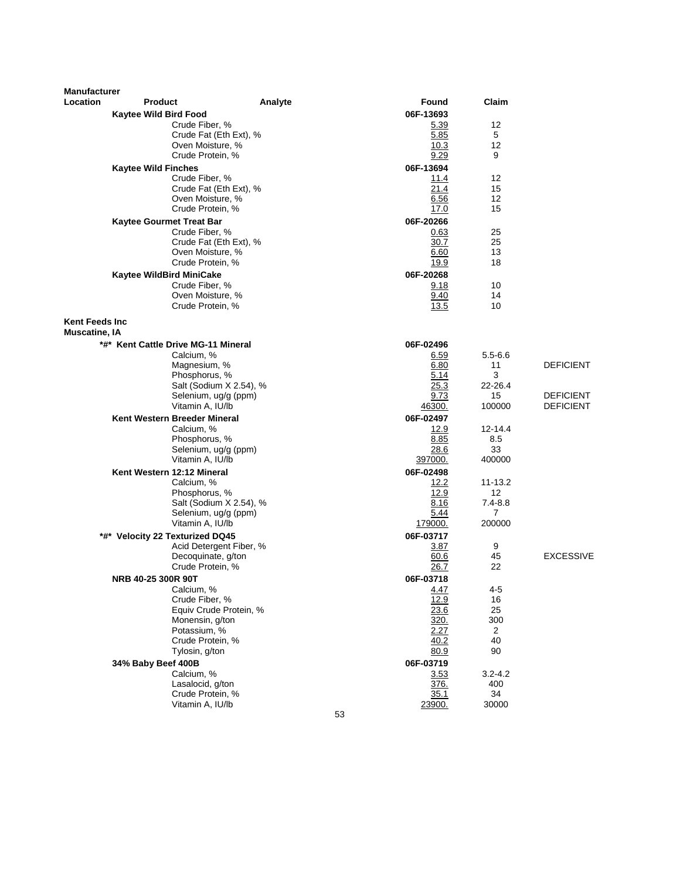| <b>Manufacturer</b>                     |                                          |                         |                      |                    |                                      |
|-----------------------------------------|------------------------------------------|-------------------------|----------------------|--------------------|--------------------------------------|
| Location                                | <b>Product</b>                           | Analyte                 | Found                | Claim              |                                      |
|                                         | <b>Kaytee Wild Bird Food</b>             |                         | 06F-13693            |                    |                                      |
|                                         | Crude Fiber, %                           |                         | 5.39                 | 12                 |                                      |
|                                         | Oven Moisture, %                         | Crude Fat (Eth Ext), %  | 5.85                 | 5<br>12            |                                      |
|                                         | Crude Protein, %                         |                         | 10.3<br>9.29         | 9                  |                                      |
|                                         | <b>Kaytee Wild Finches</b>               |                         | 06F-13694            |                    |                                      |
|                                         | Crude Fiber, %                           |                         | 11.4                 | 12                 |                                      |
|                                         |                                          | Crude Fat (Eth Ext), %  | 21.4                 | 15                 |                                      |
|                                         | Oven Moisture, %                         |                         | 6.56                 | 12                 |                                      |
|                                         | Crude Protein, %                         |                         | 17.0                 | 15                 |                                      |
|                                         | Kaytee Gourmet Treat Bar                 |                         | 06F-20266            | 25                 |                                      |
|                                         | Crude Fiber, %                           | Crude Fat (Eth Ext), %  | 0.63<br>30.7         | 25                 |                                      |
|                                         | Oven Moisture, %                         |                         | 6.60                 | 13                 |                                      |
|                                         | Crude Protein, %                         |                         | 19.9                 | 18                 |                                      |
|                                         | Kaytee WildBird MiniCake                 |                         | 06F-20268            |                    |                                      |
|                                         | Crude Fiber, %                           |                         | 9.18                 | 10                 |                                      |
|                                         | Oven Moisture, %<br>Crude Protein, %     |                         | 9.40<br>13.5         | 14<br>10           |                                      |
|                                         |                                          |                         |                      |                    |                                      |
| <b>Kent Feeds Inc.</b><br>Muscatine, IA |                                          |                         |                      |                    |                                      |
|                                         | *#* Kent Cattle Drive MG-11 Mineral      |                         | 06F-02496            |                    |                                      |
|                                         | Calcium, %                               |                         | 6.59                 | $5.5 - 6.6$        |                                      |
|                                         | Magnesium, %                             |                         | 6.80                 | 11                 | <b>DEFICIENT</b>                     |
|                                         | Phosphorus, %                            |                         | 5.14                 | 3                  |                                      |
|                                         |                                          | Salt (Sodium X 2.54), % | 25.3<br>9.73         | 22-26.4<br>15      |                                      |
|                                         | Selenium, ug/g (ppm)<br>Vitamin A, IU/lb |                         | 46300.               | 100000             | <b>DEFICIENT</b><br><b>DEFICIENT</b> |
|                                         | Kent Western Breeder Mineral             |                         | 06F-02497            |                    |                                      |
|                                         | Calcium, %                               |                         | 12.9                 | 12-14.4            |                                      |
|                                         | Phosphorus, %                            |                         | 8.85                 | 8.5                |                                      |
|                                         | Selenium, ug/g (ppm)<br>Vitamin A, IU/lb |                         | 28.6                 | 33                 |                                      |
|                                         | Kent Western 12:12 Mineral               |                         | 397000.<br>06F-02498 | 400000             |                                      |
|                                         | Calcium, %                               |                         | 12.2                 | 11-13.2            |                                      |
|                                         | Phosphorus, %                            |                         | 12.9                 | 12                 |                                      |
|                                         |                                          | Salt (Sodium X 2.54), % | 8.16                 | $7.4 - 8.8$        |                                      |
|                                         | Selenium, ug/g (ppm)                     |                         | 5.44                 | 7                  |                                      |
|                                         | Vitamin A, IU/lb                         |                         | 179000.              | 200000             |                                      |
|                                         | *#* Velocity 22 Texturized DQ45          | Acid Detergent Fiber, % | 06F-03717<br>3.87    | 9                  |                                      |
|                                         | Decoquinate, g/ton                       |                         | 60.6                 | 45                 | <b>EXCESSIVE</b>                     |
|                                         | Crude Protein, %                         |                         | 26.7                 | 22                 |                                      |
|                                         | NRB 40-25 300R 90T                       |                         | 06F-03718            |                    |                                      |
|                                         | Calcium, %                               |                         | 4.47                 | 4-5                |                                      |
|                                         | Crude Fiber, %                           | Equiv Crude Protein, %  | 12.9<br>23.6         | 16<br>25           |                                      |
|                                         | Monensin, g/ton                          |                         | 320.                 | 300                |                                      |
|                                         | Potassium, %                             |                         | 2.27                 | 2                  |                                      |
|                                         | Crude Protein, %                         |                         | 40.2                 | 40                 |                                      |
|                                         | Tylosin, g/ton                           |                         | 80.9                 | 90                 |                                      |
|                                         | 34% Baby Beef 400B                       |                         | 06F-03719            |                    |                                      |
|                                         | Calcium, %<br>Lasalocid, g/ton           |                         | 3.53<br>376.         | $3.2 - 4.2$<br>400 |                                      |
|                                         | Crude Protein, %                         |                         | 35.1                 | 34                 |                                      |
|                                         | Vitamin A, IU/lb                         |                         | 23900.               | 30000              |                                      |
|                                         |                                          | 53                      |                      |                    |                                      |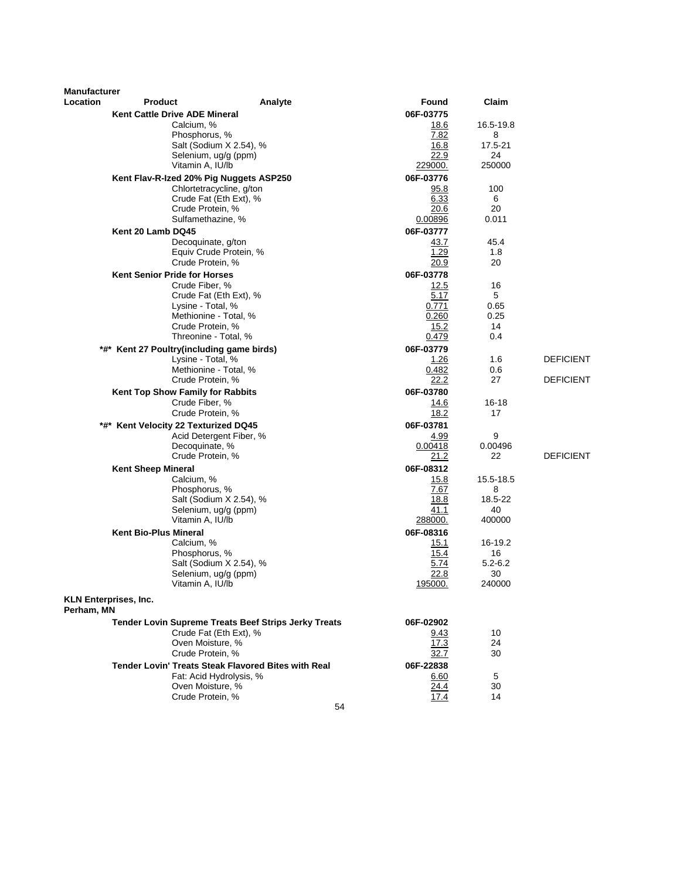| <b>Manufacturer</b><br>Location | <b>Product</b>                                     |                                                             | Found           | Claim             |                  |
|---------------------------------|----------------------------------------------------|-------------------------------------------------------------|-----------------|-------------------|------------------|
|                                 |                                                    | Analyte                                                     | 06F-03775       |                   |                  |
|                                 | <b>Kent Cattle Drive ADE Mineral</b><br>Calcium, % |                                                             | 18.6            | 16.5-19.8         |                  |
|                                 | Phosphorus, %                                      |                                                             | 7.82            | 8                 |                  |
|                                 |                                                    | Salt (Sodium X 2.54), %                                     | 16.8            | 17.5-21           |                  |
|                                 | Selenium, ug/g (ppm)                               |                                                             | 22.9            | 24                |                  |
|                                 | Vitamin A, IU/lb                                   |                                                             | 229000.         | 250000            |                  |
|                                 | Kent Flav-R-Ized 20% Pig Nuggets ASP250            |                                                             | 06F-03776       |                   |                  |
|                                 |                                                    | Chlortetracycline, g/ton                                    | 95.8            | 100               |                  |
|                                 |                                                    | Crude Fat (Eth Ext), %                                      | 6.33<br>20.6    | 6                 |                  |
|                                 | Crude Protein, %<br>Sulfamethazine, %              |                                                             | 0.00896         | 20<br>0.011       |                  |
|                                 | Kent 20 Lamb DQ45                                  |                                                             | 06F-03777       |                   |                  |
|                                 | Decoquinate, g/ton                                 |                                                             | 43.7            | 45.4              |                  |
|                                 |                                                    | Equiv Crude Protein, %                                      | 1.29            | 1.8               |                  |
|                                 | Crude Protein, %                                   |                                                             | 20.9            | 20                |                  |
|                                 | <b>Kent Senior Pride for Horses</b>                |                                                             | 06F-03778       |                   |                  |
|                                 | Crude Fiber, %                                     |                                                             | 12.5            | 16                |                  |
|                                 |                                                    | Crude Fat (Eth Ext), %                                      | 5.17            | 5                 |                  |
|                                 | Lysine - Total, %                                  |                                                             | 0.771           | 0.65              |                  |
|                                 | Methionine - Total, %<br>Crude Protein, %          |                                                             | 0.260<br>15.2   | 0.25<br>14        |                  |
|                                 | Threonine - Total, %                               |                                                             | 0.479           | 0.4               |                  |
|                                 | *#* Kent 27 Poultry(including game birds)          |                                                             | 06F-03779       |                   |                  |
|                                 | Lysine - Total, %                                  |                                                             | 1.26            | 1.6               | <b>DEFICIENT</b> |
|                                 | Methionine - Total, %                              |                                                             | 0.482           | 0.6               |                  |
|                                 | Crude Protein, %                                   |                                                             | 22.2            | 27                | <b>DEFICIENT</b> |
|                                 | Kent Top Show Family for Rabbits                   |                                                             | 06F-03780       |                   |                  |
|                                 | Crude Fiber, %                                     |                                                             | 14.6            | $16 - 18$         |                  |
|                                 | Crude Protein, %                                   |                                                             | 18.2            | 17                |                  |
|                                 | *#* Kent Velocity 22 Texturized DQ45               |                                                             | 06F-03781       |                   |                  |
|                                 |                                                    | Acid Detergent Fiber, %                                     | 4.99            | 9                 |                  |
|                                 | Decoquinate, %<br>Crude Protein, %                 |                                                             | 0.00418<br>21.2 | 0.00496<br>22     | <b>DEFICIENT</b> |
|                                 | <b>Kent Sheep Mineral</b>                          |                                                             | 06F-08312       |                   |                  |
|                                 | Calcium, %                                         |                                                             | 15.8            | 15.5-18.5         |                  |
|                                 | Phosphorus, %                                      |                                                             | 7.67            | 8                 |                  |
|                                 |                                                    | Salt (Sodium X 2.54), %                                     | 18.8            | 18.5-22           |                  |
|                                 | Selenium, ug/g (ppm)                               |                                                             | 41.1            | 40                |                  |
|                                 | Vitamin A, IU/lb                                   |                                                             | 288000.         | 400000            |                  |
|                                 | <b>Kent Bio-Plus Mineral</b>                       |                                                             | 06F-08316       |                   |                  |
|                                 | Calcium, %                                         |                                                             | 15.1            | 16-19.2           |                  |
|                                 | Phosphorus, %                                      | Salt (Sodium X 2.54), %                                     | 15.4<br>5.74    | 16<br>$5.2 - 6.2$ |                  |
|                                 | Selenium, ug/g (ppm)                               |                                                             | 22.8            | 30                |                  |
|                                 | Vitamin A, IU/lb                                   |                                                             | <u> 195000.</u> | 240000            |                  |
|                                 |                                                    |                                                             |                 |                   |                  |
| Perham, MN                      | <b>KLN Enterprises, Inc.</b>                       |                                                             |                 |                   |                  |
|                                 |                                                    | <b>Tender Lovin Supreme Treats Beef Strips Jerky Treats</b> | 06F-02902       |                   |                  |
|                                 |                                                    | Crude Fat (Eth Ext), %                                      | 9.43            | 10                |                  |
|                                 | Oven Moisture, %                                   |                                                             | 17.3            | 24                |                  |
|                                 | Crude Protein, %                                   |                                                             | 32.7            | 30                |                  |
|                                 |                                                    | <b>Tender Lovin' Treats Steak Flavored Bites with Real</b>  | 06F-22838       |                   |                  |
|                                 |                                                    | Fat: Acid Hydrolysis, %                                     | 6.60            | 5                 |                  |
|                                 | Oven Moisture, %                                   |                                                             | 24.4            | 30                |                  |
|                                 | Crude Protein, %                                   | 54                                                          | 17.4            | 14                |                  |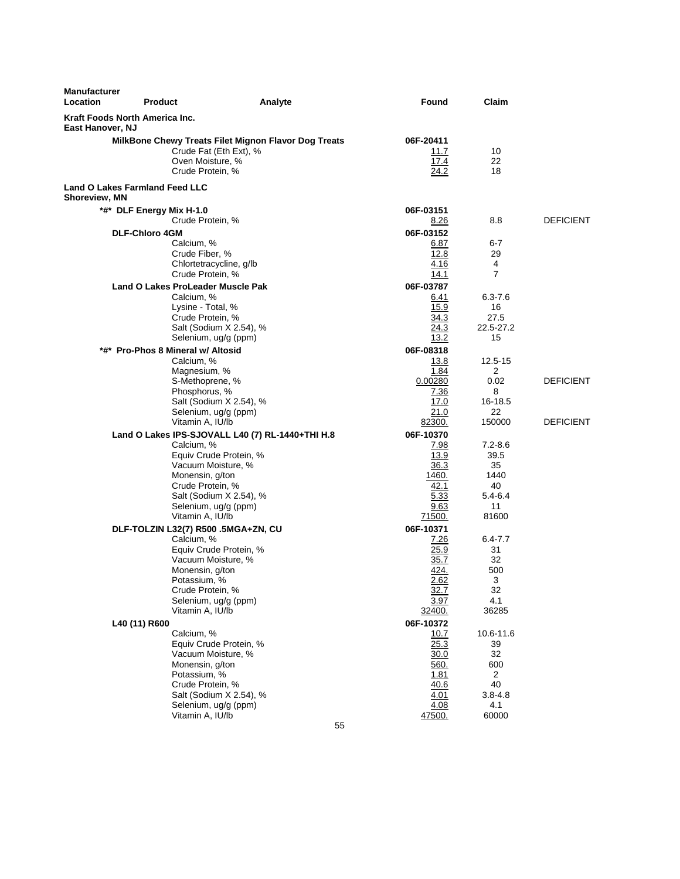| <b>Manufacturer</b><br>Location                        | <b>Product</b>                            | Analyte                                                                        | <b>Found</b>                      | Claim              |                  |
|--------------------------------------------------------|-------------------------------------------|--------------------------------------------------------------------------------|-----------------------------------|--------------------|------------------|
| Kraft Foods North America Inc.<br>East Hanover, NJ     |                                           |                                                                                |                                   |                    |                  |
|                                                        | Oven Moisture, %<br>Crude Protein, %      | MilkBone Chewy Treats Filet Mignon Flavor Dog Treats<br>Crude Fat (Eth Ext), % | 06F-20411<br>11.7<br>17.4<br>24.2 | 10<br>22<br>18     |                  |
| <b>Land O Lakes Farmland Feed LLC</b><br>Shoreview, MN |                                           |                                                                                |                                   |                    |                  |
|                                                        | *#* DLF Energy Mix H-1.0                  |                                                                                | 06F-03151                         |                    |                  |
|                                                        | Crude Protein, %                          |                                                                                | 8.26                              | 8.8                | <b>DEFICIENT</b> |
|                                                        | <b>DLF-Chloro 4GM</b>                     |                                                                                | 06F-03152                         |                    |                  |
|                                                        | Calcium, %                                |                                                                                | 6.87                              | 6-7                |                  |
|                                                        | Crude Fiber, %<br>Chlortetracycline, g/lb |                                                                                | 12.8<br>4.16                      | 29<br>4            |                  |
|                                                        | Crude Protein, %                          |                                                                                | 14.1                              | $\overline{7}$     |                  |
|                                                        | <b>Land O Lakes ProLeader Muscle Pak</b>  |                                                                                | 06F-03787                         |                    |                  |
|                                                        | Calcium, %                                |                                                                                | 6.41                              | $6.3 - 7.6$        |                  |
|                                                        | Lysine - Total, %                         |                                                                                | 15.9                              | 16                 |                  |
|                                                        | Crude Protein, %                          |                                                                                | 34.3                              | 27.5               |                  |
|                                                        | Selenium, ug/g (ppm)                      | Salt (Sodium X 2.54), %                                                        | 24.3<br>13.2                      | 22.5-27.2<br>15    |                  |
|                                                        | *#* Pro-Phos 8 Mineral w/ Altosid         |                                                                                | 06F-08318                         |                    |                  |
|                                                        | Calcium, %                                |                                                                                | <u>13.8</u>                       | 12.5-15            |                  |
|                                                        | Magnesium, %                              |                                                                                | 1.84                              | 2                  |                  |
|                                                        | S-Methoprene, %                           |                                                                                | 0.00280                           | 0.02               | <b>DEFICIENT</b> |
|                                                        | Phosphorus, %                             |                                                                                | 7.36                              | 8                  |                  |
|                                                        |                                           | Salt (Sodium X 2.54), %                                                        | 17.0<br>21.0                      | 16-18.5<br>22      |                  |
|                                                        | Selenium, ug/g (ppm)<br>Vitamin A, IU/lb  |                                                                                | 82300.                            | 150000             | <b>DEFICIENT</b> |
|                                                        |                                           | Land O Lakes IPS-SJOVALL L40 (7) RL-1440+THI H.8                               | 06F-10370                         |                    |                  |
|                                                        | Calcium, %                                |                                                                                | 7.98                              | $7.2 - 8.6$        |                  |
|                                                        |                                           | Equiv Crude Protein, %                                                         | 13.9                              | 39.5               |                  |
|                                                        | Vacuum Moisture, %                        |                                                                                | 36.3                              | 35                 |                  |
|                                                        | Monensin, g/ton                           |                                                                                | 1460.<br>42.1                     | 1440               |                  |
|                                                        | Crude Protein, %                          | Salt (Sodium X 2.54), %                                                        | 5.33                              | 40<br>$5.4 - 6.4$  |                  |
|                                                        | Selenium, ug/g (ppm)                      |                                                                                | 9.63                              | 11                 |                  |
|                                                        | Vitamin A, IU/lb                          |                                                                                | 71500.                            | 81600              |                  |
|                                                        | DLF-TOLZIN L32(7) R500 .5MGA+ZN, CU       |                                                                                | 06F-10371                         |                    |                  |
|                                                        | Calcium, %                                |                                                                                | 7.26                              | $6.4 - 7.7$        |                  |
|                                                        | Vacuum Moisture, %                        | Equiv Crude Protein, %                                                         | 25.9                              | 31<br>32           |                  |
|                                                        | Monensin, g/ton                           |                                                                                | 35.7<br>424.                      | 500                |                  |
|                                                        | Potassium, %                              |                                                                                | <u>2.62</u>                       | 3                  |                  |
|                                                        | Crude Protein, %                          |                                                                                | 32.7                              | 32                 |                  |
|                                                        | Selenium, ug/g (ppm)                      |                                                                                | 3.97                              | 4.1                |                  |
|                                                        | Vitamin A, IU/lb                          |                                                                                | 32400.                            | 36285              |                  |
|                                                        | L40 (11) R600<br>Calcium, %               |                                                                                | 06F-10372                         |                    |                  |
|                                                        |                                           | Equiv Crude Protein, %                                                         | 10.7<br>25.3                      | 10.6-11.6<br>39    |                  |
|                                                        | Vacuum Moisture, %                        |                                                                                | 30.0                              | 32                 |                  |
|                                                        | Monensin, g/ton                           |                                                                                | 560.                              | 600                |                  |
|                                                        | Potassium, %                              |                                                                                | 1.81                              | $\overline{2}$     |                  |
|                                                        | Crude Protein, %                          | Salt (Sodium X 2.54), %                                                        | 40.6                              | 40                 |                  |
|                                                        | Selenium, ug/g (ppm)                      |                                                                                | 4.01<br>4.08                      | $3.8 - 4.8$<br>4.1 |                  |
|                                                        | Vitamin A, IU/lb                          |                                                                                | 47500.                            | 60000              |                  |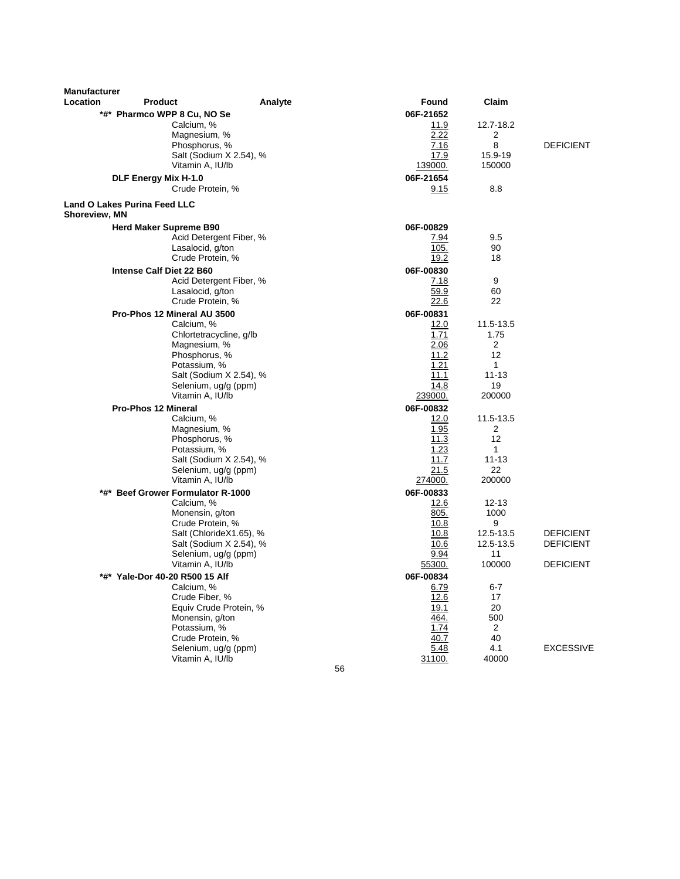| <b>Manufacturer</b><br>Location | <b>Product</b>                                  | Analyte | Found           | Claim           |                  |
|---------------------------------|-------------------------------------------------|---------|-----------------|-----------------|------------------|
|                                 | *#* Pharmco WPP 8 Cu, NO Se                     |         | 06F-21652       |                 |                  |
|                                 | Calcium, %                                      |         | 11.9            | 12.7-18.2       |                  |
|                                 | Magnesium, %                                    |         | 2.22            | 2               |                  |
|                                 | Phosphorus, %                                   |         | 7.16            | 8               | <b>DEFICIENT</b> |
|                                 | Salt (Sodium X 2.54), %                         |         | 17.9            | 15.9-19         |                  |
|                                 | Vitamin A, IU/lb                                |         | 139000.         | 150000          |                  |
|                                 | DLF Energy Mix H-1.0                            |         | 06F-21654       |                 |                  |
|                                 | Crude Protein, %                                |         | 9.15            | 8.8             |                  |
| <b>Shoreview, MN</b>            | Land O Lakes Purina Feed LLC                    |         |                 |                 |                  |
|                                 | <b>Herd Maker Supreme B90</b>                   |         | 06F-00829       |                 |                  |
|                                 | Acid Detergent Fiber, %                         |         | 7.94            | 9.5             |                  |
|                                 | Lasalocid, g/ton                                |         | 105.            | 90              |                  |
|                                 | Crude Protein, %                                |         | 19.2            | 18              |                  |
|                                 | Intense Calf Diet 22 B60                        |         | 06F-00830       |                 |                  |
|                                 | Acid Detergent Fiber, %                         |         | 7.18            | 9               |                  |
|                                 | Lasalocid, g/ton                                |         | 59.9            | 60              |                  |
|                                 | Crude Protein, %                                |         | <u>22.6</u>     | 22              |                  |
|                                 | Pro-Phos 12 Mineral AU 3500                     |         | 06F-00831       |                 |                  |
|                                 | Calcium, %                                      |         | 12.0            | 11.5-13.5       |                  |
|                                 | Chlortetracycline, g/lb                         |         | 1.71            | 1.75            |                  |
|                                 | Magnesium, %                                    |         | 2.06            | $\overline{2}$  |                  |
|                                 | Phosphorus, %                                   |         | 11.2            | 12              |                  |
|                                 | Potassium, %                                    |         | 1.21<br>11.1    | 1<br>$11 - 13$  |                  |
|                                 | Salt (Sodium X 2.54), %<br>Selenium, ug/g (ppm) |         | 14.8            | 19              |                  |
|                                 | Vitamin A, IU/lb                                |         | 239000.         | 200000          |                  |
|                                 | <b>Pro-Phos 12 Mineral</b>                      |         | 06F-00832       |                 |                  |
|                                 | Calcium, %                                      |         | 12.0            | 11.5-13.5       |                  |
|                                 | Magnesium, %                                    |         | 1.95            | 2               |                  |
|                                 | Phosphorus, %                                   |         | $\frac{11.3}{}$ | 12              |                  |
|                                 | Potassium, %                                    |         | 1.23            | 1               |                  |
|                                 | Salt (Sodium X 2.54), %                         |         | 11.7            | $11 - 13$       |                  |
|                                 | Selenium, ug/g (ppm)                            |         | <u> 21.5</u>    | 22              |                  |
|                                 | Vitamin A, IU/lb                                |         | 274000.         | 200000          |                  |
|                                 | *#* Beef Grower Formulator R-1000               |         | 06F-00833       |                 |                  |
|                                 | Calcium, %                                      |         | 12.6            | $12 - 13$       |                  |
|                                 | Monensin, g/ton                                 |         | 805.            | 1000            |                  |
|                                 | Crude Protein, %                                |         | 10.8            | 9               |                  |
|                                 | Salt (ChlorideX1.65), %                         |         | 10.8            | 12.5-13.5       | <b>DEFICIENT</b> |
|                                 | Salt (Sodium X 2.54), %<br>Selenium, ug/g (ppm) |         | 10.6<br>9.94    | 12.5-13.5<br>11 | <b>DEFICIENT</b> |
|                                 | Vitamin A, IU/lb                                |         | 55300.          | 100000          | <b>DEFICIENT</b> |
|                                 | *#* Yale-Dor 40-20 R500 15 Alf                  |         | 06F-00834       |                 |                  |
|                                 | Calcium, %                                      |         | 6.79            | $6 - 7$         |                  |
|                                 | Crude Fiber, %                                  |         | 12.6            | 17              |                  |
|                                 | Equiv Crude Protein, %                          |         | 19.1            | 20              |                  |
|                                 | Monensin, g/ton                                 |         | 464.            | 500             |                  |
|                                 | Potassium, %                                    |         | 1.74            | 2               |                  |
|                                 | Crude Protein, %                                |         | 40.7            | 40              |                  |
|                                 | Selenium, ug/g (ppm)                            |         | 5.48            | 4.1             | <b>EXCESSIVE</b> |
|                                 | Vitamin A, IU/lb                                |         | 31100.          | 40000           |                  |

56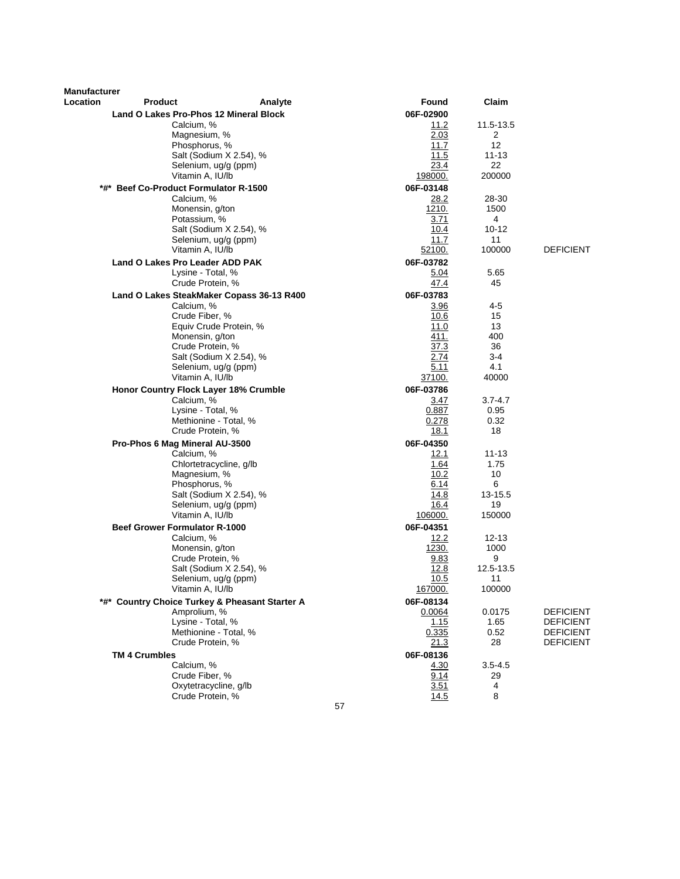| Manufacturer |                                                |                 |               |                               |
|--------------|------------------------------------------------|-----------------|---------------|-------------------------------|
| Location     | <b>Product</b><br>Analyte                      | Found           | Claim         |                               |
|              | Land O Lakes Pro-Phos 12 Mineral Block         | 06F-02900       |               |                               |
|              | Calcium, %                                     | 11.2            | 11.5-13.5     |                               |
|              | Magnesium, %                                   | 2.03            | 2             |                               |
|              | Phosphorus, %                                  | 11.7            | 12            |                               |
|              | Salt (Sodium X 2.54), %                        | 11.5            | $11 - 13$     |                               |
|              | Selenium, ug/g (ppm)                           | 23.4            | 22            |                               |
|              | Vitamin A, IU/lb                               | <u> 198000.</u> | 200000        |                               |
|              | *#* Beef Co-Product Formulator R-1500          | 06F-03148       |               |                               |
|              | Calcium, %                                     | 28.2            | 28-30         |                               |
|              | Monensin, g/ton                                | 1210.           | 1500          |                               |
|              | Potassium, %                                   | 3.71            | 4             |                               |
|              | Salt (Sodium X 2.54), %                        | 10.4            | $10 - 12$     |                               |
|              | Selenium, ug/g (ppm)<br>Vitamin A, IU/lb       | 11.7            | 11<br>100000  | <b>DEFICIENT</b>              |
|              |                                                | 52100.          |               |                               |
|              | Land O Lakes Pro Leader ADD PAK                | 06F-03782       |               |                               |
|              | Lysine - Total, %<br>Crude Protein, %          | 5.04<br>47.4    | 5.65<br>45    |                               |
|              |                                                |                 |               |                               |
|              | Land O Lakes SteakMaker Copass 36-13 R400      | 06F-03783       |               |                               |
|              | Calcium, %<br>Crude Fiber, %                   | 3.96<br>10.6    | $4 - 5$<br>15 |                               |
|              | Equiv Crude Protein, %                         | 11.0            | 13            |                               |
|              | Monensin, g/ton                                | 411.            | 400           |                               |
|              | Crude Protein, %                               | 37.3            | 36            |                               |
|              | Salt (Sodium X 2.54), %                        | 2.74            | 3-4           |                               |
|              | Selenium, ug/g (ppm)                           | 5.11            | 4.1           |                               |
|              | Vitamin A, IU/lb                               | 37100.          | 40000         |                               |
|              | <b>Honor Country Flock Layer 18% Crumble</b>   | 06F-03786       |               |                               |
|              | Calcium, %                                     | 3.47            | 3.7-4.7       |                               |
|              | Lysine - Total, %                              | 0.887           | 0.95          |                               |
|              | Methionine - Total, %                          | 0.278           | 0.32          |                               |
|              | Crude Protein, %                               | 18.1            | 18            |                               |
|              | Pro-Phos 6 Mag Mineral AU-3500                 | 06F-04350       |               |                               |
|              | Calcium, %                                     | 12.1            | $11 - 13$     |                               |
|              | Chlortetracycline, g/lb                        | 1.64            | 1.75          |                               |
|              | Magnesium, %<br>Phosphorus, %                  | 10.2<br>6.14    | 10<br>6       |                               |
|              | Salt (Sodium X 2.54), %                        | 14.8            | 13-15.5       |                               |
|              | Selenium, ug/g (ppm)                           | 16.4            | 19            |                               |
|              | Vitamin A, IU/lb                               | 106000.         | 150000        |                               |
|              | <b>Beef Grower Formulator R-1000</b>           | 06F-04351       |               |                               |
|              | Calcium, %                                     | 12.2            | $12 - 13$     |                               |
|              | Monensin, g/ton                                | 1230.           | 1000          |                               |
|              | Crude Protein, %                               | 9.83            | 9             |                               |
|              | Salt (Sodium X 2.54), %                        | 12.8            | 12.5-13.5     |                               |
|              | Selenium, ug/g (ppm)                           | 10.5            | 11            |                               |
|              | Vitamin A, IU/lb                               | <u>167000.</u>  | 100000        |                               |
|              | *#* Country Choice Turkey & Pheasant Starter A | 06F-08134       |               |                               |
|              | Amprolium, %                                   | 0.0064          | 0.0175        | <b>DEFICIENT</b>              |
|              | Lysine - Total, %                              | 1.15            | 1.65          | <b>DEFICIENT</b>              |
|              | Methionine - Total, %                          | 0.335           | 0.52<br>28    | <b>DEFICIENT</b><br>DEFICIENT |
|              | Crude Protein, %                               | <u> 21.3</u>    |               |                               |
|              | <b>TM 4 Crumbles</b><br>Calcium, %             | 06F-08136       |               |                               |
|              | Crude Fiber, %                                 | 4.30<br>9.14    | 3.5-4.5<br>29 |                               |
|              | Oxytetracycline, g/lb                          | 3.51            | 4             |                               |
|              | Crude Protein. %                               | 14.5            | 8             |                               |
|              |                                                | 57              |               |                               |
|              |                                                |                 |               |                               |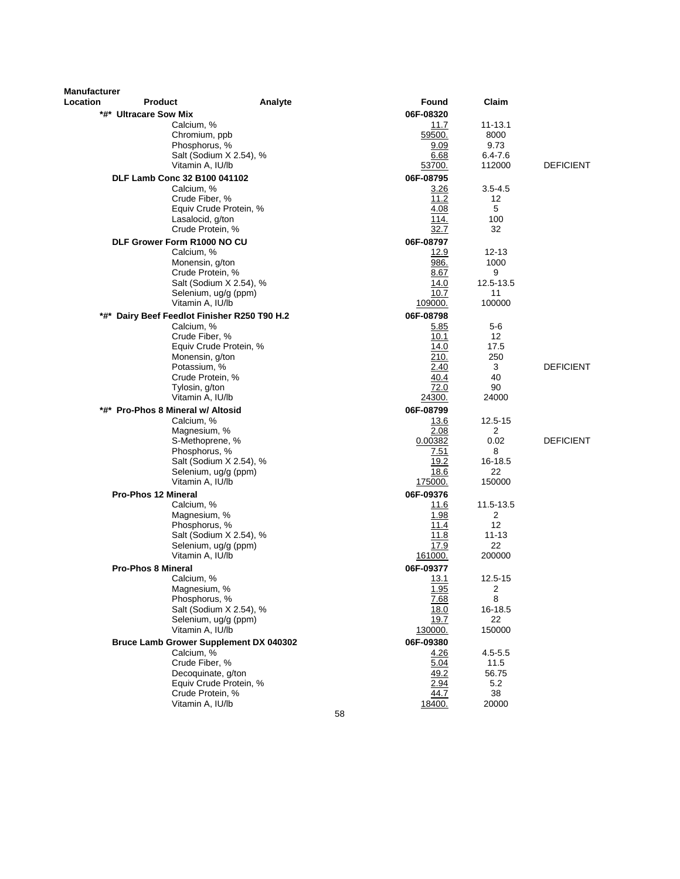| <b>Manufacturer</b> |                                              |                         |                 |                   |                  |
|---------------------|----------------------------------------------|-------------------------|-----------------|-------------------|------------------|
| Location            | <b>Product</b>                               | Analyte                 | Found           | Claim             |                  |
|                     | *#* Ultracare Sow Mix                        |                         | 06F-08320       |                   |                  |
|                     | Calcium, %                                   |                         | 11.7            | $11 - 13.1$       |                  |
|                     | Chromium, ppb                                |                         | 59500.          | 8000              |                  |
|                     | Phosphorus, %                                |                         | 9.09            | 9.73              |                  |
|                     | Vitamin A, IU/lb                             | Salt (Sodium X 2.54), % | 6.68<br>53700.  | 6.4-7.6<br>112000 | <b>DEFICIENT</b> |
|                     |                                              |                         |                 |                   |                  |
|                     | DLF Lamb Conc 32 B100 041102                 |                         | 06F-08795       |                   |                  |
|                     | Calcium, %                                   |                         | 3.26            | $3.5 - 4.5$       |                  |
|                     | Crude Fiber, %                               | Equiv Crude Protein, %  | 11.2<br>4.08    | 12<br>5           |                  |
|                     | Lasalocid, g/ton                             |                         | 114.            | 100               |                  |
|                     | Crude Protein, %                             |                         | 32.7            | 32                |                  |
|                     | DLF Grower Form R1000 NO CU                  |                         | 06F-08797       |                   |                  |
|                     | Calcium, %                                   |                         | 12.9            | 12-13             |                  |
|                     | Monensin, g/ton                              |                         | 986.            | 1000              |                  |
|                     | Crude Protein, %                             |                         | 8.67            | 9                 |                  |
|                     |                                              | Salt (Sodium X 2.54), % | 14.0            | 12.5-13.5         |                  |
|                     |                                              | Selenium, ug/g (ppm)    | 10.7            | 11                |                  |
|                     | Vitamin A, IU/lb                             |                         | 109000.         | 100000            |                  |
|                     | *#* Dairy Beef Feedlot Finisher R250 T90 H.2 |                         | 06F-08798       |                   |                  |
|                     | Calcium, %                                   |                         | 5.85            | 5-6               |                  |
|                     | Crude Fiber, %                               |                         | 10.1            | $12 \overline{ }$ |                  |
|                     |                                              | Equiv Crude Protein, %  | 14.0            | 17.5              |                  |
|                     | Monensin, g/ton                              |                         | 210.            | 250               |                  |
|                     | Potassium, %                                 |                         | 2.40            | 3                 | <b>DEFICIENT</b> |
|                     | Crude Protein, %                             |                         | 40.4            | 40                |                  |
|                     | Tylosin, g/ton                               |                         | 72.0            | 90                |                  |
|                     | Vitamin A, IU/lb                             |                         | <u> 24300.</u>  | 24000             |                  |
|                     | *#* Pro-Phos 8 Mineral w/ Altosid            |                         | 06F-08799       |                   |                  |
|                     | Calcium, %                                   |                         | 13.6            | 12.5-15           |                  |
|                     | Magnesium, %                                 |                         | 2.08<br>0.00382 | 2<br>0.02         | <b>DEFICIENT</b> |
|                     | S-Methoprene, %<br>Phosphorus, %             |                         | 7.51            | 8                 |                  |
|                     |                                              | Salt (Sodium X 2.54), % | <u>19.2</u>     | 16-18.5           |                  |
|                     |                                              | Selenium, ug/g (ppm)    | 18.6            | 22                |                  |
|                     | Vitamin A, IU/lb                             |                         | 175000.         | 150000            |                  |
|                     | <b>Pro-Phos 12 Mineral</b>                   |                         | 06F-09376       |                   |                  |
|                     | Calcium, %                                   |                         | 11.6            | 11.5-13.5         |                  |
|                     | Magnesium, %                                 |                         | 1.98            | $\overline{2}$    |                  |
|                     | Phosphorus, %                                |                         | 11.4            | 12                |                  |
|                     |                                              | Salt (Sodium X 2.54), % | 11.8            | $11 - 13$         |                  |
|                     |                                              | Selenium, ug/g (ppm)    | 17.9            | 22                |                  |
|                     | Vitamin A, IU/lb                             |                         | 161000.         | 200000            |                  |
|                     | <b>Pro-Phos 8 Mineral</b>                    |                         | 06F-09377       |                   |                  |
|                     | Calcium, %                                   |                         | 13.1            | 12.5-15           |                  |
|                     | Magnesium, %                                 |                         | 1.95            | $\boldsymbol{2}$  |                  |
|                     | Phosphorus, %                                |                         | 7.68            | 8                 |                  |
|                     |                                              | Salt (Sodium X 2.54), % | 18.0            | 16-18.5           |                  |
|                     | Vitamin A, IU/lb                             | Selenium, ug/g (ppm)    | 19.7<br>130000. | 22<br>150000      |                  |
|                     |                                              |                         |                 |                   |                  |
|                     | Bruce Lamb Grower Supplement DX 040302       |                         | 06F-09380       |                   |                  |
|                     | Calcium, %<br>Crude Fiber, %                 |                         | 4.26<br>5.04    | 4.5-5.5<br>11.5   |                  |
|                     | Decoquinate, g/ton                           |                         | 49.2            | 56.75             |                  |
|                     |                                              | Equiv Crude Protein, %  | 2.94            | 5.2               |                  |
|                     | Crude Protein, %                             |                         | 44.7            | 38                |                  |
|                     | Vitamin A, IU/lb                             |                         | 18400.          | 20000             |                  |
|                     |                                              | 58                      |                 |                   |                  |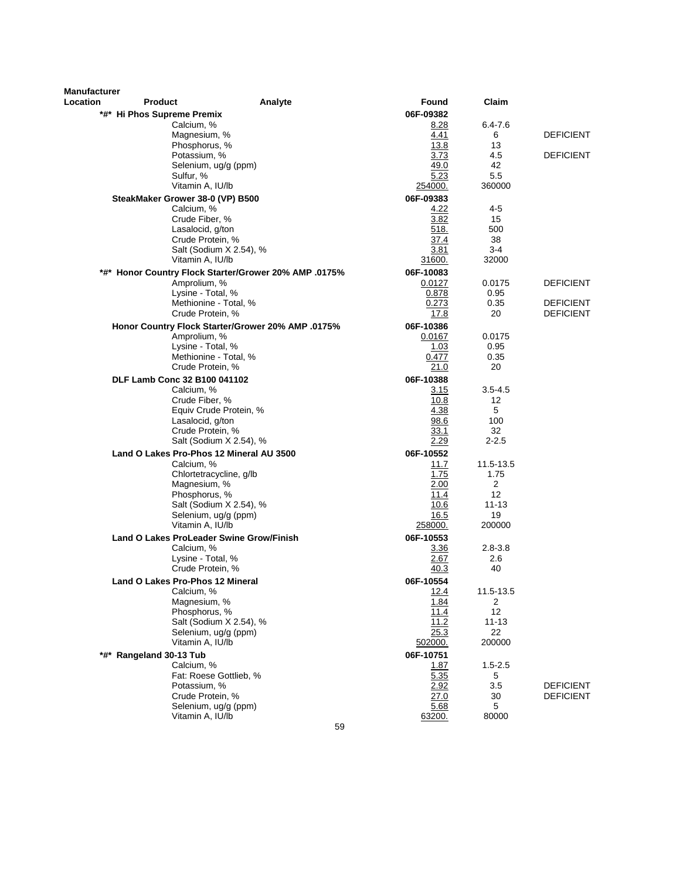| Manufacturer |                                                        |                                                       |                 |                |                  |
|--------------|--------------------------------------------------------|-------------------------------------------------------|-----------------|----------------|------------------|
| Location     | <b>Product</b>                                         | Analyte                                               | Found           | Claim          |                  |
|              | *#* Hi Phos Supreme Premix                             |                                                       | 06F-09382       |                |                  |
|              | Calcium, %                                             |                                                       | 8.28            | 6.4-7.6        |                  |
|              | Magnesium, %                                           |                                                       | 4.41            | 6              | <b>DEFICIENT</b> |
|              | Phosphorus, %<br>Potassium, %                          |                                                       | 13.8<br>3.73    | 13<br>4.5      | <b>DEFICIENT</b> |
|              | Selenium, ug/g (ppm)                                   |                                                       | 49.0            | 42             |                  |
|              | Sulfur, %                                              |                                                       | 5.23            | 5.5            |                  |
|              | Vitamin A, IU/lb                                       |                                                       | 254000.         | 360000         |                  |
|              | SteakMaker Grower 38-0 (VP) B500                       |                                                       | 06F-09383       |                |                  |
|              | Calcium, %                                             |                                                       | 4.22            | 4-5            |                  |
|              | Crude Fiber, %                                         |                                                       | 3.82            | 15             |                  |
|              | Lasalocid, g/ton                                       |                                                       | 518.            | 500            |                  |
|              | Crude Protein, %                                       |                                                       | 37.4            | 38             |                  |
|              | Salt (Sodium X 2.54), %                                |                                                       | 3.81            | $3-4$          |                  |
|              | Vitamin A, IU/lb                                       |                                                       | 31600.          | 32000          |                  |
|              |                                                        | *#* Honor Country Flock Starter/Grower 20% AMP .0175% | 06F-10083       |                |                  |
|              | Amprolium, %<br>Lysine - Total, %                      |                                                       | 0.0127<br>0.878 | 0.0175<br>0.95 | <b>DEFICIENT</b> |
|              | Methionine - Total, %                                  |                                                       | 0.273           | 0.35           | <b>DEFICIENT</b> |
|              | Crude Protein, %                                       |                                                       | 17.8            | 20             | <b>DEFICIENT</b> |
|              |                                                        | Honor Country Flock Starter/Grower 20% AMP .0175%     | 06F-10386       |                |                  |
|              | Amprolium, %                                           |                                                       | 0.0167          | 0.0175         |                  |
|              | Lysine - Total, %                                      |                                                       | 1.03            | 0.95           |                  |
|              | Methionine - Total, %                                  |                                                       | 0.477           | 0.35           |                  |
|              | Crude Protein, %                                       |                                                       | 21.0            | 20             |                  |
|              | DLF Lamb Conc 32 B100 041102                           |                                                       | 06F-10388       |                |                  |
|              | Calcium, %                                             |                                                       | 3.15            | $3.5 - 4.5$    |                  |
|              | Crude Fiber, %                                         |                                                       | 10.8            | 12             |                  |
|              | Equiv Crude Protein, %<br>Lasalocid, g/ton             |                                                       | 4.38<br>98.6    | 5<br>100       |                  |
|              | Crude Protein, %                                       |                                                       | 33.1            | 32             |                  |
|              | Salt (Sodium X 2.54), %                                |                                                       | 2.29            | $2 - 2.5$      |                  |
|              | Land O Lakes Pro-Phos 12 Mineral AU 3500               |                                                       | 06F-10552       |                |                  |
|              | Calcium, %                                             |                                                       | 11.7            | 11.5-13.5      |                  |
|              | Chlortetracycline, g/lb                                |                                                       | 1.75            | 1.75           |                  |
|              | Magnesium, %                                           |                                                       | 2.00            | 2              |                  |
|              | Phosphorus, %                                          |                                                       | 11.4            | 12             |                  |
|              | Salt (Sodium X 2.54), %                                |                                                       | 10.6            | $11 - 13$      |                  |
|              | Selenium, ug/g (ppm)                                   |                                                       | 16.5            | 19             |                  |
|              | Vitamin A, IU/lb                                       |                                                       | 258000.         | 200000         |                  |
|              | Land O Lakes ProLeader Swine Grow/Finish<br>Calcium, % |                                                       | 06F-10553       | $2.8 - 3.8$    |                  |
|              | Lysine - Total, %                                      |                                                       | 3.36<br>2.67    | 2.6            |                  |
|              | Crude Protein, %                                       |                                                       | 40.3            | 40             |                  |
|              | <b>Land O Lakes Pro-Phos 12 Mineral</b>                |                                                       | 06F-10554       |                |                  |
|              | Calcium, %                                             |                                                       | 12.4            | 11.5-13.5      |                  |
|              | Magnesium, %                                           |                                                       | 1.84            | 2              |                  |
|              | Phosphorus, %                                          |                                                       | 11.4            | 12             |                  |
|              |                                                        | Salt (Sodium X 2.54), %                               | 11.2            | $11 - 13$      |                  |
|              | Selenium, ug/g (ppm)                                   |                                                       | 25.3            | 22             |                  |
|              | Vitamin A, IU/lb                                       |                                                       | 502000.         | 200000         |                  |
|              | *#* Rangeland 30-13 Tub                                |                                                       | 06F-10751       |                |                  |
|              | Calcium, %                                             |                                                       | 1.87            | $1.5 - 2.5$    |                  |
|              | Fat: Roese Gottlieb, %<br>Potassium, %                 |                                                       | 5.35<br>2.92    | 5<br>3.5       | <b>DEFICIENT</b> |
|              | Crude Protein, %                                       |                                                       | 27.0            | 30             | <b>DEFICIENT</b> |
|              | Selenium, ug/g (ppm)                                   |                                                       | 5.68            | 5              |                  |
|              | Vitamin A, IU/lb                                       |                                                       | 63200.          | 80000          |                  |
|              |                                                        | 59                                                    |                 |                |                  |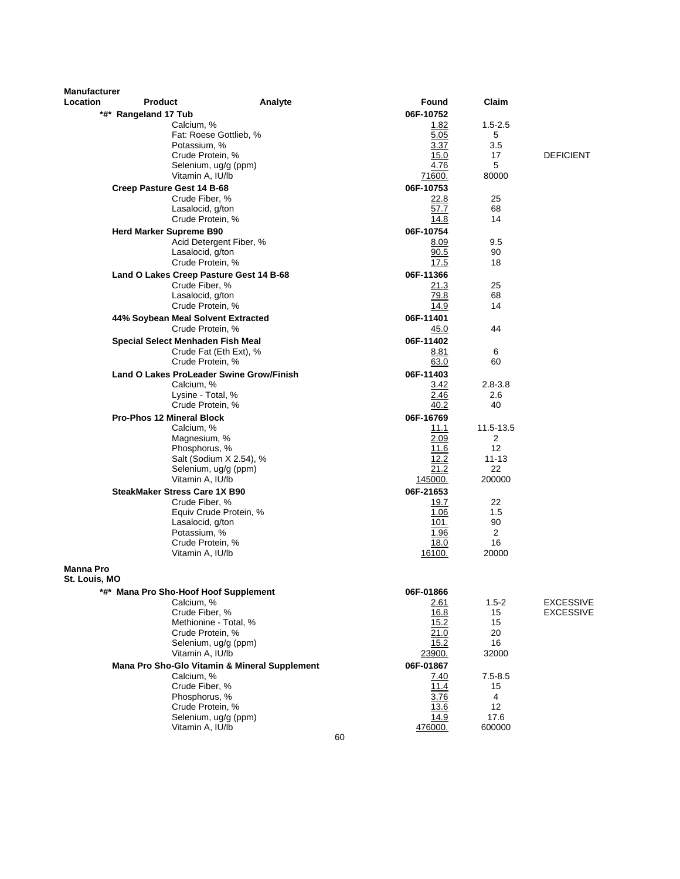| <b>Manufacturer</b><br>Location | <b>Product</b>                        |                                               |    | Found               | Claim           |                  |
|---------------------------------|---------------------------------------|-----------------------------------------------|----|---------------------|-----------------|------------------|
|                                 | *#* Rangeland 17 Tub                  | Analyte                                       |    | 06F-10752           |                 |                  |
|                                 |                                       | Calcium, %                                    |    | 1.82                | $1.5 - 2.5$     |                  |
|                                 |                                       | Fat: Roese Gottlieb, %                        |    | 5.05                | 5               |                  |
|                                 |                                       | Potassium, %                                  |    | 3.37                | 3.5             |                  |
|                                 |                                       | Crude Protein, %                              |    | 15.0                | 17              | <b>DEFICIENT</b> |
|                                 |                                       | Selenium, ug/g (ppm)                          |    | 4.76                | 5               |                  |
|                                 |                                       | Vitamin A, IU/lb                              |    | 71600.              | 80000           |                  |
|                                 | Creep Pasture Gest 14 B-68            |                                               |    | 06F-10753           |                 |                  |
|                                 |                                       | Crude Fiber, %                                |    | 22.8                | 25<br>68        |                  |
|                                 |                                       | Lasalocid, g/ton<br>Crude Protein, %          |    | 57.7<br>14.8        | 14              |                  |
|                                 | <b>Herd Marker Supreme B90</b>        |                                               |    | 06F-10754           |                 |                  |
|                                 |                                       | Acid Detergent Fiber, %                       |    | 8.09                | 9.5             |                  |
|                                 |                                       | Lasalocid, g/ton                              |    | 90.5                | 90              |                  |
|                                 |                                       | Crude Protein, %                              |    | 17.5                | 18              |                  |
|                                 |                                       | Land O Lakes Creep Pasture Gest 14 B-68       |    | 06F-11366           |                 |                  |
|                                 |                                       | Crude Fiber, %                                |    | 21.3                | 25              |                  |
|                                 |                                       | Lasalocid, g/ton                              |    | 79.8                | 68              |                  |
|                                 |                                       | Crude Protein, %                              |    | 14.9                | 14              |                  |
|                                 | 44% Soybean Meal Solvent Extracted    |                                               |    | 06F-11401           |                 |                  |
|                                 |                                       | Crude Protein, %                              |    | 45.0                | 44              |                  |
|                                 | Special Select Menhaden Fish Meal     |                                               |    | 06F-11402           |                 |                  |
|                                 |                                       | Crude Fat (Eth Ext), %<br>Crude Protein, %    |    | 8.81<br>63.0        | 6<br>60         |                  |
|                                 |                                       | Land O Lakes ProLeader Swine Grow/Finish      |    | 06F-11403           |                 |                  |
|                                 |                                       | Calcium, %                                    |    | 3.42                | $2.8 - 3.8$     |                  |
|                                 |                                       | Lysine - Total, %                             |    | 2.46                | $2.6\,$         |                  |
|                                 |                                       | Crude Protein, %                              |    | 40.2                | 40              |                  |
|                                 | <b>Pro-Phos 12 Mineral Block</b>      |                                               |    | 06F-16769           |                 |                  |
|                                 |                                       | Calcium, %                                    |    | 11.1                | 11.5-13.5       |                  |
|                                 |                                       | Magnesium, %                                  |    | 2.09                | 2               |                  |
|                                 |                                       | Phosphorus, %                                 |    | 11.6                | 12              |                  |
|                                 |                                       | Salt (Sodium X 2.54), %                       |    | 12.2<br>21.2        | $11 - 13$<br>22 |                  |
|                                 |                                       | Selenium, ug/g (ppm)<br>Vitamin A, IU/lb      |    | 145000.             | 200000          |                  |
|                                 | <b>SteakMaker Stress Care 1X B90</b>  |                                               |    | 06F-21653           |                 |                  |
|                                 |                                       | Crude Fiber, %                                |    | 19.7                | 22              |                  |
|                                 |                                       | Equiv Crude Protein, %                        |    | 1.06                | 1.5             |                  |
|                                 |                                       | Lasalocid, g/ton                              |    | 101.                | 90              |                  |
|                                 |                                       | Potassium, %                                  |    | 1.96                | $\overline{2}$  |                  |
|                                 |                                       | Crude Protein, %                              |    | 18.0                | 16              |                  |
|                                 |                                       | Vitamin A, IU/lb                              |    | 16100.              | 20000           |                  |
| <b>Manna Pro</b>                |                                       |                                               |    |                     |                 |                  |
| St. Louis, MO                   |                                       |                                               |    |                     |                 |                  |
|                                 | *#* Mana Pro Sho-Hoof Hoof Supplement |                                               |    | 06F-01866           |                 |                  |
|                                 |                                       | Calcium, %                                    |    | <u> 2.61</u>        | $1.5 - 2$       | <b>EXCESSIVE</b> |
|                                 |                                       | Crude Fiber, %<br>Methionine - Total, %       |    | 16.8<br>15.2        | 15<br>15        | <b>EXCESSIVE</b> |
|                                 |                                       | Crude Protein, %                              |    | 21.0                | 20              |                  |
|                                 |                                       | Selenium, ug/g (ppm)                          |    | 15.2                | 16              |                  |
|                                 |                                       | Vitamin A, IU/lb                              |    | 23900.              | 32000           |                  |
|                                 |                                       | Mana Pro Sho-Glo Vitamin & Mineral Supplement |    | 06F-01867           |                 |                  |
|                                 |                                       | Calcium, %                                    |    | 7.40                | $7.5 - 8.5$     |                  |
|                                 |                                       | Crude Fiber, %                                |    | 11.4                | 15              |                  |
|                                 |                                       | Phosphorus, %                                 |    | 3.76                | 4               |                  |
|                                 |                                       | Crude Protein, %<br>Selenium, ug/g (ppm)      |    | <u>13.6</u><br>14.9 | 12<br>17.6      |                  |
|                                 |                                       | Vitamin A, IU/lb                              |    | 476000.             | 600000          |                  |
|                                 |                                       |                                               | 60 |                     |                 |                  |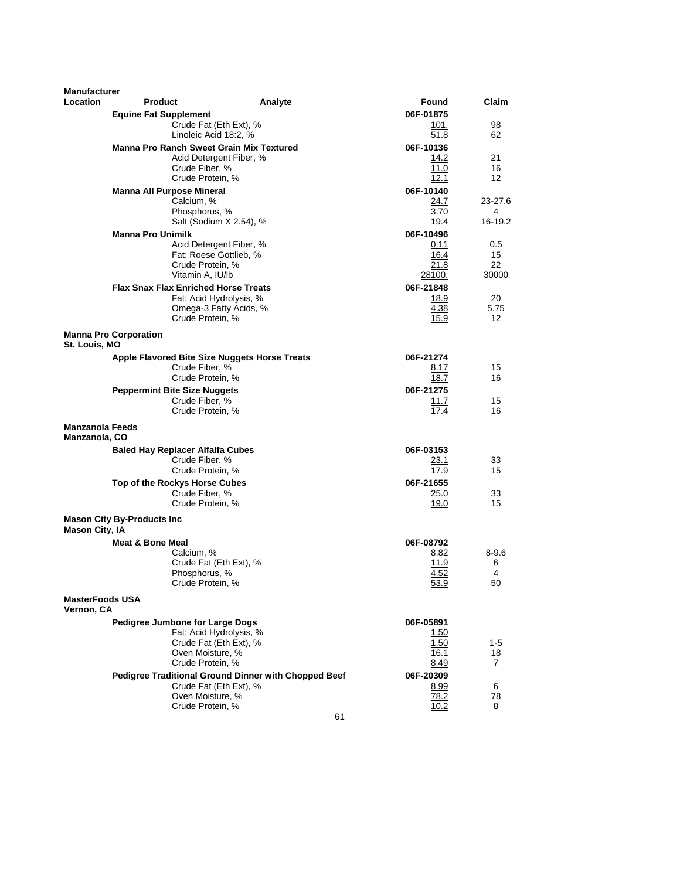| <b>Manufacturer</b>                            |                                   |                                                            |                                                      |                   |                 |
|------------------------------------------------|-----------------------------------|------------------------------------------------------------|------------------------------------------------------|-------------------|-----------------|
| <b>Location</b>                                | <b>Product</b>                    |                                                            | Analyte                                              | Found             | Claim           |
|                                                | <b>Equine Fat Supplement</b>      |                                                            |                                                      | 06F-01875         |                 |
|                                                |                                   | Crude Fat (Eth Ext), %                                     |                                                      | 101.              | 98              |
|                                                |                                   | Linoleic Acid 18:2, %                                      |                                                      | 51.8              | 62              |
|                                                |                                   | <b>Manna Pro Ranch Sweet Grain Mix Textured</b>            |                                                      | 06F-10136         |                 |
|                                                |                                   | Acid Detergent Fiber, %                                    |                                                      | 14.2              | 21              |
|                                                |                                   | Crude Fiber, %                                             |                                                      | 11.0              | 16              |
|                                                |                                   | Crude Protein, %                                           |                                                      | 12.1              | 12 <sup>2</sup> |
|                                                |                                   | <b>Manna All Purpose Mineral</b>                           |                                                      | 06F-10140         |                 |
|                                                |                                   | Calcium, %                                                 |                                                      | 24.7              | 23-27.6         |
|                                                |                                   | Phosphorus, %                                              |                                                      | 3.70              | 4               |
|                                                |                                   | Salt (Sodium X 2.54), %                                    |                                                      | 19.4              | 16-19.2         |
|                                                | <b>Manna Pro Unimilk</b>          |                                                            |                                                      | 06F-10496         |                 |
|                                                |                                   | Acid Detergent Fiber, %                                    |                                                      | 0.11              | 0.5             |
|                                                |                                   | Fat: Roese Gottlieb, %                                     |                                                      | 16.4              | 15              |
|                                                |                                   | Crude Protein, %                                           |                                                      | 21.8              | 22              |
|                                                |                                   | Vitamin A, IU/lb                                           |                                                      | 28100.            | 30000           |
|                                                |                                   | <b>Flax Snax Flax Enriched Horse Treats</b>                |                                                      | 06F-21848         |                 |
|                                                |                                   | Fat: Acid Hydrolysis, %                                    |                                                      | 18.9              | 20              |
|                                                |                                   | Omega-3 Fatty Acids, %                                     |                                                      | 4.38              | 5.75            |
|                                                |                                   | Crude Protein, %                                           |                                                      | 15.9              | 12              |
| St. Louis, MO                                  | <b>Manna Pro Corporation</b>      |                                                            |                                                      |                   |                 |
|                                                |                                   | Apple Flavored Bite Size Nuggets Horse Treats              |                                                      | 06F-21274         |                 |
|                                                |                                   | Crude Fiber. %                                             |                                                      | 8.17              | 15              |
|                                                |                                   | Crude Protein, %                                           |                                                      | 18.7              | 16              |
|                                                |                                   | <b>Peppermint Bite Size Nuggets</b>                        |                                                      | 06F-21275         |                 |
|                                                |                                   | Crude Fiber, %                                             |                                                      | 11.7              | 15              |
|                                                |                                   | Crude Protein, %                                           |                                                      | 17.4              | 16              |
| <b>Manzanola Feeds</b><br><b>Manzanola, CO</b> |                                   |                                                            |                                                      |                   |                 |
|                                                |                                   | <b>Baled Hay Replacer Alfalfa Cubes</b>                    |                                                      | 06F-03153         |                 |
|                                                |                                   | Crude Fiber, %                                             |                                                      | 23.1              | 33              |
|                                                |                                   | Crude Protein, %                                           |                                                      | 17.9              | 15              |
|                                                |                                   | Top of the Rockys Horse Cubes                              |                                                      | 06F-21655         |                 |
|                                                |                                   | Crude Fiber, %                                             |                                                      | 25.0              | 33              |
|                                                |                                   | Crude Protein, %                                           |                                                      | 19.0              | 15              |
| <b>Mason City, IA</b>                          | <b>Mason City By-Products Inc</b> |                                                            |                                                      |                   |                 |
|                                                | <b>Meat &amp; Bone Meal</b>       |                                                            |                                                      | 06F-08792         |                 |
|                                                |                                   | Calcium, %                                                 |                                                      | 8.82              | $8 - 9.6$       |
|                                                |                                   | Crude Fat (Eth Ext), %                                     |                                                      | 11.9              | 6               |
|                                                |                                   | Phosphorus, %                                              |                                                      | 4.52              | 4               |
|                                                |                                   | Crude Protein, %                                           |                                                      | 53.9              | 50              |
| <b>MasterFoods USA</b><br>Vernon, CA           |                                   |                                                            |                                                      |                   |                 |
|                                                |                                   |                                                            |                                                      |                   |                 |
|                                                |                                   | Pedigree Jumbone for Large Dogs<br>Fat: Acid Hydrolysis, % |                                                      | 06F-05891<br>1.50 |                 |
|                                                |                                   | Crude Fat (Eth Ext), %                                     |                                                      | 1.50              | 1-5             |
|                                                |                                   | Oven Moisture, %                                           |                                                      | 16.1              | 18              |
|                                                |                                   | Crude Protein, %                                           |                                                      | 8.49              | 7               |
|                                                |                                   |                                                            | Pedigree Traditional Ground Dinner with Chopped Beef | 06F-20309         |                 |
|                                                |                                   | Crude Fat (Eth Ext), %                                     |                                                      | 8.99              | 6               |
|                                                |                                   | Oven Moisture, %                                           |                                                      | 78.2              | 78              |
|                                                |                                   | Crude Protein, %                                           |                                                      | 10.2              | 8               |
|                                                |                                   |                                                            | 61                                                   |                   |                 |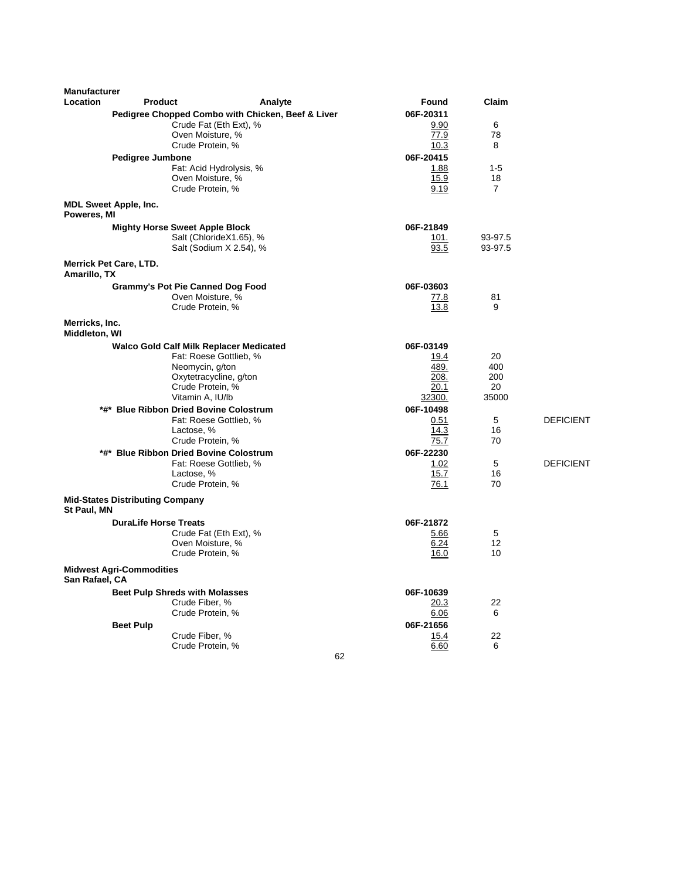| <b>Manufacturer</b> |                                                |                                                   |                   |                |                  |
|---------------------|------------------------------------------------|---------------------------------------------------|-------------------|----------------|------------------|
| Location            | <b>Product</b>                                 | Analyte                                           | Found             | Claim          |                  |
|                     |                                                | Pedigree Chopped Combo with Chicken, Beef & Liver | 06F-20311         |                |                  |
|                     |                                                | Crude Fat (Eth Ext), %                            | 9.90              | 6              |                  |
|                     | Oven Moisture, %<br>Crude Protein, %           |                                                   | 77.9<br>10.3      | 78<br>8        |                  |
|                     |                                                |                                                   |                   |                |                  |
|                     | <b>Pedigree Jumbone</b>                        | Fat: Acid Hydrolysis, %                           | 06F-20415<br>1.88 | $1 - 5$        |                  |
|                     | Oven Moisture, %                               |                                                   | 15.9              | 18             |                  |
|                     | Crude Protein, %                               |                                                   | 9.19              | $\overline{7}$ |                  |
|                     | <b>MDL Sweet Apple, Inc.</b>                   |                                                   |                   |                |                  |
| Poweres, MI         |                                                |                                                   |                   |                |                  |
|                     | <b>Mighty Horse Sweet Apple Block</b>          |                                                   | 06F-21849         |                |                  |
|                     |                                                | Salt (ChlorideX1.65), %                           | 101.              | 93-97.5        |                  |
|                     |                                                | Salt (Sodium X 2.54), %                           | 93.5              | 93-97.5        |                  |
| Amarillo, TX        | <b>Merrick Pet Care, LTD.</b>                  |                                                   |                   |                |                  |
|                     | <b>Grammy's Pot Pie Canned Dog Food</b>        |                                                   | 06F-03603         |                |                  |
|                     | Oven Moisture, %                               |                                                   | 77.8              | 81             |                  |
|                     | Crude Protein, %                               |                                                   | 13.8              | 9              |                  |
| Merricks, Inc.      |                                                |                                                   |                   |                |                  |
| Middleton, WI       |                                                |                                                   |                   |                |                  |
|                     | <b>Walco Gold Calf Milk Replacer Medicated</b> |                                                   | 06F-03149         |                |                  |
|                     | Neomycin, g/ton                                | Fat: Roese Gottlieb, %                            | 19.4<br>489.      | 20<br>400      |                  |
|                     |                                                | Oxytetracycline, g/ton                            | 208.              | 200            |                  |
|                     | Crude Protein, %                               |                                                   | 20.1              | 20             |                  |
|                     | Vitamin A, IU/lb                               |                                                   | 32300.            | 35000          |                  |
|                     | *#* Blue Ribbon Dried Bovine Colostrum         |                                                   | 06F-10498         |                |                  |
|                     |                                                | Fat: Roese Gottlieb, %                            | 0.51              | 5              | <b>DEFICIENT</b> |
|                     | Lactose, %                                     |                                                   | 14.3              | 16             |                  |
|                     | Crude Protein, %                               |                                                   | 75.7              | 70             |                  |
|                     | *#* Blue Ribbon Dried Bovine Colostrum         |                                                   | 06F-22230         |                |                  |
|                     |                                                | Fat: Roese Gottlieb, %                            | 1.02              | 5              | <b>DEFICIENT</b> |
|                     | Lactose, %<br>Crude Protein, %                 |                                                   | 15.7<br>76.1      | 16<br>70       |                  |
|                     |                                                |                                                   |                   |                |                  |
| St Paul, MN         | <b>Mid-States Distributing Company</b>         |                                                   |                   |                |                  |
|                     | <b>DuraLife Horse Treats</b>                   |                                                   | 06F-21872         |                |                  |
|                     |                                                | Crude Fat (Eth Ext), %                            | 5.66              | 5              |                  |
|                     | Oven Moisture, %                               |                                                   | 6.24              | 12             |                  |
|                     | Crude Protein, %                               |                                                   | 16.0              | 10             |                  |
| San Rafael, CA      | <b>Midwest Agri-Commodities</b>                |                                                   |                   |                |                  |
|                     | <b>Beet Pulp Shreds with Molasses</b>          |                                                   | 06F-10639         |                |                  |
|                     | Crude Fiber, %                                 |                                                   | 20.3              | 22             |                  |
|                     | Crude Protein, %                               |                                                   | 6.06              | 6              |                  |
|                     | <b>Beet Pulp</b>                               |                                                   | 06F-21656         |                |                  |
|                     | Crude Fiber, %                                 |                                                   | 15.4              | 22             |                  |
|                     | Crude Protein, %                               |                                                   | 6.60              | 6              |                  |

62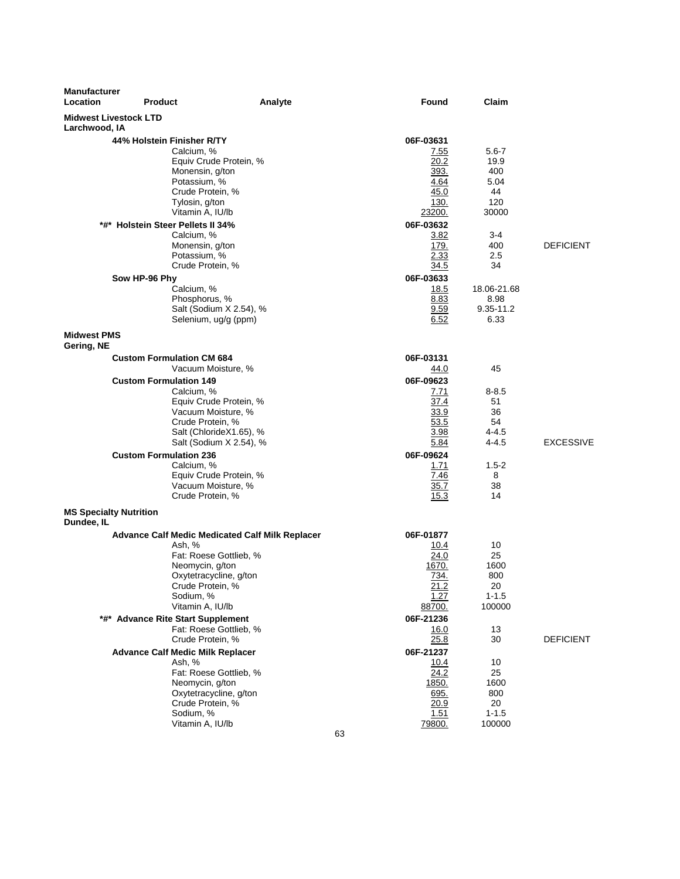| <b>Manufacturer</b><br>Location               | <b>Product</b>                                                                                                                                                                                                                                                                                                                                                                                                                                                   | Analyte | Found                                                                                                                                                                            | Claim                                                                                                                    |                  |
|-----------------------------------------------|------------------------------------------------------------------------------------------------------------------------------------------------------------------------------------------------------------------------------------------------------------------------------------------------------------------------------------------------------------------------------------------------------------------------------------------------------------------|---------|----------------------------------------------------------------------------------------------------------------------------------------------------------------------------------|--------------------------------------------------------------------------------------------------------------------------|------------------|
| <b>Midwest Livestock LTD</b><br>Larchwood, IA |                                                                                                                                                                                                                                                                                                                                                                                                                                                                  |         |                                                                                                                                                                                  |                                                                                                                          |                  |
|                                               | 44% Holstein Finisher R/TY<br>Calcium, %<br>Equiv Crude Protein, %<br>Monensin, g/ton<br>Potassium, %<br>Crude Protein, %<br>Tylosin, g/ton<br>Vitamin A, IU/lb<br>*#* Holstein Steer Pellets II 34%<br>Calcium, %<br>Monensin, g/ton<br>Potassium, %                                                                                                                                                                                                            |         | 06F-03631<br>7.55<br>20.2<br>393.<br>4.64<br>45.0<br>130.<br>23200.<br>06F-03632<br>3.82<br>179.<br>2.33                                                                         | $5.6 - 7$<br>19.9<br>400<br>5.04<br>44<br>120<br>30000<br>3-4<br>400<br>$2.5\,$                                          | <b>DEFICIENT</b> |
|                                               | Crude Protein, %<br>Sow HP-96 Phy<br>Calcium, %<br>Phosphorus, %<br>Salt (Sodium X 2.54), %<br>Selenium, ug/g (ppm)                                                                                                                                                                                                                                                                                                                                              |         | 34.5<br>06F-03633<br>18.5<br>8.83<br>9.59<br>6.52                                                                                                                                | 34<br>18.06-21.68<br>8.98<br>$9.35 - 11.2$<br>6.33                                                                       |                  |
| <b>Midwest PMS</b><br>Gering, NE              |                                                                                                                                                                                                                                                                                                                                                                                                                                                                  |         |                                                                                                                                                                                  |                                                                                                                          |                  |
| <b>MS Specialty Nutrition</b>                 | <b>Custom Formulation CM 684</b><br>Vacuum Moisture, %<br><b>Custom Formulation 149</b><br>Calcium, %<br>Equiv Crude Protein, %<br>Vacuum Moisture, %<br>Crude Protein, %<br>Salt (ChlorideX1.65), %<br>Salt (Sodium X 2.54), %<br><b>Custom Formulation 236</b><br>Calcium, %<br>Equiv Crude Protein, %<br>Vacuum Moisture, %<br>Crude Protein, %                                                                                                               |         | 06F-03131<br>44.0<br>06F-09623<br>7.71<br>37.4<br>33.9<br>53.5<br>3.98<br>5.84<br>06F-09624<br>1.71<br>7.46<br>35.7<br>15.3                                                      | 45<br>$8 - 8.5$<br>51<br>36<br>54<br>$4 - 4.5$<br>$4 - 4.5$<br>$1.5 - 2$<br>8<br>38<br>14                                | <b>EXCESSIVE</b> |
| Dundee, IL                                    | <b>Advance Calf Medic Medicated Calf Milk Replacer</b><br>Ash, %<br>Fat: Roese Gottlieb, %<br>Neomycin, g/ton<br>Oxytetracycline, g/ton<br>Crude Protein, %<br>Sodium, %<br>Vitamin A, IU/lb<br>*#* Advance Rite Start Supplement<br>Fat: Roese Gottlieb, %<br>Crude Protein, %<br><b>Advance Calf Medic Milk Replacer</b><br>Ash, %<br>Fat: Roese Gottlieb, %<br>Neomycin, g/ton<br>Oxytetracycline, g/ton<br>Crude Protein, %<br>Sodium, %<br>Vitamin A, IU/lb |         | 06F-01877<br>10.4<br>24.0<br>1670.<br>734.<br><u>21.2</u><br>1.27<br>88700.<br>06F-21236<br>16.0<br>25.8<br>06F-21237<br>10.4<br>24.2<br>1850.<br>695.<br>20.9<br>1.51<br>79800. | 10<br>25<br>1600<br>800<br>20<br>$1 - 1.5$<br>100000<br>13<br>30<br>10<br>25<br>1600<br>800<br>20<br>$1 - 1.5$<br>100000 | <b>DEFICIENT</b> |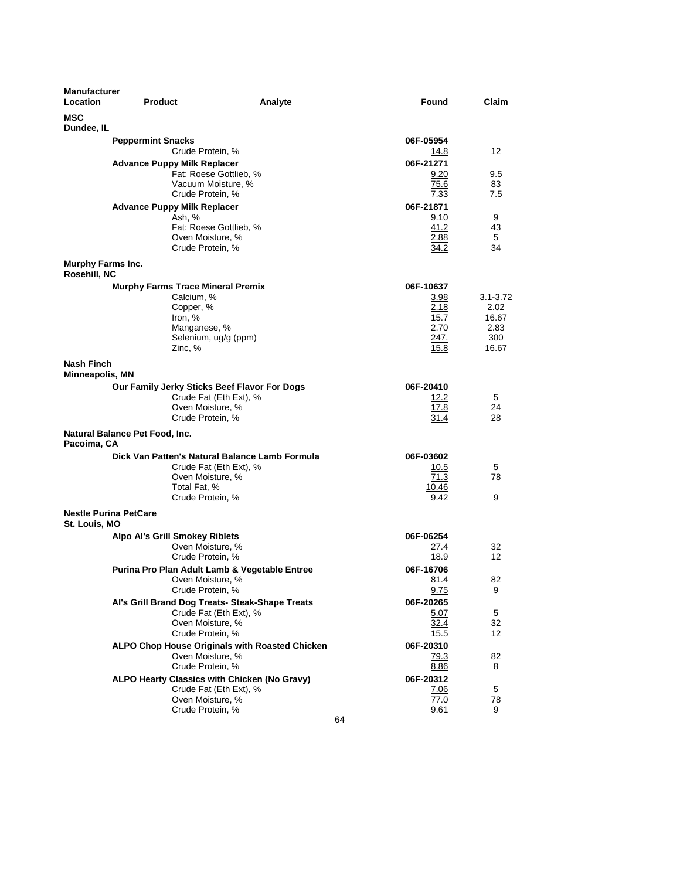| <b>Manufacturer</b><br><b>Location</b>        | <b>Product</b>                                                                                            | Analyte                                                                   | <b>Found</b>                                              | Claim                                                 |
|-----------------------------------------------|-----------------------------------------------------------------------------------------------------------|---------------------------------------------------------------------------|-----------------------------------------------------------|-------------------------------------------------------|
| <b>MSC</b><br>Dundee, IL                      |                                                                                                           |                                                                           |                                                           |                                                       |
|                                               | <b>Peppermint Snacks</b><br>Crude Protein, %                                                              |                                                                           | 06F-05954<br>14.8                                         | 12                                                    |
|                                               | <b>Advance Puppy Milk Replacer</b><br>Crude Protein, %                                                    | Fat: Roese Gottlieb, %<br>Vacuum Moisture, %                              | 06F-21271<br>9.20<br>75.6<br>7.33                         | 9.5<br>83<br>7.5                                      |
|                                               | <b>Advance Puppy Milk Replacer</b><br>Ash, %<br>Oven Moisture, %<br>Crude Protein, %                      | Fat: Roese Gottlieb, %                                                    | 06F-21871<br>9.10<br>41.2<br>2.88<br>34.2                 | 9<br>43<br>5<br>34                                    |
| Murphy Farms Inc.<br>Rosehill, NC             |                                                                                                           |                                                                           |                                                           |                                                       |
|                                               | <b>Murphy Farms Trace Mineral Premix</b><br>Calcium, %<br>Copper, %<br>Iron, %<br>Manganese, %<br>Zinc, % | Selenium, ug/g (ppm)                                                      | 06F-10637<br>3.98<br>2.18<br>15.7<br>2.70<br>247.<br>15.8 | $3.1 - 3.72$<br>2.02<br>16.67<br>2.83<br>300<br>16.67 |
| Nash Finch<br>Minneapolis, MN                 |                                                                                                           |                                                                           |                                                           |                                                       |
|                                               | Oven Moisture, %<br>Crude Protein, %                                                                      | Our Family Jerky Sticks Beef Flavor For Dogs<br>Crude Fat (Eth Ext), %    | 06F-20410<br>12.2<br>17.8<br>31.4                         | 5<br>24<br>28                                         |
| Natural Balance Pet Food, Inc.<br>Pacoima, CA |                                                                                                           |                                                                           |                                                           |                                                       |
|                                               | Oven Moisture, %<br>Total Fat, %<br>Crude Protein, %                                                      | Dick Van Patten's Natural Balance Lamb Formula<br>Crude Fat (Eth Ext), %  | 06F-03602<br>10.5<br>71.3<br>10.46<br>9.42                | 5<br>78<br>9                                          |
| <b>Nestle Purina PetCare</b><br>St. Louis, MO |                                                                                                           |                                                                           |                                                           |                                                       |
|                                               | <b>Alpo Al's Grill Smokey Riblets</b><br>Oven Moisture, %<br>Crude Protein, %                             | Purina Pro Plan Adult Lamb & Vegetable Entree                             | 06F-06254<br>27.4<br>18.9<br>06F-16706                    | 32<br>12                                              |
|                                               | Oven Moisture, %<br>Crude Protein, %                                                                      |                                                                           | 81.4<br>9.75                                              | 82<br>9                                               |
|                                               | Oven Moisture, %<br>Crude Protein, %                                                                      | Al's Grill Brand Dog Treats- Steak-Shape Treats<br>Crude Fat (Eth Ext), % | 06F-20265<br>5.07<br>32.4<br>15.5                         | 5<br>32<br>12                                         |
|                                               | Oven Moisture, %<br>Crude Protein, %                                                                      | ALPO Chop House Originals with Roasted Chicken                            | 06F-20310<br>79.3<br>8.86                                 | 82<br>8                                               |
|                                               | Oven Moisture, %<br>Crude Protein, %                                                                      | ALPO Hearty Classics with Chicken (No Gravy)<br>Crude Fat (Eth Ext), %    | 06F-20312<br><u>7.06</u><br>77.0<br>9.61<br>64            | 5<br>78<br>9                                          |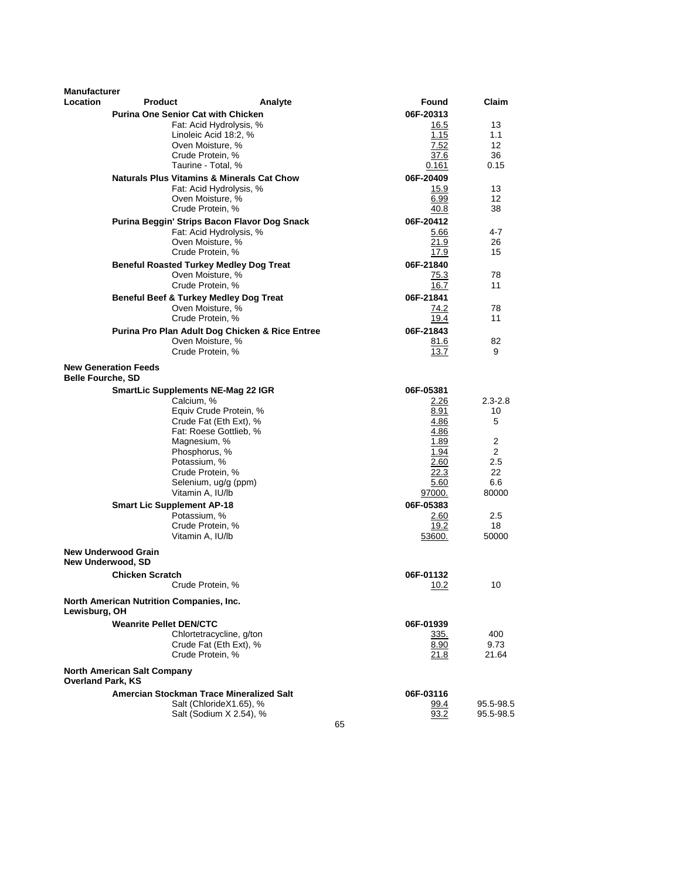| <b>Manufacturer</b>      |                                                   |                                                                     |                   |                 |
|--------------------------|---------------------------------------------------|---------------------------------------------------------------------|-------------------|-----------------|
| Location                 | <b>Product</b>                                    | Analyte                                                             | Found             | Claim           |
|                          | <b>Purina One Senior Cat with Chicken</b>         | Fat: Acid Hydrolysis, %                                             | 06F-20313         | 13              |
|                          |                                                   | Linoleic Acid 18:2, %                                               | 16.5<br>1.15      | 1.1             |
|                          |                                                   | Oven Moisture, %                                                    | 7.52              | 12 <sup>2</sup> |
|                          |                                                   | Crude Protein, %                                                    | 37.6              | 36              |
|                          |                                                   | Taurine - Total, %                                                  | 0.161             | 0.15            |
|                          |                                                   | <b>Naturals Plus Vitamins &amp; Minerals Cat Chow</b>               | 06F-20409         |                 |
|                          |                                                   | Fat: Acid Hydrolysis, %                                             | 15.9              | 13              |
|                          |                                                   | Oven Moisture, %                                                    | 6.99              | 12 <sup>2</sup> |
|                          |                                                   | Crude Protein, %                                                    | 40.8              | 38              |
|                          |                                                   | Purina Beggin' Strips Bacon Flavor Dog Snack                        | 06F-20412         |                 |
|                          |                                                   | Fat: Acid Hydrolysis, %                                             | 5.66              | 4-7             |
|                          |                                                   | Oven Moisture, %                                                    | 21.9              | 26              |
|                          |                                                   | Crude Protein, %                                                    | 17.9              | 15              |
|                          | <b>Beneful Roasted Turkey Medley Dog Treat</b>    |                                                                     | 06F-21840         |                 |
|                          |                                                   | Oven Moisture, %                                                    | 75.3              | 78              |
|                          |                                                   | Crude Protein, %                                                    | 16.7              | 11              |
|                          | <b>Beneful Beef &amp; Turkey Medley Dog Treat</b> |                                                                     | 06F-21841         |                 |
|                          |                                                   | Oven Moisture, %<br>Crude Protein, %                                | 74.2<br>19.4      | 78<br>11        |
|                          |                                                   |                                                                     |                   |                 |
|                          |                                                   | Purina Pro Plan Adult Dog Chicken & Rice Entree<br>Oven Moisture, % | 06F-21843<br>81.6 | 82              |
|                          |                                                   | Crude Protein, %                                                    | 13.7              | 9               |
|                          |                                                   |                                                                     |                   |                 |
| <b>Belle Fourche, SD</b> | <b>New Generation Feeds</b>                       |                                                                     |                   |                 |
|                          | <b>SmartLic Supplements NE-Mag 22 IGR</b>         |                                                                     | 06F-05381         |                 |
|                          | Calcium, %                                        |                                                                     | 2.26              | $2.3 - 2.8$     |
|                          |                                                   | Equiv Crude Protein, %                                              | 8.91              | 10              |
|                          |                                                   | Crude Fat (Eth Ext), %<br>Fat: Roese Gottlieb, %                    | 4.86<br>4.86      | 5               |
|                          | Magnesium, %                                      |                                                                     | 1.89              | $\overline{2}$  |
|                          | Phosphorus, %                                     |                                                                     | 1.94              | 2               |
|                          | Potassium, %                                      |                                                                     | 2.60              | 2.5             |
|                          |                                                   | Crude Protein, %                                                    | 22.3              | 22              |
|                          |                                                   | Selenium, ug/g (ppm)                                                | 5.60              | 6.6             |
|                          | Vitamin A, IU/lb                                  |                                                                     | 97000.            | 80000           |
|                          | <b>Smart Lic Supplement AP-18</b>                 |                                                                     | 06F-05383         |                 |
|                          | Potassium, %                                      |                                                                     | 2.60              | 2.5             |
|                          |                                                   | Crude Protein, %                                                    | 19.2              | 18              |
|                          | Vitamin A, IU/lb                                  |                                                                     | 53600.            | 50000           |
|                          | <b>New Underwood Grain</b>                        |                                                                     |                   |                 |
|                          | New Underwood, SD                                 |                                                                     |                   |                 |
|                          | <b>Chicken Scratch</b>                            |                                                                     | 06F-01132         |                 |
|                          |                                                   | Crude Protein, %                                                    | 10.2              | 10              |
| Lewisburg, OH            | North American Nutrition Companies, Inc.          |                                                                     |                   |                 |
|                          | <b>Weanrite Pellet DEN/CTC</b>                    |                                                                     | 06F-01939         |                 |
|                          |                                                   | Chlortetracycline, g/ton                                            | 335.              | 400             |
|                          |                                                   | Crude Fat (Eth Ext), %                                              | 8.90              | 9.73            |
|                          |                                                   | Crude Protein, %                                                    | 21.8              | 21.64           |
| <b>Overland Park, KS</b> | <b>North American Salt Company</b>                |                                                                     |                   |                 |
|                          | Amercian Stockman Trace Mineralized Salt          |                                                                     | 06F-03116         |                 |
|                          |                                                   | Salt (ChlorideX1.65), %                                             | <u>99.4</u>       | 95.5-98.5       |
|                          |                                                   | Salt (Sodium X 2.54), %                                             | 93.2              | 95.5-98.5       |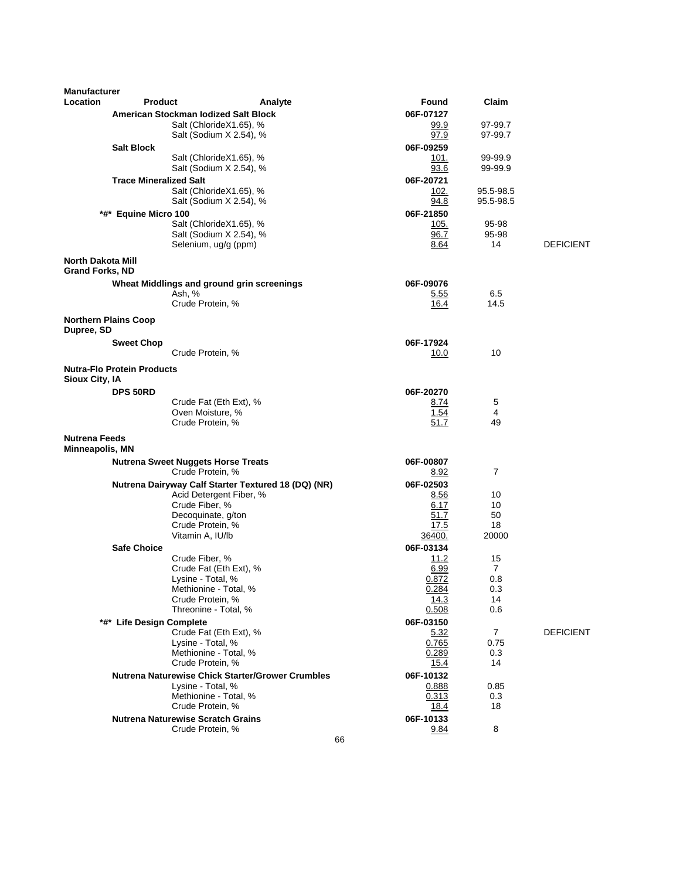| <b>Manufacturer</b>                                |                                   |                                                               |         |    |                          |                        |                  |
|----------------------------------------------------|-----------------------------------|---------------------------------------------------------------|---------|----|--------------------------|------------------------|------------------|
| Location                                           | <b>Product</b>                    |                                                               | Analyte |    | Found                    | Claim                  |                  |
|                                                    |                                   | American Stockman Iodized Salt Block                          |         |    | 06F-07127                |                        |                  |
|                                                    |                                   | Salt (ChlorideX1.65), %<br>Salt (Sodium X 2.54), %            |         |    | 99.9<br>97.9             | 97-99.7<br>97-99.7     |                  |
|                                                    | <b>Salt Block</b>                 |                                                               |         |    | 06F-09259                |                        |                  |
|                                                    |                                   | Salt (ChlorideX1.65), %                                       |         |    | 101.                     | 99-99.9                |                  |
|                                                    |                                   | Salt (Sodium X 2.54), %                                       |         |    | 93.6                     | 99-99.9                |                  |
|                                                    | <b>Trace Mineralized Salt</b>     |                                                               |         |    | 06F-20721                |                        |                  |
|                                                    |                                   | Salt (ChlorideX1.65), %<br>Salt (Sodium X 2.54), %            |         |    | 102.<br>94.8             | 95.5-98.5<br>95.5-98.5 |                  |
|                                                    | *#* Equine Micro 100              |                                                               |         |    | 06F-21850                |                        |                  |
|                                                    |                                   | Salt (ChlorideX1.65), %                                       |         |    | 105.                     | 95-98                  |                  |
|                                                    |                                   | Salt (Sodium X 2.54), %                                       |         |    | 96.7                     | 95-98<br>14            | <b>DEFICIENT</b> |
|                                                    |                                   | Selenium, ug/g (ppm)                                          |         |    | 8.64                     |                        |                  |
| <b>North Dakota Mill</b><br><b>Grand Forks, ND</b> |                                   |                                                               |         |    |                          |                        |                  |
|                                                    |                                   | Wheat Middlings and ground grin screenings                    |         |    | 06F-09076                |                        |                  |
|                                                    |                                   | Ash, %<br>Crude Protein, %                                    |         |    | 5.55<br>16.4             | 6.5<br>14.5            |                  |
|                                                    |                                   |                                                               |         |    |                          |                        |                  |
| Dupree, SD                                         | <b>Northern Plains Coop</b>       |                                                               |         |    |                          |                        |                  |
|                                                    | <b>Sweet Chop</b>                 |                                                               |         |    | 06F-17924                |                        |                  |
|                                                    |                                   | Crude Protein, %                                              |         |    | 10.0                     | 10                     |                  |
| Sioux City, IA                                     | <b>Nutra-Flo Protein Products</b> |                                                               |         |    |                          |                        |                  |
|                                                    | DPS 50RD                          |                                                               |         |    | 06F-20270                |                        |                  |
|                                                    |                                   | Crude Fat (Eth Ext), %<br>Oven Moisture, %                    |         |    | 8.74<br>1.54             | 5<br>4                 |                  |
|                                                    |                                   | Crude Protein, %                                              |         |    | 51.7                     | 49                     |                  |
| <b>Nutrena Feeds</b>                               |                                   |                                                               |         |    |                          |                        |                  |
| Minneapolis, MN                                    |                                   |                                                               |         |    |                          |                        |                  |
|                                                    |                                   | <b>Nutrena Sweet Nuggets Horse Treats</b><br>Crude Protein, % |         |    | 06F-00807<br>8.92        | 7                      |                  |
|                                                    |                                   | Nutrena Dairyway Calf Starter Textured 18 (DQ) (NR)           |         |    | 06F-02503                |                        |                  |
|                                                    |                                   | Acid Detergent Fiber, %                                       |         |    | 8.56                     | 10                     |                  |
|                                                    |                                   | Crude Fiber, %<br>Decoquinate, g/ton                          |         |    | 6.17<br>51.7             | 10<br>50               |                  |
|                                                    |                                   | Crude Protein, %                                              |         |    | 17.5                     | 18                     |                  |
|                                                    |                                   | Vitamin A, IU/lb                                              |         |    | 36400.                   | 20000                  |                  |
|                                                    | <b>Safe Choice</b>                |                                                               |         |    | 06F-03134                |                        |                  |
|                                                    |                                   | Crude Fiber, %<br>Crude Fat (Eth Ext), %                      |         |    | 11.2<br>6.99             | 15<br>$\overline{7}$   |                  |
|                                                    |                                   | Lysine - Total, %                                             |         |    | 0.872                    | 0.8                    |                  |
|                                                    |                                   | Methionine - Total, %                                         |         |    | 0.284                    | 0.3                    |                  |
|                                                    |                                   | Crude Protein, %<br>Threonine - Total, %                      |         |    | 14.3<br>0.508            | 14<br>0.6              |                  |
|                                                    | *#* Life Design Complete          |                                                               |         |    | 06F-03150                |                        |                  |
|                                                    |                                   | Crude Fat (Eth Ext), %                                        |         |    | 5.32                     | 7                      | <b>DEFICIENT</b> |
|                                                    |                                   | Lysine - Total, %                                             |         |    | 0.765                    | 0.75                   |                  |
|                                                    |                                   | Methionine - Total, %<br>Crude Protein, %                     |         |    | 0.289<br><u> 15.4</u>    | 0.3<br>14              |                  |
|                                                    |                                   | <b>Nutrena Naturewise Chick Starter/Grower Crumbles</b>       |         |    | 06F-10132                |                        |                  |
|                                                    |                                   | Lysine - Total, %                                             |         |    | 0.888                    | 0.85                   |                  |
|                                                    |                                   | Methionine - Total, %                                         |         |    | 0.313                    | 0.3                    |                  |
|                                                    |                                   | Crude Protein, %<br><b>Nutrena Naturewise Scratch Grains</b>  |         |    | <u>18.4</u><br>06F-10133 | 18                     |                  |
|                                                    |                                   | Crude Protein, %                                              |         |    | <u>9.84</u>              | 8                      |                  |
|                                                    |                                   |                                                               |         | 66 |                          |                        |                  |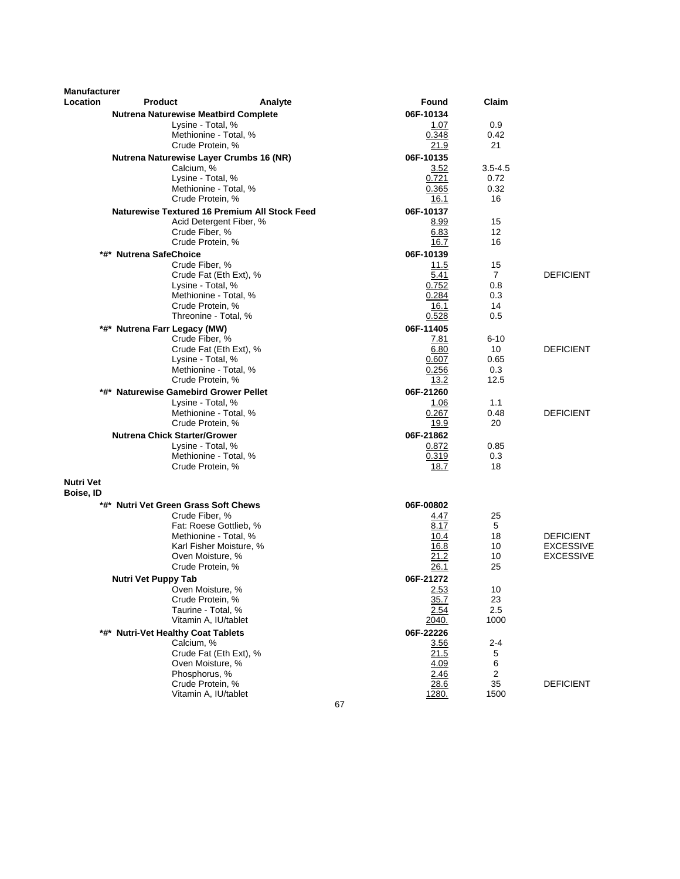| <b>Manufacturer</b>           |                                             |                                                      |               |                |                  |
|-------------------------------|---------------------------------------------|------------------------------------------------------|---------------|----------------|------------------|
| Location                      | <b>Product</b>                              | Analyte                                              | Found         | Claim          |                  |
|                               | <b>Nutrena Naturewise Meatbird Complete</b> |                                                      | 06F-10134     |                |                  |
|                               |                                             | Lysine - Total, %<br>Methionine - Total, %           | 1.07<br>0.348 | 0.9<br>0.42    |                  |
|                               |                                             | Crude Protein, %                                     | 21.9          | 21             |                  |
|                               |                                             | Nutrena Naturewise Layer Crumbs 16 (NR)              | 06F-10135     |                |                  |
|                               | Calcium, %                                  |                                                      | 3.52          | $3.5 - 4.5$    |                  |
|                               |                                             | Lysine - Total, %                                    | 0.721         | 0.72           |                  |
|                               |                                             | Methionine - Total, %                                | 0.365         | 0.32           |                  |
|                               |                                             | Crude Protein, %                                     | 16.1          | 16             |                  |
|                               |                                             | <b>Naturewise Textured 16 Premium All Stock Feed</b> | 06F-10137     |                |                  |
|                               |                                             | Acid Detergent Fiber, %                              | 8.99          | 15             |                  |
|                               |                                             | Crude Fiber, %                                       | 6.83          | 12             |                  |
|                               |                                             | Crude Protein, %                                     | 16.7          | 16             |                  |
|                               | *#* Nutrena SafeChoice                      |                                                      | 06F-10139     |                |                  |
|                               |                                             | Crude Fiber, %                                       | 11.5          | 15             |                  |
|                               |                                             | Crude Fat (Eth Ext), %                               | 5.41          | $\overline{7}$ | <b>DEFICIENT</b> |
|                               |                                             | Lysine - Total, %                                    | 0.752         | 0.8<br>0.3     |                  |
|                               |                                             | Methionine - Total, %<br>Crude Protein, %            | 0.284<br>16.1 | 14             |                  |
|                               |                                             | Threonine - Total, %                                 | 0.528         | 0.5            |                  |
|                               | *#* Nutrena Farr Legacy (MW)                |                                                      | 06F-11405     |                |                  |
|                               |                                             | Crude Fiber, %                                       | 7.81          | $6 - 10$       |                  |
|                               |                                             | Crude Fat (Eth Ext), %                               | 6.80          | 10             | DEFICIENT        |
|                               |                                             | Lysine - Total, %                                    | 0.607         | 0.65           |                  |
|                               |                                             | Methionine - Total, %                                | 0.256         | 0.3            |                  |
|                               |                                             | Crude Protein, %                                     | 13.2          | 12.5           |                  |
|                               | *#* Naturewise Gamebird Grower Pellet       |                                                      | 06F-21260     |                |                  |
|                               |                                             | Lysine - Total, %                                    | 1.06          | 1.1            |                  |
|                               |                                             | Methionine - Total, %                                | 0.267         | 0.48           | <b>DEFICIENT</b> |
|                               |                                             | Crude Protein, %                                     | 19.9          | 20             |                  |
|                               | <b>Nutrena Chick Starter/Grower</b>         |                                                      | 06F-21862     |                |                  |
|                               |                                             | Lysine - Total, %                                    | 0.872         | 0.85           |                  |
|                               |                                             | Methionine - Total, %<br>Crude Protein, %            | 0.319<br>18.7 | 0.3<br>18      |                  |
|                               |                                             |                                                      |               |                |                  |
| <b>Nutri Vet</b><br>Boise, ID |                                             |                                                      |               |                |                  |
|                               | *#* Nutri Vet Green Grass Soft Chews        |                                                      | 06F-00802     |                |                  |
|                               |                                             | Crude Fiber, %                                       | 4.47          | 25             |                  |
|                               |                                             | Fat: Roese Gottlieb, %                               | 8.17          | 5              |                  |
|                               |                                             | Methionine - Total, %                                | 10.4          | 18             | <b>DEFICIENT</b> |
|                               |                                             | Karl Fisher Moisture, %                              | 16.8          | 10             | <b>EXCESSIVE</b> |
|                               |                                             | Oven Moisture, %                                     | 21.2          | 10<br>25       | <b>EXCESSIVE</b> |
|                               |                                             | Crude Protein, %                                     | 26.1          |                |                  |
|                               | Nutri Vet Puppy Tab                         |                                                      | 06F-21272     | 10             |                  |
|                               |                                             | Oven Moisture, %<br>Crude Protein, %                 | 2.53<br>35.7  | 23             |                  |
|                               |                                             | Taurine - Total, %                                   | 2.54          | 2.5            |                  |
|                               |                                             | Vitamin A, IU/tablet                                 | 2040.         | 1000           |                  |
|                               | *#* Nutri-Vet Healthy Coat Tablets          |                                                      | 06F-22226     |                |                  |
|                               | Calcium, %                                  |                                                      | 3.56          | $2 - 4$        |                  |
|                               |                                             | Crude Fat (Eth Ext), %                               | 21.5          | 5              |                  |
|                               |                                             | Oven Moisture, %                                     | 4.09          | 6              |                  |
|                               |                                             | Phosphorus, %                                        | 2.46          | $\overline{2}$ |                  |
|                               |                                             | Crude Protein, %                                     | 28.6          | 35             | <b>DEFICIENT</b> |
|                               |                                             | Vitamin A, IU/tablet                                 | 1280.<br>67   | 1500           |                  |
|                               |                                             |                                                      |               |                |                  |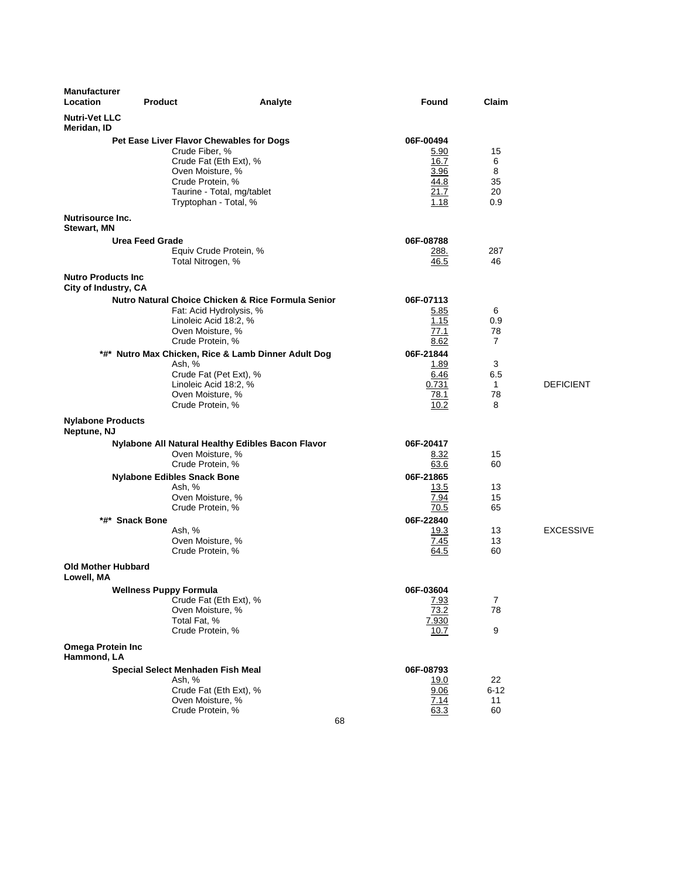| <b>Manufacturer</b><br>Location                    | <b>Product</b>                           | Analyte                                                  | Found         | Claim               |                  |
|----------------------------------------------------|------------------------------------------|----------------------------------------------------------|---------------|---------------------|------------------|
| <b>Nutri-Vet LLC</b><br>Meridan, ID                |                                          |                                                          |               |                     |                  |
|                                                    | Pet Ease Liver Flavor Chewables for Dogs |                                                          | 06F-00494     |                     |                  |
|                                                    | Crude Fiber, %                           |                                                          | 5.90          | 15                  |                  |
|                                                    |                                          | Crude Fat (Eth Ext), %                                   | 16.7          | 6                   |                  |
|                                                    | Oven Moisture, %                         |                                                          | 3.96          | 8                   |                  |
|                                                    | Crude Protein, %                         | Taurine - Total, mg/tablet                               | 44.8<br>21.7  | 35<br>20            |                  |
|                                                    | Tryptophan - Total, %                    |                                                          | 1.18          | 0.9                 |                  |
|                                                    |                                          |                                                          |               |                     |                  |
| Nutrisource Inc.<br><b>Stewart, MN</b>             |                                          |                                                          |               |                     |                  |
|                                                    | Urea Feed Grade                          |                                                          | 06F-08788     |                     |                  |
|                                                    |                                          | Equiv Crude Protein, %                                   | 288.          | 287                 |                  |
|                                                    | Total Nitrogen, %                        |                                                          | 46.5          | 46                  |                  |
| <b>Nutro Products Inc.</b><br>City of Industry, CA |                                          |                                                          |               |                     |                  |
|                                                    |                                          | Nutro Natural Choice Chicken & Rice Formula Senior       | 06F-07113     |                     |                  |
|                                                    |                                          | Fat: Acid Hydrolysis, %                                  | <u>5.85</u>   | 6                   |                  |
|                                                    | Linoleic Acid 18:2. %                    |                                                          | 1.15          | 0.9                 |                  |
|                                                    | Oven Moisture, %                         |                                                          | 77.1          | 78                  |                  |
|                                                    | Crude Protein, %                         |                                                          | 8.62          | 7                   |                  |
|                                                    |                                          | *#* Nutro Max Chicken, Rice & Lamb Dinner Adult Dog      | 06F-21844     |                     |                  |
|                                                    | Ash, %                                   |                                                          | 1.89          | 3                   |                  |
|                                                    | Linoleic Acid 18:2, %                    | Crude Fat (Pet Ext), %                                   | 6.46<br>0.731 | 6.5<br>$\mathbf{1}$ | <b>DEFICIENT</b> |
|                                                    | Oven Moisture, %                         |                                                          | 78.1          | 78                  |                  |
|                                                    | Crude Protein, %                         |                                                          | 10.2          | 8                   |                  |
| <b>Nylabone Products</b><br>Neptune, NJ            |                                          |                                                          |               |                     |                  |
|                                                    |                                          | <b>Nylabone All Natural Healthy Edibles Bacon Flavor</b> | 06F-20417     |                     |                  |
|                                                    | Oven Moisture, %                         |                                                          | 8.32          | 15                  |                  |
|                                                    | Crude Protein, %                         |                                                          | 63.6          | 60                  |                  |
|                                                    | <b>Nylabone Edibles Snack Bone</b>       |                                                          | 06F-21865     |                     |                  |
|                                                    | Ash, %                                   |                                                          | 13.5          | 13                  |                  |
|                                                    | Oven Moisture, %                         |                                                          | 7.94          | 15                  |                  |
|                                                    | Crude Protein, %                         |                                                          | 70.5          | 65                  |                  |
|                                                    | *#* Snack Bone                           |                                                          | 06F-22840     |                     |                  |
|                                                    | Ash, %                                   |                                                          | 19.3          | 13                  | <b>EXCESSIVE</b> |
|                                                    | Oven Moisture, %<br>Crude Protein, %     |                                                          | 7.45<br>64.5  | 13<br>60            |                  |
| <b>Old Mother Hubbard</b><br>Lowell, MA            |                                          |                                                          |               |                     |                  |
|                                                    | <b>Wellness Puppy Formula</b>            |                                                          | 06F-03604     |                     |                  |
|                                                    |                                          | Crude Fat (Eth Ext), %                                   | 7.93          | 7                   |                  |
|                                                    | Oven Moisture, %                         |                                                          | 73.2          | 78                  |                  |
|                                                    | Total Fat, %                             |                                                          | 7.930         |                     |                  |
|                                                    | Crude Protein, %                         |                                                          | 10.7          | 9                   |                  |
| <b>Omega Protein Inc</b><br>Hammond, LA            |                                          |                                                          |               |                     |                  |
|                                                    | Special Select Menhaden Fish Meal        |                                                          | 06F-08793     |                     |                  |
|                                                    | Ash, %                                   |                                                          | 19.0          | 22                  |                  |
|                                                    |                                          | Crude Fat (Eth Ext), %                                   | 9.06          | 6-12                |                  |
|                                                    | Oven Moisture, %                         |                                                          | 7.14          | 11                  |                  |
|                                                    | Crude Protein, %                         |                                                          | 63.3          | 60                  |                  |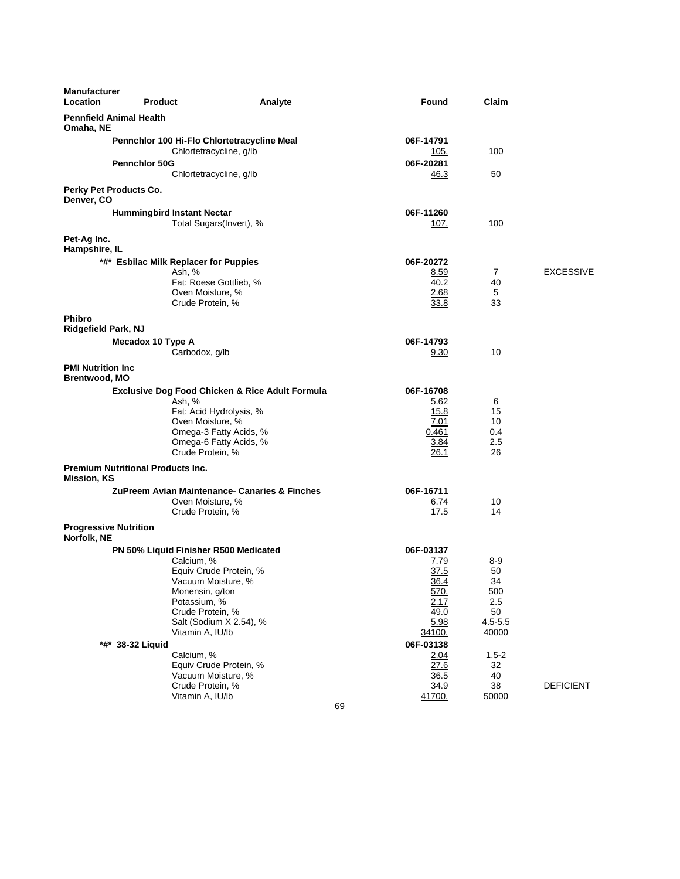| <b>Manufacturer</b><br>Location                  | <b>Product</b>                                                         | Analyte                                                    | Found             | Claim          |                  |
|--------------------------------------------------|------------------------------------------------------------------------|------------------------------------------------------------|-------------------|----------------|------------------|
| <b>Pennfield Animal Health</b><br>Omaha, NE      |                                                                        |                                                            |                   |                |                  |
|                                                  | Pennchlor 100 Hi-Flo Chlortetracycline Meal<br>Chlortetracycline, g/lb |                                                            | 06F-14791<br>105. | 100            |                  |
|                                                  | <b>Pennchlor 50G</b><br>Chlortetracycline, g/lb                        |                                                            | 06F-20281<br>46.3 | 50             |                  |
| Perky Pet Products Co.<br>Denver, CO             |                                                                        |                                                            |                   |                |                  |
|                                                  | <b>Hummingbird Instant Nectar</b>                                      | Total Sugars(Invert), %                                    | 06F-11260<br>107. | 100            |                  |
| Pet-Ag Inc.<br>Hampshire, IL                     |                                                                        |                                                            |                   |                |                  |
|                                                  |                                                                        |                                                            |                   |                |                  |
|                                                  | *#* Esbilac Milk Replacer for Puppies                                  |                                                            | 06F-20272         |                |                  |
|                                                  | Ash, %                                                                 |                                                            | 8.59              | $\overline{7}$ | <b>EXCESSIVE</b> |
|                                                  |                                                                        | Fat: Roese Gottlieb, %                                     | 40.2              | 40             |                  |
|                                                  | Oven Moisture, %<br>Crude Protein, %                                   |                                                            | 2.68              | 5<br>33        |                  |
|                                                  |                                                                        |                                                            | 33.8              |                |                  |
| <b>Phibro</b>                                    |                                                                        |                                                            |                   |                |                  |
| Ridgefield Park, NJ                              |                                                                        |                                                            |                   |                |                  |
|                                                  | Mecadox 10 Type A                                                      |                                                            | 06F-14793         |                |                  |
|                                                  | Carbodox, g/lb                                                         |                                                            | 9.30              | 10             |                  |
| <b>PMI Nutrition Inc</b><br><b>Brentwood, MO</b> |                                                                        |                                                            |                   |                |                  |
|                                                  |                                                                        | <b>Exclusive Dog Food Chicken &amp; Rice Adult Formula</b> | 06F-16708         |                |                  |
|                                                  | Ash, %                                                                 |                                                            | 5.62              | 6              |                  |
|                                                  |                                                                        | Fat: Acid Hydrolysis, %                                    | 15.8              | 15             |                  |
|                                                  | Oven Moisture, %                                                       |                                                            | 7.01              | 10             |                  |
|                                                  |                                                                        | Omega-3 Fatty Acids, %                                     | 0.461             | 0.4            |                  |
|                                                  |                                                                        | Omega-6 Fatty Acids, %                                     | 3.84              | 2.5            |                  |
|                                                  | Crude Protein, %                                                       |                                                            | 26.1              | 26             |                  |
|                                                  | <b>Premium Nutritional Products Inc.</b>                               |                                                            |                   |                |                  |
| <b>Mission, KS</b>                               |                                                                        |                                                            |                   |                |                  |
|                                                  |                                                                        | ZuPreem Avian Maintenance- Canaries & Finches              | 06F-16711         |                |                  |
|                                                  | Oven Moisture, %                                                       |                                                            | 6.74              | 10             |                  |
|                                                  | Crude Protein, %                                                       |                                                            | 17.5              | 14             |                  |
| <b>Progressive Nutrition</b><br>Norfolk, NE      |                                                                        |                                                            |                   |                |                  |
|                                                  | PN 50% Liquid Finisher R500 Medicated                                  |                                                            | 06F-03137         |                |                  |
|                                                  | Calcium, %                                                             |                                                            | 7.79              | 8-9            |                  |
|                                                  |                                                                        | Equiv Crude Protein, %                                     | 37.5              | 50             |                  |
|                                                  | Vacuum Moisture, %                                                     |                                                            | <u>36.4</u>       | 34             |                  |
|                                                  | Monensin, g/ton                                                        |                                                            | 570.              | 500            |                  |
|                                                  | Potassium, %                                                           |                                                            | 2.17              | 2.5            |                  |
|                                                  | Crude Protein, %                                                       |                                                            | 49.0              | 50             |                  |
|                                                  |                                                                        | Salt (Sodium X 2.54), %                                    | 5.98              | $4.5 - 5.5$    |                  |
|                                                  | Vitamin A, IU/lb                                                       |                                                            | 34100.            | 40000          |                  |
|                                                  | *#* 38-32 Liquid                                                       |                                                            | 06F-03138         |                |                  |
|                                                  | Calcium, %                                                             |                                                            | 2.04              | $1.5 - 2$      |                  |
|                                                  |                                                                        | Equiv Crude Protein, %                                     | 27.6              | 32             |                  |
|                                                  | Vacuum Moisture, %                                                     |                                                            | 36.5              | 40             |                  |
|                                                  | Crude Protein, %                                                       |                                                            | 34.9              | 38             | <b>DEFICIENT</b> |
|                                                  | Vitamin A, IU/lb                                                       |                                                            | 41700.            | 50000          |                  |
|                                                  |                                                                        | 69                                                         |                   |                |                  |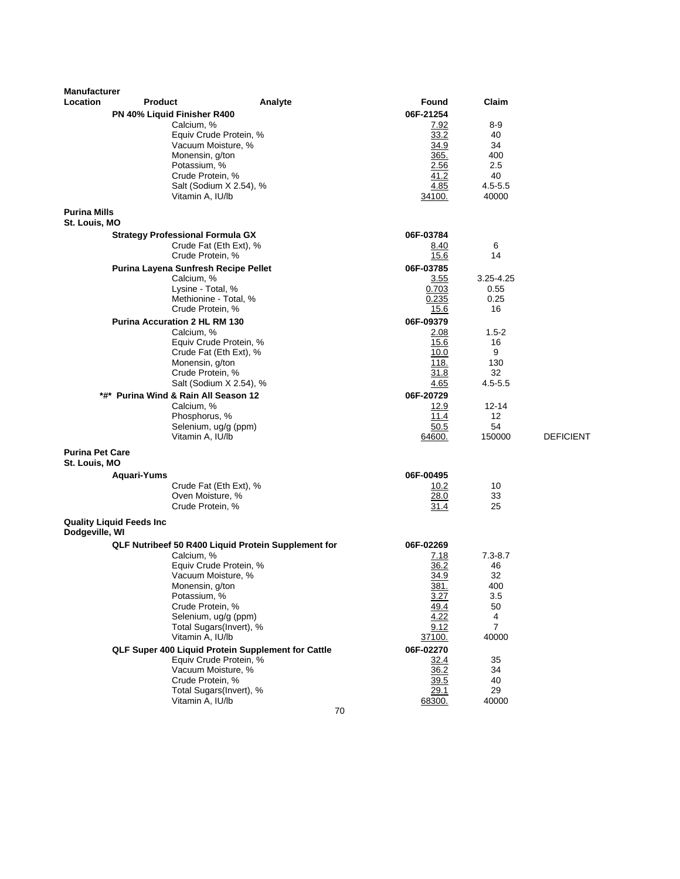| <b>Manufacturer</b>                  |                                              |                                                     |                   |                |                  |
|--------------------------------------|----------------------------------------------|-----------------------------------------------------|-------------------|----------------|------------------|
| Location                             | <b>Product</b>                               | Analyte                                             | Found             | Claim          |                  |
|                                      | PN 40% Liquid Finisher R400                  |                                                     | 06F-21254         |                |                  |
|                                      | Calcium, %                                   |                                                     | 7.92              | 8-9            |                  |
|                                      | Equiv Crude Protein, %<br>Vacuum Moisture, % |                                                     | 33.2<br>34.9      | 40<br>34       |                  |
|                                      | Monensin, g/ton                              |                                                     | 365.              | 400            |                  |
|                                      | Potassium, %                                 |                                                     | 2.56              | 2.5            |                  |
|                                      | Crude Protein, %                             |                                                     | 41.2              | 40             |                  |
|                                      | Salt (Sodium X 2.54), %                      |                                                     | 4.85              | $4.5 - 5.5$    |                  |
|                                      | Vitamin A, IU/lb                             |                                                     | 34100.            | 40000          |                  |
| <b>Purina Mills</b><br>St. Louis, MO |                                              |                                                     |                   |                |                  |
|                                      | <b>Strategy Professional Formula GX</b>      |                                                     | 06F-03784         |                |                  |
|                                      | Crude Fat (Eth Ext), %                       |                                                     | 8.40              | 6              |                  |
|                                      | Crude Protein, %                             |                                                     | 15.6              | 14             |                  |
|                                      | Purina Layena Sunfresh Recipe Pellet         |                                                     | 06F-03785         |                |                  |
|                                      | Calcium, %                                   |                                                     | 3.55              | 3.25-4.25      |                  |
|                                      | Lysine - Total, %                            |                                                     | 0.703             | 0.55           |                  |
|                                      | Methionine - Total, %<br>Crude Protein, %    |                                                     | 0.235<br>15.6     | 0.25<br>16     |                  |
|                                      | <b>Purina Accuration 2 HL RM 130</b>         |                                                     | 06F-09379         |                |                  |
|                                      | Calcium, %                                   |                                                     | 2.08              | $1.5-2$        |                  |
|                                      | Equiv Crude Protein, %                       |                                                     | 15.6              | 16             |                  |
|                                      | Crude Fat (Eth Ext), %                       |                                                     | 10.0              | 9              |                  |
|                                      | Monensin, g/ton                              |                                                     | 118.              | 130            |                  |
|                                      | Crude Protein, %                             |                                                     | 31.8              | 32             |                  |
|                                      | Salt (Sodium X 2.54), %                      |                                                     | 4.65              | $4.5 - 5.5$    |                  |
|                                      | *#* Purina Wind & Rain All Season 12         |                                                     | 06F-20729<br>12.9 | 12-14          |                  |
|                                      | Calcium, %<br>Phosphorus, %                  |                                                     | 11.4              | 12             |                  |
|                                      | Selenium, ug/g (ppm)                         |                                                     | 50.5              | 54             |                  |
|                                      | Vitamin A, IU/lb                             |                                                     | 64600.            | 150000         | <b>DEFICIENT</b> |
| <b>Purina Pet Care</b>               |                                              |                                                     |                   |                |                  |
| St. Louis, MO                        |                                              |                                                     |                   |                |                  |
|                                      | Aquari-Yums                                  |                                                     | 06F-00495         |                |                  |
|                                      | Crude Fat (Eth Ext), %<br>Oven Moisture, %   |                                                     | 10.2<br>28.0      | 10<br>33       |                  |
|                                      | Crude Protein, %                             |                                                     | 31.4              | 25             |                  |
|                                      |                                              |                                                     |                   |                |                  |
| Dodgeville, WI                       | <b>Quality Liquid Feeds Inc.</b>             |                                                     |                   |                |                  |
|                                      |                                              | QLF Nutribeef 50 R400 Liquid Protein Supplement for | 06F-02269         |                |                  |
|                                      | Calcium, %                                   |                                                     | 7.18              | $7.3 - 8.7$    |                  |
|                                      | Equiv Crude Protein, %<br>Vacuum Moisture, % |                                                     | 36.2<br>34.9      | 46<br>32       |                  |
|                                      | Monensin, g/ton                              |                                                     | 381.              | 400            |                  |
|                                      | Potassium, %                                 |                                                     | 3.27              | 3.5            |                  |
|                                      | Crude Protein, %                             |                                                     | 49.4              | 50             |                  |
|                                      | Selenium, ug/g (ppm)                         |                                                     | 4.22              | 4              |                  |
|                                      | Total Sugars(Invert), %                      |                                                     | 9.12              | $\overline{7}$ |                  |
|                                      | Vitamin A, IU/lb                             |                                                     | 37100.            | 40000          |                  |
|                                      | Equiv Crude Protein, %                       | QLF Super 400 Liquid Protein Supplement for Cattle  | 06F-02270<br>32.4 | 35             |                  |
|                                      | Vacuum Moisture, %                           |                                                     | 36.2              | 34             |                  |
|                                      | Crude Protein, %                             |                                                     | 39.5              | 40             |                  |
|                                      | Total Sugars(Invert), %                      |                                                     | 29.1              | 29             |                  |
|                                      | Vitamin A, IU/lb                             |                                                     | 68300.            | 40000          |                  |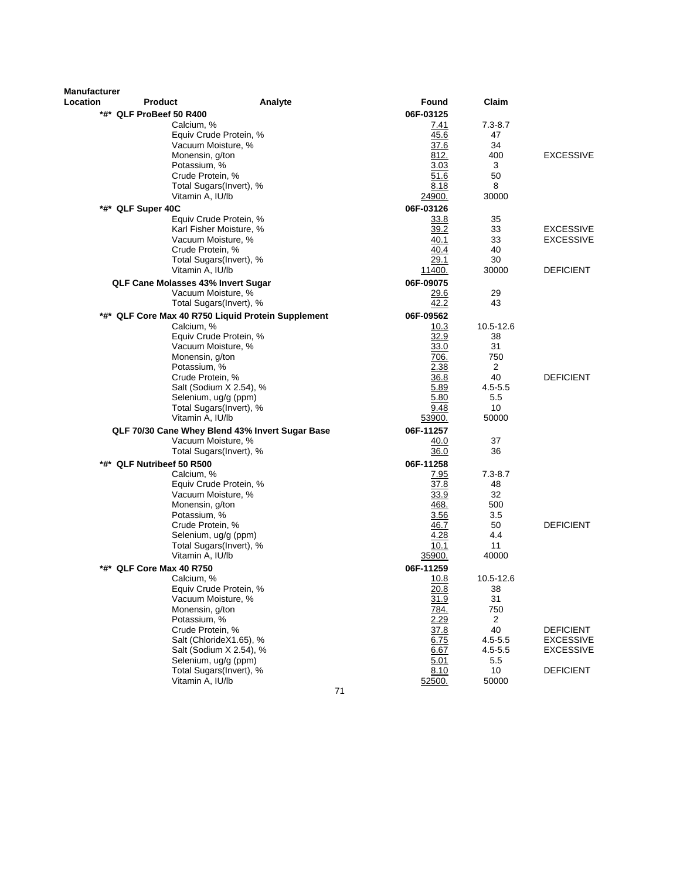| Manufacturer |                                    |                                                 |                     |                |                  |
|--------------|------------------------------------|-------------------------------------------------|---------------------|----------------|------------------|
| Location     | Product                            | Analyte                                         | Found               | Claim          |                  |
|              | *#* QLF ProBeef 50 R400            |                                                 | 06F-03125           |                |                  |
|              | Calcium, %                         |                                                 | 7.41                | $7.3 - 8.7$    |                  |
|              |                                    | Equiv Crude Protein, %                          | 45.6                | 47             |                  |
|              | Vacuum Moisture, %                 |                                                 | 37.6                | 34             |                  |
|              | Monensin, g/ton                    |                                                 | 812.                | 400            | <b>EXCESSIVE</b> |
|              | Potassium, %                       |                                                 | 3.03                | 3              |                  |
|              | Crude Protein, %                   |                                                 | 51.6                | 50             |                  |
|              |                                    | Total Sugars(Invert), %                         | 8.18                | 8              |                  |
|              | Vitamin A, IU/lb                   |                                                 | 24900.              | 30000          |                  |
| *#*          | QLF Super 40C                      |                                                 | 06F-03126           |                |                  |
|              |                                    | Equiv Crude Protein, %                          | 33.8                | 35             |                  |
|              |                                    | Karl Fisher Moisture, %                         | 39.2                | 33             | <b>EXCESSIVE</b> |
|              | Vacuum Moisture, %                 |                                                 | 40.1                | 33             | <b>EXCESSIVE</b> |
|              | Crude Protein. %                   |                                                 | 40.4                | 40             |                  |
|              |                                    | Total Sugars(Invert), %                         | 29.1                | 30             |                  |
|              | Vitamin A, IU/lb                   |                                                 | 11400.              | 30000          | <b>DEFICIENT</b> |
|              | QLF Cane Molasses 43% Invert Sugar |                                                 | 06F-09075           |                |                  |
|              | Vacuum Moisture, %                 |                                                 | 29.6                | 29             |                  |
|              |                                    | Total Sugars(Invert), %                         | 42.2                | 43             |                  |
| *#*          |                                    | QLF Core Max 40 R750 Liquid Protein Supplement  | 06F-09562           |                |                  |
|              | Calcium, %                         |                                                 | 10.3                | 10.5-12.6      |                  |
|              |                                    | Equiv Crude Protein, %                          | 32.9                | 38             |                  |
|              | Vacuum Moisture, %                 |                                                 | 33.0                | 31             |                  |
|              | Monensin, g/ton                    |                                                 | 706.                | 750            |                  |
|              | Potassium, %                       |                                                 | 2.38                | 2              |                  |
|              | Crude Protein, %                   |                                                 | 36.8                | 40             | <b>DEFICIENT</b> |
|              |                                    | Salt (Sodium X 2.54), %                         | 5.89                | $4.5 - 5.5$    |                  |
|              | Selenium, ug/g (ppm)               |                                                 | 5.80                | 5.5            |                  |
|              |                                    | Total Sugars(Invert), %                         | 9.48                | 10             |                  |
|              | Vitamin A, IU/lb                   |                                                 | 53900.              | 50000          |                  |
|              |                                    | QLF 70/30 Cane Whey Blend 43% Invert Sugar Base | 06F-11257           |                |                  |
|              | Vacuum Moisture, %                 |                                                 | 40.0                | 37             |                  |
|              |                                    | Total Sugars(Invert), %                         | 36.0                | 36             |                  |
|              | *#* QLF Nutribeef 50 R500          |                                                 | 06F-11258           |                |                  |
|              | Calcium, %                         |                                                 | 7.95                | $7.3 - 8.7$    |                  |
|              |                                    | Equiv Crude Protein, %                          | 37.8                | 48             |                  |
|              | Vacuum Moisture, %                 |                                                 | 33.9                | 32             |                  |
|              | Monensin, g/ton                    |                                                 | 468.                | 500            |                  |
|              | Potassium, %                       |                                                 | 3.56                | 3.5            |                  |
|              | Crude Protein, %                   |                                                 | 46.7                | 50             | <b>DEFICIENT</b> |
|              | Selenium, ug/g (ppm)               |                                                 | <u>4.28</u>         | 4.4            |                  |
|              |                                    | Total Sugars(Invert), %                         | 10.1<br>35900.      | 11             |                  |
|              | Vitamin A, IU/lb                   |                                                 |                     | 40000          |                  |
| *#*          | QLF Core Max 40 R750               |                                                 | 06F-11259           |                |                  |
|              | Calcium, %                         |                                                 | 10.8                | 10.5-12.6      |                  |
|              | Vacuum Moisture, %                 | Equiv Crude Protein, %                          | <u>20.8</u><br>31.9 | 38<br>31       |                  |
|              | Monensin, g/ton                    |                                                 | <u>784.</u>         | 750            |                  |
|              | Potassium, %                       |                                                 | 2.29                | $\overline{2}$ |                  |
|              | Crude Protein, %                   |                                                 | 37.8                | 40             | <b>DEFICIENT</b> |
|              |                                    | Salt (ChlorideX1.65), %                         | 6.75                | $4.5 - 5.5$    | <b>EXCESSIVE</b> |
|              |                                    | Salt (Sodium X 2.54), %                         | 6.67                | $4.5 - 5.5$    | <b>EXCESSIVE</b> |
|              | Selenium, ug/g (ppm)               |                                                 | 5.01                | 5.5            |                  |
|              |                                    | Total Sugars(Invert), %                         | 8.10                | 10             | <b>DEFICIENT</b> |
|              | Vitamin A, IU/lb                   |                                                 | 52500.              | 50000          |                  |
|              |                                    | 71                                              |                     |                |                  |
|              |                                    |                                                 |                     |                |                  |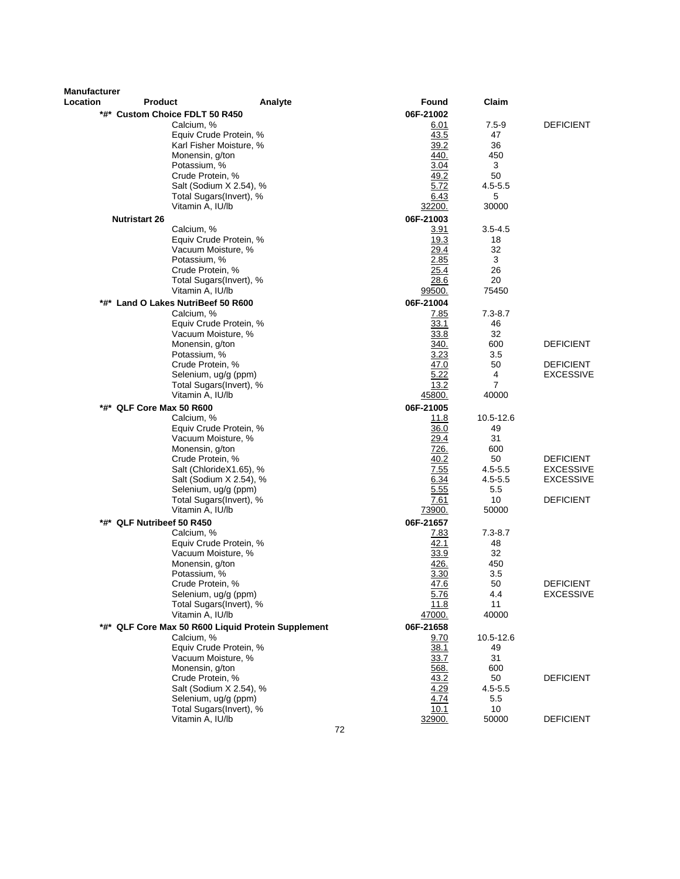| <b>Manufacturer</b><br>Location | <b>Product</b>                      | Analyte                                            | Found         | Claim       |                  |
|---------------------------------|-------------------------------------|----------------------------------------------------|---------------|-------------|------------------|
|                                 | *#* Custom Choice FDLT 50 R450      |                                                    | 06F-21002     |             |                  |
|                                 | Calcium, %                          |                                                    | 6.01          | $7.5 - 9$   | <b>DEFICIENT</b> |
|                                 |                                     | Equiv Crude Protein, %                             | 43.5          | 47          |                  |
|                                 |                                     | Karl Fisher Moisture, %                            | 39.2          | 36          |                  |
|                                 | Monensin, g/ton                     |                                                    | 440.          | 450         |                  |
|                                 | Potassium, %                        |                                                    | 3.04          | 3           |                  |
|                                 | Crude Protein, %                    |                                                    | 49.2          | 50          |                  |
|                                 |                                     | Salt (Sodium X 2.54), %                            | 5.72          | $4.5 - 5.5$ |                  |
|                                 |                                     | Total Sugars(Invert), %                            | 6.43          | 5           |                  |
|                                 | Vitamin A, IU/lb                    |                                                    | 32200.        | 30000       |                  |
|                                 | <b>Nutristart 26</b>                |                                                    | 06F-21003     |             |                  |
|                                 | Calcium, %                          |                                                    | 3.91          | $3.5 - 4.5$ |                  |
|                                 |                                     | Equiv Crude Protein, %                             | 19.3          | 18          |                  |
|                                 |                                     | Vacuum Moisture, %                                 | 29.4          | 32          |                  |
|                                 | Potassium, %                        |                                                    | 2.85          | 3           |                  |
|                                 | Crude Protein, %                    |                                                    | 25.4          | 26          |                  |
|                                 |                                     | Total Sugars(Invert), %                            | 28.6          | 20          |                  |
|                                 | Vitamin A, IU/lb                    |                                                    | <u>99500.</u> | 75450       |                  |
|                                 | *#* Land O Lakes NutriBeef 50 R600  |                                                    | 06F-21004     |             |                  |
|                                 | Calcium, %                          |                                                    | 7.85          | $7.3 - 8.7$ |                  |
|                                 |                                     | Equiv Crude Protein, %                             | 33.1          | 46          |                  |
|                                 |                                     | Vacuum Moisture, %                                 | 33.8          | 32          |                  |
|                                 | Monensin, g/ton                     |                                                    | 340.          | 600         | <b>DEFICIENT</b> |
|                                 | Potassium, %                        |                                                    | 3.23          | 3.5         |                  |
|                                 | Crude Protein, %                    |                                                    | 47.0          | 50          | <b>DEFICIENT</b> |
|                                 |                                     | Selenium, ug/g (ppm)                               | 5.22          | 4           | <b>EXCESSIVE</b> |
|                                 |                                     | Total Sugars(Invert), %                            | 13.2          | 7           |                  |
|                                 | Vitamin A, IU/lb                    |                                                    | 45800.        | 40000       |                  |
|                                 | *#* QLF Core Max 50 R600            |                                                    | 06F-21005     |             |                  |
|                                 | Calcium, %                          |                                                    | 11.8          | 10.5-12.6   |                  |
|                                 |                                     | Equiv Crude Protein, %                             | 36.0          | 49          |                  |
|                                 |                                     | Vacuum Moisture, %                                 | 29.4          | 31          |                  |
|                                 | Monensin, g/ton<br>Crude Protein, % |                                                    | 726.<br>40.2  | 600<br>50   | <b>DEFICIENT</b> |
|                                 |                                     | Salt (ChlorideX1.65), %                            | 7.55          | $4.5 - 5.5$ | <b>EXCESSIVE</b> |
|                                 |                                     | Salt (Sodium X 2.54), %                            | 6.34          | $4.5 - 5.5$ | <b>EXCESSIVE</b> |
|                                 |                                     | Selenium, ug/g (ppm)                               | 5.55          | 5.5         |                  |
|                                 |                                     | Total Sugars(Invert), %                            | 7.61          | 10          | <b>DEFICIENT</b> |
|                                 | Vitamin A, IU/lb                    |                                                    | 73900.        | 50000       |                  |
|                                 | *#* QLF Nutribeef 50 R450           |                                                    | 06F-21657     |             |                  |
|                                 | Calcium, %                          |                                                    | 7.83          | $7.3 - 8.7$ |                  |
|                                 |                                     | Equiv Crude Protein, %                             | 42.1          | 48          |                  |
|                                 |                                     | Vacuum Moisture, %                                 | 33.9          | 32          |                  |
|                                 | Monensin, g/ton                     |                                                    | 426.          | 450         |                  |
|                                 | Potassium, %                        |                                                    | 3.30          | 3.5         |                  |
|                                 | Crude Protein, %                    |                                                    | <u>47.6</u>   | 50          | <b>DEFICIENT</b> |
|                                 |                                     | Selenium, ug/g (ppm)                               | 5.76          | 4.4         | <b>EXCESSIVE</b> |
|                                 |                                     | Total Sugars(Invert), %                            | 11.8          | 11          |                  |
|                                 | Vitamin A, IU/lb                    |                                                    | 47000.        | 40000       |                  |
|                                 |                                     | *#* QLF Core Max 50 R600 Liquid Protein Supplement | 06F-21658     |             |                  |
|                                 | Calcium, %                          |                                                    | 9.70          | 10.5-12.6   |                  |
|                                 |                                     | Equiv Crude Protein, %                             | 38.1          | 49          |                  |
|                                 |                                     | Vacuum Moisture, %                                 | 33.7          | 31          |                  |
|                                 | Monensin, g/ton                     |                                                    | 568.          | 600         |                  |
|                                 | Crude Protein, %                    |                                                    | 43.2          | 50          | <b>DEFICIENT</b> |
|                                 |                                     | Salt (Sodium X 2.54), %                            | 4.29          | $4.5 - 5.5$ |                  |
|                                 |                                     | Selenium, ug/g (ppm)                               | 4.74          | 5.5         |                  |
|                                 |                                     | Total Sugars(Invert), %                            | 10.1          | 10          |                  |
|                                 | Vitamin A, IU/lb                    |                                                    | 32900.<br>70  | 50000       | <b>DEFICIENT</b> |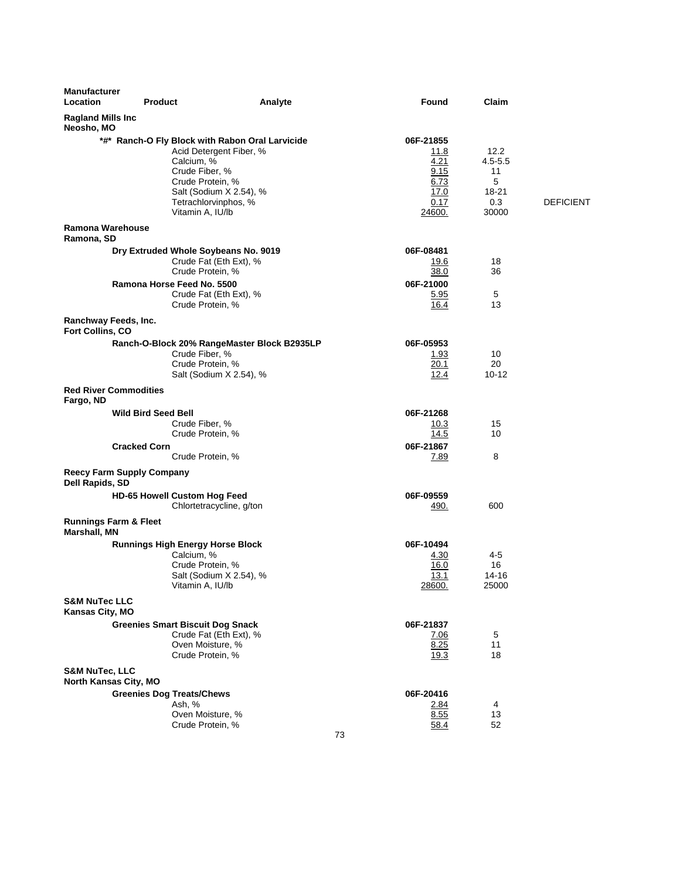| <b>Manufacturer</b><br>Location<br><b>Product</b>   | Analyte                                                                                                                                                                                               | Found                                                                       | Claim                                                   |                  |
|-----------------------------------------------------|-------------------------------------------------------------------------------------------------------------------------------------------------------------------------------------------------------|-----------------------------------------------------------------------------|---------------------------------------------------------|------------------|
| <b>Ragland Mills Inc</b><br>Neosho, MO              |                                                                                                                                                                                                       |                                                                             |                                                         |                  |
|                                                     | *#* Ranch-O Fly Block with Rabon Oral Larvicide<br>Acid Detergent Fiber, %<br>Calcium, %<br>Crude Fiber, %<br>Crude Protein, %<br>Salt (Sodium X 2.54), %<br>Tetrachlorvinphos, %<br>Vitamin A, IU/lb | 06F-21855<br>11.8<br>4.21<br>9.15<br>6.73<br>17.0<br>0.17<br><u> 24600.</u> | 12.2<br>$4.5 - 5.5$<br>11<br>5<br>18-21<br>0.3<br>30000 | <b>DEFICIENT</b> |
| Ramona Warehouse<br>Ramona, SD                      |                                                                                                                                                                                                       |                                                                             |                                                         |                  |
|                                                     | Dry Extruded Whole Soybeans No. 9019<br>Crude Fat (Eth Ext), %<br>Crude Protein, %                                                                                                                    | 06F-08481<br>19.6<br>38.0                                                   | 18<br>36                                                |                  |
|                                                     | Ramona Horse Feed No. 5500<br>Crude Fat (Eth Ext), %<br>Crude Protein, %                                                                                                                              | 06F-21000<br>5.95<br>16.4                                                   | 5<br>13                                                 |                  |
| Ranchway Feeds, Inc.<br>Fort Collins, CO            |                                                                                                                                                                                                       |                                                                             |                                                         |                  |
|                                                     | Ranch-O-Block 20% RangeMaster Block B2935LP<br>Crude Fiber, %<br>Crude Protein, %<br>Salt (Sodium X 2.54), %                                                                                          | 06F-05953<br>1.93<br>20.1<br>12.4                                           | 10<br>20<br>$10 - 12$                                   |                  |
| <b>Red River Commodities</b><br>Fargo, ND           |                                                                                                                                                                                                       |                                                                             |                                                         |                  |
| <b>Wild Bird Seed Bell</b>                          |                                                                                                                                                                                                       | 06F-21268                                                                   |                                                         |                  |
|                                                     | Crude Fiber, %<br>Crude Protein, %                                                                                                                                                                    | 10.3<br>14.5                                                                | 15<br>10                                                |                  |
| <b>Cracked Corn</b>                                 | Crude Protein, %                                                                                                                                                                                      | 06F-21867<br><u>7.89</u>                                                    | 8                                                       |                  |
| <b>Reecy Farm Supply Company</b><br>Dell Rapids, SD |                                                                                                                                                                                                       |                                                                             |                                                         |                  |
|                                                     | <b>HD-65 Howell Custom Hog Feed</b><br>Chlortetracycline, g/ton                                                                                                                                       | 06F-09559<br>490.                                                           | 600                                                     |                  |
| <b>Runnings Farm &amp; Fleet</b><br>Marshall, MN    |                                                                                                                                                                                                       |                                                                             |                                                         |                  |
|                                                     | <b>Runnings High Energy Horse Block</b><br>Calcium, %<br>Crude Protein, %<br>Salt (Sodium X 2.54), %<br>Vitamin A, IU/lb                                                                              | 06F-10494<br>4.30<br>16.0<br>13.1<br>28600.                                 | 4-5<br>16<br>14-16<br>25000                             |                  |
| <b>S&amp;M NuTec LLC</b><br>Kansas City, MO         |                                                                                                                                                                                                       |                                                                             |                                                         |                  |
|                                                     | <b>Greenies Smart Biscuit Dog Snack</b><br>Crude Fat (Eth Ext), %<br>Oven Moisture, %<br>Crude Protein, %                                                                                             | 06F-21837<br>7.06<br>8.25<br>19.3                                           | 5<br>11<br>18                                           |                  |
| <b>S&amp;M NuTec, LLC</b><br>North Kansas City, MO  |                                                                                                                                                                                                       |                                                                             |                                                         |                  |
|                                                     | <b>Greenies Dog Treats/Chews</b><br>Ash, %<br>Oven Moisture, %<br>Crude Protein, %                                                                                                                    | 06F-20416<br>2.84<br>8.55<br>58.4                                           | 4<br>13<br>52                                           |                  |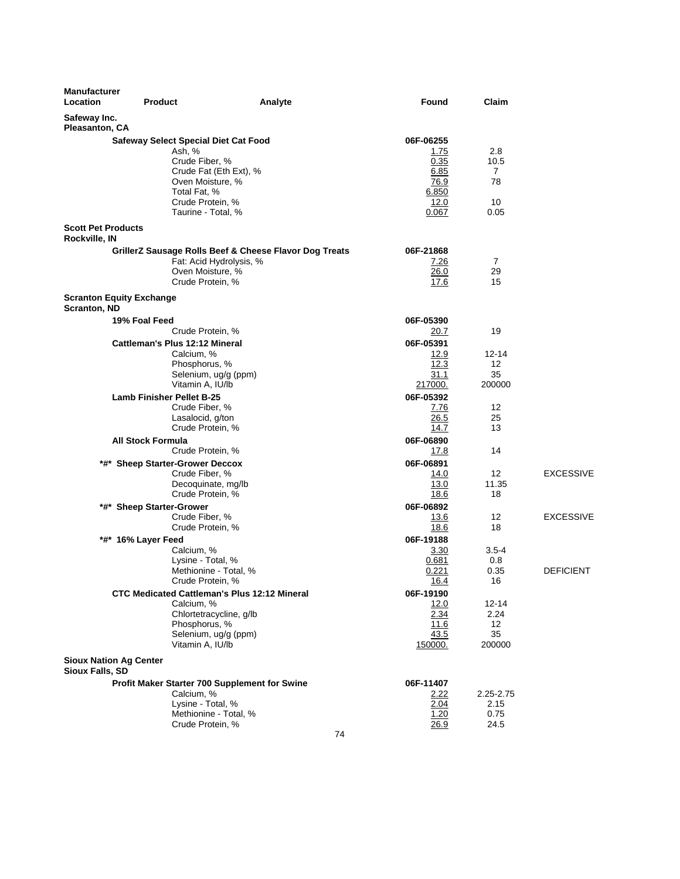| <b>Manufacturer</b><br>Location                  | <b>Product</b>                                                    | Analyte                                                | Found               | Claim                      |                  |
|--------------------------------------------------|-------------------------------------------------------------------|--------------------------------------------------------|---------------------|----------------------------|------------------|
| Safeway Inc.<br>Pleasanton, CA                   |                                                                   |                                                        |                     |                            |                  |
|                                                  | <b>Safeway Select Special Diet Cat Food</b>                       |                                                        | 06F-06255           |                            |                  |
|                                                  | Ash, %                                                            |                                                        | <u>1.75</u>         | 2.8                        |                  |
|                                                  | Crude Fiber, %                                                    |                                                        | 0.35                | 10.5                       |                  |
|                                                  |                                                                   | Crude Fat (Eth Ext), %                                 | 6.85                | 7                          |                  |
|                                                  | Oven Moisture, %<br>Total Fat, %                                  |                                                        | 76.9<br>6.850       | 78                         |                  |
|                                                  | Crude Protein, %                                                  |                                                        | 12.0                | 10                         |                  |
|                                                  | Taurine - Total, %                                                |                                                        | 0.067               | 0.05                       |                  |
| <b>Scott Pet Products</b><br>Rockville, IN       |                                                                   |                                                        |                     |                            |                  |
|                                                  |                                                                   | GrillerZ Sausage Rolls Beef & Cheese Flavor Dog Treats | 06F-21868           |                            |                  |
|                                                  |                                                                   | Fat: Acid Hydrolysis, %                                | 7.26                | 7                          |                  |
|                                                  | Oven Moisture, %                                                  |                                                        | 26.0                | 29                         |                  |
|                                                  | Crude Protein, %                                                  |                                                        | 17.6                | 15                         |                  |
| <b>Scranton, ND</b>                              | <b>Scranton Equity Exchange</b>                                   |                                                        |                     |                            |                  |
|                                                  | 19% Foal Feed                                                     |                                                        | 06F-05390           |                            |                  |
|                                                  | Crude Protein, %                                                  |                                                        | 20.7                | 19                         |                  |
|                                                  | <b>Cattleman's Plus 12:12 Mineral</b>                             |                                                        | 06F-05391           |                            |                  |
|                                                  | Calcium, %<br>Phosphorus, %                                       |                                                        | 12.9<br>12.3        | $12 - 14$<br>12            |                  |
|                                                  | Selenium, ug/g (ppm)                                              |                                                        | 31.1                | 35                         |                  |
|                                                  | Vitamin A, IU/lb                                                  |                                                        | 217000.             | 200000                     |                  |
|                                                  | <b>Lamb Finisher Pellet B-25</b>                                  |                                                        | 06F-05392           |                            |                  |
|                                                  | Crude Fiber, %                                                    |                                                        | 7.76                | 12                         |                  |
|                                                  | Lasalocid, g/ton                                                  |                                                        | 26.5                | 25                         |                  |
|                                                  | Crude Protein, %                                                  |                                                        | 14.7                | 13                         |                  |
|                                                  | <b>All Stock Formula</b>                                          |                                                        | 06F-06890           |                            |                  |
|                                                  | Crude Protein, %                                                  |                                                        | 17.8                | 14                         |                  |
|                                                  | *#* Sheep Starter-Grower Deccox                                   |                                                        | 06F-06891           |                            |                  |
|                                                  | Crude Fiber, %                                                    |                                                        | 14.0                | $12 \overline{ }$<br>11.35 | <b>EXCESSIVE</b> |
|                                                  | Decoquinate, mg/lb<br>Crude Protein, %                            |                                                        | 13.0<br>18.6        | 18                         |                  |
|                                                  | *#* Sheep Starter-Grower                                          |                                                        | 06F-06892           |                            |                  |
|                                                  | Crude Fiber, %                                                    |                                                        | 13.6                | 12                         | <b>EXCESSIVE</b> |
|                                                  | Crude Protein, %                                                  |                                                        | 18.6                | 18                         |                  |
|                                                  | *#* 16% Layer Feed                                                |                                                        | 06F-19188           |                            |                  |
|                                                  | Calcium, %                                                        |                                                        | 3.30                | $3.5 - 4$                  |                  |
|                                                  | Lysine - Total, %                                                 |                                                        | 0.681               | 0.8                        |                  |
|                                                  | Methionine - Total, %                                             |                                                        | 0.221               | 0.35                       | <b>DEFICIENT</b> |
|                                                  | Crude Protein, %                                                  |                                                        | 16.4                | 16                         |                  |
|                                                  | <b>CTC Medicated Cattleman's Plus 12:12 Mineral</b><br>Calcium, % |                                                        | 06F-19190           | 12-14                      |                  |
|                                                  | Chlortetracycline, g/lb                                           |                                                        | <u>12.0</u><br>2.34 | 2.24                       |                  |
|                                                  | Phosphorus, %                                                     |                                                        | 11.6                | 12                         |                  |
|                                                  | Selenium, ug/g (ppm)                                              |                                                        | 43.5                | 35                         |                  |
|                                                  | Vitamin A, IU/lb                                                  |                                                        | 150000.             | 200000                     |                  |
| <b>Sioux Nation Ag Center</b><br>Sioux Falls, SD |                                                                   |                                                        |                     |                            |                  |
|                                                  | Profit Maker Starter 700 Supplement for Swine                     |                                                        | 06F-11407           |                            |                  |
|                                                  | Calcium, %                                                        |                                                        | 2.22                | 2.25-2.75                  |                  |
|                                                  | Lysine - Total, %                                                 |                                                        | 2.04                | 2.15                       |                  |
|                                                  | Methionine - Total, %                                             |                                                        | 1.20                | 0.75                       |                  |
|                                                  | Crude Protein, %                                                  |                                                        | 26.9                | 24.5                       |                  |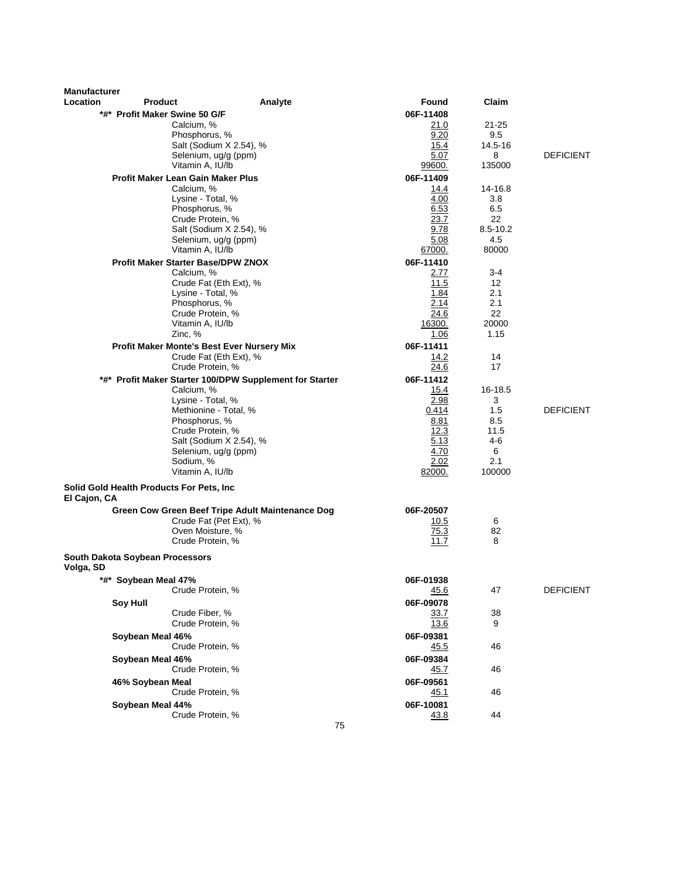| <b>Manufacturer</b> |                                          |                                                         |         |                     |             |                  |
|---------------------|------------------------------------------|---------------------------------------------------------|---------|---------------------|-------------|------------------|
| Location            | <b>Product</b>                           |                                                         | Analyte | Found               | Claim       |                  |
|                     | *#* Profit Maker Swine 50 G/F            | Calcium, %                                              |         | 06F-11408           | 21-25       |                  |
|                     |                                          | Phosphorus, %                                           |         | 21.0<br>9.20        | 9.5         |                  |
|                     |                                          | Salt (Sodium X 2.54), %                                 |         | 15.4                | 14.5-16     |                  |
|                     |                                          | Selenium, ug/g (ppm)                                    |         | 5.07                | 8           | <b>DEFICIENT</b> |
|                     |                                          | Vitamin A, IU/lb                                        |         | 99600.              | 135000      |                  |
|                     |                                          | Profit Maker Lean Gain Maker Plus                       |         | 06F-11409           |             |                  |
|                     |                                          | Calcium, %                                              |         | 14.4                | 14-16.8     |                  |
|                     |                                          | Lysine - Total, %                                       |         | 4.00                | 3.8         |                  |
|                     |                                          | Phosphorus, %<br>Crude Protein, %                       |         | 6.53<br>23.7        | 6.5<br>22   |                  |
|                     |                                          | Salt (Sodium X 2.54), %                                 |         | 9.78                | 8.5-10.2    |                  |
|                     |                                          | Selenium, ug/g (ppm)                                    |         | 5.08                | 4.5         |                  |
|                     |                                          | Vitamin A, IU/lb                                        |         | 67000.              | 80000       |                  |
|                     |                                          | Profit Maker Starter Base/DPW ZNOX                      |         | 06F-11410           |             |                  |
|                     |                                          | Calcium, %                                              |         | 2.77                | 3-4         |                  |
|                     |                                          | Crude Fat (Eth Ext), %                                  |         | 11.5                | 12<br>2.1   |                  |
|                     |                                          | Lysine - Total, %<br>Phosphorus, %                      |         | 1.84<br>2.14        | 2.1         |                  |
|                     |                                          | Crude Protein, %                                        |         | 24.6                | 22          |                  |
|                     |                                          | Vitamin A, IU/lb                                        |         | 16300.              | 20000       |                  |
|                     |                                          | Zinc, %                                                 |         | 1.06                | 1.15        |                  |
|                     |                                          | Profit Maker Monte's Best Ever Nursery Mix              |         | 06F-11411           |             |                  |
|                     |                                          | Crude Fat (Eth Ext), %<br>Crude Protein, %              |         | 14.2<br>24.6        | 14<br>17    |                  |
|                     |                                          | *#* Profit Maker Starter 100/DPW Supplement for Starter |         | 06F-11412           |             |                  |
|                     |                                          | Calcium, %                                              |         | 15.4                | 16-18.5     |                  |
|                     |                                          | Lysine - Total, %                                       |         | 2.98                | 3           |                  |
|                     |                                          | Methionine - Total, %                                   |         | 0.414               | 1.5         | <b>DEFICIENT</b> |
|                     |                                          | Phosphorus, %                                           |         | 8.81<br>12.3        | 8.5<br>11.5 |                  |
|                     |                                          | Crude Protein, %<br>Salt (Sodium X 2.54), %             |         | 5.13                | 4-6         |                  |
|                     |                                          | Selenium, ug/g (ppm)                                    |         | 4.70                | 6           |                  |
|                     |                                          | Sodium, %                                               |         | 2.02                | 2.1         |                  |
|                     |                                          | Vitamin A, IU/lb                                        |         | 82000.              | 100000      |                  |
| El Cajon, CA        | Solid Gold Health Products For Pets, Inc |                                                         |         |                     |             |                  |
|                     |                                          | Green Cow Green Beef Tripe Adult Maintenance Dog        |         | 06F-20507           |             |                  |
|                     |                                          | Crude Fat (Pet Ext), %                                  |         | 10.5                | 6           |                  |
|                     |                                          | Oven Moisture, %<br>Crude Protein, %                    |         | 75.3<br>11.7        | 82<br>8     |                  |
|                     | South Dakota Soybean Processors          |                                                         |         |                     |             |                  |
| Volga, SD           |                                          |                                                         |         |                     |             |                  |
|                     | *#* Soybean Meal 47%                     |                                                         |         | 06F-01938           |             |                  |
|                     |                                          | Crude Protein, %                                        |         | 45.6                | 47          | <b>DEFICIENT</b> |
|                     | <b>Soy Hull</b>                          | Crude Fiber, %                                          |         | 06F-09078           |             |                  |
|                     |                                          | Crude Protein, %                                        |         | 33.7<br><u>13.6</u> | 38<br>9     |                  |
|                     | Soybean Meal 46%                         |                                                         |         | 06F-09381           |             |                  |
|                     |                                          | Crude Protein, %                                        |         | 45.5                | 46          |                  |
|                     | Soybean Meal 46%                         |                                                         |         | 06F-09384           |             |                  |
|                     |                                          | Crude Protein, %                                        |         | <u>45.7</u>         | 46          |                  |
|                     | 46% Soybean Meal                         |                                                         |         | 06F-09561           |             |                  |
|                     |                                          | Crude Protein, %                                        |         | <u>45.1</u>         | 46          |                  |
|                     | Soybean Meal 44%                         |                                                         |         | 06F-10081           |             |                  |
|                     |                                          | Crude Protein, %                                        |         | 43.8                | 44          |                  |
|                     |                                          |                                                         | 75      |                     |             |                  |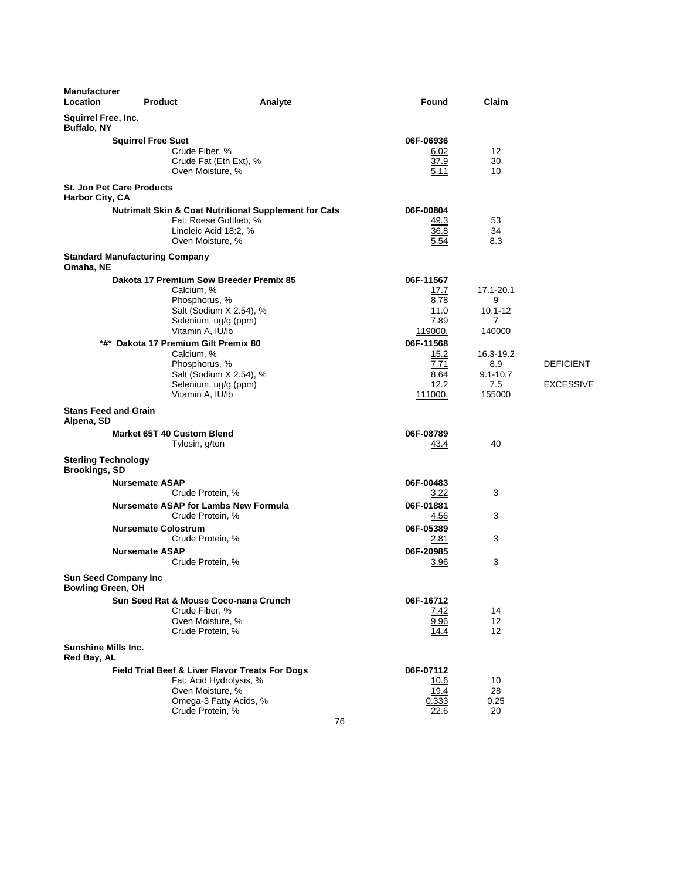| Location<br><b>Found</b><br>Claim<br><b>Product</b><br>Analyte                            |                  |
|-------------------------------------------------------------------------------------------|------------------|
| <b>Squirrel Free, Inc.</b><br><b>Buffalo, NY</b>                                          |                  |
| 06F-06936<br><b>Squirrel Free Suet</b>                                                    |                  |
| Crude Fiber, %<br>12<br>6.02<br>37.9                                                      |                  |
| Crude Fat (Eth Ext), %<br>30<br>Oven Moisture, %<br>5.11<br>10                            |                  |
| <b>St. Jon Pet Care Products</b><br>Harbor City, CA                                       |                  |
| <b>Nutrimalt Skin &amp; Coat Nutritional Supplement for Cats</b><br>06F-00804             |                  |
| Fat: Roese Gottlieb, %<br>49.3<br>53                                                      |                  |
| Linoleic Acid 18:2, %<br>36.8<br>34<br>Oven Moisture, %                                   |                  |
| 5.54<br>8.3<br><b>Standard Manufacturing Company</b>                                      |                  |
| Omaha, NE                                                                                 |                  |
| Dakota 17 Premium Sow Breeder Premix 85<br>06F-11567                                      |                  |
| Calcium, %<br>17.1-20.1<br>17.7<br>Phosphorus, %<br>8.78<br>9                             |                  |
| Salt (Sodium X 2.54), %<br>11.0<br>$10.1 - 12$                                            |                  |
| Selenium, ug/g (ppm)<br>7.89<br>7                                                         |                  |
| Vitamin A, IU/lb<br>140000<br>119000.                                                     |                  |
| *#* Dakota 17 Premium Gilt Premix 80<br>06F-11568                                         |                  |
| Calcium, %<br>15.2<br>16.3-19.2<br>7.71<br>Phosphorus, %<br>8.9                           | <b>DEFICIENT</b> |
| Salt (Sodium X 2.54), %<br>8.64<br>$9.1 - 10.7$                                           |                  |
| Selenium, ug/g (ppm)<br>12.2<br>7.5                                                       | <b>EXCESSIVE</b> |
| Vitamin A, IU/lb<br>111000.<br>155000                                                     |                  |
| <b>Stans Feed and Grain</b><br>Alpena, SD                                                 |                  |
| 06F-08789<br>Market 65T 40 Custom Blend                                                   |                  |
| Tylosin, g/ton<br>40<br><u>43.4</u>                                                       |                  |
| <b>Sterling Technology</b><br><b>Brookings, SD</b>                                        |                  |
| 06F-00483<br><b>Nursemate ASAP</b>                                                        |                  |
| Crude Protein, %<br>3.22<br>3                                                             |                  |
| <b>Nursemate ASAP for Lambs New Formula</b><br>06F-01881<br>Crude Protein, %<br>3<br>4.56 |                  |
| 06F-05389<br><b>Nursemate Colostrum</b>                                                   |                  |
| Crude Protein, %<br>3<br>2.81                                                             |                  |
| <b>Nursemate ASAP</b><br>06F-20985                                                        |                  |
| 3<br>Crude Protein, %<br>3.96                                                             |                  |
| <b>Sun Seed Company Inc</b><br><b>Bowling Green, OH</b>                                   |                  |
| Sun Seed Rat & Mouse Coco-nana Crunch<br>06F-16712                                        |                  |
| Crude Fiber, %<br>14<br><u>7.42</u>                                                       |                  |
| Oven Moisture, %<br>9.96<br>12<br>Crude Protein, %<br>12<br>14.4                          |                  |
| <b>Sunshine Mills Inc.</b><br>Red Bay, AL                                                 |                  |
| Field Trial Beef & Liver Flavor Treats For Dogs<br>06F-07112                              |                  |
| Fat: Acid Hydrolysis, %<br>10.6<br>10                                                     |                  |
| Oven Moisture, %<br>19.4<br>28                                                            |                  |
| Omega-3 Fatty Acids, %<br>0.25<br>0.333<br>Crude Protein, %<br>20                         |                  |
| 22.6<br>76                                                                                |                  |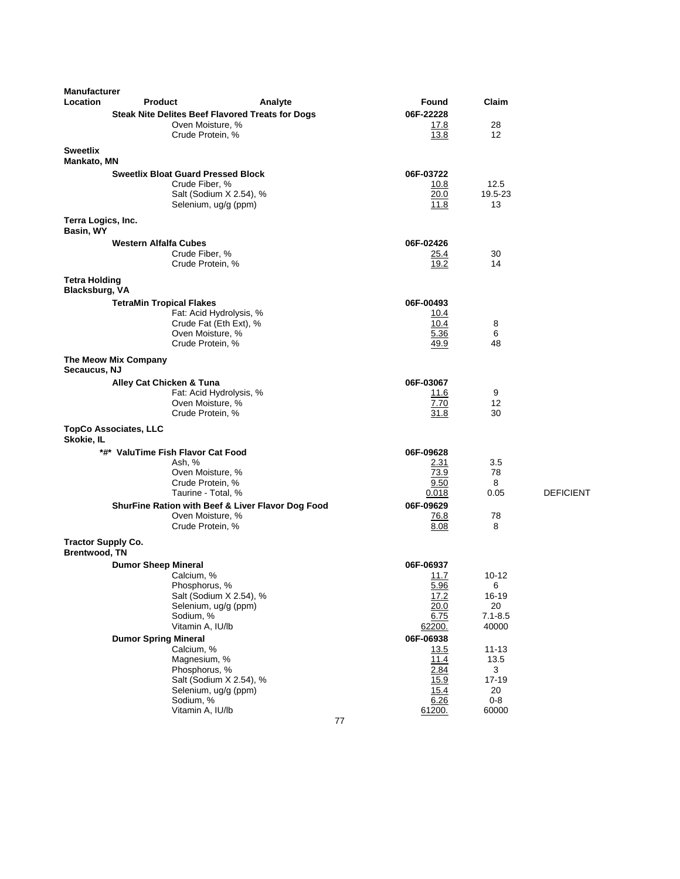| <b>Manufacturer</b>                               |                                           |                                                                       |                     |                      |                  |
|---------------------------------------------------|-------------------------------------------|-----------------------------------------------------------------------|---------------------|----------------------|------------------|
| Location                                          | <b>Product</b>                            | Analyte                                                               | <b>Found</b>        | Claim                |                  |
|                                                   |                                           | Steak Nite Delites Beef Flavored Treats for Dogs<br>Oven Moisture, %  | 06F-22228<br>17.8   | 28                   |                  |
|                                                   | Crude Protein, %                          |                                                                       | 13.8                | 12                   |                  |
| <b>Sweetlix</b><br><b>Mankato, MN</b>             |                                           |                                                                       |                     |                      |                  |
|                                                   | <b>Sweetlix Bloat Guard Pressed Block</b> |                                                                       | 06F-03722           |                      |                  |
|                                                   | Crude Fiber, %                            |                                                                       | 10.8                | 12.5                 |                  |
|                                                   |                                           | Salt (Sodium X 2.54), %<br>Selenium, ug/g (ppm)                       | 20.0<br>11.8        | 19.5-23<br>13        |                  |
| Terra Logics, Inc.                                |                                           |                                                                       |                     |                      |                  |
| Basin, WY                                         |                                           |                                                                       |                     |                      |                  |
|                                                   | <b>Western Alfalfa Cubes</b>              |                                                                       | 06F-02426           |                      |                  |
|                                                   | Crude Fiber, %<br>Crude Protein, %        |                                                                       | <u>25.4</u><br>19.2 | 30<br>14             |                  |
| <b>Tetra Holding</b>                              |                                           |                                                                       |                     |                      |                  |
| <b>Blacksburg, VA</b>                             |                                           |                                                                       |                     |                      |                  |
|                                                   | <b>TetraMin Tropical Flakes</b>           | Fat: Acid Hydrolysis, %                                               | 06F-00493<br>10.4   |                      |                  |
|                                                   |                                           | Crude Fat (Eth Ext), %                                                | 10.4                | 8                    |                  |
|                                                   | Crude Protein, %                          | Oven Moisture, %                                                      | 5.36<br>49.9        | 6<br>48              |                  |
|                                                   | The Meow Mix Company                      |                                                                       |                     |                      |                  |
| Secaucus, NJ                                      | Alley Cat Chicken & Tuna                  |                                                                       | 06F-03067           |                      |                  |
|                                                   |                                           | Fat: Acid Hydrolysis, %                                               | 11.6                | 9                    |                  |
|                                                   | Crude Protein, %                          | Oven Moisture, %                                                      | 7.70                | 12<br>30             |                  |
|                                                   |                                           |                                                                       | 31.8                |                      |                  |
| Skokie, IL                                        | <b>TopCo Associates, LLC</b>              |                                                                       |                     |                      |                  |
|                                                   | *#* ValuTime Fish Flavor Cat Food         |                                                                       | 06F-09628           |                      |                  |
|                                                   | Ash, %                                    | Oven Moisture, %                                                      | 2.31<br>73.9        | 3.5<br>78            |                  |
|                                                   | Crude Protein, %                          |                                                                       | 9.50                | 8                    |                  |
|                                                   |                                           | Taurine - Total, %                                                    | 0.018               | 0.05                 | <b>DEFICIENT</b> |
|                                                   |                                           | ShurFine Ration with Beef & Liver Flavor Dog Food<br>Oven Moisture, % | 06F-09629<br>76.8   | 78                   |                  |
|                                                   | Crude Protein, %                          |                                                                       | 8.08                | 8                    |                  |
| <b>Tractor Supply Co.</b><br><b>Brentwood, TN</b> |                                           |                                                                       |                     |                      |                  |
|                                                   | <b>Dumor Sheep Mineral</b>                |                                                                       | 06F-06937           |                      |                  |
|                                                   | Calcium, %                                |                                                                       | 11.7                | 10-12                |                  |
|                                                   | Phosphorus, %                             | Salt (Sodium X 2.54), %                                               | 5.96<br>17.2        | 6<br>16-19           |                  |
|                                                   |                                           | Selenium, ug/g (ppm)                                                  | 20.0                | 20                   |                  |
|                                                   | Sodium, %<br>Vitamin A, IU/lb             |                                                                       | 6.75<br>62200.      | $7.1 - 8.5$<br>40000 |                  |
|                                                   | <b>Dumor Spring Mineral</b>               |                                                                       | 06F-06938           |                      |                  |
|                                                   | Calcium, %                                |                                                                       | 13.5                | $11 - 13$            |                  |
|                                                   | Magnesium, %                              |                                                                       | 11.4                | 13.5                 |                  |
|                                                   | Phosphorus, %                             | Salt (Sodium X 2.54), %                                               | 2.84<br>15.9        | 3<br>$17 - 19$       |                  |
|                                                   |                                           | Selenium, ug/g (ppm)                                                  | 15.4                | 20                   |                  |
|                                                   | Sodium, %<br>Vitamin A, IU/lb             |                                                                       | 6.26                | $0 - 8$<br>60000     |                  |
|                                                   |                                           | 77                                                                    | 61200.              |                      |                  |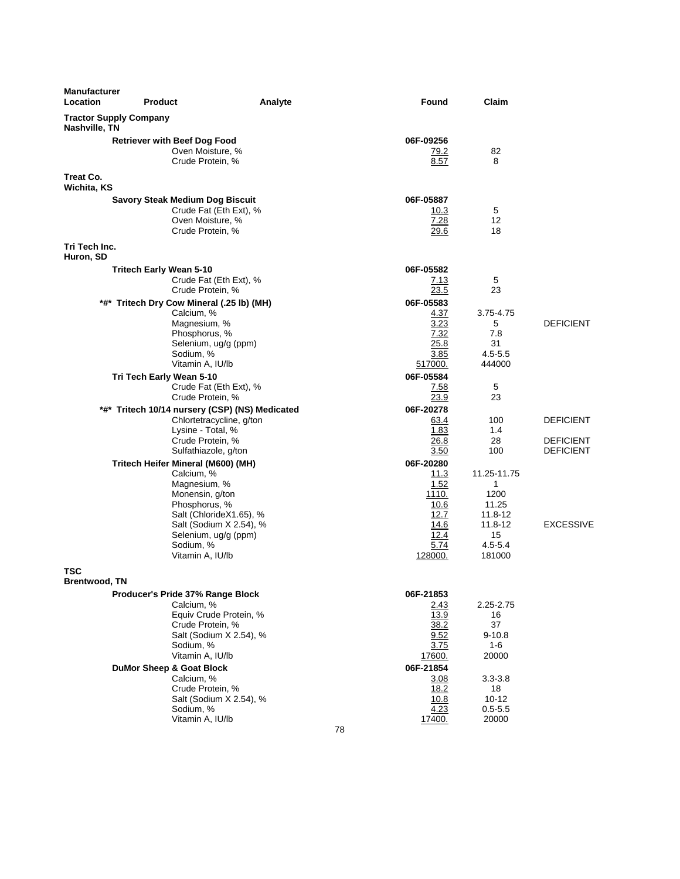| <b>Tractor Supply Company</b><br>Nashville, TN<br>Treat Co.<br>Wichita, KS | <b>Retriever with Beef Dog Food</b><br>Oven Moisture, %<br>Crude Protein, %<br><b>Savory Steak Medium Dog Biscuit</b><br>Crude Fat (Eth Ext), %<br>Oven Moisture, %                                                                                                                           | 06F-09256<br>79.2<br>8.57<br>06F-05887                                                                                   | 82<br>8                                                                                                       |                                                          |
|----------------------------------------------------------------------------|-----------------------------------------------------------------------------------------------------------------------------------------------------------------------------------------------------------------------------------------------------------------------------------------------|--------------------------------------------------------------------------------------------------------------------------|---------------------------------------------------------------------------------------------------------------|----------------------------------------------------------|
|                                                                            |                                                                                                                                                                                                                                                                                               |                                                                                                                          |                                                                                                               |                                                          |
|                                                                            |                                                                                                                                                                                                                                                                                               |                                                                                                                          |                                                                                                               |                                                          |
|                                                                            |                                                                                                                                                                                                                                                                                               |                                                                                                                          |                                                                                                               |                                                          |
| Tri Tech Inc.                                                              | Crude Protein, %                                                                                                                                                                                                                                                                              | 10.3<br>7.28<br>29.6                                                                                                     | 5<br>12<br>18                                                                                                 |                                                          |
| Huron, SD                                                                  |                                                                                                                                                                                                                                                                                               |                                                                                                                          |                                                                                                               |                                                          |
|                                                                            | <b>Tritech Early Wean 5-10</b><br>Crude Fat (Eth Ext), %<br>Crude Protein, %<br>*#* Tritech Dry Cow Mineral (.25 lb) (MH)<br>Calcium, %                                                                                                                                                       | 06F-05582<br>7.13<br>23.5<br>06F-05583<br>4.37                                                                           | 5<br>23<br>3.75-4.75                                                                                          |                                                          |
|                                                                            | Magnesium, %<br>Phosphorus, %<br>Selenium, ug/g (ppm)<br>Sodium, %<br>Vitamin A, IU/lb                                                                                                                                                                                                        | 3.23<br>7.32<br>25.8<br>3.85<br>517000.                                                                                  | 5<br>7.8<br>31<br>$4.5 - 5.5$<br>444000                                                                       | <b>DEFICIENT</b>                                         |
|                                                                            | Tri Tech Early Wean 5-10<br>Crude Fat (Eth Ext), %<br>Crude Protein, %                                                                                                                                                                                                                        | 06F-05584<br>7.58<br>23.9                                                                                                | 5<br>23                                                                                                       |                                                          |
|                                                                            | *#* Tritech 10/14 nursery (CSP) (NS) Medicated<br>Chlortetracycline, g/ton<br>Lysine - Total, %<br>Crude Protein, %<br>Sulfathiazole, g/ton<br>Tritech Heifer Mineral (M600) (MH)                                                                                                             | 06F-20278<br>63.4<br>1.83<br>26.8<br>3.50<br>06F-20280                                                                   | 100<br>1.4<br>28<br>100                                                                                       | <b>DEFICIENT</b><br><b>DEFICIENT</b><br><b>DEFICIENT</b> |
|                                                                            | Calcium, %<br>Magnesium, %<br>Monensin, g/ton<br>Phosphorus, %<br>Salt (ChlorideX1.65), %<br>Salt (Sodium X 2.54), %<br>Selenium, ug/g (ppm)<br>Sodium, %<br>Vitamin A, IU/lb                                                                                                                 | 11.3<br>1.52<br>1110.<br>10.6<br>12.7<br>14.6<br>12.4<br>5.74<br>128000.                                                 | 11.25-11.75<br>$\mathbf{1}$<br>1200<br>11.25<br>11.8-12<br>11.8-12<br>15<br>$4.5 - 5.4$<br>181000             | <b>EXCESSIVE</b>                                         |
| TSC                                                                        |                                                                                                                                                                                                                                                                                               |                                                                                                                          |                                                                                                               |                                                          |
| Brentwood, TN                                                              | Producer's Pride 37% Range Block<br>Calcium, %<br>Equiv Crude Protein, %<br>Crude Protein, %<br>Salt (Sodium X 2.54), %<br>Sodium, %<br>Vitamin A, IU/lb<br><b>DuMor Sheep &amp; Goat Block</b><br>Calcium, %<br>Crude Protein, %<br>Salt (Sodium X 2.54), %<br>Sodium, %<br>Vitamin A, IU/lb | 06F-21853<br>2.43<br>13.9<br>38.2<br>9.52<br>3.75<br>17600.<br>06F-21854<br>3.08<br>18.2<br>10.8<br>4.23<br>17400.<br>78 | 2.25-2.75<br>16<br>37<br>$9 - 10.8$<br>1-6<br>20000<br>$3.3 - 3.8$<br>18<br>$10 - 12$<br>$0.5 - 5.5$<br>20000 |                                                          |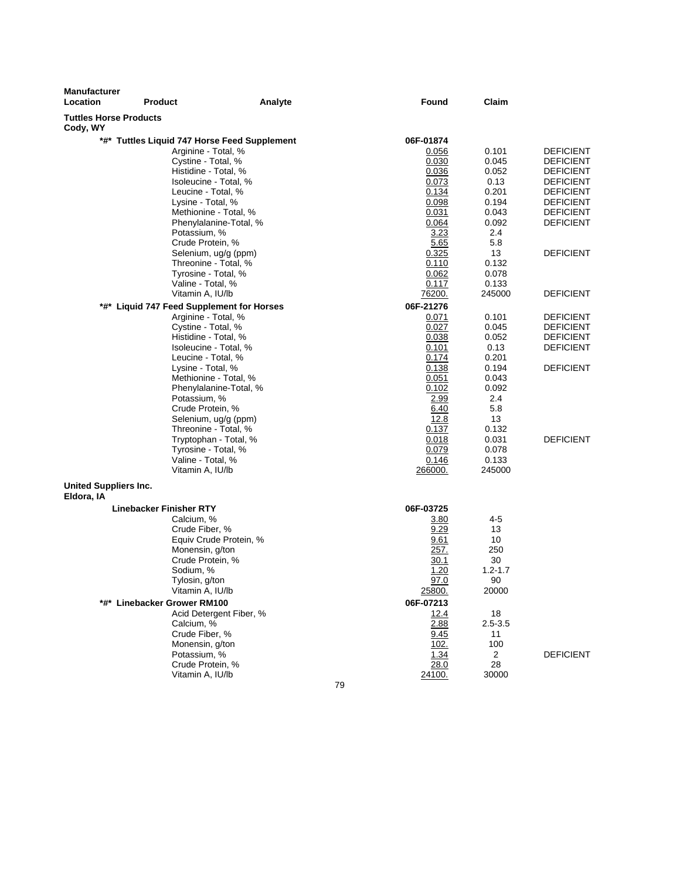| Analyte                                                                         | <b>Found</b>                                                                                                                                                                                                                                                                                                                                                                                                                                                                                                                                                                                                                                                                                                                                                                                                                                                                                                                                                                                                                                                                                                                                                                  | Claim                                                                                                                                 |                                                                                                                                                                                  |
|---------------------------------------------------------------------------------|-------------------------------------------------------------------------------------------------------------------------------------------------------------------------------------------------------------------------------------------------------------------------------------------------------------------------------------------------------------------------------------------------------------------------------------------------------------------------------------------------------------------------------------------------------------------------------------------------------------------------------------------------------------------------------------------------------------------------------------------------------------------------------------------------------------------------------------------------------------------------------------------------------------------------------------------------------------------------------------------------------------------------------------------------------------------------------------------------------------------------------------------------------------------------------|---------------------------------------------------------------------------------------------------------------------------------------|----------------------------------------------------------------------------------------------------------------------------------------------------------------------------------|
|                                                                                 |                                                                                                                                                                                                                                                                                                                                                                                                                                                                                                                                                                                                                                                                                                                                                                                                                                                                                                                                                                                                                                                                                                                                                                               |                                                                                                                                       |                                                                                                                                                                                  |
|                                                                                 | 06F-01874<br>0.056<br>0.030<br>0.036<br>0.073<br>0.134<br>0.098<br>0.031<br>0.064<br>3.23<br>5.65<br>0.325<br>0.110                                                                                                                                                                                                                                                                                                                                                                                                                                                                                                                                                                                                                                                                                                                                                                                                                                                                                                                                                                                                                                                           | 0.101<br>0.045<br>0.052<br>0.13<br>0.201<br>0.194<br>0.043<br>0.092<br>2.4<br>5.8<br>13<br>0.132                                      | <b>DEFICIENT</b><br><b>DEFICIENT</b><br><b>DEFICIENT</b><br><b>DEFICIENT</b><br><b>DEFICIENT</b><br><b>DEFICIENT</b><br><b>DEFICIENT</b><br><b>DEFICIENT</b><br><b>DEFICIENT</b> |
|                                                                                 | 0.117<br>76200.                                                                                                                                                                                                                                                                                                                                                                                                                                                                                                                                                                                                                                                                                                                                                                                                                                                                                                                                                                                                                                                                                                                                                               | 0.133<br>245000                                                                                                                       | <b>DEFICIENT</b>                                                                                                                                                                 |
|                                                                                 | 06F-21276<br>0.071<br>0.027<br>0.038<br>0.101<br>0.174<br>0.138<br>0.051<br>0.102<br>2.99<br>6.40<br>12.8<br>0.137<br>0.018<br>0.079<br>0.146<br>266000.                                                                                                                                                                                                                                                                                                                                                                                                                                                                                                                                                                                                                                                                                                                                                                                                                                                                                                                                                                                                                      | 0.101<br>0.045<br>0.052<br>0.13<br>0.201<br>0.194<br>0.043<br>0.092<br>2.4<br>5.8<br>13<br>0.132<br>0.031<br>0.078<br>0.133<br>245000 | <b>DEFICIENT</b><br><b>DEFICIENT</b><br><b>DEFICIENT</b><br><b>DEFICIENT</b><br><b>DEFICIENT</b><br><b>DEFICIENT</b>                                                             |
|                                                                                 |                                                                                                                                                                                                                                                                                                                                                                                                                                                                                                                                                                                                                                                                                                                                                                                                                                                                                                                                                                                                                                                                                                                                                                               |                                                                                                                                       |                                                                                                                                                                                  |
|                                                                                 | 06F-03725<br>3.80<br>9.29<br>9.61<br>257.<br>30.1<br>1.20<br>97.0<br>25800.<br>06F-07213<br>12.4<br>2.88<br>9.45<br>102.<br>1.34<br>28.0<br>24100.                                                                                                                                                                                                                                                                                                                                                                                                                                                                                                                                                                                                                                                                                                                                                                                                                                                                                                                                                                                                                            | 4-5<br>13<br>10<br>250<br>30<br>$1.2 - 1.7$<br>90<br>20000<br>18<br>$2.5 - 3.5$<br>11<br>100<br>$\overline{c}$<br>28<br>30000         | <b>DEFICIENT</b>                                                                                                                                                                 |
| <b>Product</b><br><b>Tuttles Horse Products</b><br><b>United Suppliers Inc.</b> | *#* Tuttles Liquid 747 Horse Feed Supplement<br>Arginine - Total, %<br>Cystine - Total, %<br>Histidine - Total, %<br>Isoleucine - Total, %<br>Leucine - Total, %<br>Lysine - Total, %<br>Methionine - Total, %<br>Phenylalanine-Total, %<br>Potassium, %<br>Crude Protein, %<br>Selenium, ug/g (ppm)<br>Threonine - Total, %<br>Tyrosine - Total, %<br>Valine - Total, %<br>Vitamin A, IU/lb<br>*#* Liquid 747 Feed Supplement for Horses<br>Arginine - Total, %<br>Cystine - Total, %<br>Histidine - Total, %<br>Isoleucine - Total, %<br>Leucine - Total, %<br>Lysine - Total, %<br>Methionine - Total, %<br>Phenylalanine-Total, %<br>Potassium, %<br>Crude Protein, %<br>Selenium, ug/g (ppm)<br>Threonine - Total, %<br>Tryptophan - Total, %<br>Tyrosine - Total, %<br>Valine - Total, %<br>Vitamin A, IU/lb<br><b>Linebacker Finisher RTY</b><br>Calcium, %<br>Crude Fiber, %<br>Equiv Crude Protein, %<br>Monensin, g/ton<br>Crude Protein, %<br>Sodium, %<br>Tylosin, g/ton<br>Vitamin A, IU/lb<br>*#* Linebacker Grower RM100<br>Acid Detergent Fiber, %<br>Calcium, %<br>Crude Fiber, %<br>Monensin, g/ton<br>Potassium, %<br>Crude Protein, %<br>Vitamin A, IU/lb | 0.062<br>79                                                                                                                           | 0.078                                                                                                                                                                            |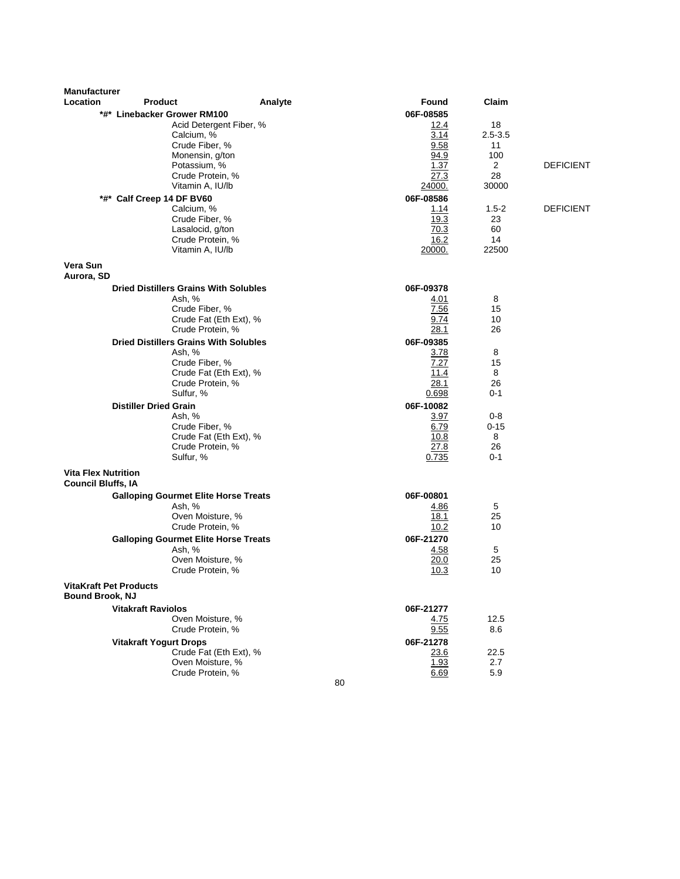| <b>Manufacturer</b>                                     |                                                        |                                            |                     |                     |                  |
|---------------------------------------------------------|--------------------------------------------------------|--------------------------------------------|---------------------|---------------------|------------------|
| Location                                                | <b>Product</b>                                         | Analyte                                    | <b>Found</b>        | Claim               |                  |
|                                                         | *#* Linebacker Grower RM100                            |                                            | 06F-08585           |                     |                  |
|                                                         | Calcium, %                                             | Acid Detergent Fiber, %                    | <u>12.4</u><br>3.14 | 18<br>$2.5 - 3.5$   |                  |
|                                                         | Crude Fiber, %                                         |                                            | 9.58                | 11                  |                  |
|                                                         | Monensin, g/ton                                        |                                            | 94.9                | 100                 |                  |
|                                                         | Potassium, %                                           |                                            | 1.37                | $\overline{2}$      | <b>DEFICIENT</b> |
|                                                         | Crude Protein, %                                       |                                            | 27.3                | 28                  |                  |
|                                                         | Vitamin A, IU/lb                                       |                                            | 24000.              | 30000               |                  |
|                                                         | *#* Calf Creep 14 DF BV60                              |                                            | 06F-08586           |                     |                  |
|                                                         | Calcium, %<br>Crude Fiber, %                           |                                            | 1.14<br>19.3        | $1.5 - 2$<br>23     | <b>DEFICIENT</b> |
|                                                         | Lasalocid, g/ton                                       |                                            | 70.3                | 60                  |                  |
|                                                         | Crude Protein, %                                       |                                            | 16.2                | 14                  |                  |
|                                                         | Vitamin A, IU/lb                                       |                                            | 20000.              | 22500               |                  |
| Vera Sun<br>Aurora, SD                                  |                                                        |                                            |                     |                     |                  |
|                                                         | <b>Dried Distillers Grains With Solubles</b>           |                                            | 06F-09378           |                     |                  |
|                                                         | Ash, %                                                 |                                            | 4.01                | 8                   |                  |
|                                                         | Crude Fiber, %                                         |                                            | 7.56                | 15                  |                  |
|                                                         | Crude Protein, %                                       | Crude Fat (Eth Ext), %                     | 9.74<br>28.1        | 10<br>26            |                  |
|                                                         |                                                        |                                            |                     |                     |                  |
|                                                         | <b>Dried Distillers Grains With Solubles</b><br>Ash, % |                                            | 06F-09385<br>3.78   | 8                   |                  |
|                                                         | Crude Fiber, %                                         |                                            | 7.27                | 15                  |                  |
|                                                         |                                                        | Crude Fat (Eth Ext), %                     | 11.4                | 8                   |                  |
|                                                         | Crude Protein, %                                       |                                            | 28.1                | 26                  |                  |
|                                                         | Sulfur, %                                              |                                            | 0.698               | $0 - 1$             |                  |
|                                                         | <b>Distiller Dried Grain</b>                           |                                            | 06F-10082           |                     |                  |
|                                                         | Ash, %<br>Crude Fiber, %                               |                                            | 3.97<br>6.79        | $0 - 8$<br>$0 - 15$ |                  |
|                                                         |                                                        | Crude Fat (Eth Ext), %                     | 10.8                | 8                   |                  |
|                                                         | Crude Protein, %                                       |                                            | 27.8                | 26                  |                  |
|                                                         | Sulfur, %                                              |                                            | 0.735               | $0 - 1$             |                  |
| <b>Vita Flex Nutrition</b><br><b>Council Bluffs, IA</b> |                                                        |                                            |                     |                     |                  |
|                                                         | <b>Galloping Gourmet Elite Horse Treats</b>            |                                            | 06F-00801           |                     |                  |
|                                                         | Ash, %                                                 |                                            | 4.86                | 5                   |                  |
|                                                         |                                                        | Oven Moisture, %                           | 18.1                | 25                  |                  |
|                                                         | Crude Protein, %                                       |                                            | 10.2                | 10                  |                  |
|                                                         | <b>Galloping Gourmet Elite Horse Treats</b><br>Ash, %  |                                            | 06F-21270<br>4.58   | 5                   |                  |
|                                                         |                                                        | Oven Moisture, %                           | 20.0                | 25                  |                  |
|                                                         | Crude Protein, %                                       |                                            | 10.3                | 10                  |                  |
| <b>VitaKraft Pet Products</b><br><b>Bound Brook, NJ</b> |                                                        |                                            |                     |                     |                  |
|                                                         | <b>Vitakraft Raviolos</b>                              |                                            | 06F-21277           |                     |                  |
|                                                         |                                                        | Oven Moisture, %                           | 4.75                | 12.5                |                  |
|                                                         | Crude Protein, %                                       |                                            | 9.55                | 8.6                 |                  |
|                                                         | <b>Vitakraft Yogurt Drops</b>                          |                                            | 06F-21278           |                     |                  |
|                                                         |                                                        | Crude Fat (Eth Ext), %<br>Oven Moisture, % | 23.6<br>1.93        | 22.5<br>2.7         |                  |
|                                                         | Crude Protein, %                                       |                                            | 6.69                | 5.9                 |                  |
|                                                         |                                                        | 80                                         |                     |                     |                  |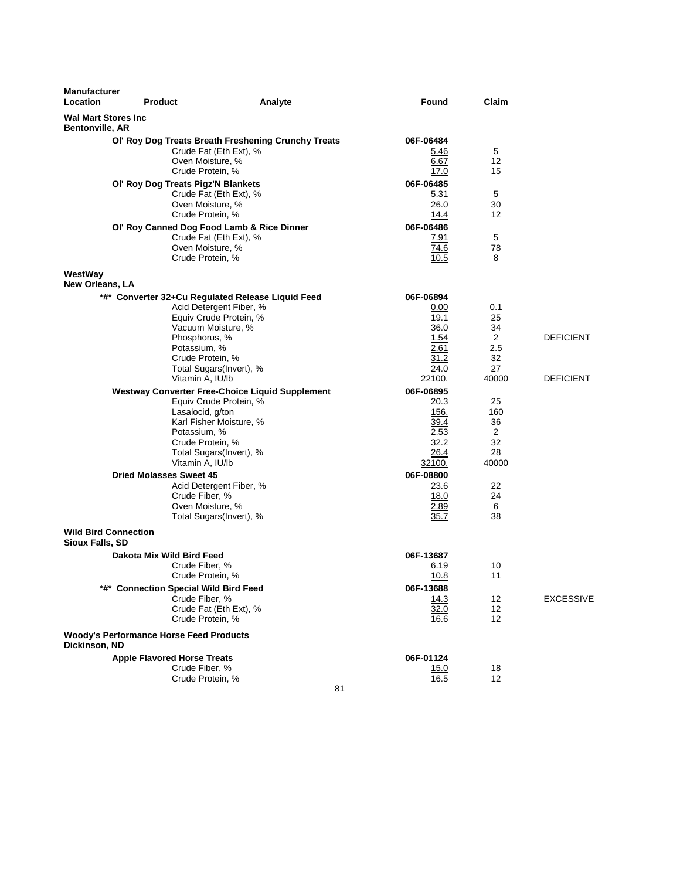| <b>Manufacturer</b><br>Location                      | <b>Product</b>                                                                                               | Analyte                                                                                                                                | <b>Found</b>                                                        | Claim                                     |                  |
|------------------------------------------------------|--------------------------------------------------------------------------------------------------------------|----------------------------------------------------------------------------------------------------------------------------------------|---------------------------------------------------------------------|-------------------------------------------|------------------|
| <b>Wal Mart Stores Inc</b><br><b>Bentonville, AR</b> |                                                                                                              |                                                                                                                                        |                                                                     |                                           |                  |
|                                                      | Crude Fat (Eth Ext), %<br>Oven Moisture, %<br>Crude Protein, %                                               | Ol' Roy Dog Treats Breath Freshening Crunchy Treats                                                                                    | 06F-06484<br>5.46<br>6.67<br>17.0                                   | 5<br>12<br>15                             |                  |
|                                                      | OI' Roy Dog Treats Pigz'N Blankets<br>Crude Fat (Eth Ext), %<br>Oven Moisture, %<br>Crude Protein, %         |                                                                                                                                        | 06F-06485<br>5.31<br>26.0<br>14.4                                   | 5<br>30<br>12                             |                  |
|                                                      | Ol' Roy Canned Dog Food Lamb & Rice Dinner<br>Crude Fat (Eth Ext), %<br>Oven Moisture, %<br>Crude Protein, % |                                                                                                                                        | 06F-06486<br>7.91<br>74.6<br>10.5                                   | 5<br>78<br>8                              |                  |
| WestWay<br>New Orleans, LA                           |                                                                                                              |                                                                                                                                        |                                                                     |                                           |                  |
|                                                      | Vacuum Moisture, %<br>Phosphorus, %<br>Potassium, %<br>Crude Protein, %                                      | *#* Converter 32+Cu Regulated Release Liquid Feed<br>Acid Detergent Fiber, %<br>Equiv Crude Protein, %                                 | 06F-06894<br>0.00<br>19.1<br>36.0<br>1.54<br>2.61<br>31.2           | 0.1<br>25<br>34<br>2<br>2.5<br>32         | <b>DEFICIENT</b> |
|                                                      | Vitamin A, IU/lb                                                                                             | Total Sugars(Invert), %                                                                                                                | 24.0<br>22100.                                                      | 27<br>40000                               | <b>DEFICIENT</b> |
|                                                      | Lasalocid, g/ton<br>Potassium, %<br>Crude Protein, %<br>Vitamin A, IU/lb                                     | <b>Westway Converter Free-Choice Liquid Supplement</b><br>Equiv Crude Protein, %<br>Karl Fisher Moisture, %<br>Total Sugars(Invert), % | 06F-06895<br>20.3<br>156.<br>39.4<br>2.53<br>32.2<br>26.4<br>32100. | 25<br>160<br>36<br>2<br>32<br>28<br>40000 |                  |
|                                                      | <b>Dried Molasses Sweet 45</b><br>Crude Fiber, %<br>Oven Moisture, %                                         | Acid Detergent Fiber, %<br>Total Sugars(Invert), %                                                                                     | 06F-08800<br>23.6<br>18.0<br>2.89<br>35.7                           | 22<br>24<br>6<br>38                       |                  |
| <b>Wild Bird Connection</b><br>Sioux Falls, SD       |                                                                                                              |                                                                                                                                        |                                                                     |                                           |                  |
|                                                      | Dakota Mix Wild Bird Feed<br>Crude Fiber, %<br>Crude Protein, %                                              |                                                                                                                                        | 06F-13687<br>6.19<br>10.8                                           | 10<br>11                                  |                  |
|                                                      | *#* Connection Special Wild Bird Feed<br>Crude Fiber, %<br>Crude Fat (Eth Ext), %<br>Crude Protein, %        |                                                                                                                                        | 06F-13688<br>14.3<br>32.0<br><u>16.6</u>                            | 12<br>12<br>12                            | <b>EXCESSIVE</b> |
| Dickinson, ND                                        | <b>Woody's Performance Horse Feed Products</b>                                                               |                                                                                                                                        |                                                                     |                                           |                  |
|                                                      | <b>Apple Flavored Horse Treats</b><br>Crude Fiber, %<br>Crude Protein, %                                     | 81                                                                                                                                     | 06F-01124<br>15.0<br><u>16.5</u>                                    | 18<br>12                                  |                  |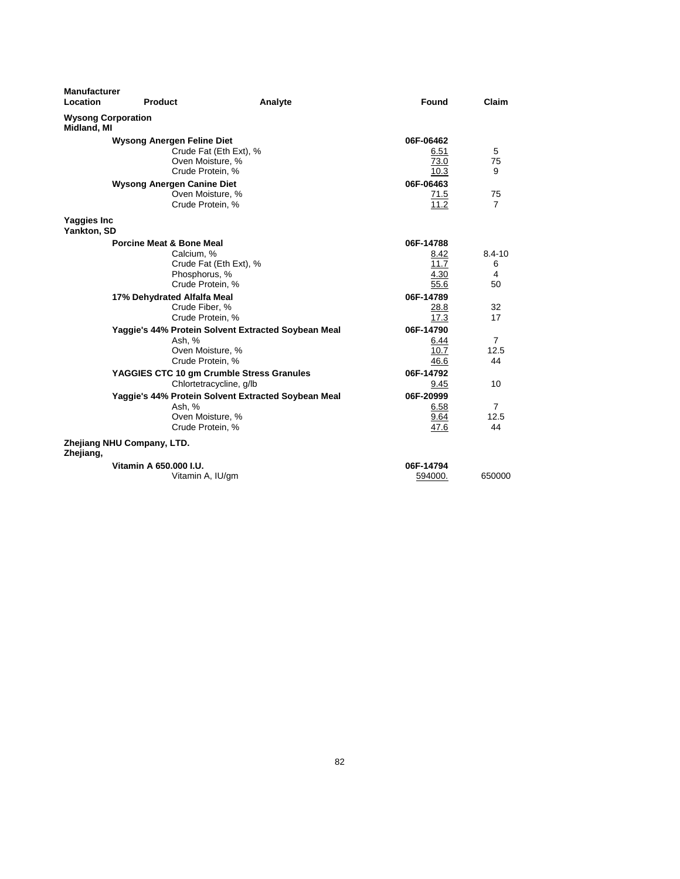| <b>Manufacturer</b><br>Location          | Product                                   | Analyte                                             | Found        | Claim          |
|------------------------------------------|-------------------------------------------|-----------------------------------------------------|--------------|----------------|
| <b>Wysong Corporation</b><br>Midland, MI |                                           |                                                     |              |                |
|                                          | <b>Wysong Anergen Feline Diet</b>         |                                                     | 06F-06462    |                |
|                                          |                                           | Crude Fat (Eth Ext), %                              | 6.51         | 5              |
|                                          | Oven Moisture, %                          |                                                     | 73.0<br>10.3 | 75<br>9        |
|                                          | Crude Protein, %                          |                                                     |              |                |
|                                          | <b>Wysong Anergen Canine Diet</b>         |                                                     | 06F-06463    |                |
|                                          | Oven Moisture, %                          |                                                     | 71.5         | 75             |
|                                          | Crude Protein, %                          |                                                     | 11.2         | $\overline{7}$ |
| Yaggies Inc                              |                                           |                                                     |              |                |
| Yankton, SD                              |                                           |                                                     |              |                |
|                                          | <b>Porcine Meat &amp; Bone Meal</b>       |                                                     | 06F-14788    |                |
|                                          | Calcium, %                                |                                                     | 8.42         | 8.4-10         |
|                                          |                                           | Crude Fat (Eth Ext), %                              | 11.7         | 6              |
|                                          | Phosphorus, %                             |                                                     | 4.30         | 4              |
|                                          | Crude Protein, %                          |                                                     | 55.6         | 50             |
|                                          | 17% Dehydrated Alfalfa Meal               |                                                     | 06F-14789    |                |
|                                          | Crude Fiber, %                            |                                                     | 28.8         | 32             |
|                                          | Crude Protein, %                          |                                                     | 17.3         | 17             |
|                                          |                                           | Yaggie's 44% Protein Solvent Extracted Soybean Meal | 06F-14790    |                |
|                                          | Ash, %                                    |                                                     | 6.44         | $\overline{7}$ |
|                                          | Oven Moisture, %                          |                                                     | 10.7         | 12.5           |
|                                          | Crude Protein, %                          |                                                     | 46.6         | 44             |
|                                          | YAGGIES CTC 10 gm Crumble Stress Granules |                                                     | 06F-14792    |                |
|                                          |                                           | Chlortetracycline, g/lb                             | 9.45         | 10             |
|                                          |                                           | Yaggie's 44% Protein Solvent Extracted Soybean Meal | 06F-20999    |                |
|                                          | Ash, %                                    |                                                     | 6.58         | $\overline{7}$ |
|                                          | Oven Moisture, %                          |                                                     | 9.64         | 12.5           |
|                                          | Crude Protein, %                          |                                                     | 47.6         | 44             |
| Zhejiang,                                | Zhejiang NHU Company, LTD.                |                                                     |              |                |
|                                          | Vitamin A 650,000 I.U.                    |                                                     | 06F-14794    |                |
|                                          | Vitamin A, IU/gm                          |                                                     | 594000.      | 650000         |
|                                          |                                           |                                                     |              |                |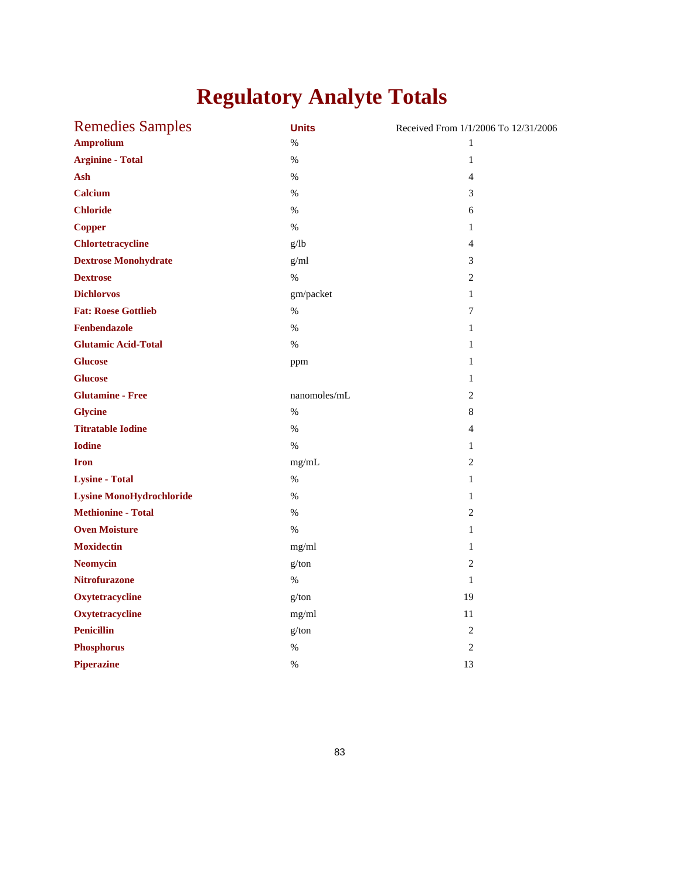# **Regulatory Analyte Totals**

| <b>Remedies Samples</b>         | <b>Units</b> | Received From 1/1/2006 To 12/31/2006 |
|---------------------------------|--------------|--------------------------------------|
| <b>Amprolium</b>                | $\%$         | $\mathbf{1}$                         |
| <b>Arginine - Total</b>         | $\%$         | $\mathbf{1}$                         |
| Ash                             | $\%$         | $\overline{4}$                       |
| Calcium                         | $\%$         | 3                                    |
| <b>Chloride</b>                 | $\%$         | 6                                    |
| <b>Copper</b>                   | $\%$         | $\mathbf{1}$                         |
| <b>Chlortetracycline</b>        | g/lb         | $\overline{4}$                       |
| <b>Dextrose Monohydrate</b>     | g/ml         | $\mathfrak{Z}$                       |
| <b>Dextrose</b>                 | $\%$         | $\overline{2}$                       |
| <b>Dichlorvos</b>               | gm/packet    | $\mathbf{1}$                         |
| <b>Fat: Roese Gottlieb</b>      | $\%$         | 7                                    |
| Fenbendazole                    | $\%$         | $\mathbf{1}$                         |
| <b>Glutamic Acid-Total</b>      | $\%$         | $\mathbf{1}$                         |
| <b>Glucose</b>                  | ppm          | $\mathbf{1}$                         |
| <b>Glucose</b>                  |              | $\mathbf{1}$                         |
| <b>Glutamine - Free</b>         | nanomoles/mL | $\overline{2}$                       |
| <b>Glycine</b>                  | $\%$         | $\,8\,$                              |
| <b>Titratable Iodine</b>        | $\%$         | $\overline{4}$                       |
| <b>Iodine</b>                   | $\%$         | $\mathbf{1}$                         |
| <b>Iron</b>                     | mg/mL        | $\overline{2}$                       |
| <b>Lysine - Total</b>           | $\%$         | $\mathbf{1}$                         |
| <b>Lysine MonoHydrochloride</b> | $\%$         | 1                                    |
| <b>Methionine - Total</b>       | $\%$         | $\overline{2}$                       |
| <b>Oven Moisture</b>            | $\%$         | $\mathbf{1}$                         |
| <b>Moxidectin</b>               | mg/ml        | $\mathbf{1}$                         |
| <b>Neomycin</b>                 | g/ton        | $\overline{2}$                       |
| <b>Nitrofurazone</b>            | $\%$         | $\mathbf{1}$                         |
| Oxytetracycline                 | g/ton        | 19                                   |
| Oxytetracycline                 | mg/ml        | 11                                   |
| <b>Penicillin</b>               | g/ton        | $\overline{2}$                       |
| <b>Phosphorus</b>               | $\%$         | $\overline{2}$                       |
| <b>Piperazine</b>               | $\%$         | 13                                   |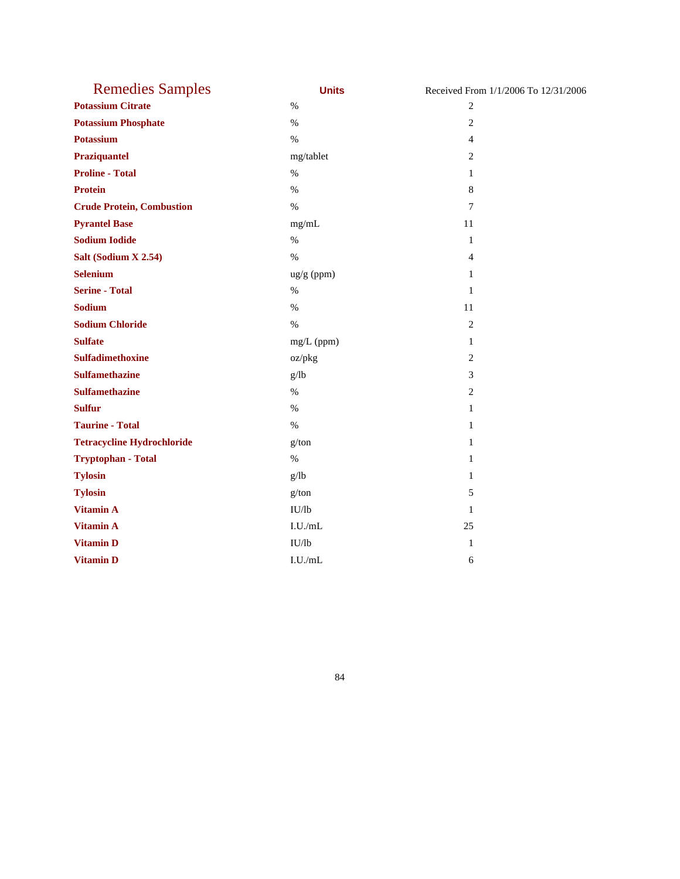| <b>Remedies Samples</b>           | <b>Units</b>         | Received From 1/1/2006 To 12/31/2006 |
|-----------------------------------|----------------------|--------------------------------------|
| <b>Potassium Citrate</b>          | $\%$                 | $\overline{2}$                       |
| <b>Potassium Phosphate</b>        | $\%$                 | $\mathfrak{2}$                       |
| <b>Potassium</b>                  | $\%$                 | $\overline{4}$                       |
| Praziquantel                      | mg/tablet            | $\overline{2}$                       |
| <b>Proline - Total</b>            | $\%$                 | $\mathbf{1}$                         |
| <b>Protein</b>                    | $\%$                 | $\,8\,$                              |
| <b>Crude Protein, Combustion</b>  | $\%$                 | 7                                    |
| <b>Pyrantel Base</b>              | mg/mL                | 11                                   |
| <b>Sodium Iodide</b>              | $\%$                 | $\mathbf{1}$                         |
| Salt (Sodium X 2.54)              | $\%$                 | $\overline{4}$                       |
| <b>Selenium</b>                   | $\frac{ug}{g}$ (ppm) | $\mathbf{1}$                         |
| <b>Serine - Total</b>             | $\%$                 | $\mathbf{1}$                         |
| Sodium                            | $\%$                 | 11                                   |
| <b>Sodium Chloride</b>            | $\%$                 | $\overline{2}$                       |
| <b>Sulfate</b>                    | mg/L (ppm)           | $\mathbf{1}$                         |
| <b>Sulfadimethoxine</b>           | oz/pkg               | $\overline{2}$                       |
| <b>Sulfamethazine</b>             | g/lb                 | 3                                    |
| <b>Sulfamethazine</b>             | $\%$                 | $\overline{2}$                       |
| <b>Sulfur</b>                     | $\%$                 | $\mathbf{1}$                         |
| <b>Taurine - Total</b>            | $\%$                 | $\mathbf{1}$                         |
| <b>Tetracycline Hydrochloride</b> | g/ton                | $\mathbf{1}$                         |
| <b>Tryptophan - Total</b>         | $\%$                 | $\mathbf{1}$                         |
| <b>Tylosin</b>                    | g/lb                 | 1                                    |
| <b>Tylosin</b>                    | g/ton                | 5                                    |
| <b>Vitamin A</b>                  | IU/lb                | $\mathbf{1}$                         |
| <b>Vitamin A</b>                  | I.U./mL              | 25                                   |
| <b>Vitamin D</b>                  | IU/lb                | $\mathbf{1}$                         |
| <b>Vitamin D</b>                  | I.U./mL              | 6                                    |

84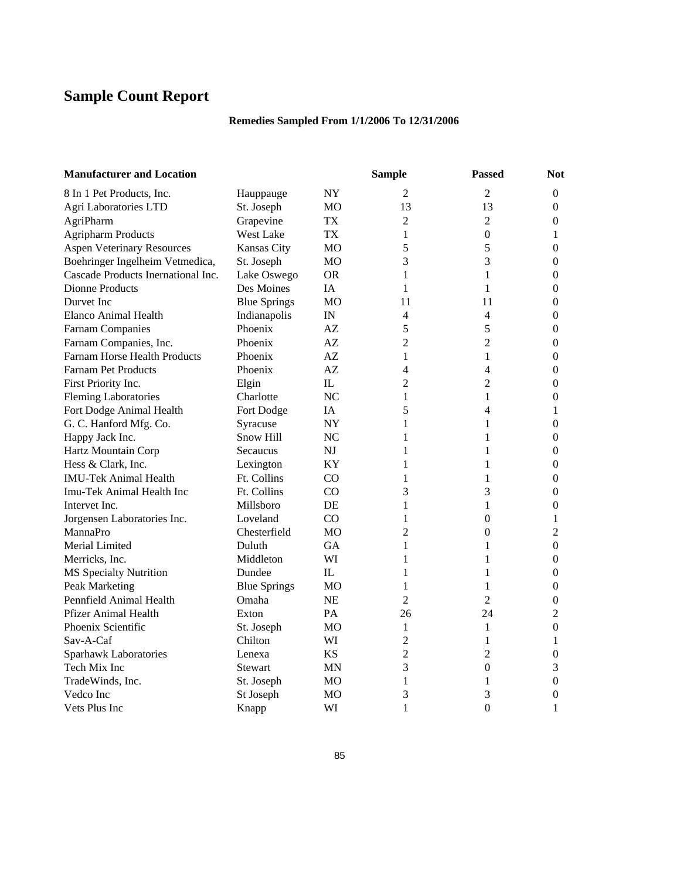# **Sample Count Report**

### **Remedies Sampled From 1/1/2006 To 12/31/2006**

| <b>Manufacturer and Location</b>   |                     |                          | <b>Sample</b>  | <b>Passed</b>    | <b>Not</b>       |
|------------------------------------|---------------------|--------------------------|----------------|------------------|------------------|
| 8 In 1 Pet Products, Inc.          | Hauppauge           | NY.                      | 2              | 2                | $\mathbf{0}$     |
| Agri Laboratories LTD              | St. Joseph          | <b>MO</b>                | 13             | 13               | $\boldsymbol{0}$ |
| AgriPharm                          | Grapevine           | TX                       | 2              | $\overline{2}$   | $\mathbf{0}$     |
| <b>Agripharm Products</b>          | West Lake           | TX                       | 1              | $\boldsymbol{0}$ | 1                |
| <b>Aspen Veterinary Resources</b>  | Kansas City         | MO                       | 5              | 5                | $\overline{0}$   |
| Boehringer Ingelheim Vetmedica,    | St. Joseph          | MO                       | 3              | 3                | $\overline{0}$   |
| Cascade Products Inernational Inc. | Lake Oswego         | <b>OR</b>                | 1              | 1                | $\overline{0}$   |
| <b>Dionne Products</b>             | Des Moines          | IA                       | 1              | 1                | 0                |
| Durvet Inc.                        | <b>Blue Springs</b> | MO                       | 11             | 11               | 0                |
| <b>Elanco Animal Health</b>        | Indianapolis        | $\ensuremath{\text{IN}}$ | 4              | 4                | $\mathbf{0}$     |
| <b>Farnam Companies</b>            | Phoenix             | AZ                       | 5              | 5                | $\mathbf{0}$     |
| Farnam Companies, Inc.             | Phoenix             | AZ                       | $\overline{c}$ | $\overline{2}$   | $\boldsymbol{0}$ |
| Farnam Horse Health Products       | Phoenix             | AZ                       | 1              | 1                | $\boldsymbol{0}$ |
| <b>Farnam Pet Products</b>         | Phoenix             | AZ.                      | 4              | $\overline{4}$   | $\boldsymbol{0}$ |
| First Priority Inc.                | Elgin               | IL                       | 2              | $\overline{2}$   | $\theta$         |
| <b>Fleming Laboratories</b>        | Charlotte           | NC                       | 1              | 1                | 0                |
| Fort Dodge Animal Health           | Fort Dodge          | IA                       | 5              | 4                | 1                |
| G. C. Hanford Mfg. Co.             | Syracuse            | NY.                      | 1              | 1                | $\mathbf{0}$     |
| Happy Jack Inc.                    | Snow Hill           | NC                       | 1              | 1                | 0                |
| Hartz Mountain Corp                | Secaucus            | <b>NJ</b>                | 1              | 1                | $\theta$         |
| Hess & Clark, Inc.                 | Lexington           | KY                       | 1              | 1                | $\theta$         |
| <b>IMU-Tek Animal Health</b>       | Ft. Collins         | CO                       | 1              | 1                | $\overline{0}$   |
| Imu-Tek Animal Health Inc          | Ft. Collins         | CO                       | 3              | 3                | $\overline{0}$   |
| Intervet Inc.                      | Millsboro           | DE                       | 1              | $\mathbf{1}$     | $\boldsymbol{0}$ |
| Jorgensen Laboratories Inc.        | Loveland            | CO                       | 1              | $\boldsymbol{0}$ | 1                |
| MannaPro                           | Chesterfield        | <b>MO</b>                | 2              | $\boldsymbol{0}$ | $\overline{2}$   |
| Merial Limited                     | Duluth              | <b>GA</b>                | 1              | 1                | $\theta$         |
| Merricks, Inc.                     | Middleton           | WI                       | 1              | 1                | $\boldsymbol{0}$ |
| MS Specialty Nutrition             | Dundee              | $_{\rm IL}$              | 1              | 1                | 0                |
| Peak Marketing                     | <b>Blue Springs</b> | <b>MO</b>                | 1              | 1                | 0                |
| Pennfield Animal Health            | Omaha               | NE                       | 2              | $\overline{2}$   | $\boldsymbol{0}$ |
| <b>Pfizer Animal Health</b>        | Exton               | PA                       | 26             | 24               | $\overline{c}$   |
| Phoenix Scientific                 | St. Joseph          | МO                       | 1              | 1                | $\boldsymbol{0}$ |
| Sav-A-Caf                          | Chilton             | WI                       | $\overline{c}$ | 1                | 1                |
| Sparhawk Laboratories              | Lenexa              | <b>KS</b>                | $\overline{c}$ | $\overline{2}$   | $\boldsymbol{0}$ |
| Tech Mix Inc                       | Stewart             | <b>MN</b>                | 3              | $\boldsymbol{0}$ | 3                |
| TradeWinds, Inc.                   | St. Joseph          | МO                       | 1              | 1                | 0                |
| Vedco Inc                          | St Joseph           | MO                       | 3              | 3                | 0                |
| Vets Plus Inc                      | Knapp               | WI                       | 1              | $\overline{0}$   | 1                |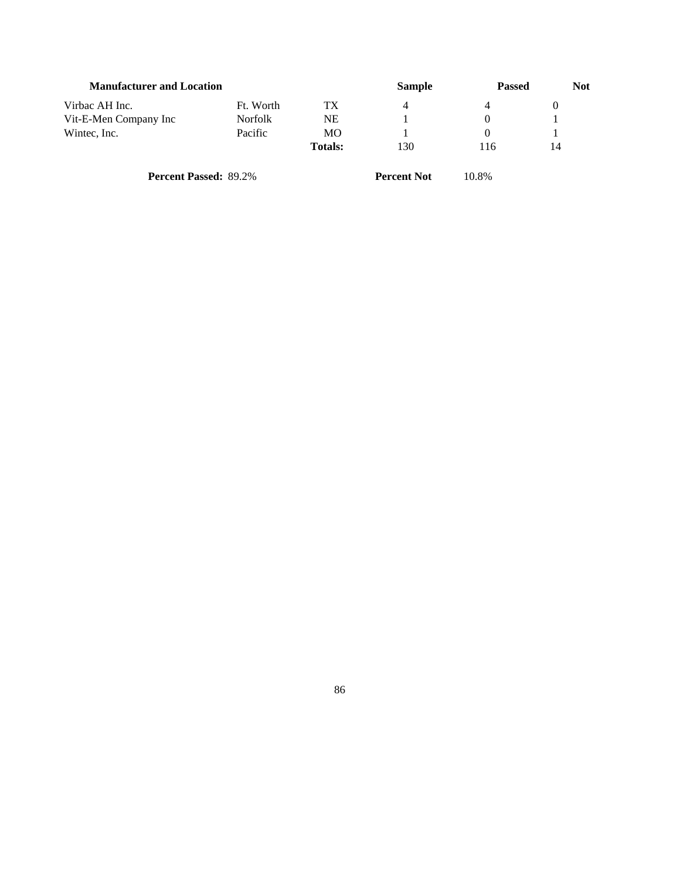| <b>Manufacturer and Location</b> |                |                | <b>Sample</b> | <b>Passed</b> | <b>Not</b> |
|----------------------------------|----------------|----------------|---------------|---------------|------------|
| Virbac AH Inc.                   | Ft. Worth      | TX             | 4             | 4             |            |
| Vit-E-Men Company Inc            | <b>Norfolk</b> | NΕ             |               |               |            |
| Wintec, Inc.                     | Pacific        | MO             |               |               |            |
|                                  |                | <b>Totals:</b> | 130           | 116           | 14         |
|                                  |                |                |               |               |            |

**Percent Passed:** 89.2% **Percent Not** 10.8%

86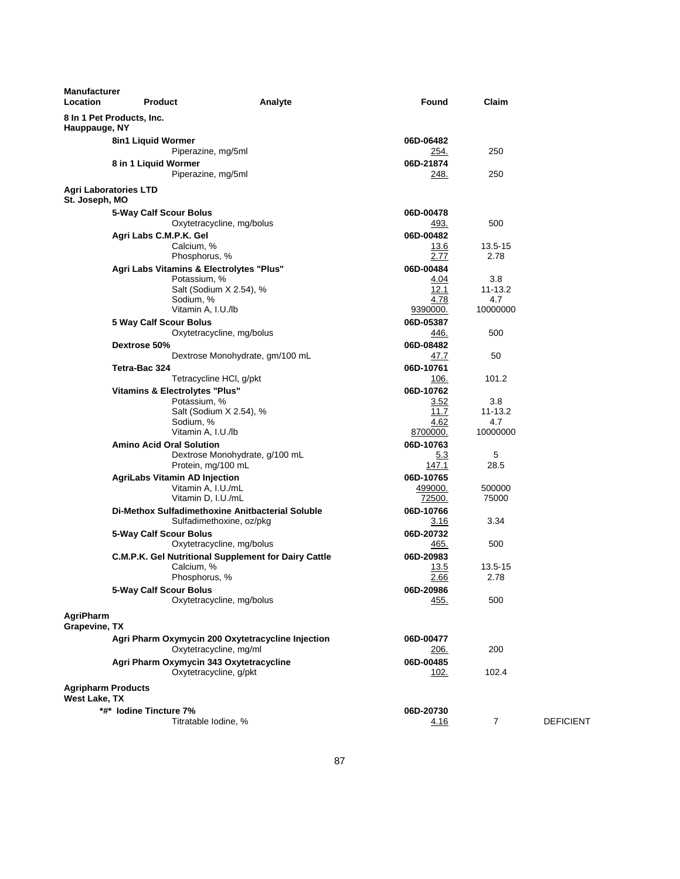| <b>Manufacturer</b><br>Location            | <b>Product</b>                                   | Analyte                                              | Found        | Claim          |                  |
|--------------------------------------------|--------------------------------------------------|------------------------------------------------------|--------------|----------------|------------------|
| Hauppauge, NY                              | 8 In 1 Pet Products, Inc.                        |                                                      |              |                |                  |
|                                            | 8in1 Liquid Wormer                               |                                                      | 06D-06482    |                |                  |
|                                            | Piperazine, mg/5ml                               |                                                      | <u>254.</u>  | 250            |                  |
|                                            | 8 in 1 Liquid Wormer                             |                                                      | 06D-21874    |                |                  |
|                                            | Piperazine, mg/5ml                               |                                                      | 248.         | 250            |                  |
| St. Joseph, MO                             | <b>Agri Laboratories LTD</b>                     |                                                      |              |                |                  |
|                                            | 5-Way Calf Scour Bolus                           |                                                      | 06D-00478    |                |                  |
|                                            |                                                  | Oxytetracycline, mg/bolus                            | <u>493.</u>  | 500            |                  |
|                                            | Agri Labs C.M.P.K. Gel                           |                                                      | 06D-00482    |                |                  |
|                                            | Calcium, %                                       |                                                      | 13.6         | 13.5-15        |                  |
|                                            | Phosphorus, %                                    |                                                      | 2.77         | 2.78           |                  |
|                                            | Agri Labs Vitamins & Electrolytes "Plus"         |                                                      | 06D-00484    |                |                  |
|                                            | Potassium, %                                     |                                                      | 4.04         | 3.8            |                  |
|                                            | Salt (Sodium X 2.54), %<br>Sodium, %             |                                                      | 12.1<br>4.78 | 11-13.2<br>4.7 |                  |
|                                            | Vitamin A, I.U./lb                               |                                                      | 9390000.     | 10000000       |                  |
|                                            | 5 Way Calf Scour Bolus                           |                                                      | 06D-05387    |                |                  |
|                                            |                                                  | Oxytetracycline, mg/bolus                            | 446.         | 500            |                  |
|                                            | Dextrose 50%                                     |                                                      | 06D-08482    |                |                  |
|                                            |                                                  | Dextrose Monohydrate, gm/100 mL                      | 47.7         | 50             |                  |
|                                            | Tetra-Bac 324                                    |                                                      | 06D-10761    |                |                  |
|                                            | Tetracycline HCI, g/pkt                          |                                                      | 106.         | 101.2          |                  |
|                                            | <b>Vitamins &amp; Electrolytes "Plus"</b>        |                                                      | 06D-10762    |                |                  |
|                                            | Potassium, %                                     |                                                      | 3.52         | 3.8            |                  |
|                                            | Salt (Sodium X 2.54), %                          |                                                      | 11.7         | 11-13.2        |                  |
|                                            | Sodium, %                                        |                                                      | 4.62         | 4.7            |                  |
|                                            | Vitamin A, I.U./lb                               |                                                      | 8700000.     | 10000000       |                  |
|                                            | <b>Amino Acid Oral Solution</b>                  |                                                      | 06D-10763    |                |                  |
|                                            |                                                  | Dextrose Monohydrate, g/100 mL                       | <u>5.3</u>   | 5              |                  |
|                                            | Protein, mg/100 mL                               |                                                      | 147.1        | 28.5           |                  |
|                                            | <b>AgriLabs Vitamin AD Injection</b>             |                                                      | 06D-10765    |                |                  |
|                                            | Vitamin A, I.U./mL                               |                                                      | 499000.      | 500000         |                  |
|                                            | Vitamin D, I.U./mL                               |                                                      | 72500.       | 75000          |                  |
|                                            | Di-Methox Sulfadimethoxine Anitbacterial Soluble |                                                      | 06D-10766    |                |                  |
|                                            |                                                  | Sulfadimethoxine, oz/pkg                             | 3.16         | 3.34           |                  |
|                                            | 5-Way Calf Scour Bolus                           |                                                      | 06D-20732    |                |                  |
|                                            |                                                  | Oxytetracycline, mg/bolus                            | 465.         | 500            |                  |
|                                            |                                                  | C.M.P.K. Gel Nutritional Supplement for Dairy Cattle | 06D-20983    |                |                  |
|                                            | Calcium, %                                       |                                                      | 13.5         | 13.5-15        |                  |
|                                            | Phosphorus, %                                    |                                                      | 2.66         | 2.78           |                  |
|                                            | 5-Way Calf Scour Bolus                           |                                                      | 06D-20986    |                |                  |
|                                            |                                                  | Oxytetracycline, mg/bolus                            | 455.         | 500            |                  |
| AgriPharm                                  |                                                  |                                                      |              |                |                  |
| Grapevine, TX                              |                                                  |                                                      |              |                |                  |
|                                            |                                                  | Agri Pharm Oxymycin 200 Oxytetracycline Injection    | 06D-00477    |                |                  |
|                                            | Oxytetracycline, mg/ml                           |                                                      | 206.         | 200            |                  |
|                                            | Agri Pharm Oxymycin 343 Oxytetracycline          |                                                      | 06D-00485    |                |                  |
|                                            | Oxytetracycline, g/pkt                           |                                                      | 102.         | 102.4          |                  |
| <b>Agripharm Products</b><br>West Lake, TX |                                                  |                                                      |              |                |                  |
|                                            | *#* lodine Tincture 7%                           |                                                      | 06D-20730    |                |                  |
|                                            | Titratable Iodine, %                             |                                                      | 4.16         | 7              | <b>DEFICIENT</b> |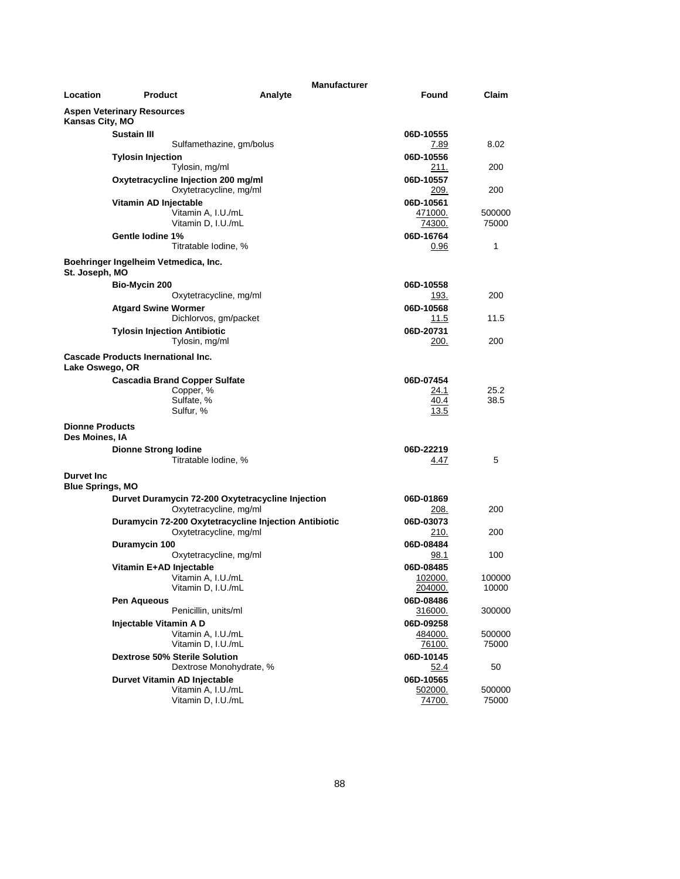|                                          |                                           |                                                       | <b>Manufacturer</b>  |                 |
|------------------------------------------|-------------------------------------------|-------------------------------------------------------|----------------------|-----------------|
| Location                                 | <b>Product</b>                            | Analyte                                               | Found                | Claim           |
| Kansas City, MO                          | <b>Aspen Veterinary Resources</b>         |                                                       |                      |                 |
|                                          | <b>Sustain III</b>                        |                                                       | 06D-10555            |                 |
|                                          |                                           | Sulfamethazine, gm/bolus                              | 7.89                 | 8.02            |
|                                          | <b>Tylosin Injection</b>                  |                                                       | 06D-10556            |                 |
|                                          | Tylosin, mg/ml                            |                                                       | 211.                 | 200             |
|                                          | Oxytetracycline Injection 200 mg/ml       |                                                       | 06D-10557            |                 |
|                                          |                                           | Oxytetracycline, mg/ml                                | 209.                 | 200             |
|                                          | Vitamin AD Injectable                     |                                                       | 06D-10561            |                 |
|                                          |                                           | Vitamin A, I.U./mL<br>Vitamin D, I.U./mL              | 471000.<br>74300.    | 500000<br>75000 |
|                                          | Gentle lodine 1%                          |                                                       | 06D-16764            |                 |
|                                          |                                           | Titratable Iodine, %                                  | 0.96                 | 1               |
| St. Joseph, MO                           | Boehringer Ingelheim Vetmedica, Inc.      |                                                       |                      |                 |
|                                          |                                           |                                                       | 06D-10558            |                 |
|                                          | Bio-Mycin 200                             | Oxytetracycline, mg/ml                                | 193.                 | 200             |
|                                          | <b>Atgard Swine Wormer</b>                |                                                       | 06D-10568            |                 |
|                                          |                                           | Dichlorvos, gm/packet                                 | 11.5                 | 11.5            |
|                                          | <b>Tylosin Injection Antibiotic</b>       |                                                       | 06D-20731            |                 |
|                                          | Tylosin, mg/ml                            |                                                       | 200.                 | 200             |
| Lake Oswego, OR                          | <b>Cascade Products Inernational Inc.</b> |                                                       |                      |                 |
|                                          | <b>Cascadia Brand Copper Sulfate</b>      |                                                       | 06D-07454            |                 |
|                                          | Copper, %                                 |                                                       | 24.1                 | 25.2            |
|                                          | Sulfate, %                                |                                                       | 40.4                 | 38.5            |
|                                          | Sulfur, %                                 |                                                       | 13.5                 |                 |
| <b>Dionne Products</b><br>Des Moines, IA |                                           |                                                       |                      |                 |
|                                          | <b>Dionne Strong lodine</b>               |                                                       | 06D-22219            |                 |
|                                          |                                           | Titratable Iodine, %                                  | 4.47                 | 5               |
| Durvet Inc.<br><b>Blue Springs, MO</b>   |                                           |                                                       |                      |                 |
|                                          |                                           | Durvet Duramycin 72-200 Oxytetracycline Injection     | 06D-01869            |                 |
|                                          |                                           | Oxytetracycline, mg/ml                                | 208.                 | 200             |
|                                          |                                           | Duramycin 72-200 Oxytetracycline Injection Antibiotic | 06D-03073            |                 |
|                                          |                                           | Oxytetracycline, mg/ml                                | 210.                 | 200             |
|                                          | Duramycin 100                             |                                                       | 06D-08484            |                 |
|                                          |                                           | Oxytetracycline, mg/ml                                | 98.1                 | 100             |
|                                          | Vitamin E+AD Injectable                   |                                                       | 06D-08485            |                 |
|                                          |                                           | Vitamin A, I.U./mL<br>Vitamin D, I.U./mL              | 102000.              | 100000          |
|                                          |                                           |                                                       | 204000.              | 10000           |
|                                          | Pen Aqueous                               | Penicillin, units/ml                                  | 06D-08486<br>316000. | 300000          |
|                                          | Injectable Vitamin A D                    |                                                       | 06D-09258            |                 |
|                                          |                                           | Vitamin A. I.U./mL                                    | 484000.              | 500000          |
|                                          |                                           | Vitamin D, I.U./mL                                    | <u>76100.</u>        | 75000           |
|                                          | <b>Dextrose 50% Sterile Solution</b>      |                                                       | 06D-10145            |                 |
|                                          |                                           | Dextrose Monohydrate, %                               | 52.4                 | 50              |
|                                          | Durvet Vitamin AD Injectable              |                                                       | 06D-10565            |                 |
|                                          |                                           | Vitamin A, I.U./mL                                    | 502000.              | 500000          |
|                                          |                                           | Vitamin D, I.U./mL                                    | 74700.               | 75000           |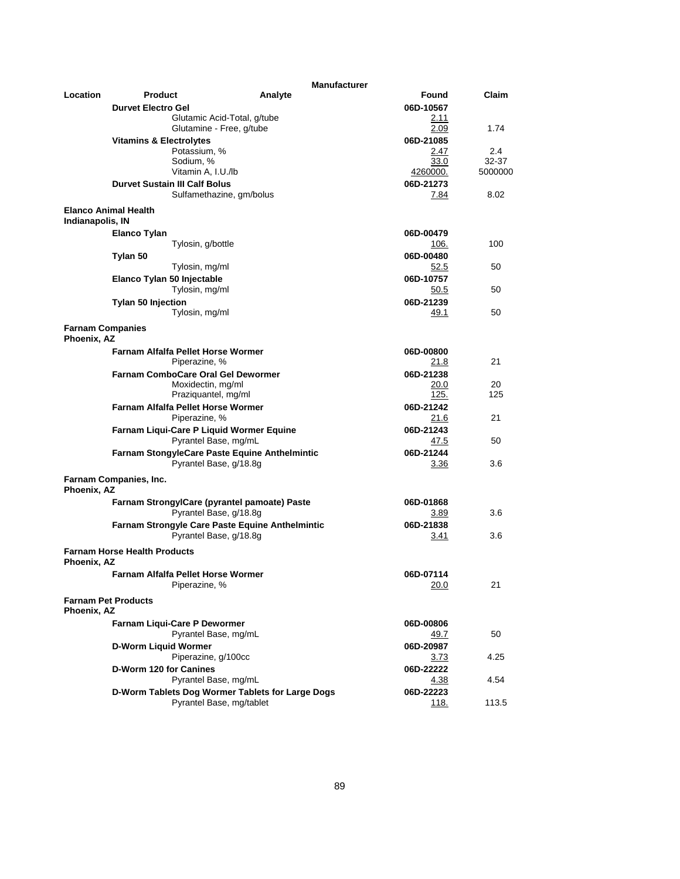|                                        |                                              | <b>Manufacturer</b>                                  |                 |         |
|----------------------------------------|----------------------------------------------|------------------------------------------------------|-----------------|---------|
| Location                               | Product                                      | Analyte                                              | Found           | Claim   |
|                                        | <b>Durvet Electro Gel</b>                    |                                                      | 06D-10567       |         |
|                                        |                                              | Glutamic Acid-Total, g/tube                          | 2.11            |         |
|                                        |                                              | Glutamine - Free, g/tube                             | 2.09            | 1.74    |
|                                        | <b>Vitamins &amp; Electrolytes</b>           |                                                      | 06D-21085       |         |
|                                        | Potassium, %                                 |                                                      | 2.47            | $2.4\,$ |
|                                        | Sodium, %                                    |                                                      | 33.0            | 32-37   |
|                                        | Vitamin A, I.U./lb                           |                                                      | <u>4260000.</u> | 5000000 |
|                                        | <b>Durvet Sustain III Calf Bolus</b>         |                                                      | 06D-21273       |         |
|                                        |                                              | Sulfamethazine, gm/bolus                             | 7.84            | 8.02    |
| Indianapolis, IN                       | <b>Elanco Animal Health</b>                  |                                                      |                 |         |
|                                        | Elanco Tylan                                 |                                                      | 06D-00479       |         |
|                                        | Tylosin, g/bottle                            |                                                      | 106.            | 100     |
|                                        | Tylan 50                                     |                                                      | 06D-00480       |         |
|                                        | Tylosin, mg/ml                               |                                                      | 52.5            | 50      |
|                                        | Elanco Tylan 50 Injectable                   |                                                      | 06D-10757       |         |
|                                        | Tylosin, mg/ml                               |                                                      | 50.5            | 50      |
|                                        | <b>Tylan 50 Injection</b>                    |                                                      | 06D-21239       |         |
|                                        | Tylosin, mg/ml                               |                                                      | 49.1            | 50      |
|                                        |                                              |                                                      |                 |         |
| <b>Farnam Companies</b><br>Phoenix, AZ |                                              |                                                      |                 |         |
|                                        | <b>Farnam Alfalfa Pellet Horse Wormer</b>    |                                                      | 06D-00800       |         |
|                                        | Piperazine, %                                |                                                      | 21.8            | 21      |
|                                        | <b>Farnam ComboCare Oral Gel Dewormer</b>    |                                                      | 06D-21238       |         |
|                                        | Moxidectin, mg/ml                            |                                                      | 20.0            | 20      |
|                                        | Praziquantel, mg/ml                          |                                                      | 125.            | 125     |
|                                        | <b>Farnam Alfalfa Pellet Horse Wormer</b>    |                                                      | 06D-21242       |         |
|                                        | Piperazine, %                                |                                                      | 21.6            | 21      |
|                                        | Farnam Liqui-Care P Liquid Wormer Equine     |                                                      | 06D-21243       |         |
|                                        |                                              | Pyrantel Base, mg/mL                                 | 47.5            | 50      |
|                                        |                                              | <b>Farnam StongyleCare Paste Equine Anthelmintic</b> | 06D-21244       |         |
|                                        |                                              | Pyrantel Base, g/18.8g                               | 3.36            | 3.6     |
| Phoenix, AZ                            | Farnam Companies, Inc.                       |                                                      |                 |         |
|                                        | Farnam StrongylCare (pyrantel pamoate) Paste |                                                      | 06D-01868       |         |
|                                        |                                              | Pyrantel Base, g/18.8g                               | 3.89            | 3.6     |
|                                        |                                              | Farnam Strongyle Care Paste Equine Anthelmintic      | 06D-21838       |         |
|                                        |                                              | Pyrantel Base, g/18.8g                               | 3.41            | 3.6     |
| Phoenix, AZ                            | <b>Farnam Horse Health Products</b>          |                                                      |                 |         |
|                                        | Farnam Alfalfa Pellet Horse Wormer           |                                                      | 06D-07114       |         |
|                                        | Piperazine, %                                |                                                      | 20.0            | 21      |
|                                        |                                              |                                                      |                 |         |
| Phoenix, AZ                            | <b>Farnam Pet Products</b>                   |                                                      |                 |         |
|                                        | Farnam Liqui-Care P Dewormer                 |                                                      | 06D-00806       |         |
|                                        |                                              | Pyrantel Base, mg/mL                                 | 49.7            | 50      |
|                                        | D-Worm Liquid Wormer                         |                                                      | 06D-20987       |         |
|                                        | Piperazine, g/100cc                          |                                                      | <u>3.73</u>     | 4.25    |
|                                        | D-Worm 120 for Canines                       |                                                      | 06D-22222       |         |
|                                        |                                              | Pyrantel Base, mg/mL                                 | 4.38            | 4.54    |
|                                        |                                              | D-Worm Tablets Dog Wormer Tablets for Large Dogs     | 06D-22223       |         |
|                                        |                                              | Pyrantel Base, mg/tablet                             | 118.            | 113.5   |
|                                        |                                              |                                                      |                 |         |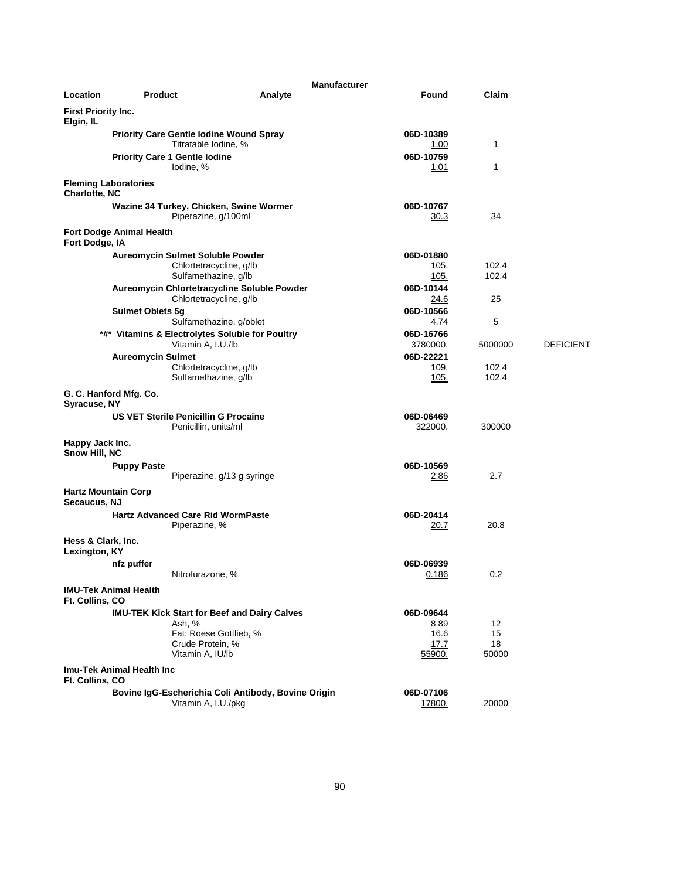|                                     |                                                                        | <b>Manufacturer</b>                                 |                      |                |                  |
|-------------------------------------|------------------------------------------------------------------------|-----------------------------------------------------|----------------------|----------------|------------------|
| Location                            | <b>Product</b>                                                         | Analyte                                             | Found                | Claim          |                  |
| First Priority Inc.<br>Elgin, IL    |                                                                        |                                                     |                      |                |                  |
|                                     | <b>Priority Care Gentle Iodine Wound Spray</b><br>Titratable Iodine, % |                                                     | 06D-10389<br>1.00    | 1              |                  |
|                                     | <b>Priority Care 1 Gentle lodine</b><br>lodine, %                      |                                                     | 06D-10759<br>1.01    | 1              |                  |
| Charlotte, NC                       | <b>Fleming Laboratories</b>                                            |                                                     |                      |                |                  |
|                                     | Wazine 34 Turkey, Chicken, Swine Wormer                                | Piperazine, g/100ml                                 | 06D-10767<br>30.3    | 34             |                  |
| Fort Dodge, IA                      | <b>Fort Dodge Animal Health</b>                                        |                                                     |                      |                |                  |
|                                     | <b>Aureomycin Sulmet Soluble Powder</b>                                |                                                     | 06D-01880            |                |                  |
|                                     |                                                                        | Chlortetracycline, g/lb<br>Sulfamethazine, g/lb     | 105.<br>105.         | 102.4<br>102.4 |                  |
|                                     | Aureomycin Chlortetracycline Soluble Powder                            | Chlortetracycline, g/lb                             | 06D-10144<br>24.6    | 25             |                  |
|                                     | <b>Sulmet Oblets 5g</b>                                                |                                                     | 06D-10566            | 5              |                  |
|                                     | *#* Vitamins & Electrolytes Soluble for Poultry                        | Sulfamethazine, g/oblet                             | 4.74<br>06D-16766    |                |                  |
|                                     | Vitamin A, I.U./lb                                                     |                                                     | 3780000.             | 5000000        | <b>DEFICIENT</b> |
|                                     | <b>Aureomycin Sulmet</b>                                               |                                                     | 06D-22221            |                |                  |
|                                     |                                                                        | Chlortetracycline, g/lb<br>Sulfamethazine, g/lb     | 109.<br>105.         | 102.4<br>102.4 |                  |
| Syracuse, NY                        | G. C. Hanford Mfg. Co.                                                 |                                                     |                      |                |                  |
|                                     | <b>US VET Sterile Penicillin G Procaine</b><br>Penicillin, units/ml    |                                                     | 06D-06469<br>322000. | 300000         |                  |
| Happy Jack Inc.<br>Snow Hill, NC    |                                                                        |                                                     |                      |                |                  |
|                                     | <b>Puppy Paste</b>                                                     |                                                     | 06D-10569            |                |                  |
|                                     |                                                                        | Piperazine, g/13 g syringe                          | 2.86                 | 2.7            |                  |
| Secaucus, NJ                        | <b>Hartz Mountain Corp</b>                                             |                                                     |                      |                |                  |
|                                     | <b>Hartz Advanced Care Rid WormPaste</b><br>Piperazine, %              |                                                     | 06D-20414<br>20.7    | 20.8           |                  |
| Hess & Clark, Inc.<br>Lexington, KY |                                                                        |                                                     |                      |                |                  |
|                                     | nfz puffer                                                             |                                                     | 06D-06939            |                |                  |
|                                     | Nitrofurazone, %                                                       |                                                     | 0.186                | 0.2            |                  |
| Ft. Collins, CO                     | <b>IMU-Tek Animal Health</b>                                           |                                                     |                      |                |                  |
|                                     | <b>IMU-TEK Kick Start for Beef and Dairy Calves</b>                    |                                                     | 06D-09644            | 12             |                  |
|                                     | Ash, %                                                                 | Fat: Roese Gottlieb, %                              | 8.89<br>16.6         | 15             |                  |
|                                     | Crude Protein, %                                                       |                                                     | 17.7                 | 18             |                  |
|                                     | Vitamin A, IU/lb                                                       |                                                     | 55900.               | 50000          |                  |
| Ft. Collins, CO                     | Imu-Tek Animal Health Inc                                              |                                                     |                      |                |                  |
|                                     |                                                                        | Bovine IgG-Escherichia Coli Antibody, Bovine Origin | 06D-07106            |                |                  |
|                                     | Vitamin A, I.U./pkg                                                    |                                                     | 17800.               | 20000          |                  |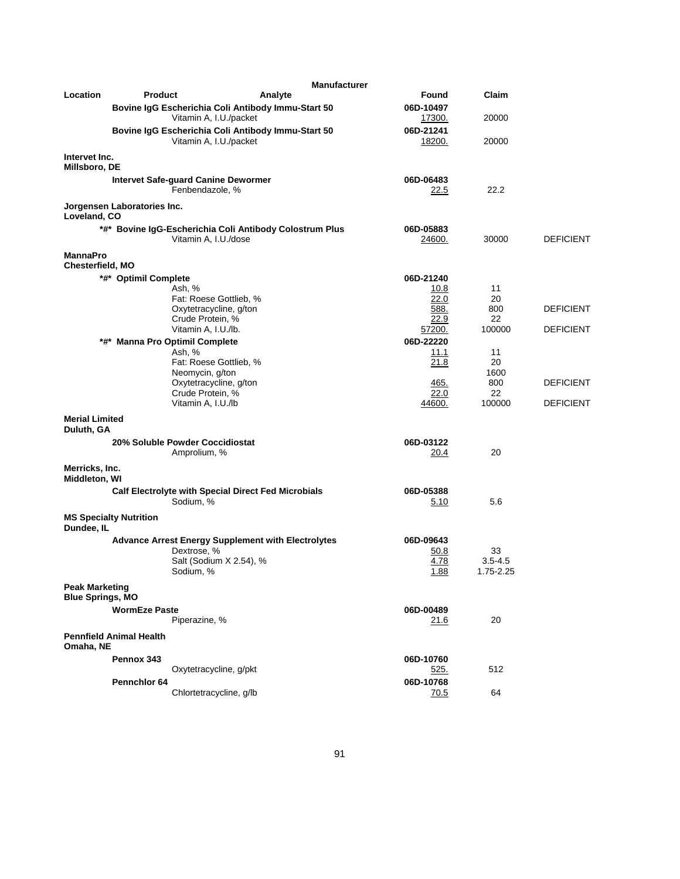|                                                  |                                                               | <b>Manufacturer</b>                                       |                     |                          |                  |
|--------------------------------------------------|---------------------------------------------------------------|-----------------------------------------------------------|---------------------|--------------------------|------------------|
| Location                                         | <b>Product</b>                                                | Analyte                                                   | Found               | Claim                    |                  |
|                                                  | Vitamin A, I.U./packet                                        | Bovine IgG Escherichia Coli Antibody Immu-Start 50        | 06D-10497<br>17300. | 20000                    |                  |
|                                                  | Vitamin A, I.U./packet                                        | Bovine IgG Escherichia Coli Antibody Immu-Start 50        | 06D-21241<br>18200. | 20000                    |                  |
| Intervet Inc.<br>Millsboro, DE                   |                                                               |                                                           |                     |                          |                  |
|                                                  | <b>Intervet Safe-guard Canine Dewormer</b><br>Fenbendazole, % |                                                           | 06D-06483<br>22.5   | 22.2                     |                  |
| Loveland, CO                                     | Jorgensen Laboratories Inc.                                   |                                                           |                     |                          |                  |
|                                                  | Vitamin A, I.U./dose                                          | *#* Bovine IgG-Escherichia Coli Antibody Colostrum Plus   | 06D-05883<br>24600. | 30000                    | <b>DEFICIENT</b> |
| <b>MannaPro</b><br>Chesterfield, MO              |                                                               |                                                           |                     |                          |                  |
|                                                  | *#* Optimil Complete                                          |                                                           | 06D-21240           |                          |                  |
|                                                  | Ash, %                                                        |                                                           | 10.8                | 11                       |                  |
|                                                  | Fat: Roese Gottlieb, %                                        |                                                           | 22.0                | 20                       |                  |
|                                                  | Oxytetracycline, g/ton                                        |                                                           | 588.                | 800                      | <b>DEFICIENT</b> |
|                                                  | Crude Protein, %                                              |                                                           | 22.9                | 22<br>100000             | <b>DEFICIENT</b> |
|                                                  | Vitamin A, I.U./lb.                                           |                                                           | 57200.              |                          |                  |
|                                                  | *#* Manna Pro Optimil Complete                                |                                                           | 06D-22220           | 11                       |                  |
|                                                  | Ash, %<br>Fat: Roese Gottlieb, %                              |                                                           | 11.1<br>21.8        | 20                       |                  |
|                                                  | Neomycin, g/ton                                               |                                                           |                     | 1600                     |                  |
|                                                  | Oxytetracycline, g/ton                                        |                                                           | 465.                | 800                      | <b>DEFICIENT</b> |
|                                                  | Crude Protein, %                                              |                                                           | 22.0                | 22                       |                  |
|                                                  | Vitamin A, I.U./lb                                            |                                                           | 44600.              | 100000                   | <b>DEFICIENT</b> |
| <b>Merial Limited</b><br>Duluth, GA              |                                                               |                                                           |                     |                          |                  |
|                                                  | 20% Soluble Powder Coccidiostat                               |                                                           | 06D-03122           |                          |                  |
|                                                  | Amprolium, %                                                  |                                                           | 20.4                | 20                       |                  |
| Merricks, Inc.<br>Middleton, WI                  |                                                               |                                                           |                     |                          |                  |
|                                                  |                                                               | Calf Electrolyte with Special Direct Fed Microbials       | 06D-05388           |                          |                  |
|                                                  | Sodium, %                                                     |                                                           | 5.10                | 5.6                      |                  |
| Dundee, IL                                       | <b>MS Specialty Nutrition</b>                                 |                                                           |                     |                          |                  |
|                                                  |                                                               | <b>Advance Arrest Energy Supplement with Electrolytes</b> | 06D-09643           |                          |                  |
|                                                  | Dextrose, %                                                   |                                                           | 50.8                | 33                       |                  |
|                                                  | Sodium, %                                                     | Salt (Sodium X 2.54), %                                   | 4.78<br>1.88        | $3.5 - 4.5$<br>1.75-2.25 |                  |
| <b>Peak Marketing</b><br><b>Blue Springs, MO</b> |                                                               |                                                           |                     |                          |                  |
|                                                  | <b>WormEze Paste</b>                                          |                                                           | 06D-00489           |                          |                  |
|                                                  | Piperazine, %                                                 |                                                           | 21.6                | 20                       |                  |
| Omaha, NE                                        | <b>Pennfield Animal Health</b>                                |                                                           |                     |                          |                  |
|                                                  | Pennox 343                                                    |                                                           | 06D-10760           |                          |                  |
|                                                  | Oxytetracycline, g/pkt                                        |                                                           | <u>525.</u>         | 512                      |                  |
|                                                  | Pennchlor 64                                                  |                                                           | 06D-10768           |                          |                  |
|                                                  | Chlortetracycline, g/lb                                       |                                                           | 70.5                | 64                       |                  |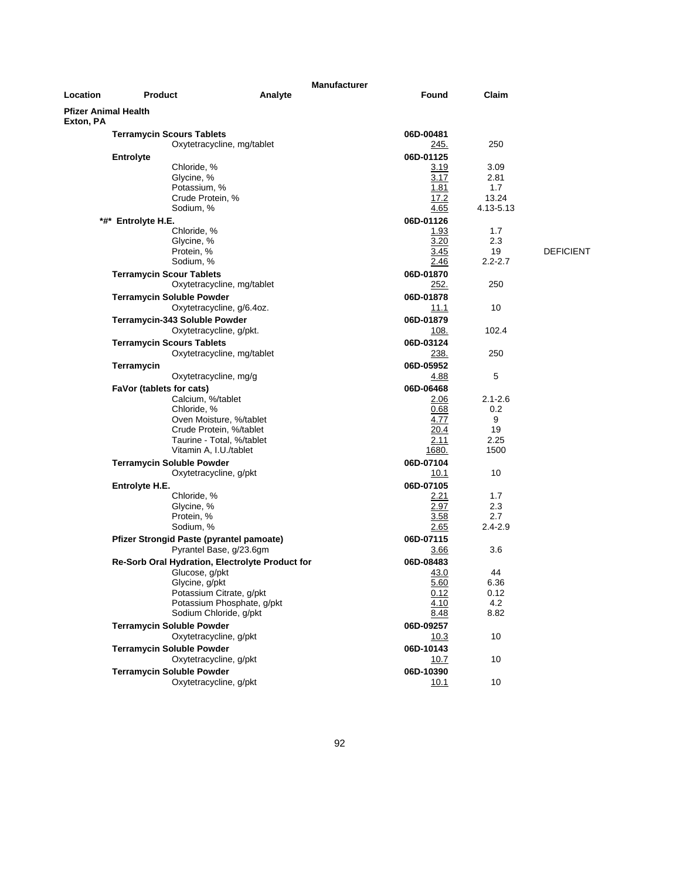| <b>Manufacturer</b> |                                                 |                            |                   |             |                  |
|---------------------|-------------------------------------------------|----------------------------|-------------------|-------------|------------------|
| Location            | <b>Product</b>                                  | Analyte                    | Found             | Claim       |                  |
| Exton, PA           | <b>Pfizer Animal Health</b>                     |                            |                   |             |                  |
|                     | <b>Terramycin Scours Tablets</b>                |                            | 06D-00481         |             |                  |
|                     |                                                 | Oxytetracycline, mg/tablet | <u>245.</u>       | 250         |                  |
|                     | <b>Entrolyte</b>                                |                            | 06D-01125         |             |                  |
|                     | Chloride, %                                     |                            | 3.19              | 3.09        |                  |
|                     | Glycine, %                                      |                            | 3.17              | 2.81        |                  |
|                     | Potassium, %                                    |                            | 1.81              | 1.7         |                  |
|                     | Crude Protein, %                                |                            | 17.2              | 13.24       |                  |
|                     | Sodium, %                                       |                            | 4.65              | 4.13-5.13   |                  |
|                     | *#* Entrolyte H.E.                              |                            | 06D-01126         |             |                  |
|                     | Chloride, %                                     |                            | 1.93              | 1.7         |                  |
|                     | Glycine, %                                      |                            | 3.20              | 2.3         |                  |
|                     | Protein, %                                      |                            | 3.45              | 19          | <b>DEFICIENT</b> |
|                     | Sodium, %                                       |                            | 2.46              | $2.2 - 2.7$ |                  |
|                     | <b>Terramycin Scour Tablets</b>                 |                            | 06D-01870         |             |                  |
|                     |                                                 | Oxytetracycline, mg/tablet | <u>252.</u>       | 250         |                  |
|                     | <b>Terramycin Soluble Powder</b>                |                            | 06D-01878         |             |                  |
|                     |                                                 | Oxytetracycline, g/6.4oz.  | <u> 11.1</u>      | 10          |                  |
|                     | Terramycin-343 Soluble Powder                   |                            | 06D-01879         |             |                  |
|                     | Oxytetracycline, g/pkt.                         |                            | 108.              | 102.4       |                  |
|                     | <b>Terramycin Scours Tablets</b>                |                            | 06D-03124         |             |                  |
|                     |                                                 | Oxytetracycline, mg/tablet | 238.              | 250         |                  |
|                     | Terramycin                                      |                            | 06D-05952         |             |                  |
|                     | Oxytetracycline, mg/g                           |                            | 4.88              | 5           |                  |
|                     |                                                 |                            |                   |             |                  |
|                     | FaVor (tablets for cats)<br>Calcium, %/tablet   |                            | 06D-06468         | $2.1 - 2.6$ |                  |
|                     |                                                 |                            | 2.06<br>0.68      | 0.2         |                  |
|                     | Chloride, %                                     | Oven Moisture, %/tablet    | 4.77              | 9           |                  |
|                     | Crude Protein, %/tablet                         |                            | 20.4              | 19          |                  |
|                     |                                                 | Taurine - Total, %/tablet  | 2.11              | 2.25        |                  |
|                     | Vitamin A, I.U./tablet                          |                            | 1680.             | 1500        |                  |
|                     | <b>Terramycin Soluble Powder</b>                |                            | 06D-07104         |             |                  |
|                     | Oxytetracycline, g/pkt                          |                            | 10.1              | 10          |                  |
|                     |                                                 |                            |                   |             |                  |
|                     | Entrolyte H.E.<br>Chloride, %                   |                            | 06D-07105<br>2.21 | 1.7         |                  |
|                     | Glycine, %                                      |                            | 2.97              | 2.3         |                  |
|                     | Protein, %                                      |                            | 3.58              | 2.7         |                  |
|                     | Sodium, %                                       |                            | 2.65              | $2.4 - 2.9$ |                  |
|                     | Pfizer Strongid Paste (pyrantel pamoate)        |                            | 06D-07115         |             |                  |
|                     |                                                 | Pyrantel Base, g/23.6gm    | 3.66              | 3.6         |                  |
|                     |                                                 |                            |                   |             |                  |
|                     | Re-Sorb Oral Hydration, Electrolyte Product for |                            | 06D-08483         |             |                  |
|                     | Glucose, g/pkt<br>Glycine, g/pkt                |                            | 43.0              | 44<br>6.36  |                  |
|                     |                                                 | Potassium Citrate, g/pkt   | 5.60<br>0.12      | 0.12        |                  |
|                     |                                                 | Potassium Phosphate, g/pkt | 4.10              | 4.2         |                  |
|                     | Sodium Chloride, g/pkt                          |                            | 8.48              | 8.82        |                  |
|                     | <b>Terramycin Soluble Powder</b>                |                            |                   |             |                  |
|                     | Oxytetracycline, g/pkt                          |                            | 06D-09257<br>10.3 | 10          |                  |
|                     |                                                 |                            |                   |             |                  |
|                     | <b>Terramycin Soluble Powder</b>                |                            | 06D-10143         |             |                  |
|                     | Oxytetracycline, g/pkt                          |                            | 10.7              | 10          |                  |
|                     | <b>Terramycin Soluble Powder</b>                |                            | 06D-10390         |             |                  |
|                     | Oxytetracycline, g/pkt                          |                            | 10.1              | 10          |                  |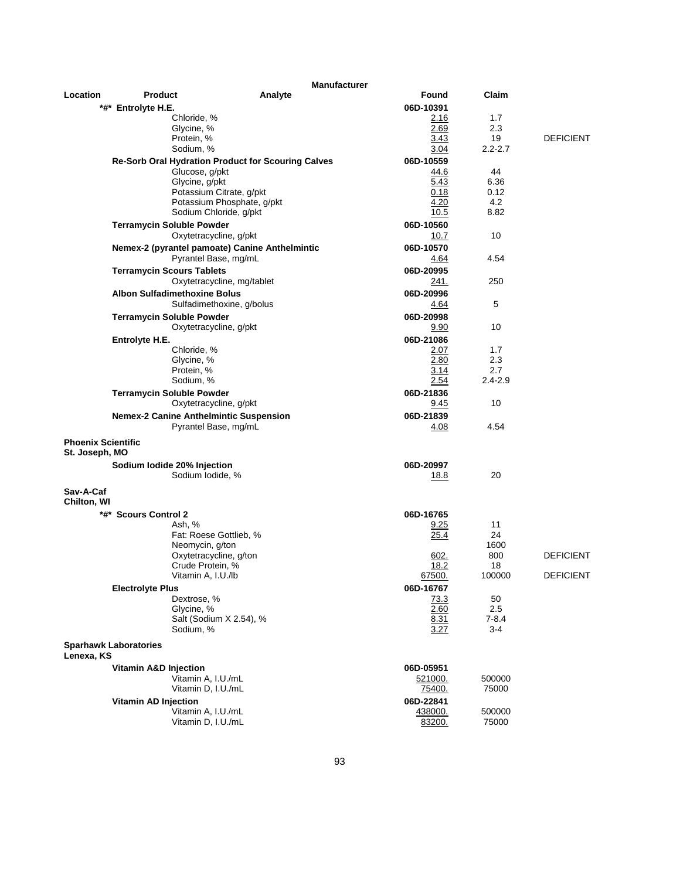|                                             |                                               | <b>Manufacturer</b>                                |                   |             |                  |
|---------------------------------------------|-----------------------------------------------|----------------------------------------------------|-------------------|-------------|------------------|
| Location                                    | <b>Product</b>                                | Analyte                                            | Found             | Claim       |                  |
|                                             | *#* Entrolyte H.E.                            |                                                    | 06D-10391         |             |                  |
|                                             | Chloride, %                                   |                                                    | 2.16              | 1.7         |                  |
|                                             | Glycine, %                                    |                                                    | 2.69              | 2.3         |                  |
|                                             | Protein, %                                    |                                                    | 3.43              | 19          | <b>DEFICIENT</b> |
|                                             | Sodium, %                                     |                                                    | 3.04              | $2.2 - 2.7$ |                  |
|                                             |                                               | Re-Sorb Oral Hydration Product for Scouring Calves | 06D-10559         |             |                  |
|                                             | Glucose, g/pkt                                |                                                    | 44.6              | 44          |                  |
|                                             | Glycine, g/pkt                                |                                                    | 5.43              | 6.36        |                  |
|                                             |                                               | Potassium Citrate, g/pkt                           | 0.18              | 0.12        |                  |
|                                             |                                               | Potassium Phosphate, g/pkt                         | 4.20              | 4.2         |                  |
|                                             |                                               | Sodium Chloride, g/pkt                             | 10.5              | 8.82        |                  |
|                                             | <b>Terramycin Soluble Powder</b>              |                                                    | 06D-10560         |             |                  |
|                                             |                                               | Oxytetracycline, g/pkt                             | 10.7              | 10          |                  |
|                                             |                                               | Nemex-2 (pyrantel pamoate) Canine Anthelmintic     | 06D-10570         |             |                  |
|                                             |                                               | Pyrantel Base, mg/mL                               | 4.64              | 4.54        |                  |
|                                             | <b>Terramycin Scours Tablets</b>              |                                                    | 06D-20995         |             |                  |
|                                             |                                               | Oxytetracycline, mg/tablet                         | 241.              | 250         |                  |
|                                             | <b>Albon Sulfadimethoxine Bolus</b>           |                                                    | 06D-20996         |             |                  |
|                                             |                                               | Sulfadimethoxine, g/bolus                          | 4.64              | 5           |                  |
|                                             | <b>Terramycin Soluble Powder</b>              |                                                    | 06D-20998         |             |                  |
|                                             |                                               | Oxytetracycline, g/pkt                             | 9.90              | 10          |                  |
|                                             |                                               |                                                    |                   |             |                  |
|                                             | Entrolyte H.E.<br>Chloride, %                 |                                                    | 06D-21086<br>2.07 | 1.7         |                  |
|                                             | Glycine, %                                    |                                                    | 2.80              | 2.3         |                  |
|                                             | Protein, %                                    |                                                    | 3.14              | 2.7         |                  |
|                                             | Sodium, %                                     |                                                    | 2.54              | $2.4 - 2.9$ |                  |
|                                             | <b>Terramycin Soluble Powder</b>              |                                                    | 06D-21836         |             |                  |
|                                             |                                               | Oxytetracycline, g/pkt                             | 9.45              | 10          |                  |
|                                             |                                               |                                                    |                   |             |                  |
|                                             | <b>Nemex-2 Canine Anthelmintic Suspension</b> | Pyrantel Base, mg/mL                               | 06D-21839<br>4.08 | 4.54        |                  |
| <b>Phoenix Scientific</b><br>St. Joseph, MO |                                               |                                                    |                   |             |                  |
|                                             | Sodium lodide 20% Injection                   |                                                    | 06D-20997         |             |                  |
|                                             | Sodium Iodide, %                              |                                                    | <u> 18.8</u>      | 20          |                  |
| Sav-A-Caf<br>Chilton, WI                    |                                               |                                                    |                   |             |                  |
|                                             | *#* Scours Control 2                          |                                                    | 06D-16765         |             |                  |
|                                             | Ash, %                                        |                                                    | <u>9.25</u>       | 11          |                  |
|                                             |                                               | Fat: Roese Gottlieb, %                             | 25.4              | 24          |                  |
|                                             | Neomycin, g/ton                               |                                                    |                   | 1600        |                  |
|                                             |                                               | Oxytetracycline, g/ton                             | 602.              | 800         | <b>DEFICIENT</b> |
|                                             | Crude Protein, %                              |                                                    | 18.2              | 18          |                  |
|                                             | Vitamin A, I.U./lb                            |                                                    | 67500.            | 100000      | <b>DEFICIENT</b> |
|                                             | <b>Electrolyte Plus</b>                       |                                                    | 06D-16767         |             |                  |
|                                             | Dextrose, %                                   |                                                    | 73.3              | 50          |                  |
|                                             | Glycine, %                                    |                                                    | 2.60              | 2.5         |                  |
|                                             |                                               | Salt (Sodium X 2.54), %                            | 8.31              | $7 - 8.4$   |                  |
|                                             | Sodium, %                                     |                                                    | 3.27              | $3-4$       |                  |
| Lenexa, KS                                  | <b>Sparhawk Laboratories</b>                  |                                                    |                   |             |                  |
|                                             | <b>Vitamin A&amp;D Injection</b>              |                                                    | 06D-05951         |             |                  |
|                                             | Vitamin A, I.U./mL                            |                                                    | 521000.           | 500000      |                  |
|                                             | Vitamin D, I.U./mL                            |                                                    | 75400.            | 75000       |                  |
|                                             | <b>Vitamin AD Injection</b>                   |                                                    | 06D-22841         |             |                  |
|                                             | Vitamin A, I.U./mL                            |                                                    | 438000.           | 500000      |                  |
|                                             | Vitamin D, I.U./mL                            |                                                    | 83200.            | 75000       |                  |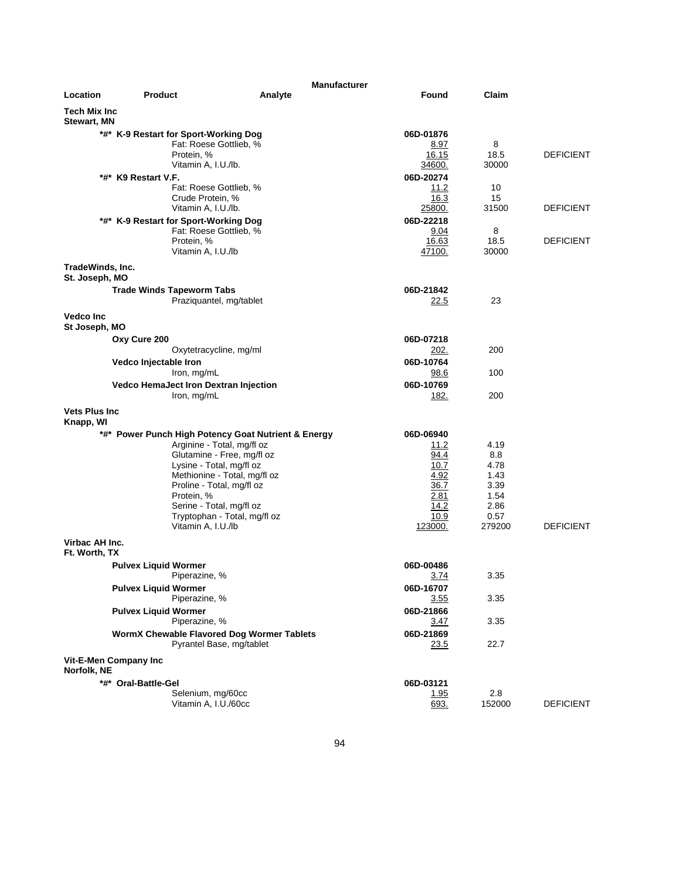|                                           |                             |                                                             | <b>Manufacturer</b> |                   |               |                  |
|-------------------------------------------|-----------------------------|-------------------------------------------------------------|---------------------|-------------------|---------------|------------------|
| Location                                  | Product                     | Analyte                                                     |                     | <b>Found</b>      | Claim         |                  |
| <b>Tech Mix Inc</b><br><b>Stewart, MN</b> |                             |                                                             |                     |                   |               |                  |
|                                           |                             | *#* K-9 Restart for Sport-Working Dog                       |                     | 06D-01876         |               |                  |
|                                           |                             | Fat: Roese Gottlieb, %                                      |                     | 8.97              | 8             |                  |
|                                           |                             | Protein, %                                                  |                     | 16.15             | 18.5          | <b>DEFICIENT</b> |
|                                           |                             | Vitamin A, I.U./lb.                                         |                     | 34600.            | 30000         |                  |
|                                           | *#* K9 Restart V.F.         | Fat: Roese Gottlieb, %                                      |                     | 06D-20274<br>11.2 | 10            |                  |
|                                           |                             | Crude Protein, %                                            |                     | 16.3              | 15            |                  |
|                                           |                             | Vitamin A, I.U./lb.                                         |                     | <u> 25800.</u>    | 31500         | <b>DEFICIENT</b> |
|                                           |                             | *#* K-9 Restart for Sport-Working Dog                       |                     | 06D-22218         |               |                  |
|                                           |                             | Fat: Roese Gottlieb, %                                      |                     | 9.04              | 8             |                  |
|                                           |                             | Protein, %                                                  |                     | 16.63             | 18.5          | <b>DEFICIENT</b> |
|                                           |                             | Vitamin A, I.U./lb                                          |                     | 47100.            | 30000         |                  |
| TradeWinds, Inc.                          |                             |                                                             |                     |                   |               |                  |
| St. Joseph, MO                            |                             |                                                             |                     | 06D-21842         |               |                  |
|                                           |                             | <b>Trade Winds Tapeworm Tabs</b><br>Praziquantel, mg/tablet |                     | 22.5              | 23            |                  |
|                                           |                             |                                                             |                     |                   |               |                  |
| <b>Vedco Inc</b><br>St Joseph, MO         |                             |                                                             |                     |                   |               |                  |
|                                           | Oxy Cure 200                |                                                             |                     | 06D-07218         |               |                  |
|                                           |                             | Oxytetracycline, mg/ml                                      |                     | 202.              | 200           |                  |
|                                           | Vedco Injectable Iron       |                                                             |                     | 06D-10764         |               |                  |
|                                           |                             | Iron, mg/mL                                                 |                     | 98.6              | 100           |                  |
|                                           |                             | Vedco HemaJect Iron Dextran Injection                       |                     | 06D-10769         |               |                  |
|                                           |                             | Iron, mg/mL                                                 |                     | 182.              | 200           |                  |
| <b>Vets Plus Inc.</b>                     |                             |                                                             |                     |                   |               |                  |
| Knapp, WI                                 |                             |                                                             |                     |                   |               |                  |
|                                           |                             | *#* Power Punch High Potency Goat Nutrient & Energy         |                     | 06D-06940         |               |                  |
|                                           |                             | Arginine - Total, mg/fl oz<br>Glutamine - Free, mg/fl oz    |                     | 11.2<br>94.4      | 4.19<br>8.8   |                  |
|                                           |                             | Lysine - Total, mg/fl oz                                    |                     | 10.7              | 4.78          |                  |
|                                           |                             | Methionine - Total, mg/fl oz                                |                     | 4.92              | 1.43          |                  |
|                                           |                             | Proline - Total, mg/fl oz                                   |                     | 36.7              | 3.39          |                  |
|                                           |                             | Protein, %                                                  |                     | 2.81<br>14.2      | 1.54<br>2.86  |                  |
|                                           |                             | Serine - Total, mg/fl oz<br>Tryptophan - Total, mg/fl oz    |                     | 10.9              | 0.57          |                  |
|                                           |                             | Vitamin A, I.U./lb                                          |                     | 123000.           | 279200        | <b>DEFICIENT</b> |
| Virbac AH Inc.<br>Ft. Worth, TX           |                             |                                                             |                     |                   |               |                  |
|                                           | <b>Pulvex Liquid Wormer</b> |                                                             |                     | 06D-00486         |               |                  |
|                                           |                             | Piperazine, %                                               |                     | 3.74              | 3.35          |                  |
|                                           | <b>Pulvex Liquid Wormer</b> |                                                             |                     | 06D-16707         |               |                  |
|                                           |                             | Piperazine, %                                               |                     | <u>3.55</u>       | 3.35          |                  |
|                                           | <b>Pulvex Liquid Wormer</b> |                                                             |                     | 06D-21866         |               |                  |
|                                           |                             | Piperazine, %                                               |                     | 3.47              | 3.35          |                  |
|                                           |                             | WormX Chewable Flavored Dog Wormer Tablets                  |                     | 06D-21869         |               |                  |
|                                           |                             | Pyrantel Base, mg/tablet                                    |                     | <u>23.5</u>       | 22.7          |                  |
| Norfolk, NE                               | Vit-E-Men Company Inc       |                                                             |                     |                   |               |                  |
|                                           | *#* Oral-Battle-Gel         |                                                             |                     | 06D-03121         |               |                  |
|                                           |                             | Selenium, mg/60cc<br>Vitamin A, I.U./60cc                   |                     | 1.95<br>693.      | 2.8<br>152000 | <b>DEFICIENT</b> |
|                                           |                             |                                                             |                     |                   |               |                  |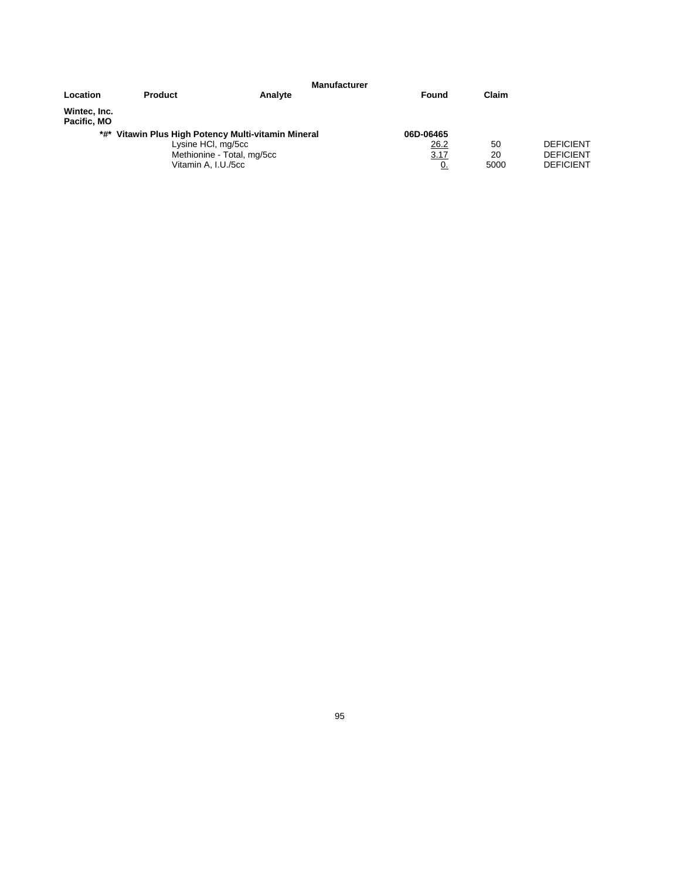| Location                                                                                                                       | <b>Product</b> | <b>Manufacturer</b><br>Analyte         | Found            | Claim                                                    |  |
|--------------------------------------------------------------------------------------------------------------------------------|----------------|----------------------------------------|------------------|----------------------------------------------------------|--|
| Wintec, Inc.<br>Pacific, MO                                                                                                    |                |                                        |                  |                                                          |  |
| *#* Vitawin Plus High Potency Multi-vitamin Mineral<br>Lysine HCI, mg/5cc<br>Methionine - Total, mg/5cc<br>Vitamin A, I.U./5cc |                | 06D-06465<br>26.2<br>3.17<br><u>0.</u> | 50<br>20<br>5000 | <b>DEFICIENT</b><br><b>DEFICIENT</b><br><b>DEFICIENT</b> |  |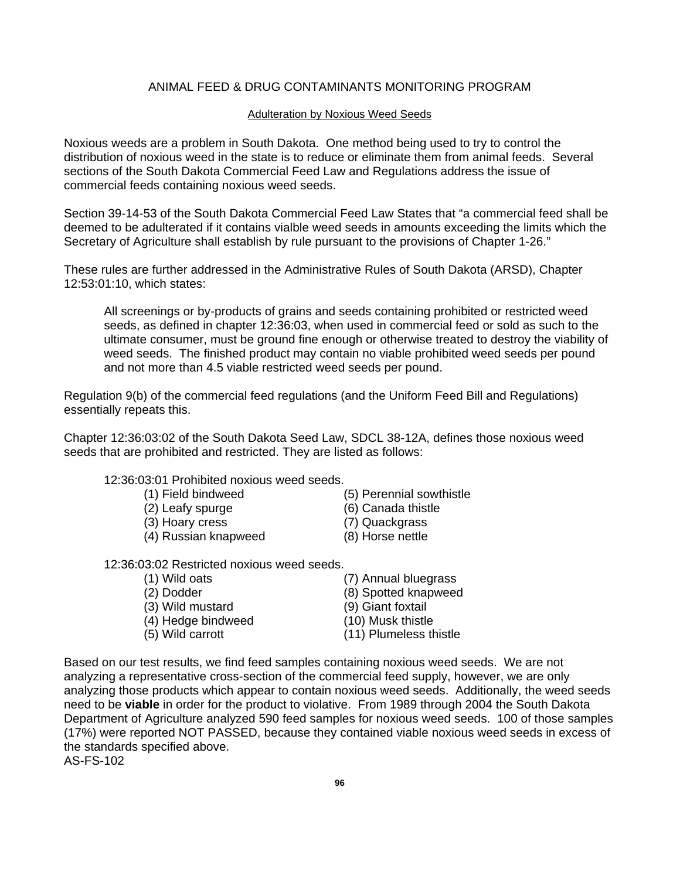#### ANIMAL FEED & DRUG CONTAMINANTS MONITORING PROGRAM

#### Adulteration by Noxious Weed Seeds

Noxious weeds are a problem in South Dakota. One method being used to try to control the distribution of noxious weed in the state is to reduce or eliminate them from animal feeds. Several sections of the South Dakota Commercial Feed Law and Regulations address the issue of commercial feeds containing noxious weed seeds.

Section 39-14-53 of the South Dakota Commercial Feed Law States that "a commercial feed shall be deemed to be adulterated if it contains vialble weed seeds in amounts exceeding the limits which the Secretary of Agriculture shall establish by rule pursuant to the provisions of Chapter 1-26."

These rules are further addressed in the Administrative Rules of South Dakota (ARSD), Chapter 12:53:01:10, which states:

All screenings or by-products of grains and seeds containing prohibited or restricted weed seeds, as defined in chapter 12:36:03, when used in commercial feed or sold as such to the ultimate consumer, must be ground fine enough or otherwise treated to destroy the viability of weed seeds. The finished product may contain no viable prohibited weed seeds per pound and not more than 4.5 viable restricted weed seeds per pound.

Regulation 9(b) of the commercial feed regulations (and the Uniform Feed Bill and Regulations) essentially repeats this.

Chapter 12:36:03:02 of the South Dakota Seed Law, SDCL 38-12A, defines those noxious weed seeds that are prohibited and restricted. They are listed as follows:

12:36:03:01 Prohibited noxious weed seeds.

- (1) Field bindweed (5) Perennial sowthistle
- (2) Leafy spurge (6) Canada thistle
- (3) Hoary cress (7) Quackgrass
- (4) Russian knapweed (8) Horse nettle
- 12:36:03:02 Restricted noxious weed seeds.
	- (1) Wild oats (7) Annual bluegrass (2) Dodder (8) Spotted knapweed (3) Wild mustard (9) Giant foxtail (4) Hedge bindweed (10) Musk thistle (5) Wild carrott (11) Plumeless thistle

Based on our test results, we find feed samples containing noxious weed seeds. We are not analyzing a representative cross-section of the commercial feed supply, however, we are only analyzing those products which appear to contain noxious weed seeds. Additionally, the weed seeds need to be **viable** in order for the product to violative. From 1989 through 2004 the South Dakota Department of Agriculture analyzed 590 feed samples for noxious weed seeds. 100 of those samples (17%) were reported NOT PASSED, because they contained viable noxious weed seeds in excess of the standards specified above.

AS-FS-102

- 
- 
- 
-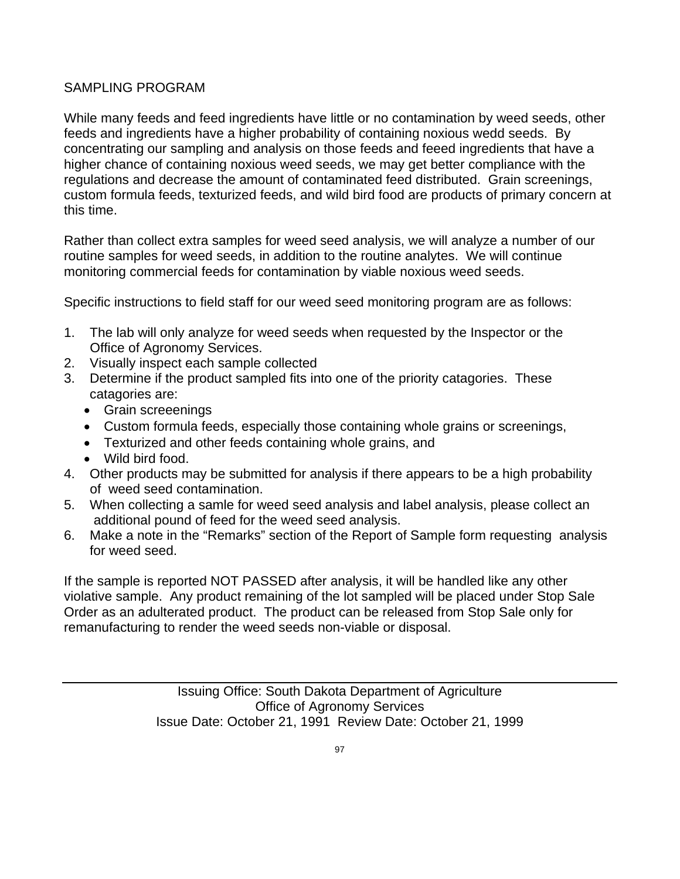# SAMPLING PROGRAM

While many feeds and feed ingredients have little or no contamination by weed seeds, other feeds and ingredients have a higher probability of containing noxious wedd seeds. By concentrating our sampling and analysis on those feeds and feeed ingredients that have a higher chance of containing noxious weed seeds, we may get better compliance with the regulations and decrease the amount of contaminated feed distributed. Grain screenings, custom formula feeds, texturized feeds, and wild bird food are products of primary concern at this time.

Rather than collect extra samples for weed seed analysis, we will analyze a number of our routine samples for weed seeds, in addition to the routine analytes. We will continue monitoring commercial feeds for contamination by viable noxious weed seeds.

Specific instructions to field staff for our weed seed monitoring program are as follows:

- 1. The lab will only analyze for weed seeds when requested by the Inspector or the Office of Agronomy Services.
- 2. Visually inspect each sample collected
- 3. Determine if the product sampled fits into one of the priority catagories. These catagories are:
	- Grain screeenings
	- Custom formula feeds, especially those containing whole grains or screenings,
	- Texturized and other feeds containing whole grains, and
	- Wild bird food.
- 4. Other products may be submitted for analysis if there appears to be a high probability of weed seed contamination.
- 5. When collecting a samle for weed seed analysis and label analysis, please collect an additional pound of feed for the weed seed analysis.
- 6. Make a note in the "Remarks" section of the Report of Sample form requesting analysis for weed seed.

If the sample is reported NOT PASSED after analysis, it will be handled like any other violative sample. Any product remaining of the lot sampled will be placed under Stop Sale Order as an adulterated product. The product can be released from Stop Sale only for remanufacturing to render the weed seeds non-viable or disposal.

> Issuing Office: South Dakota Department of Agriculture Office of Agronomy Services Issue Date: October 21, 1991 Review Date: October 21, 1999